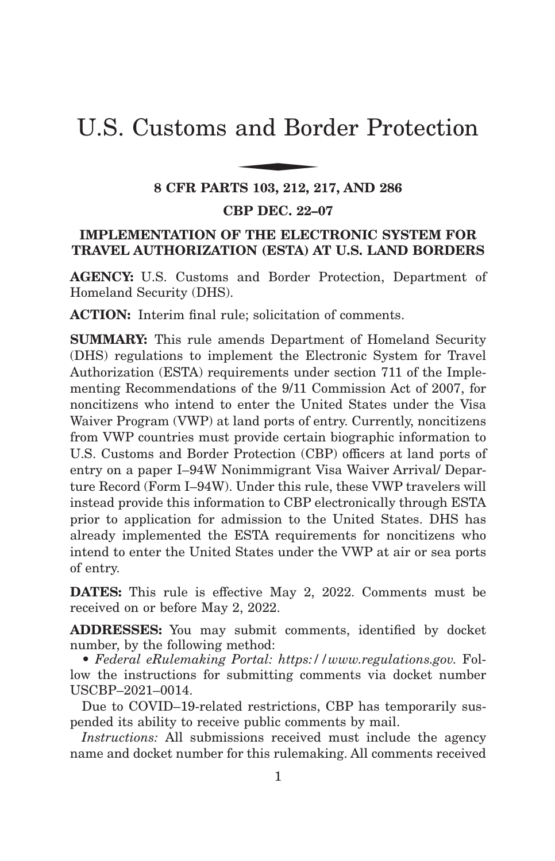# U.S. Customs and Border Protection and Bor

#### **8 CFR PARTS 103, 212, 217, AND 286**

#### **CBP DEC. 22–07**

# **IMPLEMENTATION OF THE ELECTRONIC SYSTEM FOR TRAVEL AUTHORIZATION (ESTA) AT U.S. LAND BORDERS**

**AGENCY:** U.S. Customs and Border Protection, Department of Homeland Security (DHS).

**ACTION:** Interim final rule; solicitation of comments.

**SUMMARY:** This rule amends Department of Homeland Security (DHS) regulations to implement the Electronic System for Travel Authorization (ESTA) requirements under section 711 of the Implementing Recommendations of the 9/11 Commission Act of 2007, for noncitizens who intend to enter the United States under the Visa Waiver Program (VWP) at land ports of entry. Currently, noncitizens from VWP countries must provide certain biographic information to U.S. Customs and Border Protection (CBP) officers at land ports of entry on a paper I–94W Nonimmigrant Visa Waiver Arrival/ Departure Record (Form I–94W). Under this rule, these VWP travelers will instead provide this information to CBP electronically through ESTA prior to application for admission to the United States. DHS has already implemented the ESTA requirements for noncitizens who intend to enter the United States under the VWP at air or sea ports of entry.

**DATES:** This rule is effective May 2, 2022. Comments must be received on or before May 2, 2022.

**ADDRESSES:** You may submit comments, identified by docket number, by the following method:

• *Federal eRulemaking Portal: https://www.regulations.gov.* Follow the instructions for submitting comments via docket number USCBP–2021–0014.

Due to COVID–19-related restrictions, CBP has temporarily suspended its ability to receive public comments by mail.

*Instructions:* All submissions received must include the agency name and docket number for this rulemaking. All comments received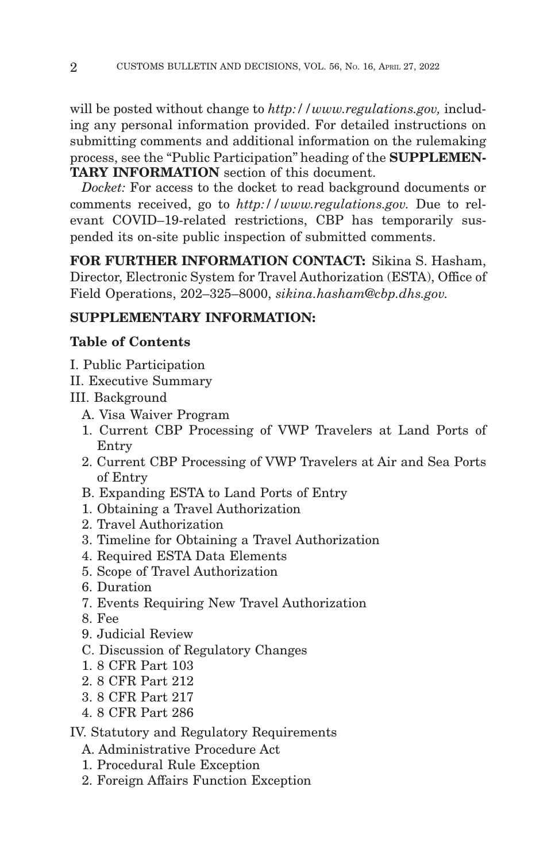will be posted without change to *http://www.regulations.gov,* including any personal information provided. For detailed instructions on submitting comments and additional information on the rulemaking process, see the "Public Participation" heading of the **SUPPLEMEN-TARY INFORMATION** section of this document.

*Docket:* For access to the docket to read background documents or comments received, go to *http://www.regulations.gov.* Due to relevant COVID–19-related restrictions, CBP has temporarily suspended its on-site public inspection of submitted comments.

**FOR FURTHER INFORMATION CONTACT:** Sikina S. Hasham, Director, Electronic System for Travel Authorization (ESTA), Office of Field Operations, 202–325–8000, *sikina.hasham@cbp.dhs.gov.*

# **SUPPLEMENTARY INFORMATION:**

# **Table of Contents**

- I. Public Participation
- II. Executive Summary

III. Background

- A. Visa Waiver Program
- 1. Current CBP Processing of VWP Travelers at Land Ports of Entry
- 2. Current CBP Processing of VWP Travelers at Air and Sea Ports of Entry
- B. Expanding ESTA to Land Ports of Entry
- 1. Obtaining a Travel Authorization
- 2. Travel Authorization
- 3. Timeline for Obtaining a Travel Authorization
- 4. Required ESTA Data Elements
- 5. Scope of Travel Authorization
- 6. Duration
- 7. Events Requiring New Travel Authorization
- 8. Fee
- 9. Judicial Review
- C. Discussion of Regulatory Changes
- 1. 8 CFR Part 103
- 2. 8 CFR Part 212
- 3. 8 CFR Part 217
- 4. 8 CFR Part 286

IV. Statutory and Regulatory Requirements

- A. Administrative Procedure Act
- 1. Procedural Rule Exception
- 2. Foreign Affairs Function Exception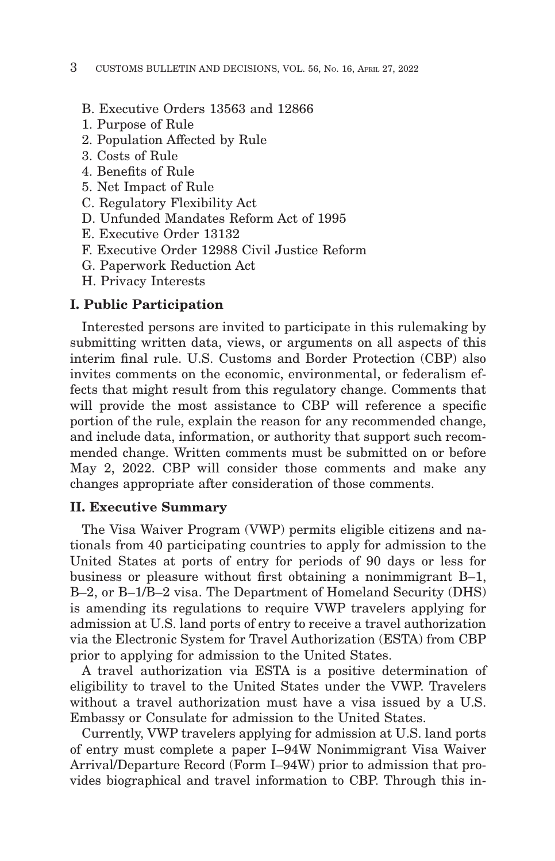- B. Executive Orders 13563 and 12866
- 1. Purpose of Rule
- 2. Population Affected by Rule
- 3. Costs of Rule
- 4. Benefits of Rule
- 5. Net Impact of Rule
- C. Regulatory Flexibility Act
- D. Unfunded Mandates Reform Act of 1995
- E. Executive Order 13132
- F. Executive Order 12988 Civil Justice Reform
- G. Paperwork Reduction Act
- H. Privacy Interests

#### **I. Public Participation**

Interested persons are invited to participate in this rulemaking by submitting written data, views, or arguments on all aspects of this interim final rule. U.S. Customs and Border Protection (CBP) also invites comments on the economic, environmental, or federalism effects that might result from this regulatory change. Comments that will provide the most assistance to CBP will reference a specific portion of the rule, explain the reason for any recommended change, and include data, information, or authority that support such recommended change. Written comments must be submitted on or before May 2, 2022. CBP will consider those comments and make any changes appropriate after consideration of those comments.

#### **II. Executive Summary**

The Visa Waiver Program (VWP) permits eligible citizens and nationals from 40 participating countries to apply for admission to the United States at ports of entry for periods of 90 days or less for business or pleasure without first obtaining a nonimmigrant B–1, B–2, or B–1/B–2 visa. The Department of Homeland Security (DHS) is amending its regulations to require VWP travelers applying for admission at U.S. land ports of entry to receive a travel authorization via the Electronic System for Travel Authorization (ESTA) from CBP prior to applying for admission to the United States.

A travel authorization via ESTA is a positive determination of eligibility to travel to the United States under the VWP. Travelers without a travel authorization must have a visa issued by a U.S. Embassy or Consulate for admission to the United States.

Currently, VWP travelers applying for admission at U.S. land ports of entry must complete a paper I–94W Nonimmigrant Visa Waiver Arrival/Departure Record (Form I–94W) prior to admission that provides biographical and travel information to CBP. Through this in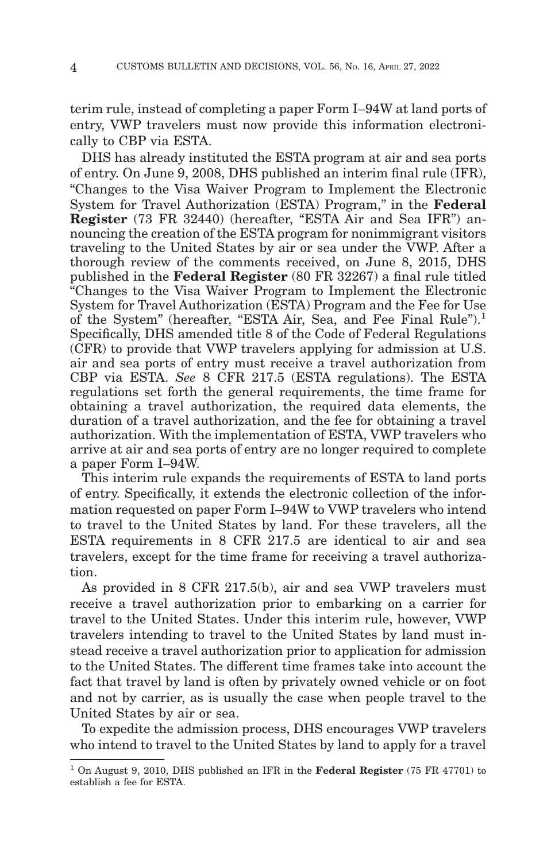terim rule, instead of completing a paper Form I–94W at land ports of entry, VWP travelers must now provide this information electronically to CBP via ESTA.

DHS has already instituted the ESTA program at air and sea ports of entry. On June 9, 2008, DHS published an interim final rule (IFR), ''Changes to the Visa Waiver Program to Implement the Electronic System for Travel Authorization (ESTA) Program,'' in the **Federal Register** (73 FR 32440) (hereafter, "ESTA Air and Sea IFR") announcing the creation of the ESTA program for nonimmigrant visitors traveling to the United States by air or sea under the VWP. After a thorough review of the comments received, on June 8, 2015, DHS published in the **Federal Register** (80 FR 32267) a final rule titled ''Changes to the Visa Waiver Program to Implement the Electronic System for Travel Authorization (ESTA) Program and the Fee for Use of the System" (hereafter, "ESTA Air, Sea, and Fee Final Rule"). $<sup>1</sup>$ </sup> Specifically, DHS amended title 8 of the Code of Federal Regulations (CFR) to provide that VWP travelers applying for admission at U.S. air and sea ports of entry must receive a travel authorization from CBP via ESTA. *See* 8 CFR 217.5 (ESTA regulations). The ESTA regulations set forth the general requirements, the time frame for obtaining a travel authorization, the required data elements, the duration of a travel authorization, and the fee for obtaining a travel authorization. With the implementation of ESTA, VWP travelers who arrive at air and sea ports of entry are no longer required to complete a paper Form I–94W.

This interim rule expands the requirements of ESTA to land ports of entry. Specifically, it extends the electronic collection of the information requested on paper Form I–94W to VWP travelers who intend to travel to the United States by land. For these travelers, all the ESTA requirements in 8 CFR 217.5 are identical to air and sea travelers, except for the time frame for receiving a travel authorization.

As provided in 8 CFR 217.5(b), air and sea VWP travelers must receive a travel authorization prior to embarking on a carrier for travel to the United States. Under this interim rule, however, VWP travelers intending to travel to the United States by land must instead receive a travel authorization prior to application for admission to the United States. The different time frames take into account the fact that travel by land is often by privately owned vehicle or on foot and not by carrier, as is usually the case when people travel to the United States by air or sea.

To expedite the admission process, DHS encourages VWP travelers who intend to travel to the United States by land to apply for a travel

<sup>1</sup> On August 9, 2010, DHS published an IFR in the **Federal Register** (75 FR 47701) to establish a fee for ESTA.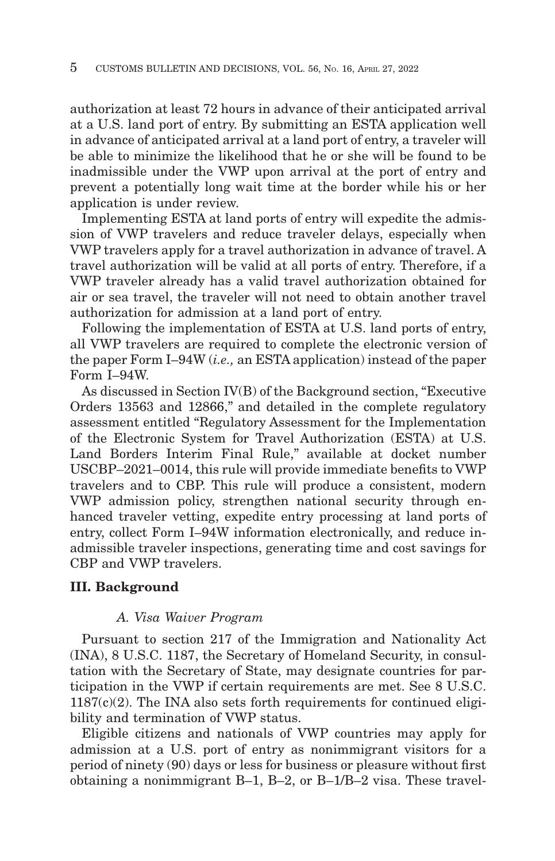authorization at least 72 hours in advance of their anticipated arrival at a U.S. land port of entry. By submitting an ESTA application well in advance of anticipated arrival at a land port of entry, a traveler will be able to minimize the likelihood that he or she will be found to be inadmissible under the VWP upon arrival at the port of entry and prevent a potentially long wait time at the border while his or her application is under review.

Implementing ESTA at land ports of entry will expedite the admission of VWP travelers and reduce traveler delays, especially when VWP travelers apply for a travel authorization in advance of travel. A travel authorization will be valid at all ports of entry. Therefore, if a VWP traveler already has a valid travel authorization obtained for air or sea travel, the traveler will not need to obtain another travel authorization for admission at a land port of entry.

Following the implementation of ESTA at U.S. land ports of entry, all VWP travelers are required to complete the electronic version of the paper Form I–94W (*i.e.,* an ESTA application) instead of the paper Form I–94W.

As discussed in Section IV(B) of the Background section, "Executive" Orders 13563 and 12866,'' and detailed in the complete regulatory assessment entitled ''Regulatory Assessment for the Implementation of the Electronic System for Travel Authorization (ESTA) at U.S. Land Borders Interim Final Rule," available at docket number USCBP–2021–0014, this rule will provide immediate benefits to VWP travelers and to CBP. This rule will produce a consistent, modern VWP admission policy, strengthen national security through enhanced traveler vetting, expedite entry processing at land ports of entry, collect Form I–94W information electronically, and reduce inadmissible traveler inspections, generating time and cost savings for CBP and VWP travelers.

# **III. Background**

#### *A. Visa Waiver Program*

Pursuant to section 217 of the Immigration and Nationality Act (INA), 8 U.S.C. 1187, the Secretary of Homeland Security, in consultation with the Secretary of State, may designate countries for participation in the VWP if certain requirements are met. See 8 U.S.C.  $1187(c)(2)$ . The INA also sets forth requirements for continued eligibility and termination of VWP status.

Eligible citizens and nationals of VWP countries may apply for admission at a U.S. port of entry as nonimmigrant visitors for a period of ninety (90) days or less for business or pleasure without first obtaining a nonimmigrant B–1, B–2, or B–1/B–2 visa. These travel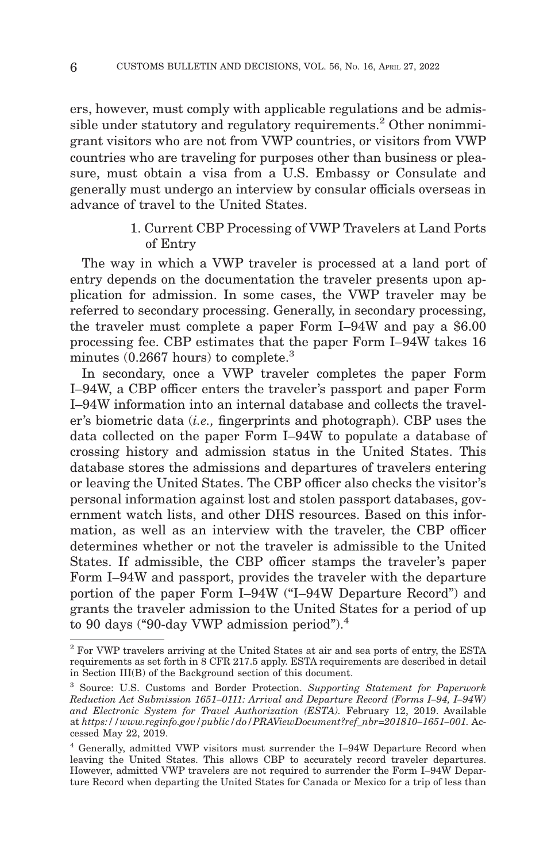ers, however, must comply with applicable regulations and be admissible under statutory and regulatory requirements.<sup>2</sup> Other nonimmigrant visitors who are not from VWP countries, or visitors from VWP countries who are traveling for purposes other than business or pleasure, must obtain a visa from a U.S. Embassy or Consulate and generally must undergo an interview by consular officials overseas in advance of travel to the United States.

## 1. Current CBP Processing of VWP Travelers at Land Ports of Entry

The way in which a VWP traveler is processed at a land port of entry depends on the documentation the traveler presents upon application for admission. In some cases, the VWP traveler may be referred to secondary processing. Generally, in secondary processing, the traveler must complete a paper Form I–94W and pay a \$6.00 processing fee. CBP estimates that the paper Form I–94W takes 16 minutes  $(0.2667$  hours) to complete.<sup>3</sup>

In secondary, once a VWP traveler completes the paper Form I–94W, a CBP officer enters the traveler's passport and paper Form I–94W information into an internal database and collects the traveler's biometric data (*i.e.,* fingerprints and photograph). CBP uses the data collected on the paper Form I–94W to populate a database of crossing history and admission status in the United States. This database stores the admissions and departures of travelers entering or leaving the United States. The CBP officer also checks the visitor's personal information against lost and stolen passport databases, government watch lists, and other DHS resources. Based on this information, as well as an interview with the traveler, the CBP officer determines whether or not the traveler is admissible to the United States. If admissible, the CBP officer stamps the traveler's paper Form I–94W and passport, provides the traveler with the departure portion of the paper Form I–94W (''I–94W Departure Record'') and grants the traveler admission to the United States for a period of up to 90 days ("90-day VWP admission period"). $4$ 

<sup>2</sup> For VWP travelers arriving at the United States at air and sea ports of entry, the ESTA requirements as set forth in 8 CFR 217.5 apply. ESTA requirements are described in detail in Section III(B) of the Background section of this document.

<sup>3</sup> Source: U.S. Customs and Border Protection. *Supporting Statement for Paperwork Reduction Act Submission 1651–0111: Arrival and Departure Record (Forms I–94, I–94W) and Electronic System for Travel Authorization (ESTA).* February 12, 2019. Available at *https://www.reginfo.gov/public/do/PRAViewDocument?ref\_nbr=201810–1651–001.* Accessed May 22, 2019.

<sup>4</sup> Generally, admitted VWP visitors must surrender the I–94W Departure Record when leaving the United States. This allows CBP to accurately record traveler departures. However, admitted VWP travelers are not required to surrender the Form I–94W Departure Record when departing the United States for Canada or Mexico for a trip of less than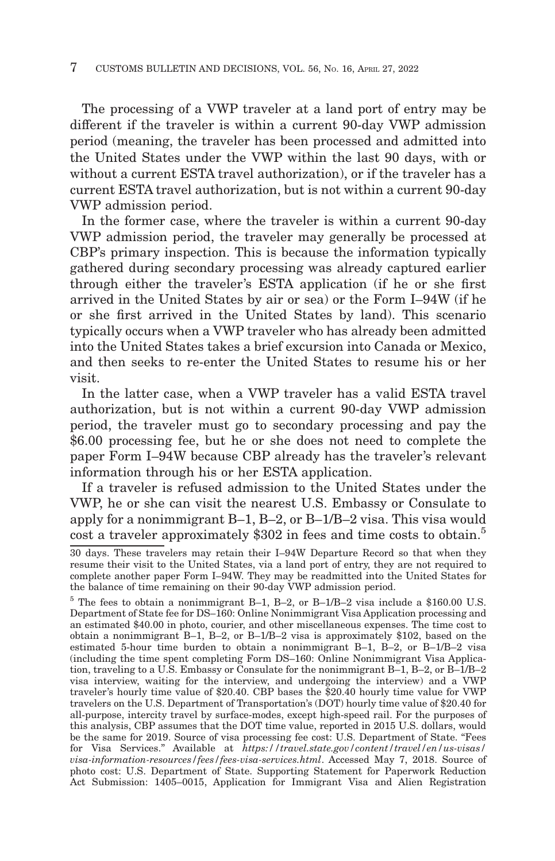The processing of a VWP traveler at a land port of entry may be different if the traveler is within a current 90-day VWP admission period (meaning, the traveler has been processed and admitted into the United States under the VWP within the last 90 days, with or without a current ESTA travel authorization), or if the traveler has a current ESTA travel authorization, but is not within a current 90-day VWP admission period.

In the former case, where the traveler is within a current 90-day VWP admission period, the traveler may generally be processed at CBP's primary inspection. This is because the information typically gathered during secondary processing was already captured earlier through either the traveler's ESTA application (if he or she first arrived in the United States by air or sea) or the Form I–94W (if he or she first arrived in the United States by land). This scenario typically occurs when a VWP traveler who has already been admitted into the United States takes a brief excursion into Canada or Mexico, and then seeks to re-enter the United States to resume his or her visit.

In the latter case, when a VWP traveler has a valid ESTA travel authorization, but is not within a current 90-day VWP admission period, the traveler must go to secondary processing and pay the \$6.00 processing fee, but he or she does not need to complete the paper Form I–94W because CBP already has the traveler's relevant information through his or her ESTA application.

If a traveler is refused admission to the United States under the VWP, he or she can visit the nearest U.S. Embassy or Consulate to apply for a nonimmigrant B–1, B–2, or B–1/B–2 visa. This visa would cost a traveler approximately \$302 in fees and time costs to obtain.<sup>5</sup>

<sup>30</sup> days. These travelers may retain their I–94W Departure Record so that when they resume their visit to the United States, via a land port of entry, they are not required to complete another paper Form I–94W. They may be readmitted into the United States for the balance of time remaining on their 90-day VWP admission period.

<sup>5</sup> The fees to obtain a nonimmigrant B–1, B–2, or B–1/B–2 visa include a \$160.00 U.S. Department of State fee for DS–160: Online Nonimmigrant Visa Application processing and an estimated \$40.00 in photo, courier, and other miscellaneous expenses. The time cost to obtain a nonimmigrant B–1, B–2, or B–1/B–2 visa is approximately \$102, based on the estimated 5-hour time burden to obtain a nonimmigrant B–1, B–2, or B–1/B–2 visa (including the time spent completing Form DS–160: Online Nonimmigrant Visa Application, traveling to a U.S. Embassy or Consulate for the nonimmigrant B–1, B–2, or B–1/B–2 visa interview, waiting for the interview, and undergoing the interview) and a VWP traveler's hourly time value of \$20.40. CBP bases the \$20.40 hourly time value for VWP travelers on the U.S. Department of Transportation's (DOT) hourly time value of \$20.40 for all-purpose, intercity travel by surface-modes, except high-speed rail. For the purposes of this analysis, CBP assumes that the DOT time value, reported in 2015 U.S. dollars, would be the same for 2019. Source of visa processing fee cost: U.S. Department of State. ''Fees for Visa Services.'' Available at *https://travel.state.gov/content/travel/en/us-visas/ visa-information-resources/fees/fees-visa-services.html*. Accessed May 7, 2018. Source of photo cost: U.S. Department of State. Supporting Statement for Paperwork Reduction Act Submission: 1405–0015, Application for Immigrant Visa and Alien Registration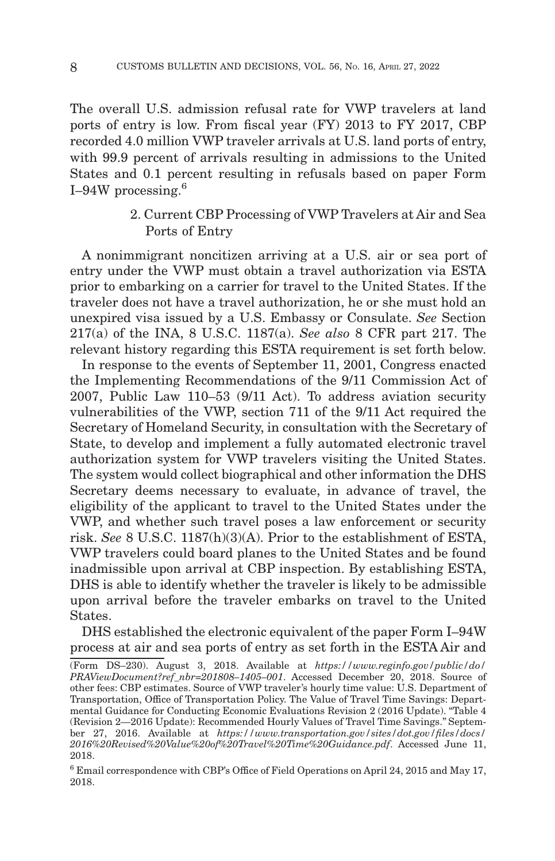The overall U.S. admission refusal rate for VWP travelers at land ports of entry is low. From fiscal year (FY) 2013 to FY 2017, CBP recorded 4.0 million VWP traveler arrivals at U.S. land ports of entry, with 99.9 percent of arrivals resulting in admissions to the United States and 0.1 percent resulting in refusals based on paper Form I–94W processing. $6$ 

# 2. Current CBP Processing of VWP Travelers at Air and Sea Ports of Entry

A nonimmigrant noncitizen arriving at a U.S. air or sea port of entry under the VWP must obtain a travel authorization via ESTA prior to embarking on a carrier for travel to the United States. If the traveler does not have a travel authorization, he or she must hold an unexpired visa issued by a U.S. Embassy or Consulate. *See* Section 217(a) of the INA, 8 U.S.C. 1187(a). *See also* 8 CFR part 217. The relevant history regarding this ESTA requirement is set forth below.

In response to the events of September 11, 2001, Congress enacted the Implementing Recommendations of the 9/11 Commission Act of 2007, Public Law 110–53 (9/11 Act). To address aviation security vulnerabilities of the VWP, section 711 of the 9/11 Act required the Secretary of Homeland Security, in consultation with the Secretary of State, to develop and implement a fully automated electronic travel authorization system for VWP travelers visiting the United States. The system would collect biographical and other information the DHS Secretary deems necessary to evaluate, in advance of travel, the eligibility of the applicant to travel to the United States under the VWP, and whether such travel poses a law enforcement or security risk. *See* 8 U.S.C. 1187(h)(3)(A). Prior to the establishment of ESTA, VWP travelers could board planes to the United States and be found inadmissible upon arrival at CBP inspection. By establishing ESTA, DHS is able to identify whether the traveler is likely to be admissible upon arrival before the traveler embarks on travel to the United States.

DHS established the electronic equivalent of the paper Form I–94W process at air and sea ports of entry as set forth in the ESTA Air and

<sup>(</sup>Form DS–230). August 3, 2018. Available at *https://www.reginfo.gov/public/do/ PRAViewDocument?ref\_nbr=201808–1405–001*. Accessed December 20, 2018. Source of other fees: CBP estimates. Source of VWP traveler's hourly time value: U.S. Department of Transportation, Office of Transportation Policy. The Value of Travel Time Savings: Departmental Guidance for Conducting Economic Evaluations Revision 2 (2016 Update). ''Table 4 (Revision 2—2016 Update): Recommended Hourly Values of Travel Time Savings.'' September 27, 2016. Available at *https://www.transportation.gov/sites/dot.gov/files/docs/ 2016%20Revised%20Value%20of%20Travel%20Time%20Guidance.pdf*. Accessed June 11, 2018.

 $^6$  Email correspondence with CBP's Office of Field Operations on April 24, 2015 and May 17, 2018.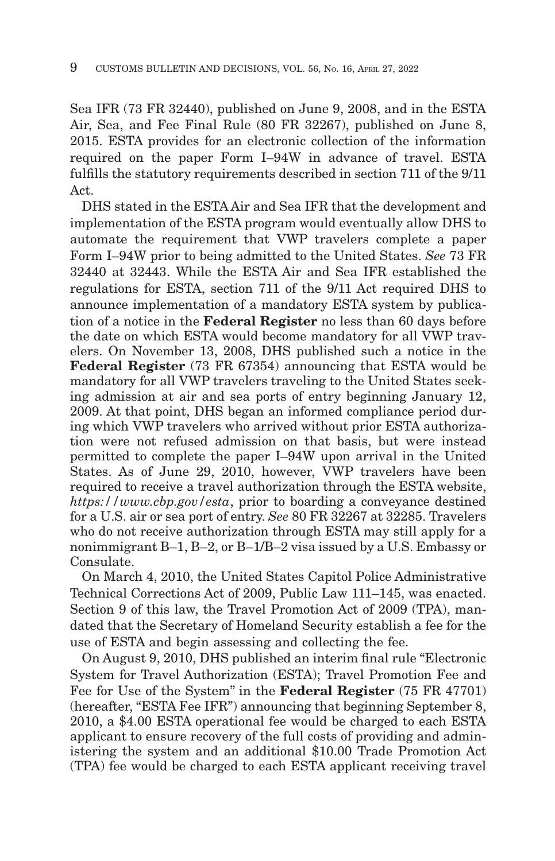Sea IFR (73 FR 32440), published on June 9, 2008, and in the ESTA Air, Sea, and Fee Final Rule (80 FR 32267), published on June 8, 2015. ESTA provides for an electronic collection of the information required on the paper Form I–94W in advance of travel. ESTA fulfills the statutory requirements described in section 711 of the 9/11 Act.

DHS stated in the ESTA Air and Sea IFR that the development and implementation of the ESTA program would eventually allow DHS to automate the requirement that VWP travelers complete a paper Form I–94W prior to being admitted to the United States. *See* 73 FR 32440 at 32443. While the ESTA Air and Sea IFR established the regulations for ESTA, section 711 of the 9/11 Act required DHS to announce implementation of a mandatory ESTA system by publication of a notice in the **Federal Register** no less than 60 days before the date on which ESTA would become mandatory for all VWP travelers. On November 13, 2008, DHS published such a notice in the **Federal Register** (73 FR 67354) announcing that ESTA would be mandatory for all VWP travelers traveling to the United States seeking admission at air and sea ports of entry beginning January 12, 2009. At that point, DHS began an informed compliance period during which VWP travelers who arrived without prior ESTA authorization were not refused admission on that basis, but were instead permitted to complete the paper I–94W upon arrival in the United States. As of June 29, 2010, however, VWP travelers have been required to receive a travel authorization through the ESTA website, *https://www.cbp.gov/esta*, prior to boarding a conveyance destined for a U.S. air or sea port of entry. *See* 80 FR 32267 at 32285. Travelers who do not receive authorization through ESTA may still apply for a nonimmigrant B–1, B–2, or B–1/B–2 visa issued by a U.S. Embassy or Consulate.

On March 4, 2010, the United States Capitol Police Administrative Technical Corrections Act of 2009, Public Law 111–145, was enacted. Section 9 of this law, the Travel Promotion Act of 2009 (TPA), mandated that the Secretary of Homeland Security establish a fee for the use of ESTA and begin assessing and collecting the fee.

On August 9, 2010, DHS published an interim final rule ''Electronic System for Travel Authorization (ESTA); Travel Promotion Fee and Fee for Use of the System'' in the **Federal Register** (75 FR 47701) (hereafter, "ESTA Fee IFR") announcing that beginning September 8, 2010, a \$4.00 ESTA operational fee would be charged to each ESTA applicant to ensure recovery of the full costs of providing and administering the system and an additional \$10.00 Trade Promotion Act (TPA) fee would be charged to each ESTA applicant receiving travel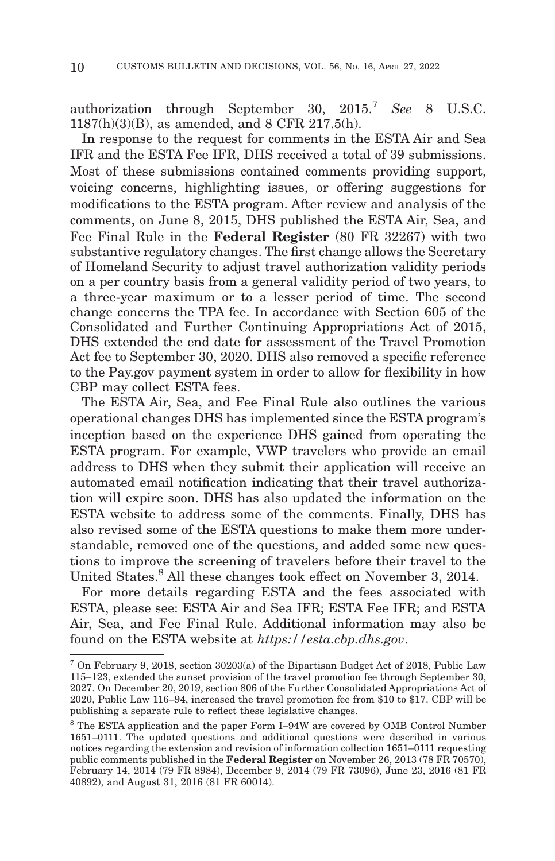authorization through September 30, 2015.7 *See* 8 U.S.C. 1187(h)(3)(B), as amended, and 8 CFR 217.5(h).

In response to the request for comments in the ESTA Air and Sea IFR and the ESTA Fee IFR, DHS received a total of 39 submissions. Most of these submissions contained comments providing support, voicing concerns, highlighting issues, or offering suggestions for modifications to the ESTA program. After review and analysis of the comments, on June 8, 2015, DHS published the ESTA Air, Sea, and Fee Final Rule in the **Federal Register** (80 FR 32267) with two substantive regulatory changes. The first change allows the Secretary of Homeland Security to adjust travel authorization validity periods on a per country basis from a general validity period of two years, to a three-year maximum or to a lesser period of time. The second change concerns the TPA fee. In accordance with Section 605 of the Consolidated and Further Continuing Appropriations Act of 2015, DHS extended the end date for assessment of the Travel Promotion Act fee to September 30, 2020. DHS also removed a specific reference to the Pay.gov payment system in order to allow for flexibility in how CBP may collect ESTA fees.

The ESTA Air, Sea, and Fee Final Rule also outlines the various operational changes DHS has implemented since the ESTA program's inception based on the experience DHS gained from operating the ESTA program. For example, VWP travelers who provide an email address to DHS when they submit their application will receive an automated email notification indicating that their travel authorization will expire soon. DHS has also updated the information on the ESTA website to address some of the comments. Finally, DHS has also revised some of the ESTA questions to make them more understandable, removed one of the questions, and added some new questions to improve the screening of travelers before their travel to the United States.8 All these changes took effect on November 3, 2014.

For more details regarding ESTA and the fees associated with ESTA, please see: ESTA Air and Sea IFR; ESTA Fee IFR; and ESTA Air, Sea, and Fee Final Rule. Additional information may also be found on the ESTA website at *https://esta.cbp.dhs.gov*.

<sup>7</sup> On February 9, 2018, section 30203(a) of the Bipartisan Budget Act of 2018, Public Law 115–123, extended the sunset provision of the travel promotion fee through September 30, 2027. On December 20, 2019, section 806 of the Further Consolidated Appropriations Act of 2020, Public Law 116–94, increased the travel promotion fee from \$10 to \$17. CBP will be publishing a separate rule to reflect these legislative changes.

<sup>8</sup> The ESTA application and the paper Form I–94W are covered by OMB Control Number 1651–0111. The updated questions and additional questions were described in various notices regarding the extension and revision of information collection 1651–0111 requesting public comments published in the **Federal Register** on November 26, 2013 (78 FR 70570), February 14, 2014 (79 FR 8984), December 9, 2014 (79 FR 73096), June 23, 2016 (81 FR 40892), and August 31, 2016 (81 FR 60014).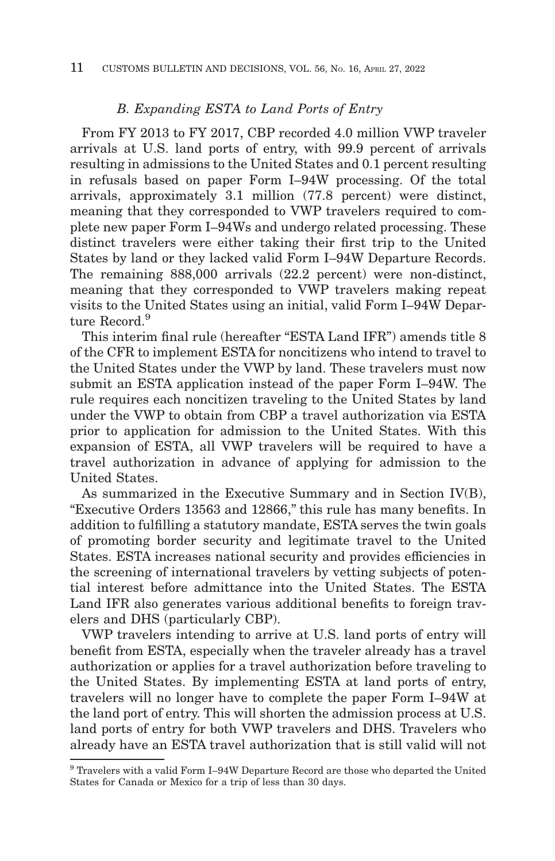#### *B. Expanding ESTA to Land Ports of Entry*

From FY 2013 to FY 2017, CBP recorded 4.0 million VWP traveler arrivals at U.S. land ports of entry, with 99.9 percent of arrivals resulting in admissions to the United States and 0.1 percent resulting in refusals based on paper Form I–94W processing. Of the total arrivals, approximately 3.1 million (77.8 percent) were distinct, meaning that they corresponded to VWP travelers required to complete new paper Form I–94Ws and undergo related processing. These distinct travelers were either taking their first trip to the United States by land or they lacked valid Form I–94W Departure Records. The remaining 888,000 arrivals (22.2 percent) were non-distinct, meaning that they corresponded to VWP travelers making repeat visits to the United States using an initial, valid Form I–94W Departure Record.<sup>9</sup>

This interim final rule (hereafter "ESTA Land IFR") amends title 8 of the CFR to implement ESTA for noncitizens who intend to travel to the United States under the VWP by land. These travelers must now submit an ESTA application instead of the paper Form I–94W. The rule requires each noncitizen traveling to the United States by land under the VWP to obtain from CBP a travel authorization via ESTA prior to application for admission to the United States. With this expansion of ESTA, all VWP travelers will be required to have a travel authorization in advance of applying for admission to the United States.

As summarized in the Executive Summary and in Section IV(B), ''Executive Orders 13563 and 12866,'' this rule has many benefits. In addition to fulfilling a statutory mandate, ESTA serves the twin goals of promoting border security and legitimate travel to the United States. ESTA increases national security and provides efficiencies in the screening of international travelers by vetting subjects of potential interest before admittance into the United States. The ESTA Land IFR also generates various additional benefits to foreign travelers and DHS (particularly CBP).

VWP travelers intending to arrive at U.S. land ports of entry will benefit from ESTA, especially when the traveler already has a travel authorization or applies for a travel authorization before traveling to the United States. By implementing ESTA at land ports of entry, travelers will no longer have to complete the paper Form I–94W at the land port of entry. This will shorten the admission process at U.S. land ports of entry for both VWP travelers and DHS. Travelers who already have an ESTA travel authorization that is still valid will not

<sup>9</sup> Travelers with a valid Form I–94W Departure Record are those who departed the United States for Canada or Mexico for a trip of less than 30 days.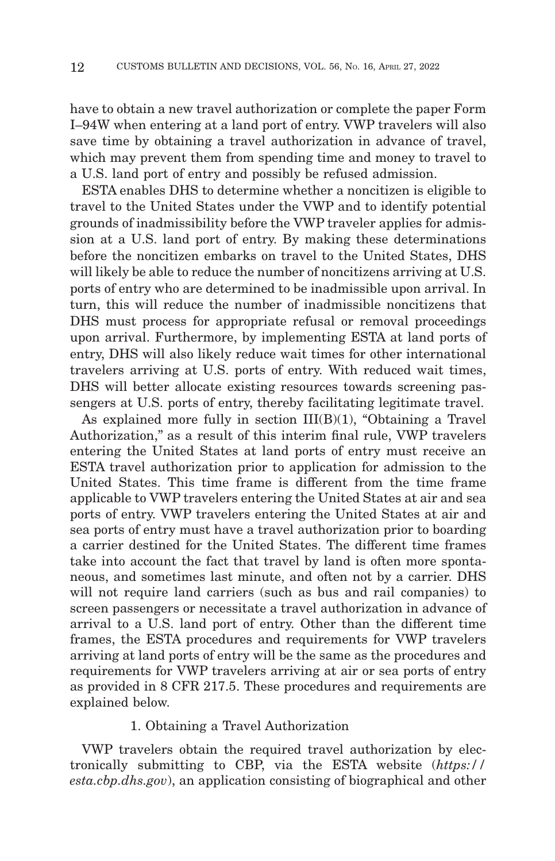have to obtain a new travel authorization or complete the paper Form I–94W when entering at a land port of entry. VWP travelers will also save time by obtaining a travel authorization in advance of travel, which may prevent them from spending time and money to travel to a U.S. land port of entry and possibly be refused admission.

ESTA enables DHS to determine whether a noncitizen is eligible to travel to the United States under the VWP and to identify potential grounds of inadmissibility before the VWP traveler applies for admission at a U.S. land port of entry. By making these determinations before the noncitizen embarks on travel to the United States, DHS will likely be able to reduce the number of noncitizens arriving at U.S. ports of entry who are determined to be inadmissible upon arrival. In turn, this will reduce the number of inadmissible noncitizens that DHS must process for appropriate refusal or removal proceedings upon arrival. Furthermore, by implementing ESTA at land ports of entry, DHS will also likely reduce wait times for other international travelers arriving at U.S. ports of entry. With reduced wait times, DHS will better allocate existing resources towards screening passengers at U.S. ports of entry, thereby facilitating legitimate travel.

As explained more fully in section  $III(B)(1)$ , "Obtaining a Travel Authorization," as a result of this interim final rule, VWP travelers entering the United States at land ports of entry must receive an ESTA travel authorization prior to application for admission to the United States. This time frame is different from the time frame applicable to VWP travelers entering the United States at air and sea ports of entry. VWP travelers entering the United States at air and sea ports of entry must have a travel authorization prior to boarding a carrier destined for the United States. The different time frames take into account the fact that travel by land is often more spontaneous, and sometimes last minute, and often not by a carrier. DHS will not require land carriers (such as bus and rail companies) to screen passengers or necessitate a travel authorization in advance of arrival to a U.S. land port of entry. Other than the different time frames, the ESTA procedures and requirements for VWP travelers arriving at land ports of entry will be the same as the procedures and requirements for VWP travelers arriving at air or sea ports of entry as provided in 8 CFR 217.5. These procedures and requirements are explained below.

#### 1. Obtaining a Travel Authorization

VWP travelers obtain the required travel authorization by electronically submitting to CBP, via the ESTA website (*https:// esta.cbp.dhs.gov*), an application consisting of biographical and other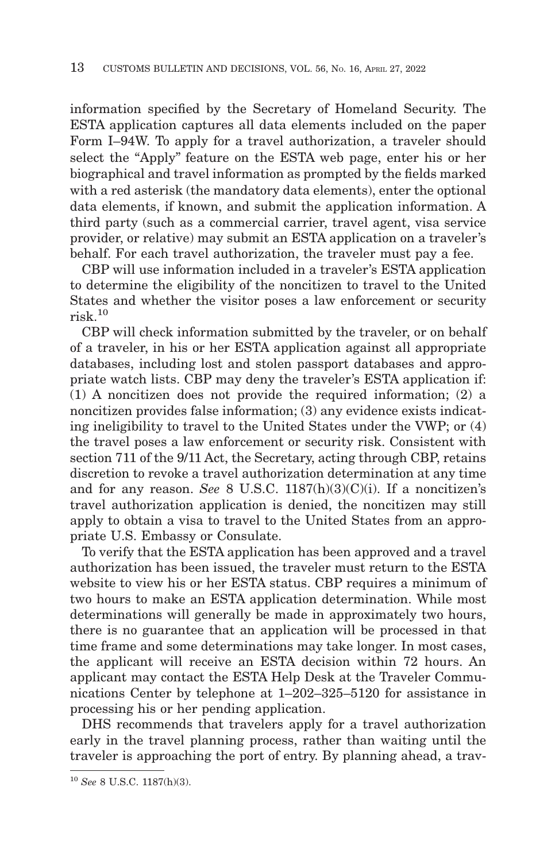information specified by the Secretary of Homeland Security. The ESTA application captures all data elements included on the paper Form I–94W. To apply for a travel authorization, a traveler should select the "Apply" feature on the ESTA web page, enter his or her biographical and travel information as prompted by the fields marked with a red asterisk (the mandatory data elements), enter the optional data elements, if known, and submit the application information. A third party (such as a commercial carrier, travel agent, visa service provider, or relative) may submit an ESTA application on a traveler's behalf. For each travel authorization, the traveler must pay a fee.

CBP will use information included in a traveler's ESTA application to determine the eligibility of the noncitizen to travel to the United States and whether the visitor poses a law enforcement or security  $risk$ <sup>10</sup>

CBP will check information submitted by the traveler, or on behalf of a traveler, in his or her ESTA application against all appropriate databases, including lost and stolen passport databases and appropriate watch lists. CBP may deny the traveler's ESTA application if: (1) A noncitizen does not provide the required information; (2) a noncitizen provides false information; (3) any evidence exists indicating ineligibility to travel to the United States under the VWP; or (4) the travel poses a law enforcement or security risk. Consistent with section 711 of the 9/11 Act, the Secretary, acting through CBP, retains discretion to revoke a travel authorization determination at any time and for any reason. *See* 8 U.S.C. 1187(h)(3)(C)(i). If a noncitizen's travel authorization application is denied, the noncitizen may still apply to obtain a visa to travel to the United States from an appropriate U.S. Embassy or Consulate.

To verify that the ESTA application has been approved and a travel authorization has been issued, the traveler must return to the ESTA website to view his or her ESTA status. CBP requires a minimum of two hours to make an ESTA application determination. While most determinations will generally be made in approximately two hours, there is no guarantee that an application will be processed in that time frame and some determinations may take longer. In most cases, the applicant will receive an ESTA decision within 72 hours. An applicant may contact the ESTA Help Desk at the Traveler Communications Center by telephone at 1–202–325–5120 for assistance in processing his or her pending application.

DHS recommends that travelers apply for a travel authorization early in the travel planning process, rather than waiting until the traveler is approaching the port of entry. By planning ahead, a trav-

<sup>10</sup>*See* 8 U.S.C. 1187(h)(3).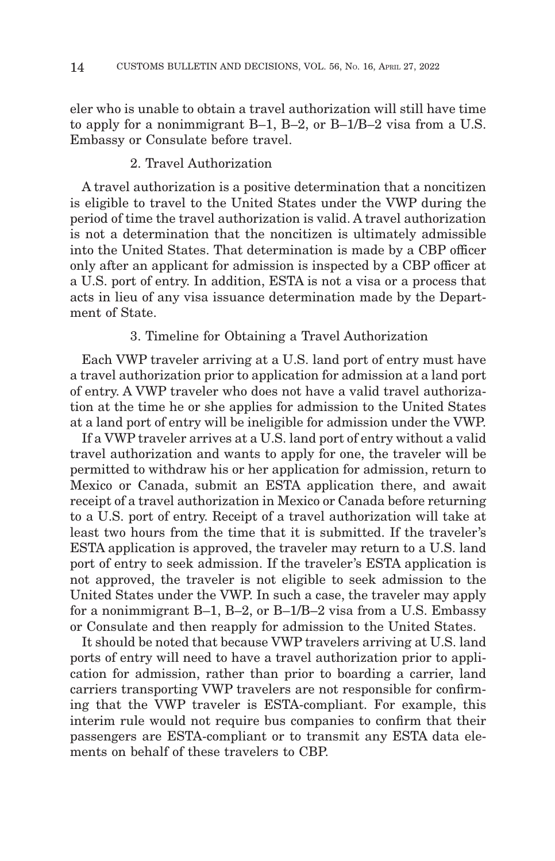eler who is unable to obtain a travel authorization will still have time to apply for a nonimmigrant B–1, B–2, or B–1/B–2 visa from a U.S. Embassy or Consulate before travel.

## 2. Travel Authorization

A travel authorization is a positive determination that a noncitizen is eligible to travel to the United States under the VWP during the period of time the travel authorization is valid. A travel authorization is not a determination that the noncitizen is ultimately admissible into the United States. That determination is made by a CBP officer only after an applicant for admission is inspected by a CBP officer at a U.S. port of entry. In addition, ESTA is not a visa or a process that acts in lieu of any visa issuance determination made by the Department of State.

#### 3. Timeline for Obtaining a Travel Authorization

Each VWP traveler arriving at a U.S. land port of entry must have a travel authorization prior to application for admission at a land port of entry. A VWP traveler who does not have a valid travel authorization at the time he or she applies for admission to the United States at a land port of entry will be ineligible for admission under the VWP.

If a VWP traveler arrives at a U.S. land port of entry without a valid travel authorization and wants to apply for one, the traveler will be permitted to withdraw his or her application for admission, return to Mexico or Canada, submit an ESTA application there, and await receipt of a travel authorization in Mexico or Canada before returning to a U.S. port of entry. Receipt of a travel authorization will take at least two hours from the time that it is submitted. If the traveler's ESTA application is approved, the traveler may return to a U.S. land port of entry to seek admission. If the traveler's ESTA application is not approved, the traveler is not eligible to seek admission to the United States under the VWP. In such a case, the traveler may apply for a nonimmigrant B–1, B–2, or B–1/B–2 visa from a U.S. Embassy or Consulate and then reapply for admission to the United States.

It should be noted that because VWP travelers arriving at U.S. land ports of entry will need to have a travel authorization prior to application for admission, rather than prior to boarding a carrier, land carriers transporting VWP travelers are not responsible for confirming that the VWP traveler is ESTA-compliant. For example, this interim rule would not require bus companies to confirm that their passengers are ESTA-compliant or to transmit any ESTA data elements on behalf of these travelers to CBP.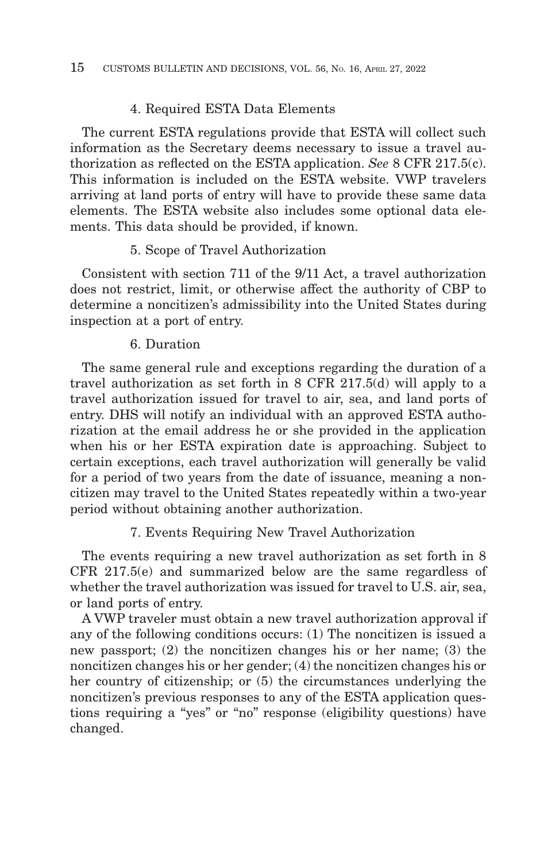## 4. Required ESTA Data Elements

The current ESTA regulations provide that ESTA will collect such information as the Secretary deems necessary to issue a travel authorization as reflected on the ESTA application. *See* 8 CFR 217.5(c). This information is included on the ESTA website. VWP travelers arriving at land ports of entry will have to provide these same data elements. The ESTA website also includes some optional data elements. This data should be provided, if known.

#### 5. Scope of Travel Authorization

Consistent with section 711 of the 9/11 Act, a travel authorization does not restrict, limit, or otherwise affect the authority of CBP to determine a noncitizen's admissibility into the United States during inspection at a port of entry.

#### 6. Duration

The same general rule and exceptions regarding the duration of a travel authorization as set forth in 8 CFR 217.5(d) will apply to a travel authorization issued for travel to air, sea, and land ports of entry. DHS will notify an individual with an approved ESTA authorization at the email address he or she provided in the application when his or her ESTA expiration date is approaching. Subject to certain exceptions, each travel authorization will generally be valid for a period of two years from the date of issuance, meaning a noncitizen may travel to the United States repeatedly within a two-year period without obtaining another authorization.

#### 7. Events Requiring New Travel Authorization

The events requiring a new travel authorization as set forth in 8 CFR 217.5(e) and summarized below are the same regardless of whether the travel authorization was issued for travel to U.S. air, sea, or land ports of entry.

A VWP traveler must obtain a new travel authorization approval if any of the following conditions occurs: (1) The noncitizen is issued a new passport; (2) the noncitizen changes his or her name; (3) the noncitizen changes his or her gender; (4) the noncitizen changes his or her country of citizenship; or (5) the circumstances underlying the noncitizen's previous responses to any of the ESTA application questions requiring a "yes" or "no" response (eligibility questions) have changed.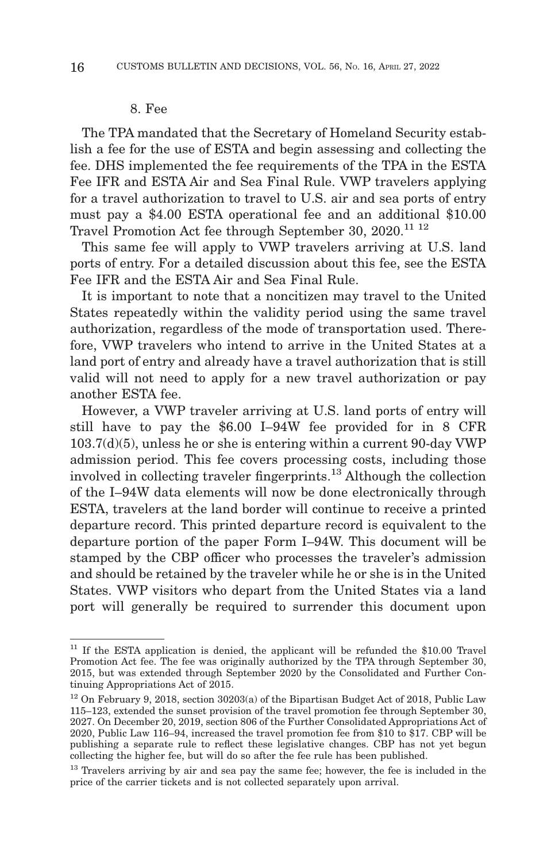#### 8. Fee

The TPA mandated that the Secretary of Homeland Security establish a fee for the use of ESTA and begin assessing and collecting the fee. DHS implemented the fee requirements of the TPA in the ESTA Fee IFR and ESTA Air and Sea Final Rule. VWP travelers applying for a travel authorization to travel to U.S. air and sea ports of entry must pay a \$4.00 ESTA operational fee and an additional \$10.00 Travel Promotion Act fee through September 30, 2020.11 12

This same fee will apply to VWP travelers arriving at U.S. land ports of entry. For a detailed discussion about this fee, see the ESTA Fee IFR and the ESTA Air and Sea Final Rule.

It is important to note that a noncitizen may travel to the United States repeatedly within the validity period using the same travel authorization, regardless of the mode of transportation used. Therefore, VWP travelers who intend to arrive in the United States at a land port of entry and already have a travel authorization that is still valid will not need to apply for a new travel authorization or pay another ESTA fee.

However, a VWP traveler arriving at U.S. land ports of entry will still have to pay the \$6.00 I–94W fee provided for in 8 CFR 103.7(d)(5), unless he or she is entering within a current 90-day VWP admission period. This fee covers processing costs, including those involved in collecting traveler fingerprints.13 Although the collection of the I–94W data elements will now be done electronically through ESTA, travelers at the land border will continue to receive a printed departure record. This printed departure record is equivalent to the departure portion of the paper Form I–94W. This document will be stamped by the CBP officer who processes the traveler's admission and should be retained by the traveler while he or she is in the United States. VWP visitors who depart from the United States via a land port will generally be required to surrender this document upon

 $11$  If the ESTA application is denied, the applicant will be refunded the \$10.00 Travel Promotion Act fee. The fee was originally authorized by the TPA through September 30, 2015, but was extended through September 2020 by the Consolidated and Further Continuing Appropriations Act of 2015.

 $12$  On February 9, 2018, section 30203(a) of the Bipartisan Budget Act of 2018, Public Law 115–123, extended the sunset provision of the travel promotion fee through September 30, 2027. On December 20, 2019, section 806 of the Further Consolidated Appropriations Act of 2020, Public Law 116–94, increased the travel promotion fee from \$10 to \$17. CBP will be publishing a separate rule to reflect these legislative changes. CBP has not yet begun collecting the higher fee, but will do so after the fee rule has been published.

<sup>&</sup>lt;sup>13</sup> Travelers arriving by air and sea pay the same fee; however, the fee is included in the price of the carrier tickets and is not collected separately upon arrival.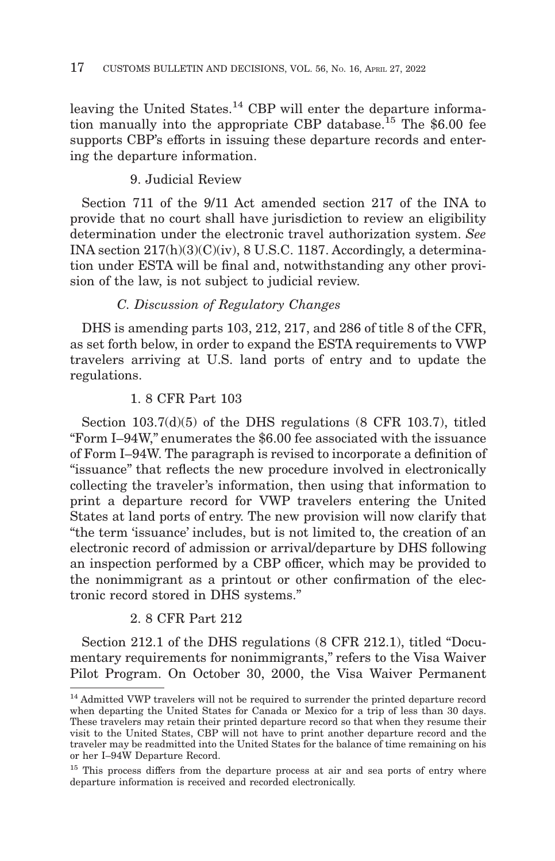leaving the United States.<sup>14</sup> CBP will enter the departure information manually into the appropriate CBP database.<sup>15</sup> The  $$6.00$  fee supports CBP's efforts in issuing these departure records and entering the departure information.

# 9. Judicial Review

Section 711 of the 9/11 Act amended section 217 of the INA to provide that no court shall have jurisdiction to review an eligibility determination under the electronic travel authorization system. *See* INA section 217(h)(3)(C)(iv), 8 U.S.C. 1187. Accordingly, a determination under ESTA will be final and, notwithstanding any other provision of the law, is not subject to judicial review.

## *C. Discussion of Regulatory Changes*

DHS is amending parts 103, 212, 217, and 286 of title 8 of the CFR, as set forth below, in order to expand the ESTA requirements to VWP travelers arriving at U.S. land ports of entry and to update the regulations.

## 1. 8 CFR Part 103

Section 103.7(d)(5) of the DHS regulations (8 CFR 103.7), titled ''Form I–94W,'' enumerates the \$6.00 fee associated with the issuance of Form I–94W. The paragraph is revised to incorporate a definition of ''issuance'' that reflects the new procedure involved in electronically collecting the traveler's information, then using that information to print a departure record for VWP travelers entering the United States at land ports of entry. The new provision will now clarify that ''the term 'issuance' includes, but is not limited to, the creation of an electronic record of admission or arrival/departure by DHS following an inspection performed by a CBP officer, which may be provided to the nonimmigrant as a printout or other confirmation of the electronic record stored in DHS systems.''

# 2. 8 CFR Part 212

Section 212.1 of the DHS regulations (8 CFR 212.1), titled ''Documentary requirements for nonimmigrants," refers to the Visa Waiver Pilot Program. On October 30, 2000, the Visa Waiver Permanent

<sup>&</sup>lt;sup>14</sup> Admitted VWP travelers will not be required to surrender the printed departure record when departing the United States for Canada or Mexico for a trip of less than 30 days. These travelers may retain their printed departure record so that when they resume their visit to the United States, CBP will not have to print another departure record and the traveler may be readmitted into the United States for the balance of time remaining on his or her I–94W Departure Record.

<sup>&</sup>lt;sup>15</sup> This process differs from the departure process at air and sea ports of entry where departure information is received and recorded electronically.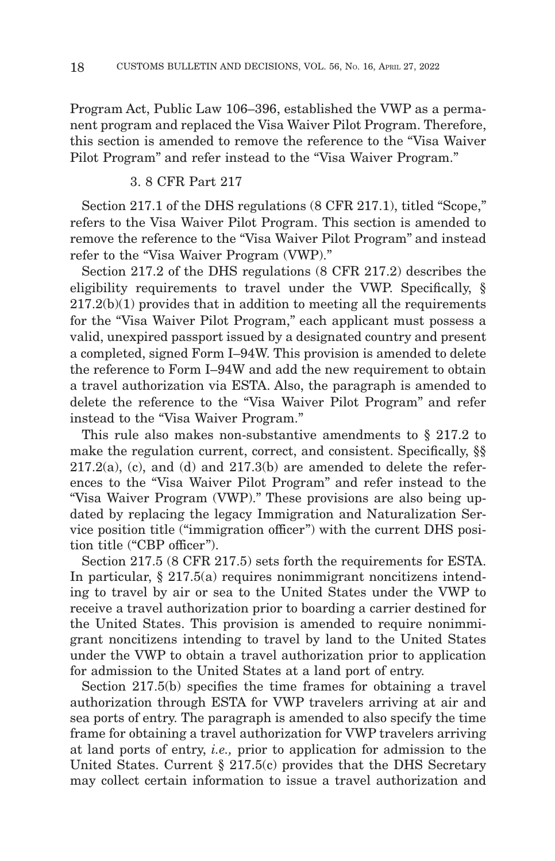Program Act, Public Law 106–396, established the VWP as a permanent program and replaced the Visa Waiver Pilot Program. Therefore, this section is amended to remove the reference to the ''Visa Waiver Pilot Program" and refer instead to the "Visa Waiver Program."

#### 3. 8 CFR Part 217

Section 217.1 of the DHS regulations (8 CFR 217.1), titled "Scope," refers to the Visa Waiver Pilot Program. This section is amended to remove the reference to the ''Visa Waiver Pilot Program'' and instead refer to the "Visa Waiver Program (VWP)."

Section 217.2 of the DHS regulations (8 CFR 217.2) describes the eligibility requirements to travel under the VWP. Specifically, §  $217.2(b)(1)$  provides that in addition to meeting all the requirements for the "Visa Waiver Pilot Program," each applicant must possess a valid, unexpired passport issued by a designated country and present a completed, signed Form I–94W. This provision is amended to delete the reference to Form I–94W and add the new requirement to obtain a travel authorization via ESTA. Also, the paragraph is amended to delete the reference to the ''Visa Waiver Pilot Program'' and refer instead to the "Visa Waiver Program."

This rule also makes non-substantive amendments to § 217.2 to make the regulation current, correct, and consistent. Specifically, §§  $217.2(a)$ , (c), and (d) and  $217.3(b)$  are amended to delete the references to the ''Visa Waiver Pilot Program'' and refer instead to the "Visa Waiver Program (VWP)." These provisions are also being updated by replacing the legacy Immigration and Naturalization Service position title (''immigration officer'') with the current DHS position title ("CBP officer").

Section 217.5 (8 CFR 217.5) sets forth the requirements for ESTA. In particular, § 217.5(a) requires nonimmigrant noncitizens intending to travel by air or sea to the United States under the VWP to receive a travel authorization prior to boarding a carrier destined for the United States. This provision is amended to require nonimmigrant noncitizens intending to travel by land to the United States under the VWP to obtain a travel authorization prior to application for admission to the United States at a land port of entry.

Section 217.5(b) specifies the time frames for obtaining a travel authorization through ESTA for VWP travelers arriving at air and sea ports of entry. The paragraph is amended to also specify the time frame for obtaining a travel authorization for VWP travelers arriving at land ports of entry, *i.e.,* prior to application for admission to the United States. Current § 217.5(c) provides that the DHS Secretary may collect certain information to issue a travel authorization and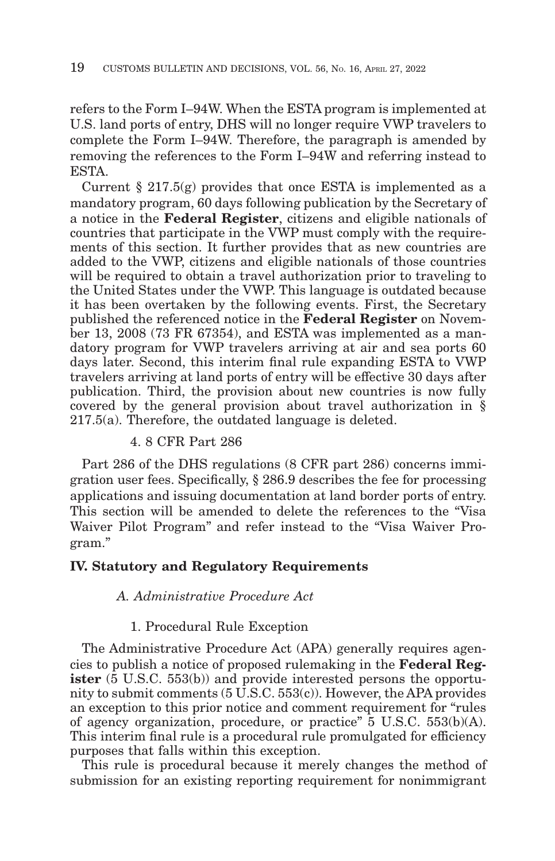refers to the Form I–94W. When the ESTA program is implemented at U.S. land ports of entry, DHS will no longer require VWP travelers to complete the Form I–94W. Therefore, the paragraph is amended by removing the references to the Form I–94W and referring instead to ESTA.

Current  $\S 217.5(g)$  provides that once ESTA is implemented as a mandatory program, 60 days following publication by the Secretary of a notice in the **Federal Register**, citizens and eligible nationals of countries that participate in the VWP must comply with the requirements of this section. It further provides that as new countries are added to the VWP, citizens and eligible nationals of those countries will be required to obtain a travel authorization prior to traveling to the United States under the VWP. This language is outdated because it has been overtaken by the following events. First, the Secretary published the referenced notice in the **Federal Register** on November 13, 2008 (73 FR 67354), and ESTA was implemented as a mandatory program for VWP travelers arriving at air and sea ports 60 days later. Second, this interim final rule expanding ESTA to VWP travelers arriving at land ports of entry will be effective 30 days after publication. Third, the provision about new countries is now fully covered by the general provision about travel authorization in § 217.5(a). Therefore, the outdated language is deleted.

# 4. 8 CFR Part 286

Part 286 of the DHS regulations (8 CFR part 286) concerns immigration user fees. Specifically, § 286.9 describes the fee for processing applications and issuing documentation at land border ports of entry. This section will be amended to delete the references to the "Visa" Waiver Pilot Program" and refer instead to the "Visa Waiver Program.''

# **IV. Statutory and Regulatory Requirements**

# *A. Administrative Procedure Act*

# 1. Procedural Rule Exception

The Administrative Procedure Act (APA) generally requires agencies to publish a notice of proposed rulemaking in the **Federal Register** (5 U.S.C. 553(b)) and provide interested persons the opportunity to submit comments (5 U.S.C. 553(c)). However, the APA provides an exception to this prior notice and comment requirement for ''rules of agency organization, procedure, or practice'' 5 U.S.C. 553(b)(A). This interim final rule is a procedural rule promulgated for efficiency purposes that falls within this exception.

This rule is procedural because it merely changes the method of submission for an existing reporting requirement for nonimmigrant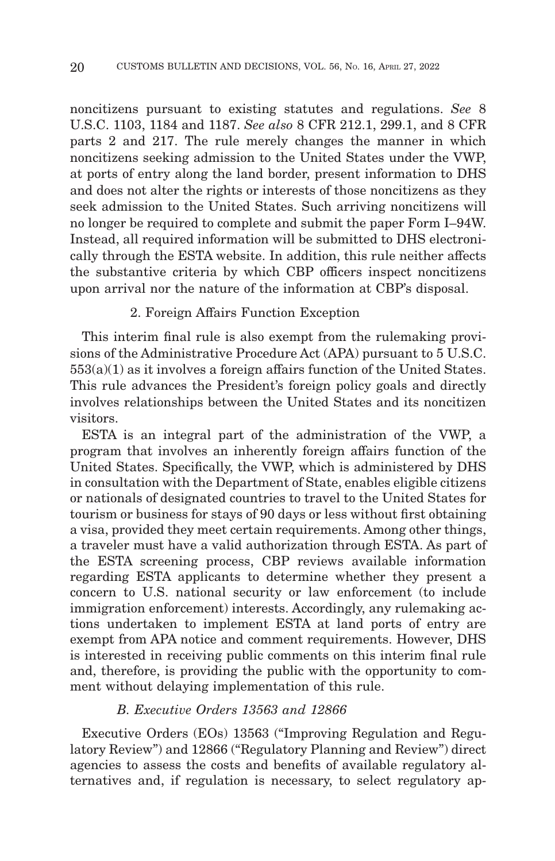noncitizens pursuant to existing statutes and regulations. *See* 8 U.S.C. 1103, 1184 and 1187. *See also* 8 CFR 212.1, 299.1, and 8 CFR parts 2 and 217. The rule merely changes the manner in which noncitizens seeking admission to the United States under the VWP, at ports of entry along the land border, present information to DHS and does not alter the rights or interests of those noncitizens as they seek admission to the United States. Such arriving noncitizens will no longer be required to complete and submit the paper Form I–94W. Instead, all required information will be submitted to DHS electronically through the ESTA website. In addition, this rule neither affects the substantive criteria by which CBP officers inspect noncitizens upon arrival nor the nature of the information at CBP's disposal.

#### 2. Foreign Affairs Function Exception

This interim final rule is also exempt from the rulemaking provisions of the Administrative Procedure Act (APA) pursuant to 5 U.S.C. 553(a)(1) as it involves a foreign affairs function of the United States. This rule advances the President's foreign policy goals and directly involves relationships between the United States and its noncitizen visitors.

ESTA is an integral part of the administration of the VWP, a program that involves an inherently foreign affairs function of the United States. Specifically, the VWP, which is administered by DHS in consultation with the Department of State, enables eligible citizens or nationals of designated countries to travel to the United States for tourism or business for stays of 90 days or less without first obtaining a visa, provided they meet certain requirements. Among other things, a traveler must have a valid authorization through ESTA. As part of the ESTA screening process, CBP reviews available information regarding ESTA applicants to determine whether they present a concern to U.S. national security or law enforcement (to include immigration enforcement) interests. Accordingly, any rulemaking actions undertaken to implement ESTA at land ports of entry are exempt from APA notice and comment requirements. However, DHS is interested in receiving public comments on this interim final rule and, therefore, is providing the public with the opportunity to comment without delaying implementation of this rule.

## *B. Executive Orders 13563 and 12866*

Executive Orders (EOs) 13563 ("Improving Regulation and Regulatory Review'') and 12866 (''Regulatory Planning and Review'') direct agencies to assess the costs and benefits of available regulatory alternatives and, if regulation is necessary, to select regulatory ap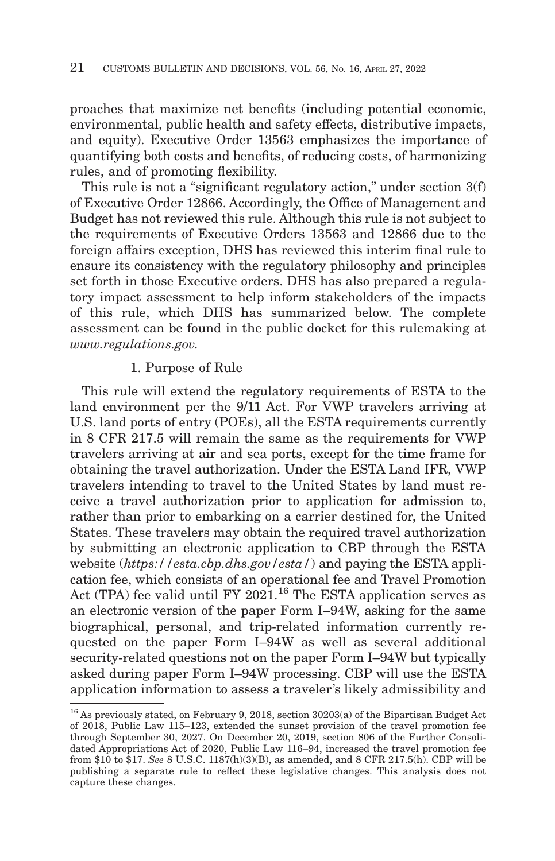proaches that maximize net benefits (including potential economic, environmental, public health and safety effects, distributive impacts, and equity). Executive Order 13563 emphasizes the importance of quantifying both costs and benefits, of reducing costs, of harmonizing rules, and of promoting flexibility.

This rule is not a "significant regulatory action," under section  $3(f)$ of Executive Order 12866. Accordingly, the Office of Management and Budget has not reviewed this rule. Although this rule is not subject to the requirements of Executive Orders 13563 and 12866 due to the foreign affairs exception, DHS has reviewed this interim final rule to ensure its consistency with the regulatory philosophy and principles set forth in those Executive orders. DHS has also prepared a regulatory impact assessment to help inform stakeholders of the impacts of this rule, which DHS has summarized below. The complete assessment can be found in the public docket for this rulemaking at *www.regulations.gov.*

#### 1. Purpose of Rule

This rule will extend the regulatory requirements of ESTA to the land environment per the 9/11 Act. For VWP travelers arriving at U.S. land ports of entry (POEs), all the ESTA requirements currently in 8 CFR 217.5 will remain the same as the requirements for VWP travelers arriving at air and sea ports, except for the time frame for obtaining the travel authorization. Under the ESTA Land IFR, VWP travelers intending to travel to the United States by land must receive a travel authorization prior to application for admission to, rather than prior to embarking on a carrier destined for, the United States. These travelers may obtain the required travel authorization by submitting an electronic application to CBP through the ESTA website (*https://esta.cbp.dhs.gov/esta/*) and paying the ESTA application fee, which consists of an operational fee and Travel Promotion Act (TPA) fee valid until FY 2021.<sup>16</sup> The ESTA application serves as an electronic version of the paper Form I–94W, asking for the same biographical, personal, and trip-related information currently requested on the paper Form I–94W as well as several additional security-related questions not on the paper Form I–94W but typically asked during paper Form I–94W processing. CBP will use the ESTA application information to assess a traveler's likely admissibility and

 $^{16}\,\mathrm{As}$  previously stated, on February 9, 2018, section 30203(a) of the Bipartisan Budget Act of 2018, Public Law 115–123, extended the sunset provision of the travel promotion fee through September 30, 2027. On December 20, 2019, section 806 of the Further Consolidated Appropriations Act of 2020, Public Law 116–94, increased the travel promotion fee from \$10 to \$17. *See* 8 U.S.C. 1187(h)(3)(B), as amended, and 8 CFR 217.5(h). CBP will be publishing a separate rule to reflect these legislative changes. This analysis does not capture these changes.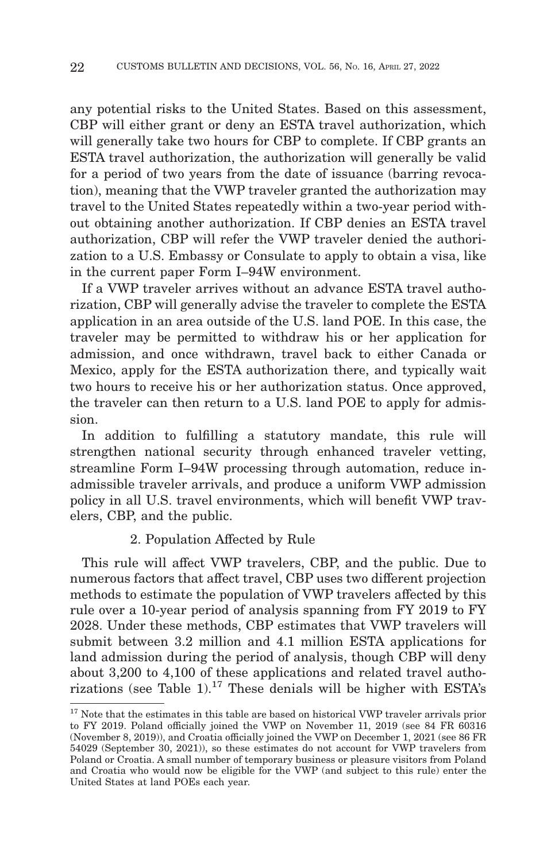any potential risks to the United States. Based on this assessment, CBP will either grant or deny an ESTA travel authorization, which will generally take two hours for CBP to complete. If CBP grants an ESTA travel authorization, the authorization will generally be valid for a period of two years from the date of issuance (barring revocation), meaning that the VWP traveler granted the authorization may travel to the United States repeatedly within a two-year period without obtaining another authorization. If CBP denies an ESTA travel authorization, CBP will refer the VWP traveler denied the authorization to a U.S. Embassy or Consulate to apply to obtain a visa, like in the current paper Form I–94W environment.

If a VWP traveler arrives without an advance ESTA travel authorization, CBP will generally advise the traveler to complete the ESTA application in an area outside of the U.S. land POE. In this case, the traveler may be permitted to withdraw his or her application for admission, and once withdrawn, travel back to either Canada or Mexico, apply for the ESTA authorization there, and typically wait two hours to receive his or her authorization status. Once approved, the traveler can then return to a U.S. land POE to apply for admission.

In addition to fulfilling a statutory mandate, this rule will strengthen national security through enhanced traveler vetting, streamline Form I–94W processing through automation, reduce inadmissible traveler arrivals, and produce a uniform VWP admission policy in all U.S. travel environments, which will benefit VWP travelers, CBP, and the public.

#### 2. Population Affected by Rule

This rule will affect VWP travelers, CBP, and the public. Due to numerous factors that affect travel, CBP uses two different projection methods to estimate the population of VWP travelers affected by this rule over a 10-year period of analysis spanning from FY 2019 to FY 2028. Under these methods, CBP estimates that VWP travelers will submit between 3.2 million and 4.1 million ESTA applications for land admission during the period of analysis, though CBP will deny about 3,200 to 4,100 of these applications and related travel authorizations (see Table 1).<sup>17</sup> These denials will be higher with ESTA's

<sup>&</sup>lt;sup>17</sup> Note that the estimates in this table are based on historical VWP traveler arrivals prior to FY 2019. Poland officially joined the VWP on November 11, 2019 (see 84 FR 60316 (November 8, 2019)), and Croatia officially joined the VWP on December 1, 2021 (see 86 FR 54029 (September 30, 2021)), so these estimates do not account for VWP travelers from Poland or Croatia. A small number of temporary business or pleasure visitors from Poland and Croatia who would now be eligible for the VWP (and subject to this rule) enter the United States at land POEs each year.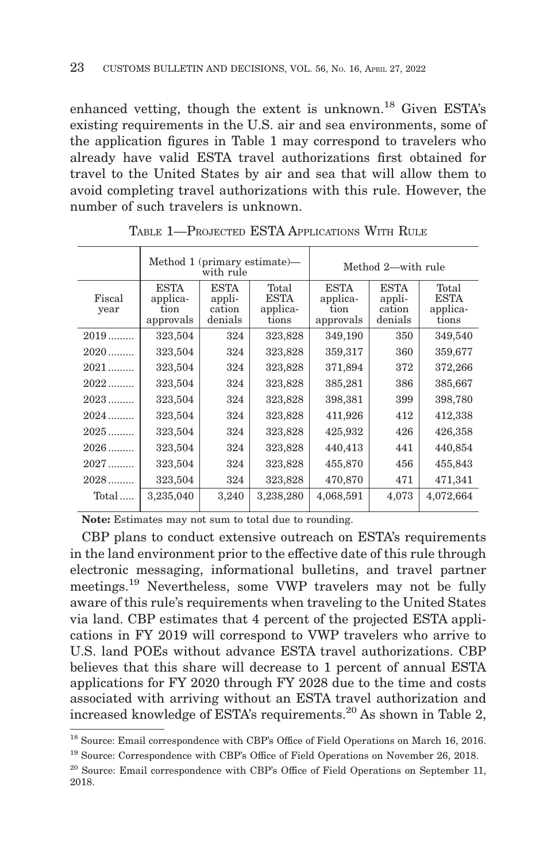enhanced vetting, though the extent is unknown.<sup>18</sup> Given ESTA's existing requirements in the U.S. air and sea environments, some of the application figures in Table 1 may correspond to travelers who already have valid ESTA travel authorizations first obtained for travel to the United States by air and sea that will allow them to avoid completing travel authorizations with this rule. However, the number of such travelers is unknown.

|                | Method $1$ (primary estimate)—<br>with rule  |                                            |                                           | Method 2—with rule                           |                                            |                                           |
|----------------|----------------------------------------------|--------------------------------------------|-------------------------------------------|----------------------------------------------|--------------------------------------------|-------------------------------------------|
| Fiscal<br>year | <b>ESTA</b><br>applica-<br>tion<br>approvals | <b>ESTA</b><br>appli-<br>cation<br>denials | Total<br><b>ESTA</b><br>applica-<br>tions | <b>ESTA</b><br>applica-<br>tion<br>approvals | <b>ESTA</b><br>appli-<br>cation<br>denials | Total<br><b>ESTA</b><br>applica-<br>tions |
| $2019$         | 323,504                                      | 324                                        | 323,828                                   | 349,190                                      | 350                                        | 349,540                                   |
| $2020$         | 323,504                                      | 324                                        | 323,828                                   | 359,317                                      | 360                                        | 359,677                                   |
| $2021$         | 323,504                                      | 324                                        | 323,828                                   | 371,894                                      | 372                                        | 372,266                                   |
| $2022$         | 323,504                                      | 324                                        | 323,828                                   | 385,281                                      | 386                                        | 385,667                                   |
| $2023$         | 323,504                                      | 324                                        | 323,828                                   | 398,381                                      | 399                                        | 398,780                                   |
| $2024$         | 323,504                                      | 324                                        | 323,828                                   | 411,926                                      | 412                                        | 412,338                                   |
| $2025$         | 323,504                                      | 324                                        | 323,828                                   | 425,932                                      | 426                                        | 426,358                                   |
| $2026$         | 323,504                                      | 324                                        | 323,828                                   | 440,413                                      | 441                                        | 440,854                                   |
| $2027$         | 323,504                                      | 324                                        | 323,828                                   | 455,870                                      | 456                                        | 455,843                                   |
| $2028$         | 323,504                                      | 324                                        | 323,828                                   | 470,870                                      | 471                                        | 471,341                                   |
| Total          | 3,235,040                                    | 3,240                                      | 3,238,280                                 | 4,068,591                                    | 4,073                                      | 4,072,664                                 |

TABLE 1—PROJECTED ESTA APPLICATIONS WITH RULE

**Note:** Estimates may not sum to total due to rounding.

CBP plans to conduct extensive outreach on ESTA's requirements in the land environment prior to the effective date of this rule through electronic messaging, informational bulletins, and travel partner meetings.19 Nevertheless, some VWP travelers may not be fully aware of this rule's requirements when traveling to the United States via land. CBP estimates that 4 percent of the projected ESTA applications in FY 2019 will correspond to VWP travelers who arrive to U.S. land POEs without advance ESTA travel authorizations. CBP believes that this share will decrease to 1 percent of annual ESTA applications for FY 2020 through FY 2028 due to the time and costs associated with arriving without an ESTA travel authorization and increased knowledge of ESTA's requirements.<sup>20</sup> As shown in Table 2,

<sup>18</sup> Source: Email correspondence with CBP's Office of Field Operations on March 16, 2016.

<sup>19</sup> Source: Correspondence with CBP's Office of Field Operations on November 26, 2018.

<sup>&</sup>lt;sup>20</sup> Source: Email correspondence with CBP's Office of Field Operations on September 11, 2018.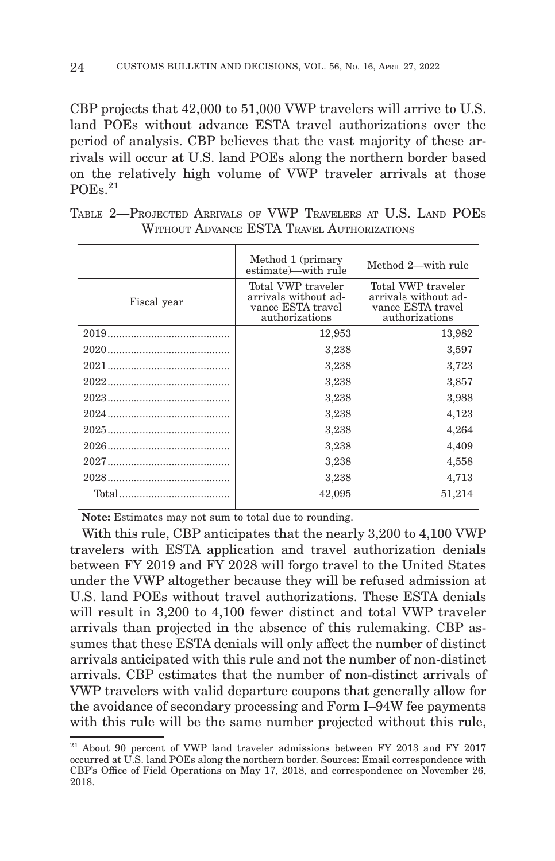CBP projects that 42,000 to 51,000 VWP travelers will arrive to U.S. land POEs without advance ESTA travel authorizations over the period of analysis. CBP believes that the vast majority of these arrivals will occur at U.S. land POEs along the northern border based on the relatively high volume of VWP traveler arrivals at those  $POEs.<sup>21</sup>$ 

|             | Method 1 (primary<br>estimate)—with rule                                          | Method 2—with rule                                                                |
|-------------|-----------------------------------------------------------------------------------|-----------------------------------------------------------------------------------|
| Fiscal year | Total VWP traveler<br>arrivals without ad-<br>vance ESTA travel<br>authorizations | Total VWP traveler<br>arrivals without ad-<br>vance ESTA travel<br>authorizations |
|             | 12,953                                                                            | 13,982                                                                            |
|             | 3,238                                                                             | 3,597                                                                             |
|             | 3,238                                                                             | 3,723                                                                             |
|             | 3,238                                                                             | 3,857                                                                             |
|             | 3,238                                                                             | 3,988                                                                             |
|             | 3,238                                                                             | 4,123                                                                             |
|             | 3,238                                                                             | 4,264                                                                             |
|             | 3,238                                                                             | 4,409                                                                             |
|             | 3,238                                                                             | 4,558                                                                             |
|             | 3,238                                                                             | 4,713                                                                             |
|             | 42,095                                                                            | 51,214                                                                            |
|             |                                                                                   |                                                                                   |

| TABLE 2—PROJECTED ARRIVALS OF VWP TRAVELERS AT U.S. LAND POES |  |                                            |  |  |
|---------------------------------------------------------------|--|--------------------------------------------|--|--|
|                                                               |  | WITHOUT ADVANCE ESTA TRAVEL AUTHORIZATIONS |  |  |

**Note:** Estimates may not sum to total due to rounding.

With this rule, CBP anticipates that the nearly 3,200 to 4,100 VWP travelers with ESTA application and travel authorization denials between FY 2019 and FY 2028 will forgo travel to the United States under the VWP altogether because they will be refused admission at U.S. land POEs without travel authorizations. These ESTA denials will result in 3,200 to 4,100 fewer distinct and total VWP traveler arrivals than projected in the absence of this rulemaking. CBP assumes that these ESTA denials will only affect the number of distinct arrivals anticipated with this rule and not the number of non-distinct arrivals. CBP estimates that the number of non-distinct arrivals of VWP travelers with valid departure coupons that generally allow for the avoidance of secondary processing and Form I–94W fee payments with this rule will be the same number projected without this rule,

 $21$  About 90 percent of VWP land traveler admissions between FY 2013 and FY 2017 occurred at U.S. land POEs along the northern border. Sources: Email correspondence with CBP's Office of Field Operations on May 17, 2018, and correspondence on November 26, 2018.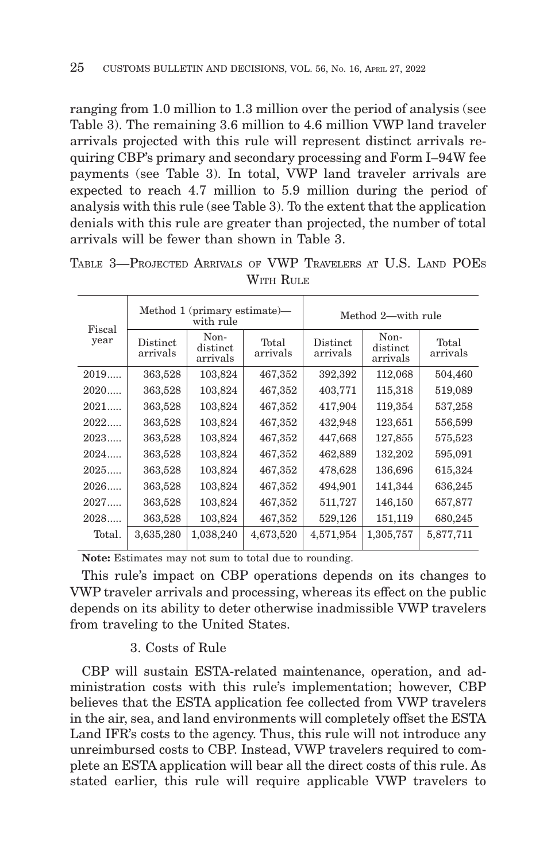ranging from 1.0 million to 1.3 million over the period of analysis (see Table 3). The remaining 3.6 million to 4.6 million VWP land traveler arrivals projected with this rule will represent distinct arrivals requiring CBP's primary and secondary processing and Form I–94W fee payments (see Table 3). In total, VWP land traveler arrivals are expected to reach 4.7 million to 5.9 million during the period of analysis with this rule (see Table 3). To the extent that the application denials with this rule are greater than projected, the number of total arrivals will be fewer than shown in Table 3.

| Fiscal<br>year | Method 1 (primary estimate)—<br>with rule |                              |                   | Method 2—with rule   |                              |                   |  |  |
|----------------|-------------------------------------------|------------------------------|-------------------|----------------------|------------------------------|-------------------|--|--|
|                | <b>Distinct</b><br>arrivals               | Non-<br>distinct<br>arrivals | Total<br>arrivals | Distinct<br>arrivals | Non-<br>distinct<br>arrivals | Total<br>arrivals |  |  |
| 2019           | 363,528                                   | 103,824                      | 467,352           | 392,392              | 112,068                      | 504,460           |  |  |
| 2020           | 363,528                                   | 103,824                      | 467,352           | 403,771              | 115,318                      | 519,089           |  |  |
| 2021           | 363,528                                   | 103,824                      | 467,352           | 417,904              | 119,354                      | 537,258           |  |  |
| 2022           | 363,528                                   | 103,824                      | 467,352           | 432,948              | 123,651                      | 556,599           |  |  |
| 2023           | 363,528                                   | 103,824                      | 467,352           | 447,668              | 127,855                      | 575,523           |  |  |
| 2024           | 363,528                                   | 103,824                      | 467,352           | 462,889              | 132,202                      | 595,091           |  |  |
| 2025           | 363,528                                   | 103,824                      | 467,352           | 478,628              | 136,696                      | 615,324           |  |  |
| 2026           | 363,528                                   | 103,824                      | 467,352           | 494,901              | 141,344                      | 636,245           |  |  |
| 2027           | 363,528                                   | 103,824                      | 467,352           | 511,727              | 146,150                      | 657,877           |  |  |
| 2028           | 363,528                                   | 103,824                      | 467,352           | 529,126              | 151,119                      | 680,245           |  |  |
| Total.         | 3,635,280                                 | 1,038,240                    | 4,673,520         | 4,571,954            | 1,305,757                    | 5,877,711         |  |  |

TABLE 3—PROJECTED ARRIVALS OF VWP TRAVELERS AT U.S. LAND POES WITH RULE

**Note:** Estimates may not sum to total due to rounding.

This rule's impact on CBP operations depends on its changes to VWP traveler arrivals and processing, whereas its effect on the public depends on its ability to deter otherwise inadmissible VWP travelers from traveling to the United States.

#### 3. Costs of Rule

CBP will sustain ESTA-related maintenance, operation, and administration costs with this rule's implementation; however, CBP believes that the ESTA application fee collected from VWP travelers in the air, sea, and land environments will completely offset the ESTA Land IFR's costs to the agency. Thus, this rule will not introduce any unreimbursed costs to CBP. Instead, VWP travelers required to complete an ESTA application will bear all the direct costs of this rule. As stated earlier, this rule will require applicable VWP travelers to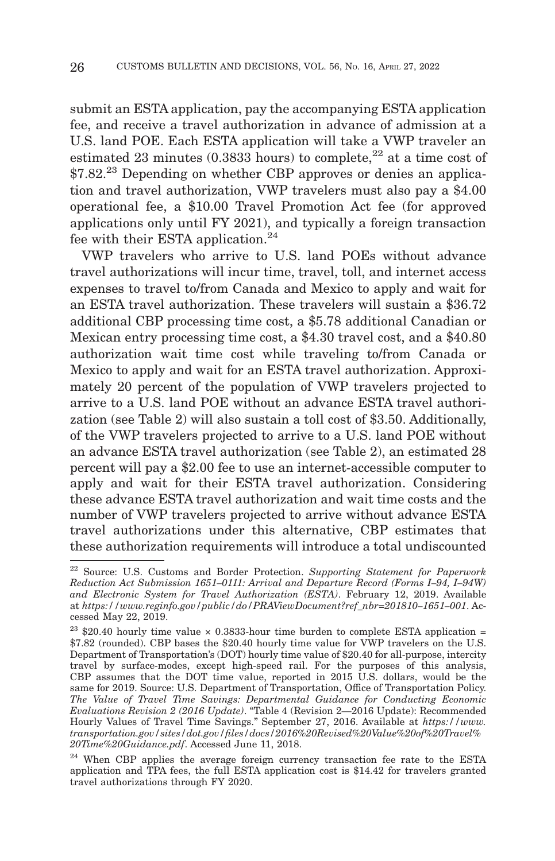submit an ESTA application, pay the accompanying ESTA application fee, and receive a travel authorization in advance of admission at a U.S. land POE. Each ESTA application will take a VWP traveler an estimated 23 minutes (0.3833 hours) to complete,<sup>22</sup> at a time cost of \$7.82.<sup>23</sup> Depending on whether CBP approves or denies an application and travel authorization, VWP travelers must also pay a \$4.00 operational fee, a \$10.00 Travel Promotion Act fee (for approved applications only until FY 2021), and typically a foreign transaction fee with their ESTA application.<sup>24</sup>

VWP travelers who arrive to U.S. land POEs without advance travel authorizations will incur time, travel, toll, and internet access expenses to travel to/from Canada and Mexico to apply and wait for an ESTA travel authorization. These travelers will sustain a \$36.72 additional CBP processing time cost, a \$5.78 additional Canadian or Mexican entry processing time cost, a \$4.30 travel cost, and a \$40.80 authorization wait time cost while traveling to/from Canada or Mexico to apply and wait for an ESTA travel authorization. Approximately 20 percent of the population of VWP travelers projected to arrive to a U.S. land POE without an advance ESTA travel authorization (see Table 2) will also sustain a toll cost of \$3.50. Additionally, of the VWP travelers projected to arrive to a U.S. land POE without an advance ESTA travel authorization (see Table 2), an estimated 28 percent will pay a \$2.00 fee to use an internet-accessible computer to apply and wait for their ESTA travel authorization. Considering these advance ESTA travel authorization and wait time costs and the number of VWP travelers projected to arrive without advance ESTA travel authorizations under this alternative, CBP estimates that these authorization requirements will introduce a total undiscounted

<sup>22</sup> Source: U.S. Customs and Border Protection. *Supporting Statement for Paperwork Reduction Act Submission 1651–0111: Arrival and Departure Record (Forms I–94, I–94W) and Electronic System for Travel Authorization (ESTA)*. February 12, 2019. Available at *https://www.reginfo.gov/public/do/PRAViewDocument?ref\_nbr=201810–1651–001*. Accessed May 22, 2019.

 $23$  \$20.40 hourly time value  $\times$  0.3833-hour time burden to complete ESTA application = \$7.82 (rounded). CBP bases the \$20.40 hourly time value for VWP travelers on the U.S. Department of Transportation's (DOT) hourly time value of \$20.40 for all-purpose, intercity travel by surface-modes, except high-speed rail. For the purposes of this analysis, CBP assumes that the DOT time value, reported in 2015 U.S. dollars, would be the same for 2019. Source: U.S. Department of Transportation, Office of Transportation Policy. *The Value of Travel Time Savings: Departmental Guidance for Conducting Economic Evaluations Revision 2 (2016 Update)*. ''Table 4 (Revision 2—2016 Update): Recommended Hourly Values of Travel Time Savings.'' September 27, 2016. Available at *https://www. transportation.gov/sites/dot.gov/files/docs/2016%20Revised%20Value%20of%20Travel% 20Time%20Guidance.pdf*. Accessed June 11, 2018.

<sup>&</sup>lt;sup>24</sup> When CBP applies the average foreign currency transaction fee rate to the ESTA application and TPA fees, the full ESTA application cost is \$14.42 for travelers granted travel authorizations through FY 2020.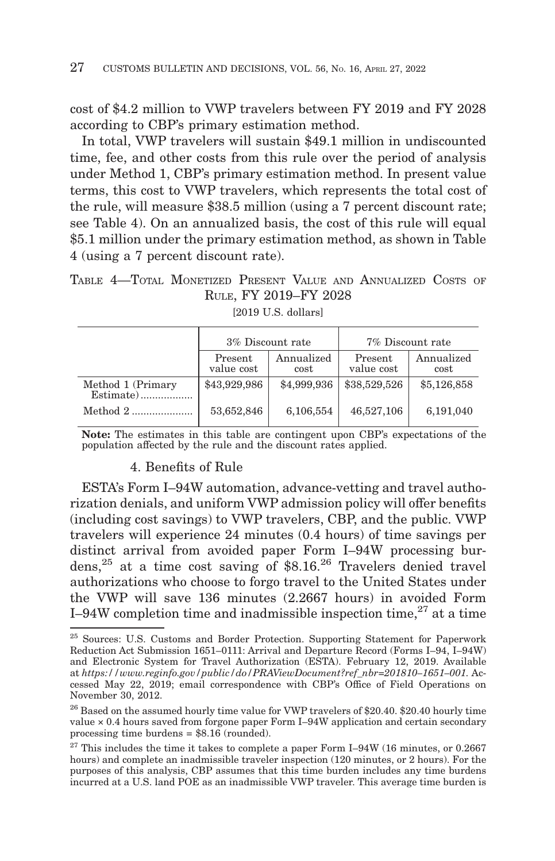cost of \$4.2 million to VWP travelers between FY 2019 and FY 2028 according to CBP's primary estimation method.

In total, VWP travelers will sustain \$49.1 million in undiscounted time, fee, and other costs from this rule over the period of analysis under Method 1, CBP's primary estimation method. In present value terms, this cost to VWP travelers, which represents the total cost of the rule, will measure \$38.5 million (using a 7 percent discount rate; see Table 4). On an annualized basis, the cost of this rule will equal \$5.1 million under the primary estimation method, as shown in Table 4 (using a 7 percent discount rate).

TABLE 4—TOTAL MONETIZED PRESENT VALUE AND ANNUALIZED COSTS OF RULE, FY 2019–FY 2028

|                   |                       | 3% Discount rate   | 7% Discount rate      |                    |  |  |
|-------------------|-----------------------|--------------------|-----------------------|--------------------|--|--|
|                   | Present<br>value cost | Annualized<br>cost | Present<br>value cost | Annualized<br>cost |  |  |
| Method 1 (Primary | \$43,929,986          | \$4,999,936        | \$38,529,526          | \$5,126,858        |  |  |
| Method $2$        | 53,652,846            | 6,106,554          | 46,527,106            | 6,191,040          |  |  |

[2019 U.S. dollars]

**Note:** The estimates in this table are contingent upon CBP's expectations of the population affected by the rule and the discount rates applied.

# 4. Benefits of Rule

ESTA's Form I–94W automation, advance-vetting and travel authorization denials, and uniform VWP admission policy will offer benefits (including cost savings) to VWP travelers, CBP, and the public. VWP travelers will experience 24 minutes (0.4 hours) of time savings per distinct arrival from avoided paper Form I–94W processing burdens,<sup>25</sup> at a time cost saving of  $$8.16<sup>26</sup>$  Travelers denied travel authorizations who choose to forgo travel to the United States under the VWP will save 136 minutes (2.2667 hours) in avoided Form I–94W completion time and inadmissible inspection time,  $27$  at a time

<sup>25</sup> Sources: U.S. Customs and Border Protection. Supporting Statement for Paperwork Reduction Act Submission 1651–0111: Arrival and Departure Record (Forms I–94, I–94W) and Electronic System for Travel Authorization (ESTA). February 12, 2019. Available at *https://www.reginfo.gov/public/do/PRAViewDocument?ref\_nbr=201810–1651–001.* Accessed May 22, 2019; email correspondence with CBP's Office of Field Operations on November 30, 2012.

 $^{26}$  Based on the assumed hourly time value for VWP travelers of \$20.40. \$20.40 hourly time value × 0.4 hours saved from forgone paper Form I–94W application and certain secondary processing time burdens = \$8.16 (rounded).

 $27$  This includes the time it takes to complete a paper Form I–94W (16 minutes, or 0.2667 hours) and complete an inadmissible traveler inspection (120 minutes, or 2 hours). For the purposes of this analysis, CBP assumes that this time burden includes any time burdens incurred at a U.S. land POE as an inadmissible VWP traveler. This average time burden is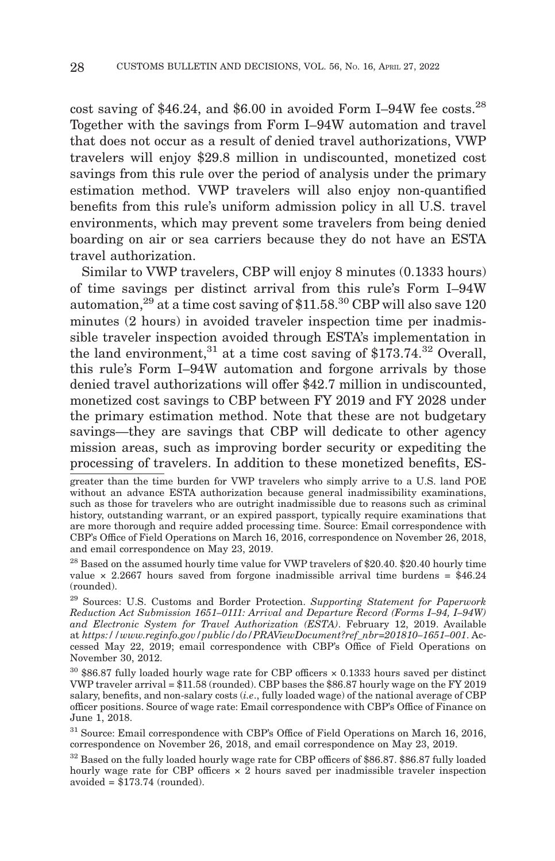cost saving of \$46.24, and \$6.00 in avoided Form I–94W fee costs.<sup>28</sup> Together with the savings from Form I–94W automation and travel that does not occur as a result of denied travel authorizations, VWP travelers will enjoy \$29.8 million in undiscounted, monetized cost savings from this rule over the period of analysis under the primary estimation method. VWP travelers will also enjoy non-quantified benefits from this rule's uniform admission policy in all U.S. travel environments, which may prevent some travelers from being denied boarding on air or sea carriers because they do not have an ESTA travel authorization.

Similar to VWP travelers, CBP will enjoy 8 minutes (0.1333 hours) of time savings per distinct arrival from this rule's Form I–94W automation,  $29$  at a time cost saving of \$11.58.<sup>30</sup> CBP will also save 120 minutes (2 hours) in avoided traveler inspection time per inadmissible traveler inspection avoided through ESTA's implementation in the land environment,<sup>31</sup> at a time cost saving of \$173.74.<sup>32</sup> Overall, this rule's Form I–94W automation and forgone arrivals by those denied travel authorizations will offer \$42.7 million in undiscounted, monetized cost savings to CBP between FY 2019 and FY 2028 under the primary estimation method. Note that these are not budgetary savings—they are savings that CBP will dedicate to other agency mission areas, such as improving border security or expediting the processing of travelers. In addition to these monetized benefits, ES-

greater than the time burden for VWP travelers who simply arrive to a U.S. land POE without an advance ESTA authorization because general inadmissibility examinations, such as those for travelers who are outright inadmissible due to reasons such as criminal history, outstanding warrant, or an expired passport, typically require examinations that are more thorough and require added processing time. Source: Email correspondence with CBP's Office of Field Operations on March 16, 2016, correspondence on November 26, 2018, and email correspondence on May 23, 2019.

<sup>&</sup>lt;sup>28</sup> Based on the assumed hourly time value for VWP travelers of \$20.40. \$20.40 hourly time value  $\times$  2.2667 hours saved from forgone inadmissible arrival time burdens = \$46.24 (rounded).

<sup>29</sup> Sources: U.S. Customs and Border Protection. *Supporting Statement for Paperwork Reduction Act Submission 1651–0111: Arrival and Departure Record (Forms I–94, I–94W) and Electronic System for Travel Authorization (ESTA)*. February 12, 2019. Available at *https://www.reginfo.gov/public/do/PRAViewDocument?ref\_nbr=201810–1651–001*. Accessed May 22, 2019; email correspondence with CBP's Office of Field Operations on November 30, 2012.

<sup>30 \$86.87</sup> fully loaded hourly wage rate for CBP officers × 0.1333 hours saved per distinct VWP traveler arrival = \$11.58 (rounded). CBP bases the \$86.87 hourly wage on the FY 2019 salary, benefits, and non-salary costs (*i.e*., fully loaded wage) of the national average of CBP officer positions. Source of wage rate: Email correspondence with CBP's Office of Finance on June 1, 2018.

<sup>&</sup>lt;sup>31</sup> Source: Email correspondence with CBP's Office of Field Operations on March 16, 2016, correspondence on November 26, 2018, and email correspondence on May 23, 2019.

<sup>&</sup>lt;sup>32</sup> Based on the fully loaded hourly wage rate for CBP officers of \$86.87. \$86.87 fully loaded hourly wage rate for CBP officers  $\times$  2 hours saved per inadmissible traveler inspection avoided = \$173.74 (rounded).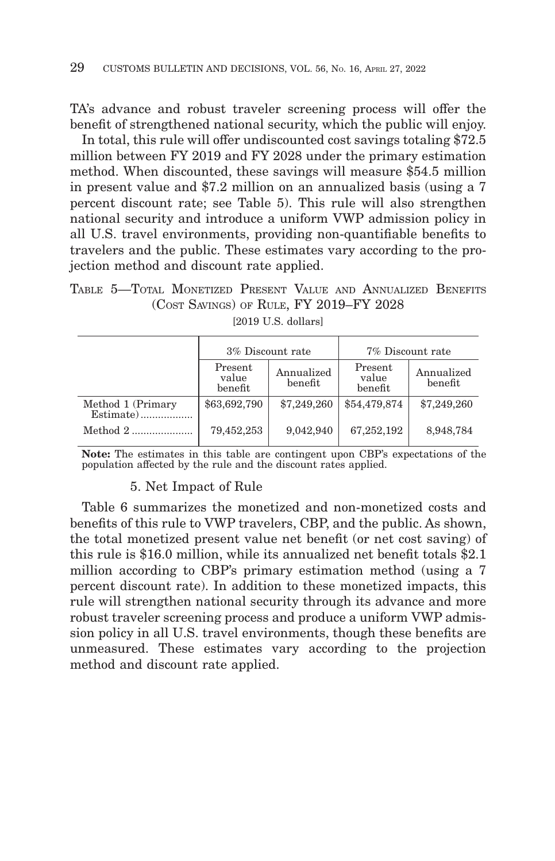TA's advance and robust traveler screening process will offer the benefit of strengthened national security, which the public will enjoy.

In total, this rule will offer undiscounted cost savings totaling \$72.5 million between FY 2019 and FY 2028 under the primary estimation method. When discounted, these savings will measure \$54.5 million in present value and \$7.2 million on an annualized basis (using a 7 percent discount rate; see Table 5). This rule will also strengthen national security and introduce a uniform VWP admission policy in all U.S. travel environments, providing non-quantifiable benefits to travelers and the public. These estimates vary according to the projection method and discount rate applied.

TABLE 5—TOTAL MONETIZED PRESENT VALUE AND ANNUALIZED BENEFITS (COST SAVINGS) OF RULE, FY 2019–FY 2028

|                   | 3% Discount rate            |                       | 7% Discount rate            |                       |  |  |
|-------------------|-----------------------------|-----------------------|-----------------------------|-----------------------|--|--|
|                   | Present<br>value<br>benefit | Annualized<br>benefit | Present<br>value<br>benefit | Annualized<br>benefit |  |  |
| Method 1 (Primary | \$63,692,790                | \$7,249,260           | \$54,479,874                | \$7,249,260           |  |  |
| Method $2$        | 79,452,253                  | 9,042,940             | 67,252,192                  | 8,948,784             |  |  |

[2019 U.S. dollars]

**Note:** The estimates in this table are contingent upon CBP's expectations of the population affected by the rule and the discount rates applied.

#### 5. Net Impact of Rule

Table 6 summarizes the monetized and non-monetized costs and benefits of this rule to VWP travelers, CBP, and the public. As shown, the total monetized present value net benefit (or net cost saving) of this rule is \$16.0 million, while its annualized net benefit totals \$2.1 million according to CBP's primary estimation method (using a 7 percent discount rate). In addition to these monetized impacts, this rule will strengthen national security through its advance and more robust traveler screening process and produce a uniform VWP admission policy in all U.S. travel environments, though these benefits are unmeasured. These estimates vary according to the projection method and discount rate applied.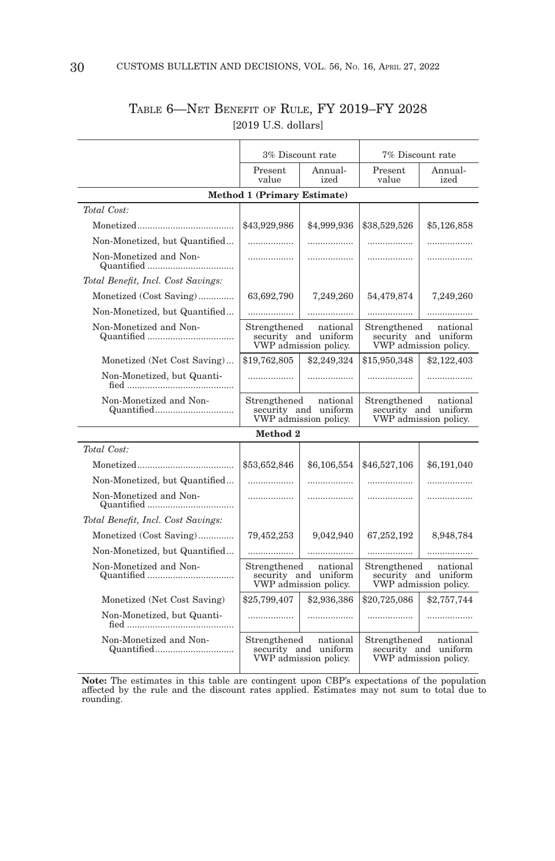|                                    | 3% Discount rate                                                          |                                                           | 7% Discount rate                                                          |                 |  |  |  |  |
|------------------------------------|---------------------------------------------------------------------------|-----------------------------------------------------------|---------------------------------------------------------------------------|-----------------|--|--|--|--|
|                                    | Present<br>Annual-<br>value<br>ized                                       |                                                           | Present<br>value                                                          | Annual-<br>ized |  |  |  |  |
| <b>Method 1 (Primary Estimate)</b> |                                                                           |                                                           |                                                                           |                 |  |  |  |  |
| Total Cost:                        |                                                                           |                                                           |                                                                           |                 |  |  |  |  |
|                                    | \$43,929,986                                                              | \$4,999,936                                               | \$38,529,526                                                              | \$5,126,858     |  |  |  |  |
| Non-Monetized, but Quantified      | .                                                                         | .                                                         | .                                                                         | .               |  |  |  |  |
| Non-Monetized and Non-             | .                                                                         |                                                           | .                                                                         | .               |  |  |  |  |
| Total Benefit, Incl. Cost Savings: |                                                                           |                                                           |                                                                           |                 |  |  |  |  |
| Monetized (Cost Saving)            | 63,692,790                                                                | 7,249,260                                                 | 54,479,874                                                                | 7,249,260       |  |  |  |  |
| Non-Monetized, but Quantified      | .                                                                         |                                                           | .                                                                         | .               |  |  |  |  |
| Non-Monetized and Non-             | Strengthened                                                              | national<br>security and uniform<br>VWP admission policy. | Strengthened<br>national<br>security and uniform<br>VWP admission policy. |                 |  |  |  |  |
| Monetized (Net Cost Saving)        | \$19,762,805                                                              | \$2,249,324                                               | \$15,950,348                                                              | \$2,122,403     |  |  |  |  |
| Non-Monetized, but Quanti-         | .                                                                         |                                                           | .                                                                         |                 |  |  |  |  |
| Non-Monetized and Non-             | Strengthened<br>national<br>security and uniform<br>VWP admission policy. |                                                           | Strengthened<br>national<br>security and uniform<br>VWP admission policy. |                 |  |  |  |  |
|                                    | Method 2                                                                  |                                                           |                                                                           |                 |  |  |  |  |
| Total Cost:                        |                                                                           |                                                           |                                                                           |                 |  |  |  |  |
|                                    | \$53,652,846                                                              | \$6,106,554                                               | \$46,527,106                                                              | \$6,191,040     |  |  |  |  |
| Non-Monetized, but Quantified      | .                                                                         | .                                                         | .                                                                         | .               |  |  |  |  |
| Non-Monetized and Non-             |                                                                           |                                                           | .                                                                         | .               |  |  |  |  |
| Total Benefit, Incl. Cost Savings: |                                                                           |                                                           |                                                                           |                 |  |  |  |  |
| Monetized (Cost Saving)            | 79,452,253                                                                | 9,042,940                                                 | 67,252,192                                                                | 8,948,784       |  |  |  |  |
| Non-Monetized, but Quantified      | .                                                                         | .                                                         | .                                                                         |                 |  |  |  |  |
| Non-Monetized and Non-             | Strengthened<br>national<br>security and uniform<br>VWP admission policy. |                                                           | Strengthened<br>national<br>security and uniform<br>VWP admission policy. |                 |  |  |  |  |
| Monetized (Net Cost Saving)        | \$25,799,407                                                              | \$2,936,386                                               | \$20,725,086                                                              | \$2,757,744     |  |  |  |  |
| Non-Monetized, but Quanti-         | .                                                                         | .                                                         | .                                                                         |                 |  |  |  |  |
| Non-Monetized and Non-             | Strengthened<br>national<br>security and uniform<br>VWP admission policy. |                                                           | Strengthened national<br>security and uniform<br>VWP admission policy.    |                 |  |  |  |  |

# TABLE 6—NET BENEFIT OF RULE, FY 2019–FY 2028 [2019 U.S. dollars]

T

 $\top$ 

**Note:** The estimates in this table are contingent upon CBP's expectations of the population affected by the rule and the discount rates applied. Estimates may not sum to total due to rounding.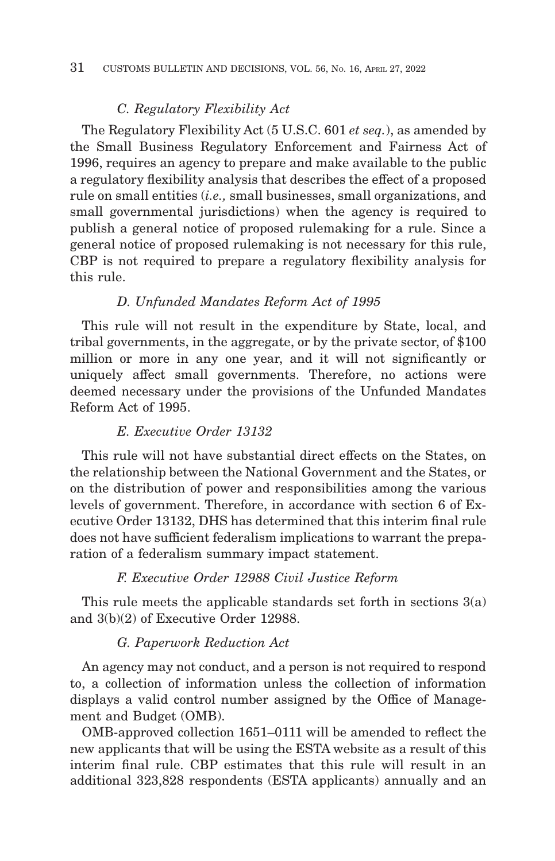## *C. Regulatory Flexibility Act*

The Regulatory Flexibility Act (5 U.S.C. 601 *et seq.*), as amended by the Small Business Regulatory Enforcement and Fairness Act of 1996, requires an agency to prepare and make available to the public a regulatory flexibility analysis that describes the effect of a proposed rule on small entities (*i.e.,* small businesses, small organizations, and small governmental jurisdictions) when the agency is required to publish a general notice of proposed rulemaking for a rule. Since a general notice of proposed rulemaking is not necessary for this rule, CBP is not required to prepare a regulatory flexibility analysis for this rule.

#### *D. Unfunded Mandates Reform Act of 1995*

This rule will not result in the expenditure by State, local, and tribal governments, in the aggregate, or by the private sector, of \$100 million or more in any one year, and it will not significantly or uniquely affect small governments. Therefore, no actions were deemed necessary under the provisions of the Unfunded Mandates Reform Act of 1995.

#### *E. Executive Order 13132*

This rule will not have substantial direct effects on the States, on the relationship between the National Government and the States, or on the distribution of power and responsibilities among the various levels of government. Therefore, in accordance with section 6 of Executive Order 13132, DHS has determined that this interim final rule does not have sufficient federalism implications to warrant the preparation of a federalism summary impact statement.

#### *F. Executive Order 12988 Civil Justice Reform*

This rule meets the applicable standards set forth in sections 3(a) and 3(b)(2) of Executive Order 12988.

#### *G. Paperwork Reduction Act*

An agency may not conduct, and a person is not required to respond to, a collection of information unless the collection of information displays a valid control number assigned by the Office of Management and Budget (OMB).

OMB-approved collection 1651–0111 will be amended to reflect the new applicants that will be using the ESTA website as a result of this interim final rule. CBP estimates that this rule will result in an additional 323,828 respondents (ESTA applicants) annually and an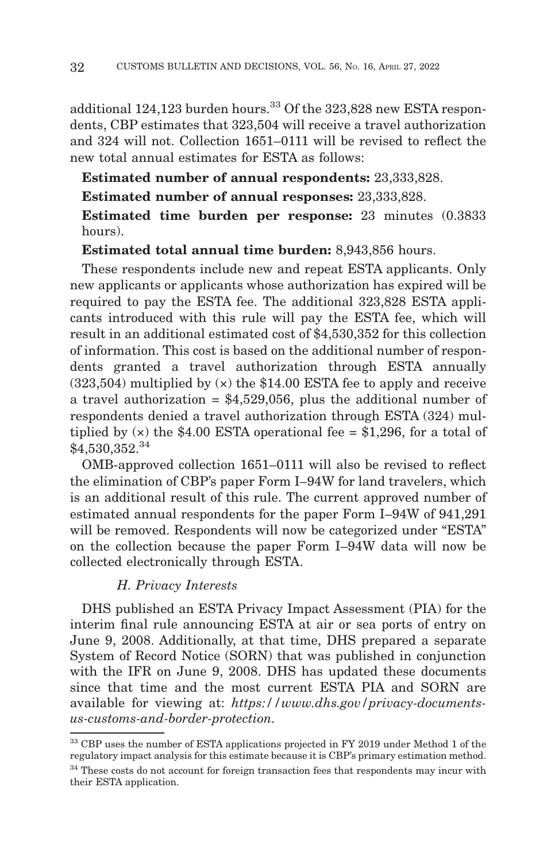additional  $124,123$  burden hours.<sup>33</sup> Of the  $323,828$  new ESTA respondents, CBP estimates that 323,504 will receive a travel authorization and 324 will not. Collection 1651–0111 will be revised to reflect the new total annual estimates for ESTA as follows:

**Estimated number of annual respondents:** 23,333,828.

**Estimated number of annual responses:** 23,333,828.

# **Estimated time burden per response:** 23 minutes (0.3833 hours).

**Estimated total annual time burden:** 8,943,856 hours.

These respondents include new and repeat ESTA applicants. Only new applicants or applicants whose authorization has expired will be required to pay the ESTA fee. The additional 323,828 ESTA applicants introduced with this rule will pay the ESTA fee, which will result in an additional estimated cost of \$4,530,352 for this collection of information. This cost is based on the additional number of respondents granted a travel authorization through ESTA annually  $(323,504)$  multiplied by  $(x)$  the \$14.00 ESTA fee to apply and receive a travel authorization  $= $4,529,056$ , plus the additional number of respondents denied a travel authorization through ESTA (324) multiplied by  $(x)$  the \$4.00 ESTA operational fee = \$1,296, for a total of \$4,530,352.34

OMB-approved collection 1651–0111 will also be revised to reflect the elimination of CBP's paper Form I–94W for land travelers, which is an additional result of this rule. The current approved number of estimated annual respondents for the paper Form I–94W of 941,291 will be removed. Respondents will now be categorized under "ESTA" on the collection because the paper Form I–94W data will now be collected electronically through ESTA.

## *H. Privacy Interests*

DHS published an ESTA Privacy Impact Assessment (PIA) for the interim final rule announcing ESTA at air or sea ports of entry on June 9, 2008. Additionally, at that time, DHS prepared a separate System of Record Notice (SORN) that was published in conjunction with the IFR on June 9, 2008. DHS has updated these documents since that time and the most current ESTA PIA and SORN are available for viewing at: *https://www.dhs.gov/privacy-documentsus-customs-and-border-protection.*

<sup>33</sup> CBP uses the number of ESTA applications projected in FY 2019 under Method 1 of the regulatory impact analysis for this estimate because it is CBP's primary estimation method.

 $^\mathrm{34}$  These costs do not account for foreign transaction fees that respondents may incur with their ESTA application.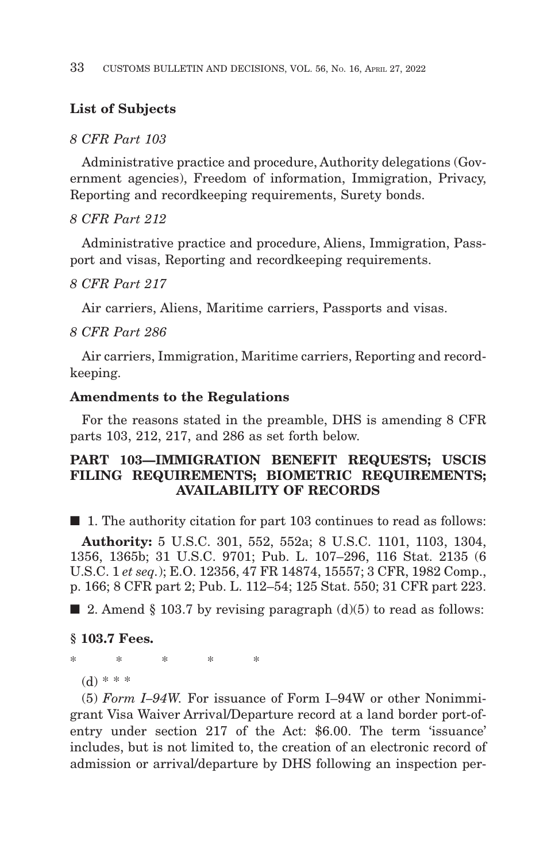# **List of Subjects**

## *8 CFR Part 103*

Administrative practice and procedure, Authority delegations (Government agencies), Freedom of information, Immigration, Privacy, Reporting and recordkeeping requirements, Surety bonds.

## *8 CFR Part 212*

Administrative practice and procedure, Aliens, Immigration, Passport and visas, Reporting and recordkeeping requirements.

#### *8 CFR Part 217*

Air carriers, Aliens, Maritime carriers, Passports and visas.

#### *8 CFR Part 286*

Air carriers, Immigration, Maritime carriers, Reporting and recordkeeping.

#### **Amendments to the Regulations**

For the reasons stated in the preamble, DHS is amending 8 CFR parts 103, 212, 217, and 286 as set forth below.

## **PART 103—IMMIGRATION BENEFIT REQUESTS; USCIS FILING REQUIREMENTS; BIOMETRIC REQUIREMENTS; AVAILABILITY OF RECORDS**

■ 1. The authority citation for part 103 continues to read as follows:

**Authority:** 5 U.S.C. 301, 552, 552a; 8 U.S.C. 1101, 1103, 1304, 1356, 1365b; 31 U.S.C. 9701; Pub. L. 107–296, 116 Stat. 2135 (6 U.S.C. 1 *et seq.*); E.O. 12356, 47 FR 14874, 15557; 3 CFR, 1982 Comp., p. 166; 8 CFR part 2; Pub. L. 112–54; 125 Stat. 550; 31 CFR part 223.

 $\blacksquare$  2. Amend § 103.7 by revising paragraph (d)(5) to read as follows:

#### **§ 103.7 Fees.**

\*\*\*\* \*

(d) \* \* \*

(5) *Form I–94W.* For issuance of Form I–94W or other Nonimmigrant Visa Waiver Arrival/Departure record at a land border port-ofentry under section 217 of the Act: \$6.00. The term 'issuance' includes, but is not limited to, the creation of an electronic record of admission or arrival/departure by DHS following an inspection per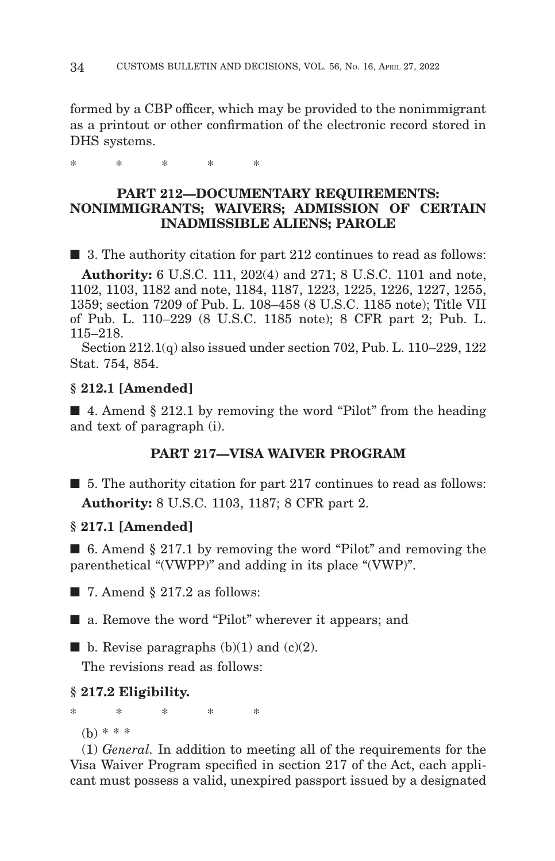formed by a CBP officer, which may be provided to the nonimmigrant as a printout or other confirmation of the electronic record stored in DHS systems.

\*\*\*\* \*

## **PART 212—DOCUMENTARY REQUIREMENTS: NONIMMIGRANTS; WAIVERS; ADMISSION OF CERTAIN INADMISSIBLE ALIENS; PAROLE**

■ 3. The authority citation for part 212 continues to read as follows:

**Authority:** 6 U.S.C. 111, 202(4) and 271; 8 U.S.C. 1101 and note, 1102, 1103, 1182 and note, 1184, 1187, 1223, 1225, 1226, 1227, 1255, 1359; section 7209 of Pub. L. 108–458 (8 U.S.C. 1185 note); Title VII of Pub. L. 110–229 (8 U.S.C. 1185 note); 8 CFR part 2; Pub. L. 115–218.

Section 212.1(q) also issued under section 702, Pub. L. 110–229, 122 Stat. 754, 854.

#### **§ 212.1 [Amended]**

 $\blacksquare$  4. Amend § 212.1 by removing the word "Pilot" from the heading and text of paragraph (i).

## **PART 217—VISA WAIVER PROGRAM**

■ 5. The authority citation for part 217 continues to read as follows: **Authority:** 8 U.S.C. 1103, 1187; 8 CFR part 2.

#### **§ 217.1 [Amended]**

■ 6. Amend § 217.1 by removing the word "Pilot" and removing the parenthetical "(VWPP)" and adding in its place "(VWP)".

 $\blacksquare$  7. Amend § 217.2 as follows:

■ a. Remove the word "Pilot" wherever it appears; and

**• b.** Revise paragraphs (b)(1) and (c)(2).

The revisions read as follows:

#### **§ 217.2 Eligibility.**

\*\*\*\* \*

(b) \* \* \*

(1) *General.* In addition to meeting all of the requirements for the Visa Waiver Program specified in section 217 of the Act, each applicant must possess a valid, unexpired passport issued by a designated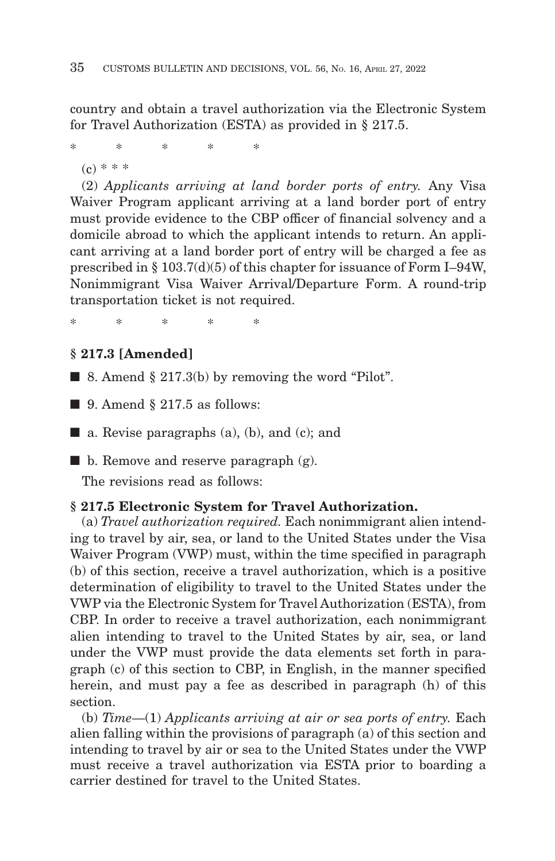country and obtain a travel authorization via the Electronic System for Travel Authorization (ESTA) as provided in § 217.5.

\*\*\*\* \*  $(c) * * *$ 

(2) *Applicants arriving at land border ports of entry.* Any Visa Waiver Program applicant arriving at a land border port of entry must provide evidence to the CBP officer of financial solvency and a domicile abroad to which the applicant intends to return. An applicant arriving at a land border port of entry will be charged a fee as prescribed in § 103.7(d)(5) of this chapter for issuance of Form I–94W, Nonimmigrant Visa Waiver Arrival/Departure Form. A round-trip transportation ticket is not required.

\*\*\*\* \*

# **§ 217.3 [Amended]**

 $\blacksquare$  8. Amend § 217.3(b) by removing the word "Pilot".

 $\blacksquare$  9. Amend § 217.5 as follows:

 $\blacksquare$  a. Revise paragraphs (a), (b), and (c); and

 $\blacksquare$  b. Remove and reserve paragraph (g).

The revisions read as follows:

## **§ 217.5 Electronic System for Travel Authorization.**

(a) *Travel authorization required.* Each nonimmigrant alien intending to travel by air, sea, or land to the United States under the Visa Waiver Program (VWP) must, within the time specified in paragraph (b) of this section, receive a travel authorization, which is a positive determination of eligibility to travel to the United States under the VWP via the Electronic System for Travel Authorization (ESTA), from CBP. In order to receive a travel authorization, each nonimmigrant alien intending to travel to the United States by air, sea, or land under the VWP must provide the data elements set forth in paragraph (c) of this section to CBP, in English, in the manner specified herein, and must pay a fee as described in paragraph (h) of this section.

(b) *Time*—(1) *Applicants arriving at air or sea ports of entry.* Each alien falling within the provisions of paragraph (a) of this section and intending to travel by air or sea to the United States under the VWP must receive a travel authorization via ESTA prior to boarding a carrier destined for travel to the United States.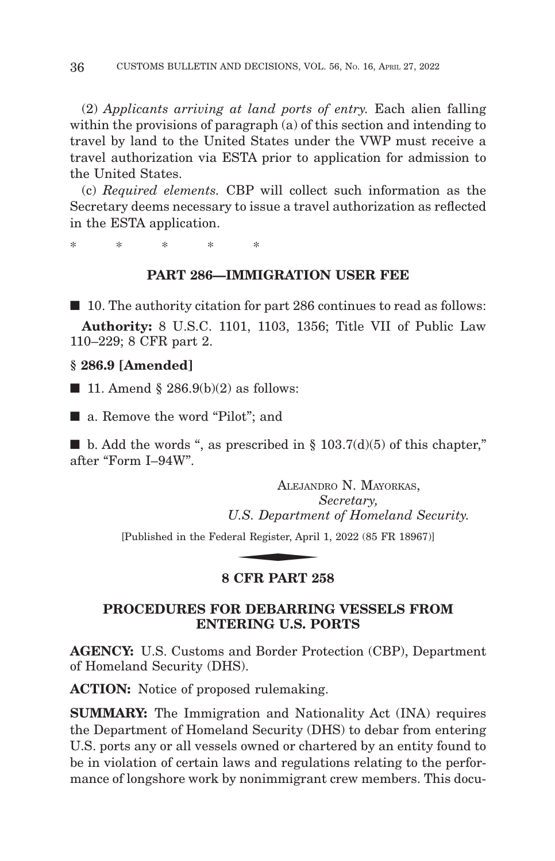(2) *Applicants arriving at land ports of entry.* Each alien falling within the provisions of paragraph (a) of this section and intending to travel by land to the United States under the VWP must receive a travel authorization via ESTA prior to application for admission to the United States.

(c) *Required elements.* CBP will collect such information as the Secretary deems necessary to issue a travel authorization as reflected in the ESTA application.

\*\*\*\* \*

#### **PART 286—IMMIGRATION USER FEE**

■ 10. The authority citation for part 286 continues to read as follows:

**Authority:** 8 U.S.C. 1101, 1103, 1356; Title VII of Public Law 110–229; 8 CFR part 2.

**§ 286.9 [Amended]**

 $\blacksquare$  11. Amend § 286.9(b)(2) as follows:

■ a. Remove the word "Pilot"; and

 $\blacksquare$  b. Add the words ", as prescribed in § 103.7(d)(5) of this chapter," after "Form I-94W".

ALEJANDRO N. MAYORKAS, *Secretary, U.S. Department of Homeland Security.* ALEJANI

[Published in the Federal Register, April 1, 2022 (85 FR 18967)]

# **8 CFR PART 258**

# **PROCEDURES FOR DEBARRING VESSELS FROM ENTERING U.S. PORTS**

**AGENCY:** U.S. Customs and Border Protection (CBP), Department of Homeland Security (DHS).

**ACTION:** Notice of proposed rulemaking.

**SUMMARY:** The Immigration and Nationality Act (INA) requires the Department of Homeland Security (DHS) to debar from entering U.S. ports any or all vessels owned or chartered by an entity found to be in violation of certain laws and regulations relating to the performance of longshore work by nonimmigrant crew members. This docu-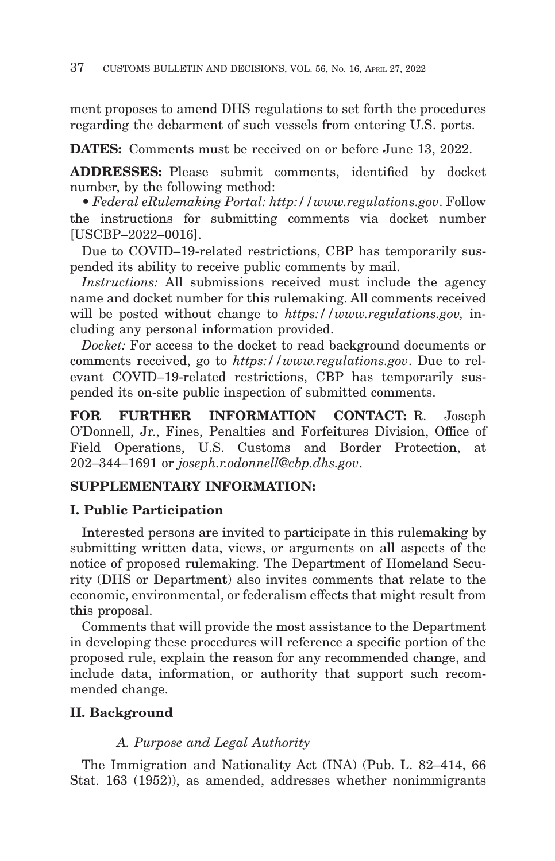ment proposes to amend DHS regulations to set forth the procedures regarding the debarment of such vessels from entering U.S. ports.

**DATES:** Comments must be received on or before June 13, 2022.

**ADDRESSES:** Please submit comments, identified by docket number, by the following method:

• *Federal eRulemaking Portal: http://www.regulations.gov*. Follow the instructions for submitting comments via docket number [USCBP–2022–0016].

Due to COVID–19-related restrictions, CBP has temporarily suspended its ability to receive public comments by mail.

*Instructions:* All submissions received must include the agency name and docket number for this rulemaking. All comments received will be posted without change to *https://www.regulations.gov,* including any personal information provided.

*Docket:* For access to the docket to read background documents or comments received, go to *https://www.regulations.gov*. Due to relevant COVID–19-related restrictions, CBP has temporarily suspended its on-site public inspection of submitted comments.

**FOR FURTHER INFORMATION CONTACT:** R. Joseph O'Donnell, Jr., Fines, Penalties and Forfeitures Division, Office of Field Operations, U.S. Customs and Border Protection, at 202–344–1691 or *joseph.r.odonnell@cbp.dhs.gov*.

# **SUPPLEMENTARY INFORMATION:**

# **I. Public Participation**

Interested persons are invited to participate in this rulemaking by submitting written data, views, or arguments on all aspects of the notice of proposed rulemaking. The Department of Homeland Security (DHS or Department) also invites comments that relate to the economic, environmental, or federalism effects that might result from this proposal.

Comments that will provide the most assistance to the Department in developing these procedures will reference a specific portion of the proposed rule, explain the reason for any recommended change, and include data, information, or authority that support such recommended change.

# **II. Background**

# *A. Purpose and Legal Authority*

The Immigration and Nationality Act (INA) (Pub. L. 82–414, 66 Stat. 163 (1952)), as amended, addresses whether nonimmigrants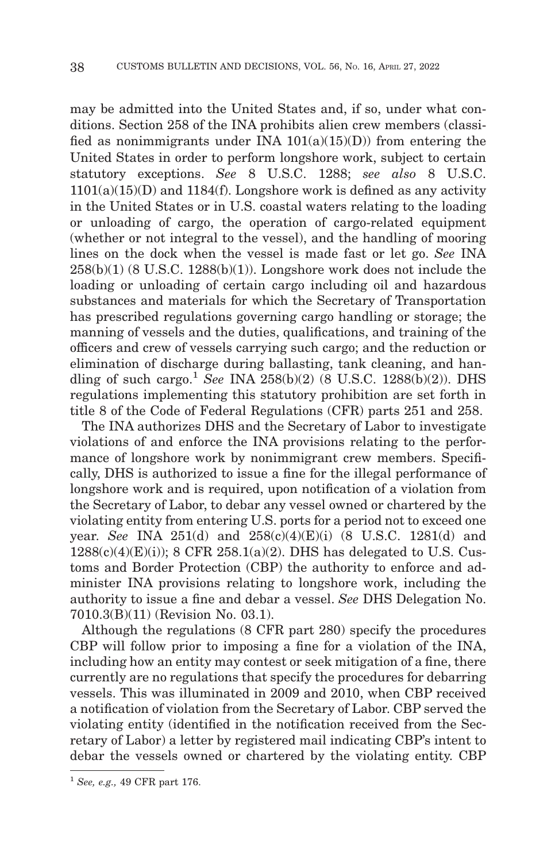may be admitted into the United States and, if so, under what conditions. Section 258 of the INA prohibits alien crew members (classified as nonimmigrants under INA  $101(a)(15)(D)$  from entering the United States in order to perform longshore work, subject to certain statutory exceptions. *See* 8 U.S.C. 1288; *see also* 8 U.S.C.  $1101(a)(15)(D)$  and  $1184(f)$ . Longshore work is defined as any activity in the United States or in U.S. coastal waters relating to the loading or unloading of cargo, the operation of cargo-related equipment (whether or not integral to the vessel), and the handling of mooring lines on the dock when the vessel is made fast or let go. *See* INA  $258(b)(1)$  (8 U.S.C. 1288 $(b)(1)$ ). Longshore work does not include the loading or unloading of certain cargo including oil and hazardous substances and materials for which the Secretary of Transportation has prescribed regulations governing cargo handling or storage; the manning of vessels and the duties, qualifications, and training of the officers and crew of vessels carrying such cargo; and the reduction or elimination of discharge during ballasting, tank cleaning, and handling of such cargo.<sup>1</sup> See INA 258(b)(2) (8 U.S.C. 1288(b)(2)). DHS regulations implementing this statutory prohibition are set forth in title 8 of the Code of Federal Regulations (CFR) parts 251 and 258.

The INA authorizes DHS and the Secretary of Labor to investigate violations of and enforce the INA provisions relating to the performance of longshore work by nonimmigrant crew members. Specifically, DHS is authorized to issue a fine for the illegal performance of longshore work and is required, upon notification of a violation from the Secretary of Labor, to debar any vessel owned or chartered by the violating entity from entering U.S. ports for a period not to exceed one year. *See* INA 251(d) and 258(c)(4)(E)(i) (8 U.S.C. 1281(d) and  $1288(c)(4)(E)(i)$ ; 8 CFR  $258.1(a)(2)$ . DHS has delegated to U.S. Customs and Border Protection (CBP) the authority to enforce and administer INA provisions relating to longshore work, including the authority to issue a fine and debar a vessel. *See* DHS Delegation No. 7010.3(B)(11) (Revision No. 03.1).

Although the regulations (8 CFR part 280) specify the procedures CBP will follow prior to imposing a fine for a violation of the INA, including how an entity may contest or seek mitigation of a fine, there currently are no regulations that specify the procedures for debarring vessels. This was illuminated in 2009 and 2010, when CBP received a notification of violation from the Secretary of Labor. CBP served the violating entity (identified in the notification received from the Secretary of Labor) a letter by registered mail indicating CBP's intent to debar the vessels owned or chartered by the violating entity. CBP

<sup>1</sup>*See, e.g.,* 49 CFR part 176.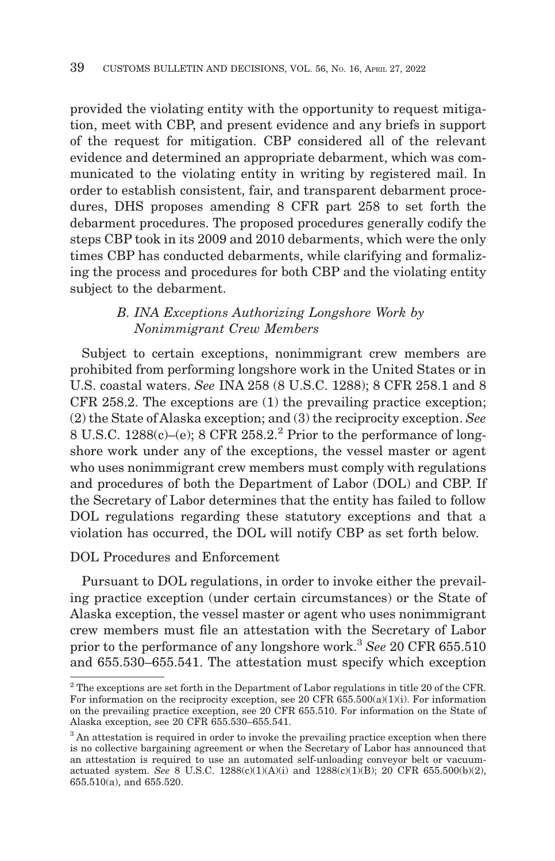provided the violating entity with the opportunity to request mitigation, meet with CBP, and present evidence and any briefs in support of the request for mitigation. CBP considered all of the relevant evidence and determined an appropriate debarment, which was communicated to the violating entity in writing by registered mail. In order to establish consistent, fair, and transparent debarment procedures, DHS proposes amending 8 CFR part 258 to set forth the debarment procedures. The proposed procedures generally codify the steps CBP took in its 2009 and 2010 debarments, which were the only times CBP has conducted debarments, while clarifying and formalizing the process and procedures for both CBP and the violating entity subject to the debarment.

# *B. INA Exceptions Authorizing Longshore Work by Nonimmigrant Crew Members*

Subject to certain exceptions, nonimmigrant crew members are prohibited from performing longshore work in the United States or in U.S. coastal waters. *See* INA 258 (8 U.S.C. 1288); 8 CFR 258.1 and 8 CFR 258.2. The exceptions are (1) the prevailing practice exception; (2) the State of Alaska exception; and (3) the reciprocity exception. *See* 8 U.S.C.  $1288(c)$ –(e); 8 CFR  $258.2<sup>2</sup>$  Prior to the performance of longshore work under any of the exceptions, the vessel master or agent who uses nonimmigrant crew members must comply with regulations and procedures of both the Department of Labor (DOL) and CBP. If the Secretary of Labor determines that the entity has failed to follow DOL regulations regarding these statutory exceptions and that a violation has occurred, the DOL will notify CBP as set forth below.

DOL Procedures and Enforcement

Pursuant to DOL regulations, in order to invoke either the prevailing practice exception (under certain circumstances) or the State of Alaska exception, the vessel master or agent who uses nonimmigrant crew members must file an attestation with the Secretary of Labor prior to the performance of any longshore work.3 *See* 20 CFR 655.510 and 655.530–655.541. The attestation must specify which exception

 $2^2$  The exceptions are set forth in the Department of Labor regulations in title 20 of the CFR. For information on the reciprocity exception, see 20 CFR  $655.500(a)(1)(i)$ . For information on the prevailing practice exception, see 20 CFR 655.510. For information on the State of Alaska exception, see 20 CFR 655.530–655.541.

<sup>&</sup>lt;sup>3</sup> An attestation is required in order to invoke the prevailing practice exception when there is no collective bargaining agreement or when the Secretary of Labor has announced that an attestation is required to use an automated self-unloading conveyor belt or vacuumactuated system. *See* 8 U.S.C. 1288(c)(1)(A)(i) and 1288(c)(1)(B); 20 CFR 655.500(b)(2), 655.510(a), and 655.520.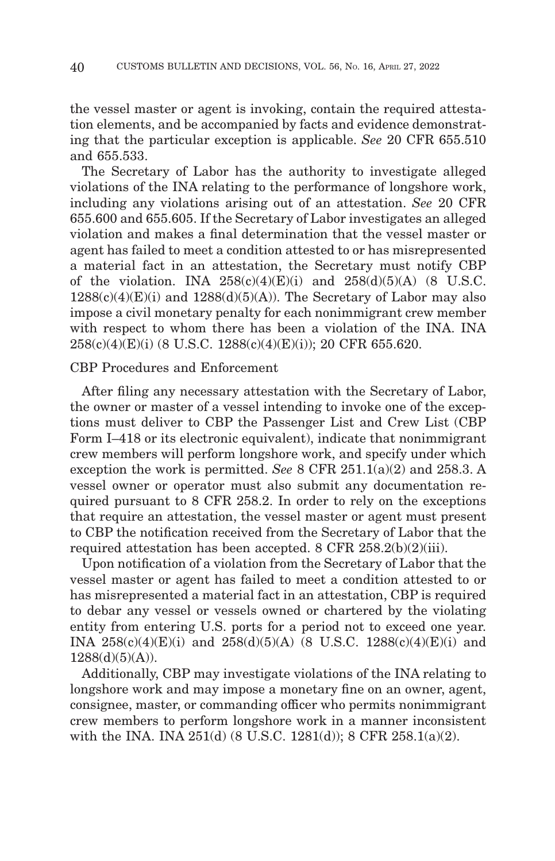the vessel master or agent is invoking, contain the required attestation elements, and be accompanied by facts and evidence demonstrating that the particular exception is applicable. *See* 20 CFR 655.510 and 655.533.

The Secretary of Labor has the authority to investigate alleged violations of the INA relating to the performance of longshore work, including any violations arising out of an attestation. *See* 20 CFR 655.600 and 655.605. If the Secretary of Labor investigates an alleged violation and makes a final determination that the vessel master or agent has failed to meet a condition attested to or has misrepresented a material fact in an attestation, the Secretary must notify CBP of the violation. INA  $258(c)(4)(E)(i)$  and  $258(d)(5)(A)$  (8 U.S.C.  $1288(c)(4)(E)(i)$  and  $1288(d)(5)(A)$ ). The Secretary of Labor may also impose a civil monetary penalty for each nonimmigrant crew member with respect to whom there has been a violation of the INA. INA 258(c)(4)(E)(i) (8 U.S.C. 1288(c)(4)(E)(i)); 20 CFR 655.620.

### CBP Procedures and Enforcement

After filing any necessary attestation with the Secretary of Labor, the owner or master of a vessel intending to invoke one of the exceptions must deliver to CBP the Passenger List and Crew List (CBP Form I–418 or its electronic equivalent), indicate that nonimmigrant crew members will perform longshore work, and specify under which exception the work is permitted. *See* 8 CFR 251.1(a)(2) and 258.3. A vessel owner or operator must also submit any documentation required pursuant to 8 CFR 258.2. In order to rely on the exceptions that require an attestation, the vessel master or agent must present to CBP the notification received from the Secretary of Labor that the required attestation has been accepted. 8 CFR 258.2(b)(2)(iii).

Upon notification of a violation from the Secretary of Labor that the vessel master or agent has failed to meet a condition attested to or has misrepresented a material fact in an attestation, CBP is required to debar any vessel or vessels owned or chartered by the violating entity from entering U.S. ports for a period not to exceed one year. INA 258(c)(4)(E)(i) and 258(d)(5)(A) (8 U.S.C. 1288(c)(4)(E)(i) and  $1288(d)(5)(A)$ .

Additionally, CBP may investigate violations of the INA relating to longshore work and may impose a monetary fine on an owner, agent, consignee, master, or commanding officer who permits nonimmigrant crew members to perform longshore work in a manner inconsistent with the INA. INA 251(d) (8 U.S.C. 1281(d)); 8 CFR 258.1(a)(2).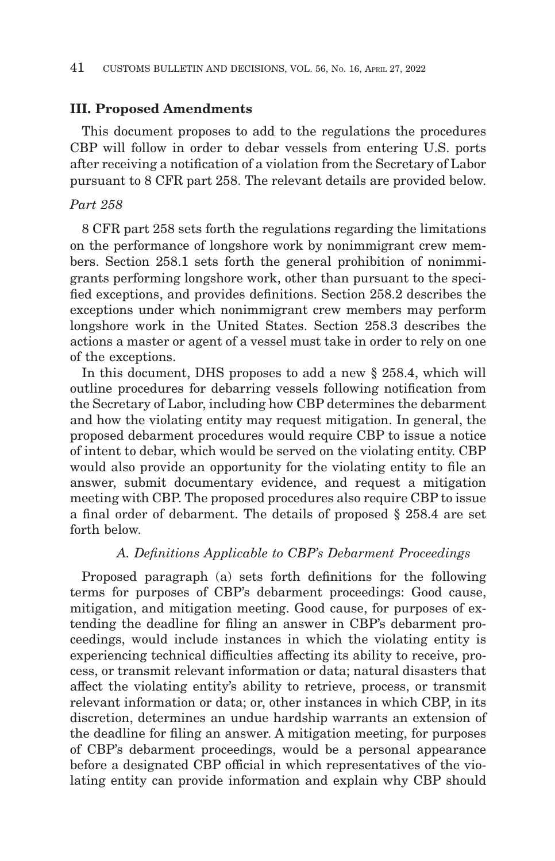### **III. Proposed Amendments**

This document proposes to add to the regulations the procedures CBP will follow in order to debar vessels from entering U.S. ports after receiving a notification of a violation from the Secretary of Labor pursuant to 8 CFR part 258. The relevant details are provided below.

## *Part 258*

8 CFR part 258 sets forth the regulations regarding the limitations on the performance of longshore work by nonimmigrant crew members. Section 258.1 sets forth the general prohibition of nonimmigrants performing longshore work, other than pursuant to the specified exceptions, and provides definitions. Section 258.2 describes the exceptions under which nonimmigrant crew members may perform longshore work in the United States. Section 258.3 describes the actions a master or agent of a vessel must take in order to rely on one of the exceptions.

In this document, DHS proposes to add a new § 258.4, which will outline procedures for debarring vessels following notification from the Secretary of Labor, including how CBP determines the debarment and how the violating entity may request mitigation. In general, the proposed debarment procedures would require CBP to issue a notice of intent to debar, which would be served on the violating entity. CBP would also provide an opportunity for the violating entity to file an answer, submit documentary evidence, and request a mitigation meeting with CBP. The proposed procedures also require CBP to issue a final order of debarment. The details of proposed § 258.4 are set forth below.

### *A. Definitions Applicable to CBP's Debarment Proceedings*

Proposed paragraph (a) sets forth definitions for the following terms for purposes of CBP's debarment proceedings: Good cause, mitigation, and mitigation meeting. Good cause, for purposes of extending the deadline for filing an answer in CBP's debarment proceedings, would include instances in which the violating entity is experiencing technical difficulties affecting its ability to receive, process, or transmit relevant information or data; natural disasters that affect the violating entity's ability to retrieve, process, or transmit relevant information or data; or, other instances in which CBP, in its discretion, determines an undue hardship warrants an extension of the deadline for filing an answer. A mitigation meeting, for purposes of CBP's debarment proceedings, would be a personal appearance before a designated CBP official in which representatives of the violating entity can provide information and explain why CBP should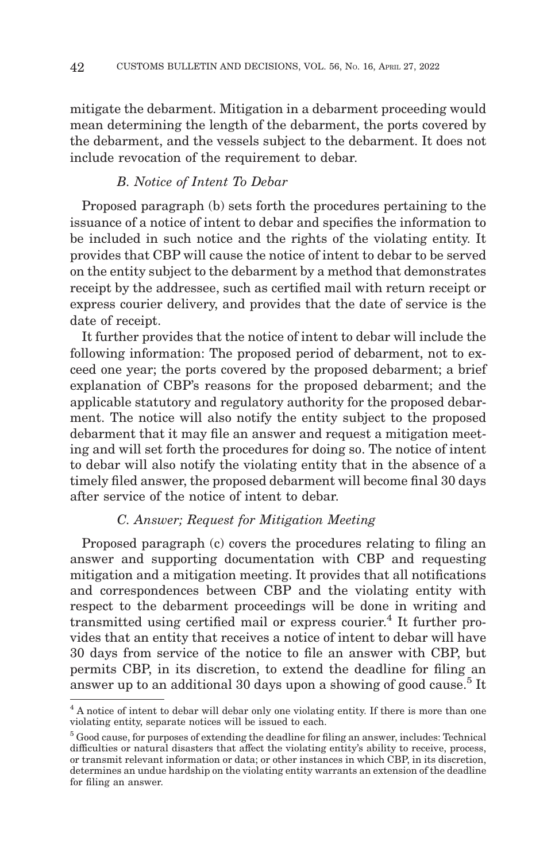mitigate the debarment. Mitigation in a debarment proceeding would mean determining the length of the debarment, the ports covered by the debarment, and the vessels subject to the debarment. It does not include revocation of the requirement to debar.

# *B. Notice of Intent To Debar*

Proposed paragraph (b) sets forth the procedures pertaining to the issuance of a notice of intent to debar and specifies the information to be included in such notice and the rights of the violating entity. It provides that CBP will cause the notice of intent to debar to be served on the entity subject to the debarment by a method that demonstrates receipt by the addressee, such as certified mail with return receipt or express courier delivery, and provides that the date of service is the date of receipt.

It further provides that the notice of intent to debar will include the following information: The proposed period of debarment, not to exceed one year; the ports covered by the proposed debarment; a brief explanation of CBP's reasons for the proposed debarment; and the applicable statutory and regulatory authority for the proposed debarment. The notice will also notify the entity subject to the proposed debarment that it may file an answer and request a mitigation meeting and will set forth the procedures for doing so. The notice of intent to debar will also notify the violating entity that in the absence of a timely filed answer, the proposed debarment will become final 30 days after service of the notice of intent to debar.

# *C. Answer; Request for Mitigation Meeting*

Proposed paragraph (c) covers the procedures relating to filing an answer and supporting documentation with CBP and requesting mitigation and a mitigation meeting. It provides that all notifications and correspondences between CBP and the violating entity with respect to the debarment proceedings will be done in writing and transmitted using certified mail or express courier.<sup>4</sup> It further provides that an entity that receives a notice of intent to debar will have 30 days from service of the notice to file an answer with CBP, but permits CBP, in its discretion, to extend the deadline for filing an answer up to an additional 30 days upon a showing of good cause.<sup>5</sup> It

<sup>&</sup>lt;sup>4</sup> A notice of intent to debar will debar only one violating entity. If there is more than one violating entity, separate notices will be issued to each.

 $<sup>5</sup>$  Good cause, for purposes of extending the deadline for filing an answer, includes: Technical</sup> difficulties or natural disasters that affect the violating entity's ability to receive, process, or transmit relevant information or data; or other instances in which CBP, in its discretion, determines an undue hardship on the violating entity warrants an extension of the deadline for filing an answer.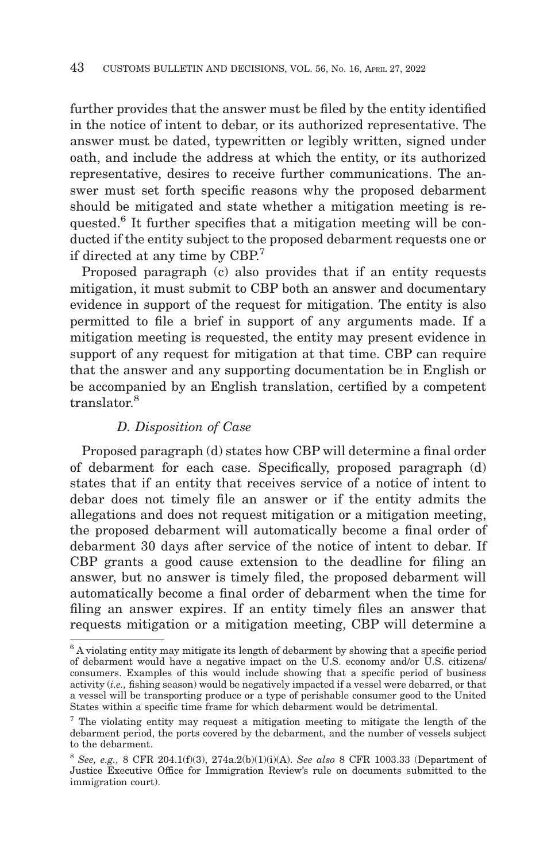further provides that the answer must be filed by the entity identified in the notice of intent to debar, or its authorized representative. The answer must be dated, typewritten or legibly written, signed under oath, and include the address at which the entity, or its authorized representative, desires to receive further communications. The answer must set forth specific reasons why the proposed debarment should be mitigated and state whether a mitigation meeting is requested.6 It further specifies that a mitigation meeting will be conducted if the entity subject to the proposed debarment requests one or if directed at any time by CBP.7

Proposed paragraph (c) also provides that if an entity requests mitigation, it must submit to CBP both an answer and documentary evidence in support of the request for mitigation. The entity is also permitted to file a brief in support of any arguments made. If a mitigation meeting is requested, the entity may present evidence in support of any request for mitigation at that time. CBP can require that the answer and any supporting documentation be in English or be accompanied by an English translation, certified by a competent translator.8

## *D. Disposition of Case*

Proposed paragraph (d) states how CBP will determine a final order of debarment for each case. Specifically, proposed paragraph (d) states that if an entity that receives service of a notice of intent to debar does not timely file an answer or if the entity admits the allegations and does not request mitigation or a mitigation meeting, the proposed debarment will automatically become a final order of debarment 30 days after service of the notice of intent to debar. If CBP grants a good cause extension to the deadline for filing an answer, but no answer is timely filed, the proposed debarment will automatically become a final order of debarment when the time for filing an answer expires. If an entity timely files an answer that requests mitigation or a mitigation meeting, CBP will determine a

<sup>6</sup> A violating entity may mitigate its length of debarment by showing that a specific period of debarment would have a negative impact on the U.S. economy and/or U.S. citizens/ consumers. Examples of this would include showing that a specific period of business activity (*i.e.,* fishing season) would be negatively impacted if a vessel were debarred, or that a vessel will be transporting produce or a type of perishable consumer good to the United States within a specific time frame for which debarment would be detrimental.

<sup>7</sup> The violating entity may request a mitigation meeting to mitigate the length of the debarment period, the ports covered by the debarment, and the number of vessels subject to the debarment.

<sup>8</sup>*See, e.g.,* 8 CFR 204.1(f)(3), 274a.2(b)(1)(i)(A). *See also* 8 CFR 1003.33 (Department of Justice Executive Office for Immigration Review's rule on documents submitted to the immigration court).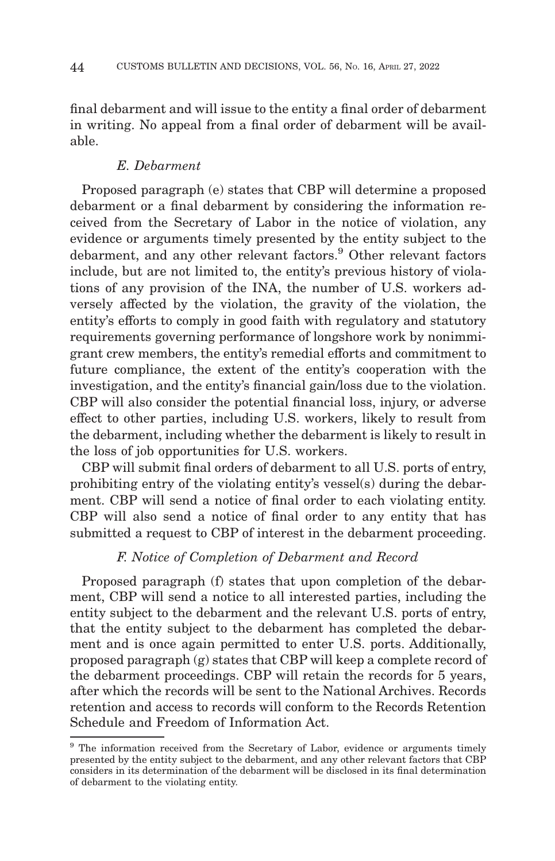final debarment and will issue to the entity a final order of debarment in writing. No appeal from a final order of debarment will be available.

# *E. Debarment*

Proposed paragraph (e) states that CBP will determine a proposed debarment or a final debarment by considering the information received from the Secretary of Labor in the notice of violation, any evidence or arguments timely presented by the entity subject to the debarment, and any other relevant factors.<sup>9</sup> Other relevant factors include, but are not limited to, the entity's previous history of violations of any provision of the INA, the number of U.S. workers adversely affected by the violation, the gravity of the violation, the entity's efforts to comply in good faith with regulatory and statutory requirements governing performance of longshore work by nonimmigrant crew members, the entity's remedial efforts and commitment to future compliance, the extent of the entity's cooperation with the investigation, and the entity's financial gain/loss due to the violation. CBP will also consider the potential financial loss, injury, or adverse effect to other parties, including U.S. workers, likely to result from the debarment, including whether the debarment is likely to result in the loss of job opportunities for U.S. workers.

CBP will submit final orders of debarment to all U.S. ports of entry, prohibiting entry of the violating entity's vessel(s) during the debarment. CBP will send a notice of final order to each violating entity. CBP will also send a notice of final order to any entity that has submitted a request to CBP of interest in the debarment proceeding.

# *F. Notice of Completion of Debarment and Record*

Proposed paragraph (f) states that upon completion of the debarment, CBP will send a notice to all interested parties, including the entity subject to the debarment and the relevant U.S. ports of entry, that the entity subject to the debarment has completed the debarment and is once again permitted to enter U.S. ports. Additionally, proposed paragraph (g) states that CBP will keep a complete record of the debarment proceedings. CBP will retain the records for 5 years, after which the records will be sent to the National Archives. Records retention and access to records will conform to the Records Retention Schedule and Freedom of Information Act.

<sup>&</sup>lt;sup>9</sup> The information received from the Secretary of Labor, evidence or arguments timely presented by the entity subject to the debarment, and any other relevant factors that CBP considers in its determination of the debarment will be disclosed in its final determination of debarment to the violating entity.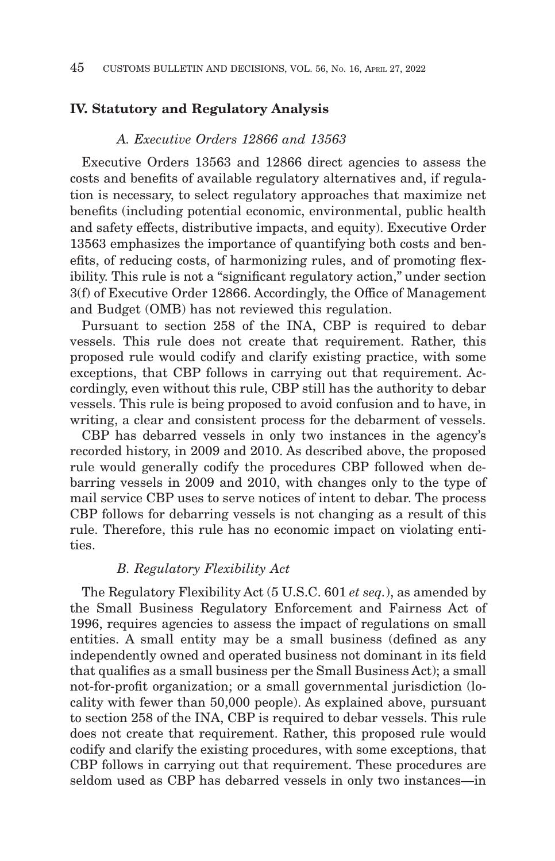## **IV. Statutory and Regulatory Analysis**

## *A. Executive Orders 12866 and 13563*

Executive Orders 13563 and 12866 direct agencies to assess the costs and benefits of available regulatory alternatives and, if regulation is necessary, to select regulatory approaches that maximize net benefits (including potential economic, environmental, public health and safety effects, distributive impacts, and equity). Executive Order 13563 emphasizes the importance of quantifying both costs and benefits, of reducing costs, of harmonizing rules, and of promoting flexibility. This rule is not a "significant regulatory action," under section 3(f) of Executive Order 12866. Accordingly, the Office of Management and Budget (OMB) has not reviewed this regulation.

Pursuant to section 258 of the INA, CBP is required to debar vessels. This rule does not create that requirement. Rather, this proposed rule would codify and clarify existing practice, with some exceptions, that CBP follows in carrying out that requirement. Accordingly, even without this rule, CBP still has the authority to debar vessels. This rule is being proposed to avoid confusion and to have, in writing, a clear and consistent process for the debarment of vessels.

CBP has debarred vessels in only two instances in the agency's recorded history, in 2009 and 2010. As described above, the proposed rule would generally codify the procedures CBP followed when debarring vessels in 2009 and 2010, with changes only to the type of mail service CBP uses to serve notices of intent to debar. The process CBP follows for debarring vessels is not changing as a result of this rule. Therefore, this rule has no economic impact on violating entities.

## *B. Regulatory Flexibility Act*

The Regulatory Flexibility Act (5 U.S.C. 601 *et seq.*), as amended by the Small Business Regulatory Enforcement and Fairness Act of 1996, requires agencies to assess the impact of regulations on small entities. A small entity may be a small business (defined as any independently owned and operated business not dominant in its field that qualifies as a small business per the Small Business Act); a small not-for-profit organization; or a small governmental jurisdiction (locality with fewer than 50,000 people). As explained above, pursuant to section 258 of the INA, CBP is required to debar vessels. This rule does not create that requirement. Rather, this proposed rule would codify and clarify the existing procedures, with some exceptions, that CBP follows in carrying out that requirement. These procedures are seldom used as CBP has debarred vessels in only two instances—in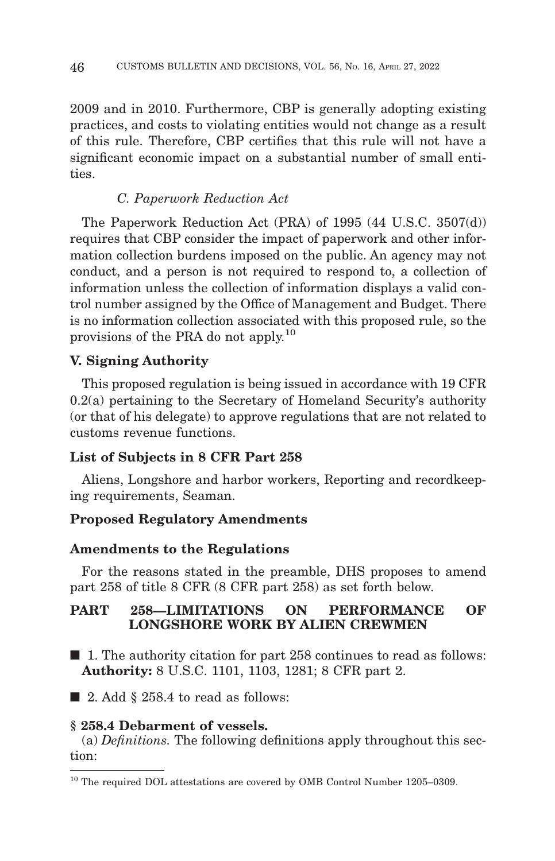2009 and in 2010. Furthermore, CBP is generally adopting existing practices, and costs to violating entities would not change as a result of this rule. Therefore, CBP certifies that this rule will not have a significant economic impact on a substantial number of small entities.

## *C. Paperwork Reduction Act*

The Paperwork Reduction Act (PRA) of 1995 (44 U.S.C. 3507(d)) requires that CBP consider the impact of paperwork and other information collection burdens imposed on the public. An agency may not conduct, and a person is not required to respond to, a collection of information unless the collection of information displays a valid control number assigned by the Office of Management and Budget. There is no information collection associated with this proposed rule, so the provisions of the PRA do not apply.<sup>10</sup>

# **V. Signing Authority**

This proposed regulation is being issued in accordance with 19 CFR 0.2(a) pertaining to the Secretary of Homeland Security's authority (or that of his delegate) to approve regulations that are not related to customs revenue functions.

## **List of Subjects in 8 CFR Part 258**

Aliens, Longshore and harbor workers, Reporting and recordkeeping requirements, Seaman.

## **Proposed Regulatory Amendments**

### **Amendments to the Regulations**

For the reasons stated in the preamble, DHS proposes to amend part 258 of title 8 CFR (8 CFR part 258) as set forth below.

## **PART 258—LIMITATIONS ON PERFORMANCE OF LONGSHORE WORK BY ALIEN CREWMEN**

■ 1. The authority citation for part 258 continues to read as follows: **Authority:** 8 U.S.C. 1101, 1103, 1281; 8 CFR part 2.

 $\blacksquare$  2. Add § 258.4 to read as follows:

### **§ 258.4 Debarment of vessels.**

(a) *Definitions.* The following definitions apply throughout this section:

<sup>&</sup>lt;sup>10</sup> The required DOL attestations are covered by OMB Control Number 1205–0309.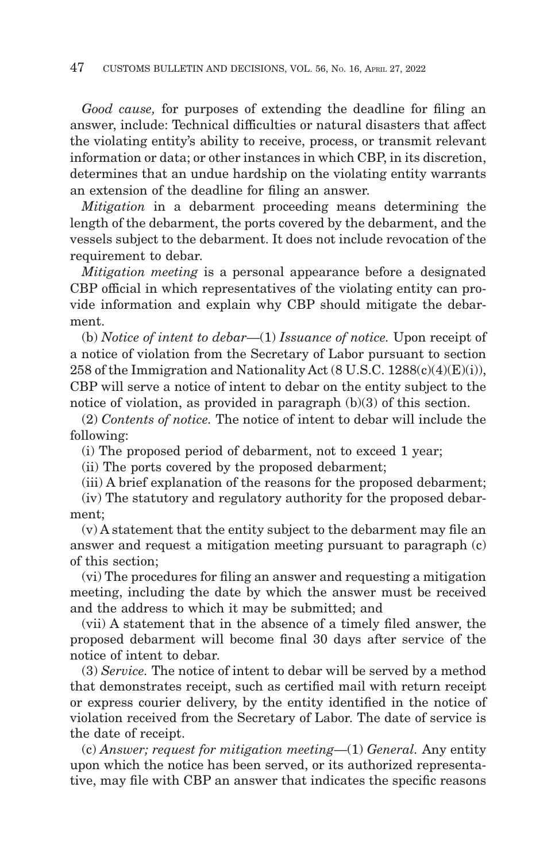*Good cause,* for purposes of extending the deadline for filing an answer, include: Technical difficulties or natural disasters that affect the violating entity's ability to receive, process, or transmit relevant information or data; or other instances in which CBP, in its discretion, determines that an undue hardship on the violating entity warrants an extension of the deadline for filing an answer.

*Mitigation* in a debarment proceeding means determining the length of the debarment, the ports covered by the debarment, and the vessels subject to the debarment. It does not include revocation of the requirement to debar.

*Mitigation meeting* is a personal appearance before a designated CBP official in which representatives of the violating entity can provide information and explain why CBP should mitigate the debarment.

(b) *Notice of intent to debar*—(1) *Issuance of notice.* Upon receipt of a notice of violation from the Secretary of Labor pursuant to section 258 of the Immigration and Nationality Act (8 U.S.C. 1288(c)(4)(E)(i)), CBP will serve a notice of intent to debar on the entity subject to the notice of violation, as provided in paragraph (b)(3) of this section.

(2) *Contents of notice.* The notice of intent to debar will include the following:

(i) The proposed period of debarment, not to exceed 1 year;

(ii) The ports covered by the proposed debarment;

(iii) A brief explanation of the reasons for the proposed debarment;

(iv) The statutory and regulatory authority for the proposed debarment;

(v) A statement that the entity subject to the debarment may file an answer and request a mitigation meeting pursuant to paragraph (c) of this section;

(vi) The procedures for filing an answer and requesting a mitigation meeting, including the date by which the answer must be received and the address to which it may be submitted; and

(vii) A statement that in the absence of a timely filed answer, the proposed debarment will become final 30 days after service of the notice of intent to debar.

(3) *Service.* The notice of intent to debar will be served by a method that demonstrates receipt, such as certified mail with return receipt or express courier delivery, by the entity identified in the notice of violation received from the Secretary of Labor. The date of service is the date of receipt.

(c) *Answer; request for mitigation meeting*—(1) *General.* Any entity upon which the notice has been served, or its authorized representative, may file with CBP an answer that indicates the specific reasons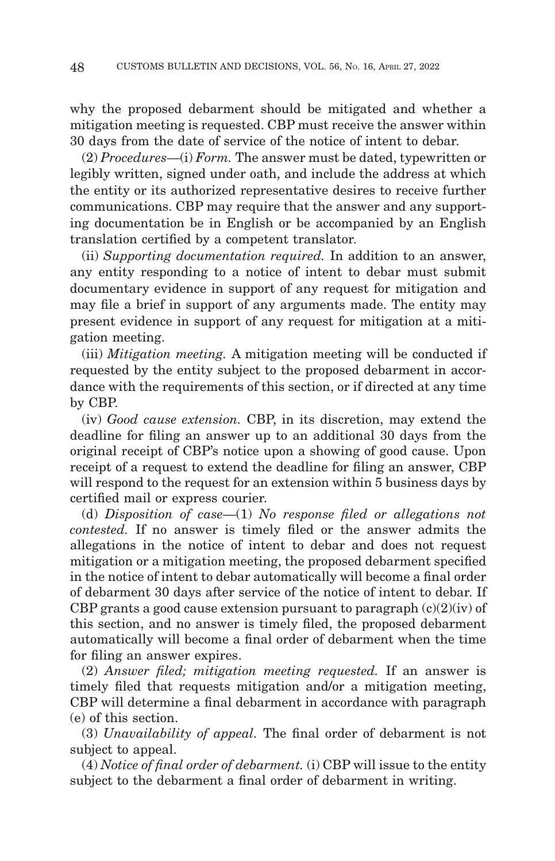why the proposed debarment should be mitigated and whether a mitigation meeting is requested. CBP must receive the answer within 30 days from the date of service of the notice of intent to debar.

(2) *Procedures*—(i) *Form.* The answer must be dated, typewritten or legibly written, signed under oath, and include the address at which the entity or its authorized representative desires to receive further communications. CBP may require that the answer and any supporting documentation be in English or be accompanied by an English translation certified by a competent translator.

(ii) *Supporting documentation required.* In addition to an answer, any entity responding to a notice of intent to debar must submit documentary evidence in support of any request for mitigation and may file a brief in support of any arguments made. The entity may present evidence in support of any request for mitigation at a mitigation meeting.

(iii) *Mitigation meeting.* A mitigation meeting will be conducted if requested by the entity subject to the proposed debarment in accordance with the requirements of this section, or if directed at any time by CBP.

(iv) *Good cause extension.* CBP, in its discretion, may extend the deadline for filing an answer up to an additional 30 days from the original receipt of CBP's notice upon a showing of good cause. Upon receipt of a request to extend the deadline for filing an answer, CBP will respond to the request for an extension within 5 business days by certified mail or express courier.

(d) *Disposition of case*—(1) *No response filed or allegations not contested.* If no answer is timely filed or the answer admits the allegations in the notice of intent to debar and does not request mitigation or a mitigation meeting, the proposed debarment specified in the notice of intent to debar automatically will become a final order of debarment 30 days after service of the notice of intent to debar. If CBP grants a good cause extension pursuant to paragraph  $(c)(2)(iv)$  of this section, and no answer is timely filed, the proposed debarment automatically will become a final order of debarment when the time for filing an answer expires.

(2) *Answer filed; mitigation meeting requested.* If an answer is timely filed that requests mitigation and/or a mitigation meeting, CBP will determine a final debarment in accordance with paragraph (e) of this section.

(3) *Unavailability of appeal.* The final order of debarment is not subject to appeal.

(4) *Notice of final order of debarment.* (i) CBP will issue to the entity subject to the debarment a final order of debarment in writing.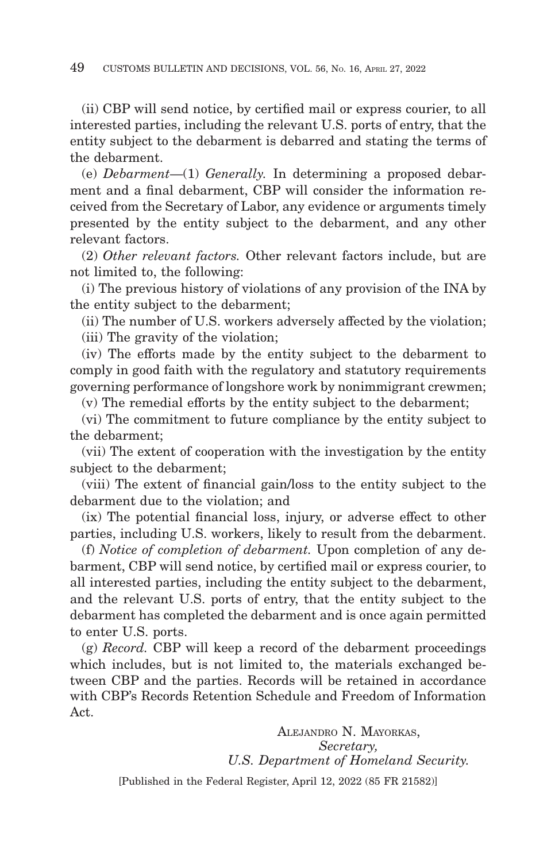(ii) CBP will send notice, by certified mail or express courier, to all interested parties, including the relevant U.S. ports of entry, that the entity subject to the debarment is debarred and stating the terms of the debarment.

(e) *Debarment*—(1) *Generally.* In determining a proposed debarment and a final debarment, CBP will consider the information received from the Secretary of Labor, any evidence or arguments timely presented by the entity subject to the debarment, and any other relevant factors.

(2) *Other relevant factors.* Other relevant factors include, but are not limited to, the following:

(i) The previous history of violations of any provision of the INA by the entity subject to the debarment;

(ii) The number of U.S. workers adversely affected by the violation; (iii) The gravity of the violation;

(iv) The efforts made by the entity subject to the debarment to comply in good faith with the regulatory and statutory requirements governing performance of longshore work by nonimmigrant crewmen;

(v) The remedial efforts by the entity subject to the debarment;

(vi) The commitment to future compliance by the entity subject to the debarment;

(vii) The extent of cooperation with the investigation by the entity subject to the debarment;

(viii) The extent of financial gain/loss to the entity subject to the debarment due to the violation; and

(ix) The potential financial loss, injury, or adverse effect to other parties, including U.S. workers, likely to result from the debarment.

(f) *Notice of completion of debarment.* Upon completion of any debarment, CBP will send notice, by certified mail or express courier, to all interested parties, including the entity subject to the debarment, and the relevant U.S. ports of entry, that the entity subject to the debarment has completed the debarment and is once again permitted to enter U.S. ports.

(g) *Record.* CBP will keep a record of the debarment proceedings which includes, but is not limited to, the materials exchanged between CBP and the parties. Records will be retained in accordance with CBP's Records Retention Schedule and Freedom of Information Act.

> ALEJANDRO N. MAYORKAS, *Secretary, U.S. Department of Homeland Security.*

[Published in the Federal Register, April 12, 2022 (85 FR 21582)]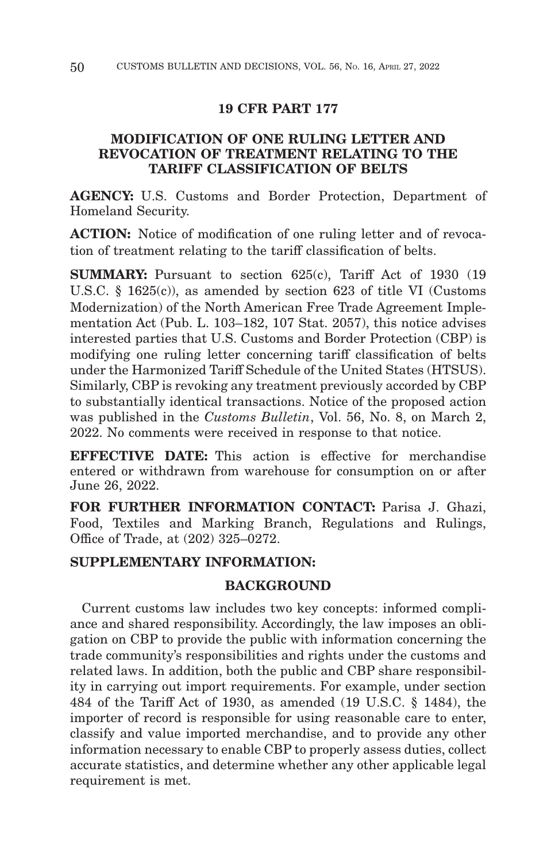### **19 CFR PART 177**

## **MODIFICATION OF ONE RULING LETTER AND REVOCATION OF TREATMENT RELATING TO THE TARIFF CLASSIFICATION OF BELTS**

**AGENCY:** U.S. Customs and Border Protection, Department of Homeland Security.

**ACTION:** Notice of modification of one ruling letter and of revocation of treatment relating to the tariff classification of belts.

**SUMMARY:** Pursuant to section 625(c), Tariff Act of 1930 (19) U.S.C. § 1625(c)), as amended by section 623 of title VI (Customs Modernization) of the North American Free Trade Agreement Implementation Act (Pub. L. 103–182, 107 Stat. 2057), this notice advises interested parties that U.S. Customs and Border Protection (CBP) is modifying one ruling letter concerning tariff classification of belts under the Harmonized Tariff Schedule of the United States (HTSUS). Similarly, CBP is revoking any treatment previously accorded by CBP to substantially identical transactions. Notice of the proposed action was published in the *Customs Bulletin*, Vol. 56, No. 8, on March 2, 2022. No comments were received in response to that notice.

**EFFECTIVE DATE:** This action is effective for merchandise entered or withdrawn from warehouse for consumption on or after June 26, 2022.

FOR FURTHER INFORMATION CONTACT: Parisa J. Ghazi, Food, Textiles and Marking Branch, Regulations and Rulings, Office of Trade, at (202) 325–0272.

## **SUPPLEMENTARY INFORMATION:**

## **BACKGROUND**

Current customs law includes two key concepts: informed compliance and shared responsibility. Accordingly, the law imposes an obligation on CBP to provide the public with information concerning the trade community's responsibilities and rights under the customs and related laws. In addition, both the public and CBP share responsibility in carrying out import requirements. For example, under section 484 of the Tariff Act of 1930, as amended (19 U.S.C. § 1484), the importer of record is responsible for using reasonable care to enter, classify and value imported merchandise, and to provide any other information necessary to enable CBP to properly assess duties, collect accurate statistics, and determine whether any other applicable legal requirement is met.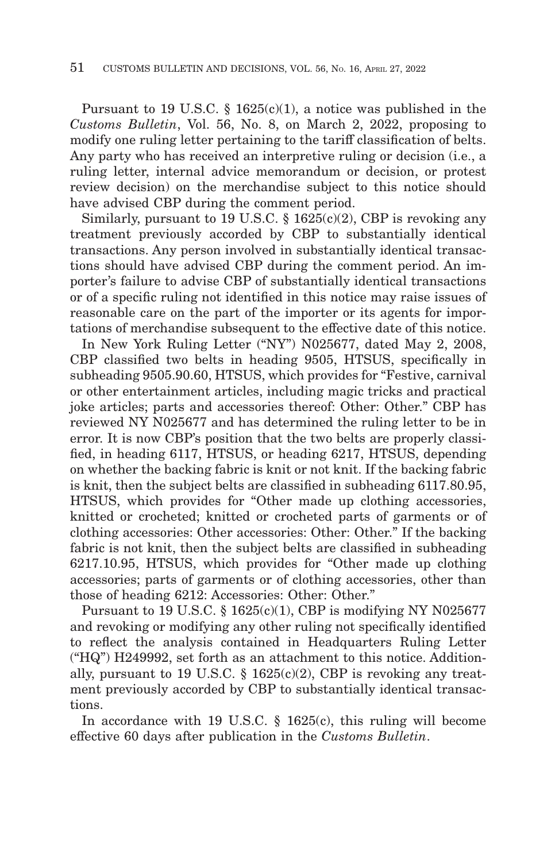Pursuant to 19 U.S.C. § 1625(c)(1), a notice was published in the *Customs Bulletin*, Vol. 56, No. 8, on March 2, 2022, proposing to modify one ruling letter pertaining to the tariff classification of belts. Any party who has received an interpretive ruling or decision (i.e., a ruling letter, internal advice memorandum or decision, or protest review decision) on the merchandise subject to this notice should have advised CBP during the comment period.

Similarly, pursuant to 19 U.S.C.  $\S$  1625(c)(2), CBP is revoking any treatment previously accorded by CBP to substantially identical transactions. Any person involved in substantially identical transactions should have advised CBP during the comment period. An importer's failure to advise CBP of substantially identical transactions or of a specific ruling not identified in this notice may raise issues of reasonable care on the part of the importer or its agents for importations of merchandise subsequent to the effective date of this notice.

In New York Ruling Letter ("NY") N025677, dated May 2, 2008, CBP classified two belts in heading 9505, HTSUS, specifically in subheading 9505.90.60, HTSUS, which provides for "Festive, carnival or other entertainment articles, including magic tricks and practical joke articles; parts and accessories thereof: Other: Other." CBP has reviewed NY N025677 and has determined the ruling letter to be in error. It is now CBP's position that the two belts are properly classified, in heading 6117, HTSUS, or heading 6217, HTSUS, depending on whether the backing fabric is knit or not knit. If the backing fabric is knit, then the subject belts are classified in subheading 6117.80.95, HTSUS, which provides for "Other made up clothing accessories, knitted or crocheted; knitted or crocheted parts of garments or of clothing accessories: Other accessories: Other: Other." If the backing fabric is not knit, then the subject belts are classified in subheading 6217.10.95, HTSUS, which provides for "Other made up clothing accessories; parts of garments or of clothing accessories, other than those of heading 6212: Accessories: Other: Other."

Pursuant to 19 U.S.C. § 1625(c)(1), CBP is modifying NY N025677 and revoking or modifying any other ruling not specifically identified to reflect the analysis contained in Headquarters Ruling Letter ("HQ") H249992, set forth as an attachment to this notice. Additionally, pursuant to 19 U.S.C. § 1625(c)(2), CBP is revoking any treatment previously accorded by CBP to substantially identical transactions.

In accordance with 19 U.S.C. § 1625(c), this ruling will become effective 60 days after publication in the *Customs Bulletin*.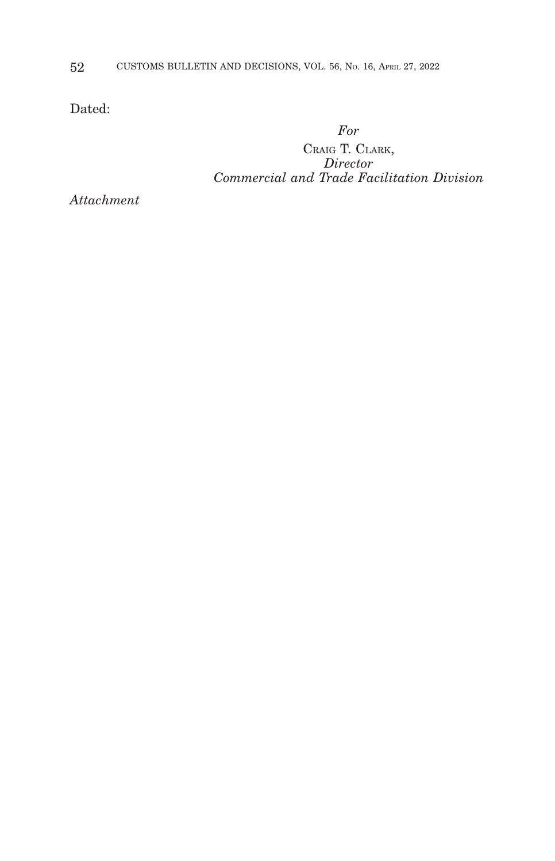Dated:

*For*

CRAIG T. CLARK, *Director Commercial and Trade Facilitation Division*

*Attachment*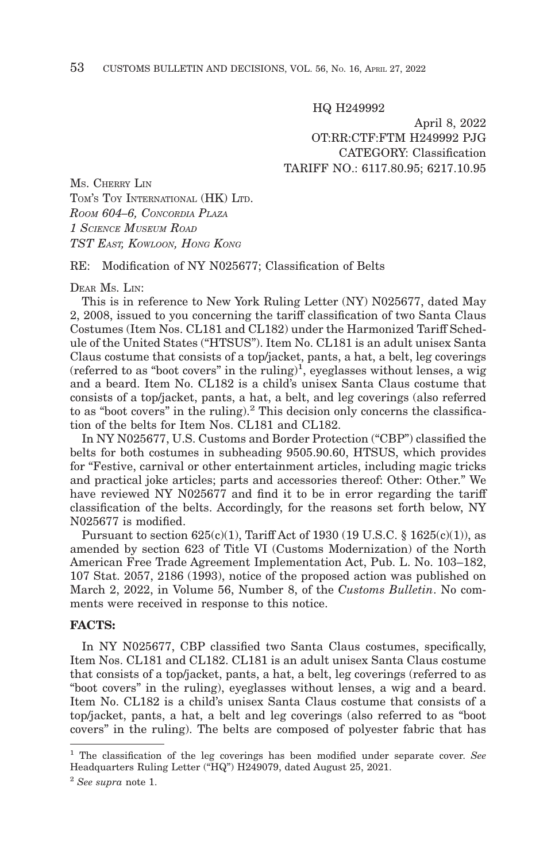HQ H249992

April 8, 2022 OT:RR:CTF:FTM H249992 PJG CATEGORY: Classification TARIFF NO.: 6117.80.95; 6217.10.95

MS. CHERRY LIN TOM'S TOY INTERNATIONAL (HK) LTD. *ROOM 604–6, CONCORDIA PLAZA 1 SCIENCE MUSEUM ROAD TST EAST, KOWLOON, HONG KONG*

#### RE: Modification of NY N025677; Classification of Belts

#### DEAR MS. LIN:

This is in reference to New York Ruling Letter (NY) N025677, dated May 2, 2008, issued to you concerning the tariff classification of two Santa Claus Costumes (Item Nos. CL181 and CL182) under the Harmonized Tariff Schedule of the United States ("HTSUS"). Item No. CL181 is an adult unisex Santa Claus costume that consists of a top/jacket, pants, a hat, a belt, leg coverings (referred to as "boot covers" in the ruling)<sup>1</sup>, eyeglasses without lenses, a wig and a beard. Item No. CL182 is a child's unisex Santa Claus costume that consists of a top/jacket, pants, a hat, a belt, and leg coverings (also referred to as "boot covers" in the ruling).<sup>2</sup> This decision only concerns the classification of the belts for Item Nos. CL181 and CL182.

In NY N025677, U.S. Customs and Border Protection ("CBP") classified the belts for both costumes in subheading 9505.90.60, HTSUS, which provides for "Festive, carnival or other entertainment articles, including magic tricks and practical joke articles; parts and accessories thereof: Other: Other." We have reviewed NY N025677 and find it to be in error regarding the tariff classification of the belts. Accordingly, for the reasons set forth below, NY N025677 is modified.

Pursuant to section  $625(c)(1)$ , Tariff Act of 1930 (19 U.S.C. § 1625(c)(1)), as amended by section 623 of Title VI (Customs Modernization) of the North American Free Trade Agreement Implementation Act, Pub. L. No. 103–182, 107 Stat. 2057, 2186 (1993), notice of the proposed action was published on March 2, 2022, in Volume 56, Number 8, of the *Customs Bulletin*. No comments were received in response to this notice.

## **FACTS:**

In NY N025677, CBP classified two Santa Claus costumes, specifically, Item Nos. CL181 and CL182. CL181 is an adult unisex Santa Claus costume that consists of a top/jacket, pants, a hat, a belt, leg coverings (referred to as "boot covers" in the ruling), eyeglasses without lenses, a wig and a beard. Item No. CL182 is a child's unisex Santa Claus costume that consists of a top/jacket, pants, a hat, a belt and leg coverings (also referred to as "boot covers" in the ruling). The belts are composed of polyester fabric that has

<sup>1</sup> The classification of the leg coverings has been modified under separate cover. *See* Headquarters Ruling Letter ("HQ") H249079, dated August 25, 2021.

<sup>2</sup>*See supra* note 1.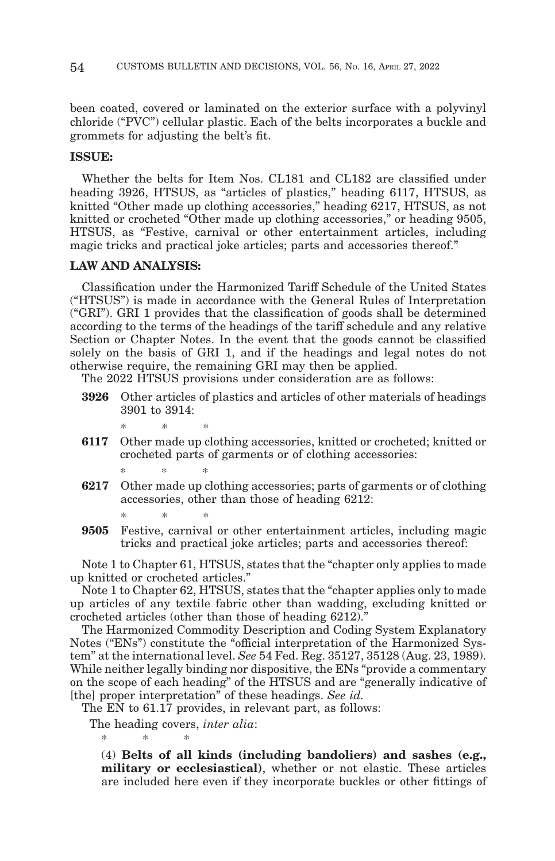been coated, covered or laminated on the exterior surface with a polyvinyl chloride ("PVC") cellular plastic. Each of the belts incorporates a buckle and grommets for adjusting the belt's fit.

### **ISSUE:**

Whether the belts for Item Nos. CL181 and CL182 are classified under heading 3926, HTSUS, as "articles of plastics," heading 6117, HTSUS, as knitted "Other made up clothing accessories," heading 6217, HTSUS, as not knitted or crocheted "Other made up clothing accessories," or heading 9505, HTSUS, as "Festive, carnival or other entertainment articles, including magic tricks and practical joke articles; parts and accessories thereof."

### **LAW AND ANALYSIS:**

Classification under the Harmonized Tariff Schedule of the United States ("HTSUS") is made in accordance with the General Rules of Interpretation ("GRI"). GRI 1 provides that the classification of goods shall be determined according to the terms of the headings of the tariff schedule and any relative Section or Chapter Notes. In the event that the goods cannot be classified solely on the basis of GRI 1, and if the headings and legal notes do not otherwise require, the remaining GRI may then be applied.

The 2022 HTSUS provisions under consideration are as follows:

- **3926** Other articles of plastics and articles of other materials of headings 3901 to 3914:
- **6117** Other made up clothing accessories, knitted or crocheted; knitted or crocheted parts of garments or of clothing accessories:

\*\* \*

\*\* \*

- **6217** Other made up clothing accessories; parts of garments or of clothing accessories, other than those of heading 6212:
- \*\* \* **9505** Festive, carnival or other entertainment articles, including magic tricks and practical joke articles; parts and accessories thereof:

Note 1 to Chapter 61, HTSUS, states that the "chapter only applies to made up knitted or crocheted articles."

Note 1 to Chapter 62, HTSUS, states that the "chapter applies only to made up articles of any textile fabric other than wadding, excluding knitted or crocheted articles (other than those of heading 6212)."

The Harmonized Commodity Description and Coding System Explanatory Notes ("ENs") constitute the "official interpretation of the Harmonized System" at the international level. *See* 54 Fed. Reg. 35127, 35128 (Aug. 23, 1989). While neither legally binding nor dispositive, the ENs "provide a commentary on the scope of each heading" of the HTSUS and are "generally indicative of [the] proper interpretation" of these headings. *See id.*

The EN to 61.17 provides, in relevant part, as follows:

The heading covers, *inter alia*:

\*\* \*

(4) **Belts of all kinds (including bandoliers) and sashes (e.g., military or ecclesiastical)**, whether or not elastic. These articles are included here even if they incorporate buckles or other fittings of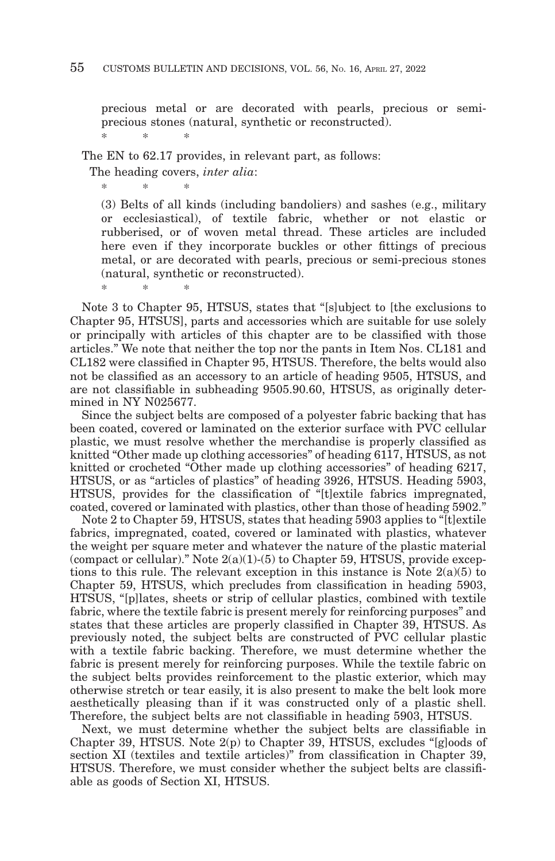precious metal or are decorated with pearls, precious or semiprecious stones (natural, synthetic or reconstructed). \*\* \*

The EN to 62.17 provides, in relevant part, as follows:

The heading covers, *inter alia*:

\*\* \*

\*\* \*

(3) Belts of all kinds (including bandoliers) and sashes (e.g., military or ecclesiastical), of textile fabric, whether or not elastic or rubberised, or of woven metal thread. These articles are included here even if they incorporate buckles or other fittings of precious metal, or are decorated with pearls, precious or semi-precious stones (natural, synthetic or reconstructed).

Note 3 to Chapter 95, HTSUS, states that "[s]ubject to [the exclusions to Chapter 95, HTSUS], parts and accessories which are suitable for use solely or principally with articles of this chapter are to be classified with those articles." We note that neither the top nor the pants in Item Nos. CL181 and CL182 were classified in Chapter 95, HTSUS. Therefore, the belts would also not be classified as an accessory to an article of heading 9505, HTSUS, and are not classifiable in subheading 9505.90.60, HTSUS, as originally determined in NY N025677.

Since the subject belts are composed of a polyester fabric backing that has been coated, covered or laminated on the exterior surface with PVC cellular plastic, we must resolve whether the merchandise is properly classified as knitted "Other made up clothing accessories" of heading 6117, HTSUS, as not knitted or crocheted "Other made up clothing accessories" of heading 6217, HTSUS, or as "articles of plastics" of heading 3926, HTSUS. Heading 5903, HTSUS, provides for the classification of "[t]extile fabrics impregnated, coated, covered or laminated with plastics, other than those of heading 5902."

Note 2 to Chapter 59, HTSUS, states that heading 5903 applies to "[t]extile fabrics, impregnated, coated, covered or laminated with plastics, whatever the weight per square meter and whatever the nature of the plastic material (compact or cellular)." Note  $2(a)(1)-(5)$  to Chapter 59, HTSUS, provide exceptions to this rule. The relevant exception in this instance is Note  $2(a)(5)$  to Chapter 59, HTSUS, which precludes from classification in heading 5903, HTSUS, "[p]lates, sheets or strip of cellular plastics, combined with textile fabric, where the textile fabric is present merely for reinforcing purposes" and states that these articles are properly classified in Chapter 39, HTSUS. As previously noted, the subject belts are constructed of PVC cellular plastic with a textile fabric backing. Therefore, we must determine whether the fabric is present merely for reinforcing purposes. While the textile fabric on the subject belts provides reinforcement to the plastic exterior, which may otherwise stretch or tear easily, it is also present to make the belt look more aesthetically pleasing than if it was constructed only of a plastic shell. Therefore, the subject belts are not classifiable in heading 5903, HTSUS.

Next, we must determine whether the subject belts are classifiable in Chapter 39, HTSUS. Note  $2(p)$  to Chapter 39, HTSUS, excludes "[g]oods of section XI (textiles and textile articles)" from classification in Chapter 39, HTSUS. Therefore, we must consider whether the subject belts are classifiable as goods of Section XI, HTSUS.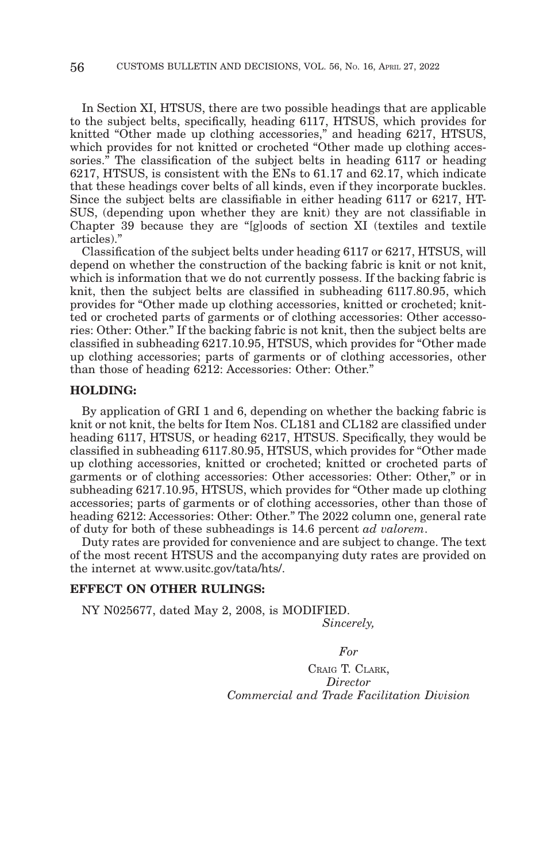In Section XI, HTSUS, there are two possible headings that are applicable to the subject belts, specifically, heading 6117, HTSUS, which provides for knitted "Other made up clothing accessories," and heading 6217, HTSUS, which provides for not knitted or crocheted "Other made up clothing accessories.<sup>"</sup> The classification of the subject belts in heading 6117 or heading 6217, HTSUS, is consistent with the ENs to 61.17 and 62.17, which indicate that these headings cover belts of all kinds, even if they incorporate buckles. Since the subject belts are classifiable in either heading 6117 or 6217, HT-SUS, (depending upon whether they are knit) they are not classifiable in Chapter 39 because they are "[g]oods of section XI (textiles and textile articles)."

Classification of the subject belts under heading 6117 or 6217, HTSUS, will depend on whether the construction of the backing fabric is knit or not knit, which is information that we do not currently possess. If the backing fabric is knit, then the subject belts are classified in subheading 6117.80.95, which provides for "Other made up clothing accessories, knitted or crocheted; knitted or crocheted parts of garments or of clothing accessories: Other accessories: Other: Other." If the backing fabric is not knit, then the subject belts are classified in subheading 6217.10.95, HTSUS, which provides for "Other made up clothing accessories; parts of garments or of clothing accessories, other than those of heading 6212: Accessories: Other: Other."

#### **HOLDING:**

By application of GRI 1 and 6, depending on whether the backing fabric is knit or not knit, the belts for Item Nos. CL181 and CL182 are classified under heading 6117, HTSUS, or heading 6217, HTSUS. Specifically, they would be classified in subheading 6117.80.95, HTSUS, which provides for "Other made up clothing accessories, knitted or crocheted; knitted or crocheted parts of garments or of clothing accessories: Other accessories: Other: Other," or in subheading 6217.10.95, HTSUS, which provides for "Other made up clothing accessories; parts of garments or of clothing accessories, other than those of heading 6212: Accessories: Other: Other." The 2022 column one, general rate of duty for both of these subheadings is 14.6 percent *ad valorem*.

Duty rates are provided for convenience and are subject to change. The text of the most recent HTSUS and the accompanying duty rates are provided on the internet at www.usitc.gov/tata/hts/.

### **EFFECT ON OTHER RULINGS:**

NY N025677, dated May 2, 2008, is MODIFIED. *Sincerely,*

*For*

CRAIG T. CLARK, *Director Commercial and Trade Facilitation Division*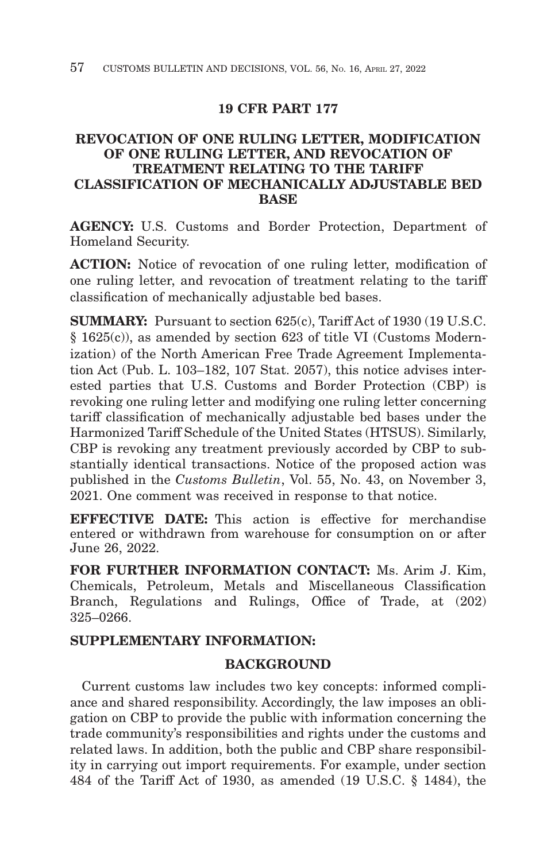# **19 CFR PART 177**

## **REVOCATION OF ONE RULING LETTER, MODIFICATION OF ONE RULING LETTER, AND REVOCATION OF TREATMENT RELATING TO THE TARIFF CLASSIFICATION OF MECHANICALLY ADJUSTABLE BED BASE**

**AGENCY:** U.S. Customs and Border Protection, Department of Homeland Security.

**ACTION:** Notice of revocation of one ruling letter, modification of one ruling letter, and revocation of treatment relating to the tariff classification of mechanically adjustable bed bases.

**SUMMARY:** Pursuant to section 625(c), Tariff Act of 1930 (19 U.S.C. § 1625(c)), as amended by section 623 of title VI (Customs Modernization) of the North American Free Trade Agreement Implementation Act (Pub. L. 103–182, 107 Stat. 2057), this notice advises interested parties that U.S. Customs and Border Protection (CBP) is revoking one ruling letter and modifying one ruling letter concerning tariff classification of mechanically adjustable bed bases under the Harmonized Tariff Schedule of the United States (HTSUS). Similarly, CBP is revoking any treatment previously accorded by CBP to substantially identical transactions. Notice of the proposed action was published in the *Customs Bulletin*, Vol. 55, No. 43, on November 3, 2021. One comment was received in response to that notice.

**EFFECTIVE DATE:** This action is effective for merchandise entered or withdrawn from warehouse for consumption on or after June 26, 2022.

**FOR FURTHER INFORMATION CONTACT:** Ms. Arim J. Kim, Chemicals, Petroleum, Metals and Miscellaneous Classification Branch, Regulations and Rulings, Office of Trade, at (202) 325–0266.

## **SUPPLEMENTARY INFORMATION:**

## **BACKGROUND**

Current customs law includes two key concepts: informed compliance and shared responsibility. Accordingly, the law imposes an obligation on CBP to provide the public with information concerning the trade community's responsibilities and rights under the customs and related laws. In addition, both the public and CBP share responsibility in carrying out import requirements. For example, under section 484 of the Tariff Act of 1930, as amended (19 U.S.C. § 1484), the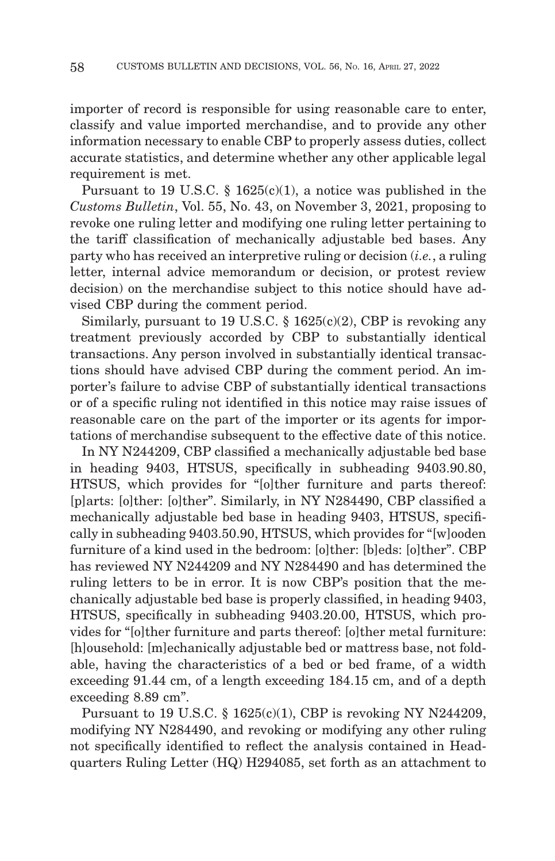importer of record is responsible for using reasonable care to enter, classify and value imported merchandise, and to provide any other information necessary to enable CBP to properly assess duties, collect accurate statistics, and determine whether any other applicable legal requirement is met.

Pursuant to 19 U.S.C. § 1625(c)(1), a notice was published in the *Customs Bulletin*, Vol. 55, No. 43, on November 3, 2021, proposing to revoke one ruling letter and modifying one ruling letter pertaining to the tariff classification of mechanically adjustable bed bases. Any party who has received an interpretive ruling or decision (*i.e.*, a ruling letter, internal advice memorandum or decision, or protest review decision) on the merchandise subject to this notice should have advised CBP during the comment period.

Similarly, pursuant to 19 U.S.C. § 1625(c)(2), CBP is revoking any treatment previously accorded by CBP to substantially identical transactions. Any person involved in substantially identical transactions should have advised CBP during the comment period. An importer's failure to advise CBP of substantially identical transactions or of a specific ruling not identified in this notice may raise issues of reasonable care on the part of the importer or its agents for importations of merchandise subsequent to the effective date of this notice.

In NY N244209, CBP classified a mechanically adjustable bed base in heading 9403, HTSUS, specifically in subheading 9403.90.80, HTSUS, which provides for "[o]ther furniture and parts thereof: [p]arts: [o]ther: [o]ther". Similarly, in NY N284490, CBP classified a mechanically adjustable bed base in heading 9403, HTSUS, specifically in subheading 9403.50.90, HTSUS, which provides for "[w]ooden furniture of a kind used in the bedroom: [o]ther: [b]eds: [o]ther". CBP has reviewed NY N244209 and NY N284490 and has determined the ruling letters to be in error. It is now CBP's position that the mechanically adjustable bed base is properly classified, in heading 9403, HTSUS, specifically in subheading 9403.20.00, HTSUS, which provides for "[o]ther furniture and parts thereof: [o]ther metal furniture: [h]ousehold: [m]echanically adjustable bed or mattress base, not foldable, having the characteristics of a bed or bed frame, of a width exceeding 91.44 cm, of a length exceeding 184.15 cm, and of a depth exceeding 8.89 cm".

Pursuant to 19 U.S.C.  $\S$  1625(c)(1), CBP is revoking NY N244209, modifying NY N284490, and revoking or modifying any other ruling not specifically identified to reflect the analysis contained in Headquarters Ruling Letter (HQ) H294085, set forth as an attachment to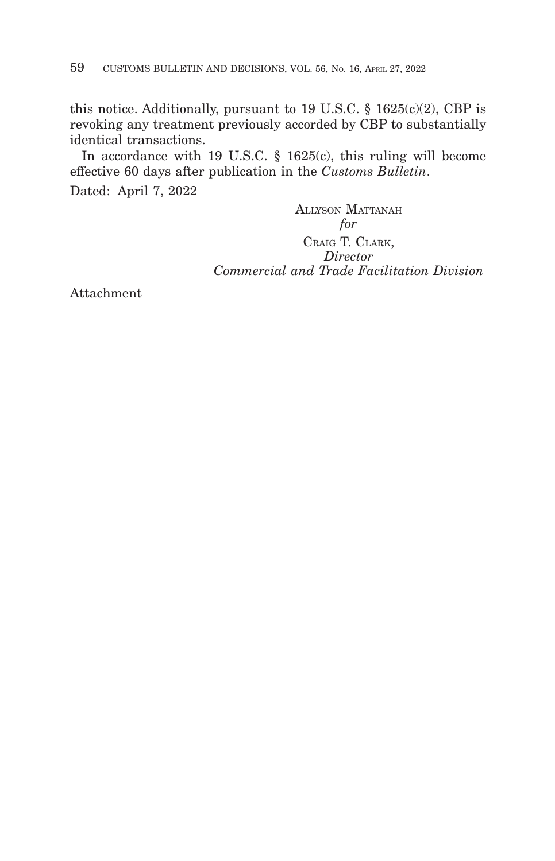this notice. Additionally, pursuant to 19 U.S.C.  $\S$  1625(c)(2), CBP is revoking any treatment previously accorded by CBP to substantially identical transactions.

In accordance with 19 U.S.C. § 1625(c), this ruling will become effective 60 days after publication in the *Customs Bulletin*.

Dated: April 7, 2022

ALLYSON MATTANAH *for* CRAIG T. CLARK, *Director Commercial and Trade Facilitation Division*

Attachment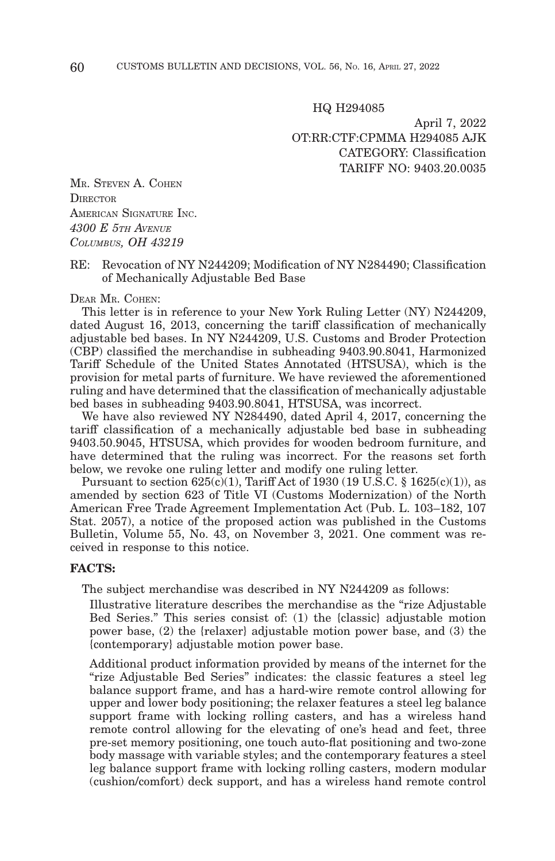HQ H294085

April 7, 2022 OT:RR:CTF:CPMMA H294085 AJK CATEGORY: Classification TARIFF NO: 9403.20.0035

MR. STEVEN A. COHEN **DIRECTOR** AMERICAN SIGNATURE INC. *4300 E 5TH AVENUE COLUMBUS, OH 43219*

### RE: Revocation of NY N244209; Modification of NY N284490; Classification of Mechanically Adjustable Bed Base

#### DEAR MR. COHEN:

This letter is in reference to your New York Ruling Letter (NY) N244209, dated August 16, 2013, concerning the tariff classification of mechanically adjustable bed bases. In NY N244209, U.S. Customs and Broder Protection (CBP) classified the merchandise in subheading 9403.90.8041, Harmonized Tariff Schedule of the United States Annotated (HTSUSA), which is the provision for metal parts of furniture. We have reviewed the aforementioned ruling and have determined that the classification of mechanically adjustable bed bases in subheading 9403.90.8041, HTSUSA, was incorrect.

We have also reviewed NY N284490, dated April 4, 2017, concerning the tariff classification of a mechanically adjustable bed base in subheading 9403.50.9045, HTSUSA, which provides for wooden bedroom furniture, and have determined that the ruling was incorrect. For the reasons set forth below, we revoke one ruling letter and modify one ruling letter.

Pursuant to section  $625(c)(1)$ , Tariff Act of 1930 (19 U.S.C. § 1625(c)(1)), as amended by section 623 of Title VI (Customs Modernization) of the North American Free Trade Agreement Implementation Act (Pub. L. 103–182, 107 Stat. 2057), a notice of the proposed action was published in the Customs Bulletin, Volume 55, No. 43, on November 3, 2021. One comment was received in response to this notice.

#### **FACTS:**

The subject merchandise was described in NY N244209 as follows:

Illustrative literature describes the merchandise as the "rize Adjustable Bed Series." This series consist of: (1) the {classic} adjustable motion power base, (2) the {relaxer} adjustable motion power base, and (3) the {contemporary} adjustable motion power base.

Additional product information provided by means of the internet for the "rize Adjustable Bed Series" indicates: the classic features a steel leg balance support frame, and has a hard-wire remote control allowing for upper and lower body positioning; the relaxer features a steel leg balance support frame with locking rolling casters, and has a wireless hand remote control allowing for the elevating of one's head and feet, three pre-set memory positioning, one touch auto-flat positioning and two-zone body massage with variable styles; and the contemporary features a steel leg balance support frame with locking rolling casters, modern modular (cushion/comfort) deck support, and has a wireless hand remote control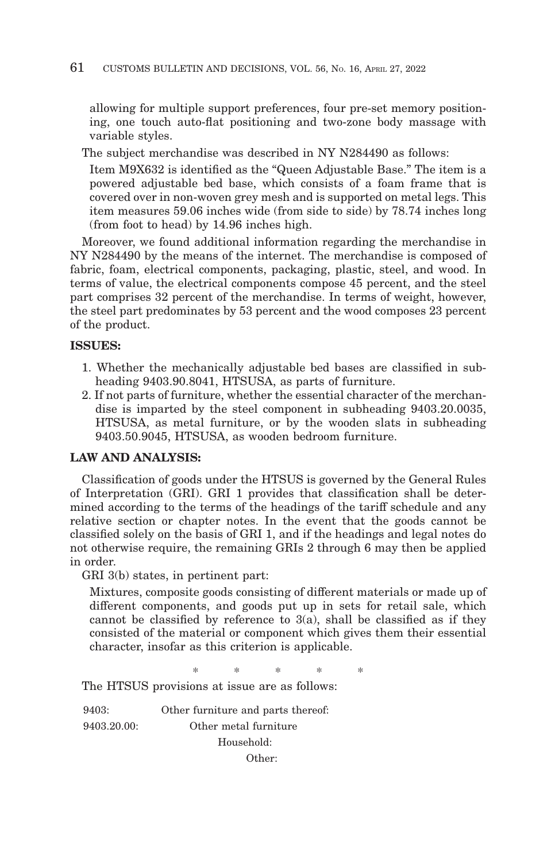allowing for multiple support preferences, four pre-set memory positioning, one touch auto-flat positioning and two-zone body massage with variable styles.

The subject merchandise was described in NY N284490 as follows:

Item M9X632 is identified as the "Queen Adjustable Base." The item is a powered adjustable bed base, which consists of a foam frame that is covered over in non-woven grey mesh and is supported on metal legs. This item measures 59.06 inches wide (from side to side) by 78.74 inches long (from foot to head) by 14.96 inches high.

Moreover, we found additional information regarding the merchandise in NY N284490 by the means of the internet. The merchandise is composed of fabric, foam, electrical components, packaging, plastic, steel, and wood. In terms of value, the electrical components compose 45 percent, and the steel part comprises 32 percent of the merchandise. In terms of weight, however, the steel part predominates by 53 percent and the wood composes 23 percent of the product.

### **ISSUES:**

- 1. Whether the mechanically adjustable bed bases are classified in subheading 9403.90.8041, HTSUSA, as parts of furniture.
- 2. If not parts of furniture, whether the essential character of the merchandise is imparted by the steel component in subheading 9403.20.0035, HTSUSA, as metal furniture, or by the wooden slats in subheading 9403.50.9045, HTSUSA, as wooden bedroom furniture.

### **LAW AND ANALYSIS:**

Classification of goods under the HTSUS is governed by the General Rules of Interpretation (GRI). GRI 1 provides that classification shall be determined according to the terms of the headings of the tariff schedule and any relative section or chapter notes. In the event that the goods cannot be classified solely on the basis of GRI 1, and if the headings and legal notes do not otherwise require, the remaining GRIs 2 through 6 may then be applied in order.

GRI 3(b) states, in pertinent part:

Mixtures, composite goods consisting of different materials or made up of different components, and goods put up in sets for retail sale, which cannot be classified by reference to  $3(a)$ , shall be classified as if they consisted of the material or component which gives them their essential character, insofar as this criterion is applicable.

\*\*\*\* \*

The HTSUS provisions at issue are as follows:

9403: Other furniture and parts thereof: 9403.20.00: Other metal furniture Household: Other: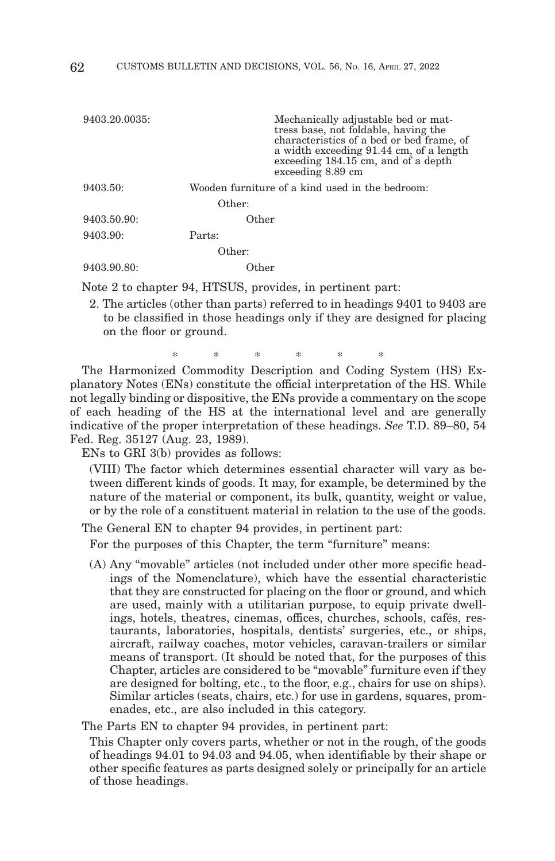| 9403.20.0035: | Mechanically adjustable bed or mat-<br>tress base, not foldable, having the<br>characteristics of a bed or bed frame, of<br>a width exceeding 91.44 cm, of a length<br>exceeding 184.15 cm, and of a depth<br>exceeding 8.89 cm |
|---------------|---------------------------------------------------------------------------------------------------------------------------------------------------------------------------------------------------------------------------------|
| 9403.50:      | Wooden furniture of a kind used in the bedroom:                                                                                                                                                                                 |
|               | Other:                                                                                                                                                                                                                          |
| 9403.50.90:   | Other                                                                                                                                                                                                                           |
| 9403.90:      | Parts:                                                                                                                                                                                                                          |
|               | Other:                                                                                                                                                                                                                          |
| 9403.90.80:   | Other                                                                                                                                                                                                                           |
|               |                                                                                                                                                                                                                                 |

Note 2 to chapter 94, HTSUS, provides, in pertinent part:

2. The articles (other than parts) referred to in headings 9401 to 9403 are to be classified in those headings only if they are designed for placing on the floor or ground.

\* \* \* \* \* \*

The Harmonized Commodity Description and Coding System (HS) Explanatory Notes (ENs) constitute the official interpretation of the HS. While not legally binding or dispositive, the ENs provide a commentary on the scope of each heading of the HS at the international level and are generally indicative of the proper interpretation of these headings. *See* T.D. 89–80, 54 Fed. Reg. 35127 (Aug. 23, 1989).

ENs to GRI 3(b) provides as follows:

(VIII) The factor which determines essential character will vary as between different kinds of goods. It may, for example, be determined by the nature of the material or component, its bulk, quantity, weight or value, or by the role of a constituent material in relation to the use of the goods.

The General EN to chapter 94 provides, in pertinent part:

For the purposes of this Chapter, the term "furniture" means:

(A) Any "movable" articles (not included under other more specific headings of the Nomenclature), which have the essential characteristic that they are constructed for placing on the floor or ground, and which are used, mainly with a utilitarian purpose, to equip private dwellings, hotels, theatres, cinemas, offices, churches, schools, cafés, restaurants, laboratories, hospitals, dentists' surgeries, etc., or ships, aircraft, railway coaches, motor vehicles, caravan-trailers or similar means of transport. (It should be noted that, for the purposes of this Chapter, articles are considered to be "movable" furniture even if they are designed for bolting, etc., to the floor, e.g., chairs for use on ships). Similar articles (seats, chairs, etc.) for use in gardens, squares, promenades, etc., are also included in this category.

The Parts EN to chapter 94 provides, in pertinent part:

This Chapter only covers parts, whether or not in the rough, of the goods of headings 94.01 to 94.03 and 94.05, when identifiable by their shape or other specific features as parts designed solely or principally for an article of those headings.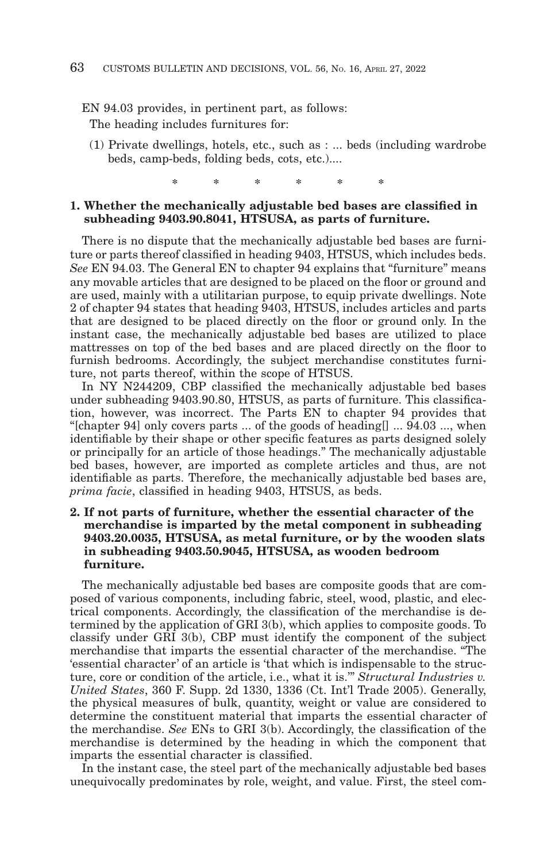EN 94.03 provides, in pertinent part, as follows:

The heading includes furnitures for:

(1) Private dwellings, hotels, etc., such as : ... beds (including wardrobe beds, camp-beds, folding beds, cots, etc.)....

\* \* \* \* \* \*

### **1. Whether the mechanically adjustable bed bases are classified in subheading 9403.90.8041, HTSUSA, as parts of furniture.**

There is no dispute that the mechanically adjustable bed bases are furniture or parts thereof classified in heading 9403, HTSUS, which includes beds. *See* EN 94.03. The General EN to chapter 94 explains that "furniture" means any movable articles that are designed to be placed on the floor or ground and are used, mainly with a utilitarian purpose, to equip private dwellings. Note 2 of chapter 94 states that heading 9403, HTSUS, includes articles and parts that are designed to be placed directly on the floor or ground only. In the instant case, the mechanically adjustable bed bases are utilized to place mattresses on top of the bed bases and are placed directly on the floor to furnish bedrooms. Accordingly, the subject merchandise constitutes furniture, not parts thereof, within the scope of HTSUS.

In NY N244209, CBP classified the mechanically adjustable bed bases under subheading 9403.90.80, HTSUS, as parts of furniture. This classification, however, was incorrect. The Parts EN to chapter 94 provides that "[chapter 94] only covers parts ... of the goods of heading  $\sim$  94.03 ..., when identifiable by their shape or other specific features as parts designed solely or principally for an article of those headings." The mechanically adjustable bed bases, however, are imported as complete articles and thus, are not identifiable as parts. Therefore, the mechanically adjustable bed bases are, *prima facie*, classified in heading 9403, HTSUS, as beds.

### **2. If not parts of furniture, whether the essential character of the merchandise is imparted by the metal component in subheading 9403.20.0035, HTSUSA, as metal furniture, or by the wooden slats in subheading 9403.50.9045, HTSUSA, as wooden bedroom furniture.**

The mechanically adjustable bed bases are composite goods that are composed of various components, including fabric, steel, wood, plastic, and electrical components. Accordingly, the classification of the merchandise is determined by the application of GRI 3(b), which applies to composite goods. To classify under GRI 3(b), CBP must identify the component of the subject merchandise that imparts the essential character of the merchandise. "The 'essential character' of an article is 'that which is indispensable to the structure, core or condition of the article, i.e., what it is.'" *Structural Industries v. United States*, 360 F. Supp. 2d 1330, 1336 (Ct. Int'l Trade 2005). Generally, the physical measures of bulk, quantity, weight or value are considered to determine the constituent material that imparts the essential character of the merchandise. *See* ENs to GRI 3(b). Accordingly, the classification of the merchandise is determined by the heading in which the component that imparts the essential character is classified.

In the instant case, the steel part of the mechanically adjustable bed bases unequivocally predominates by role, weight, and value. First, the steel com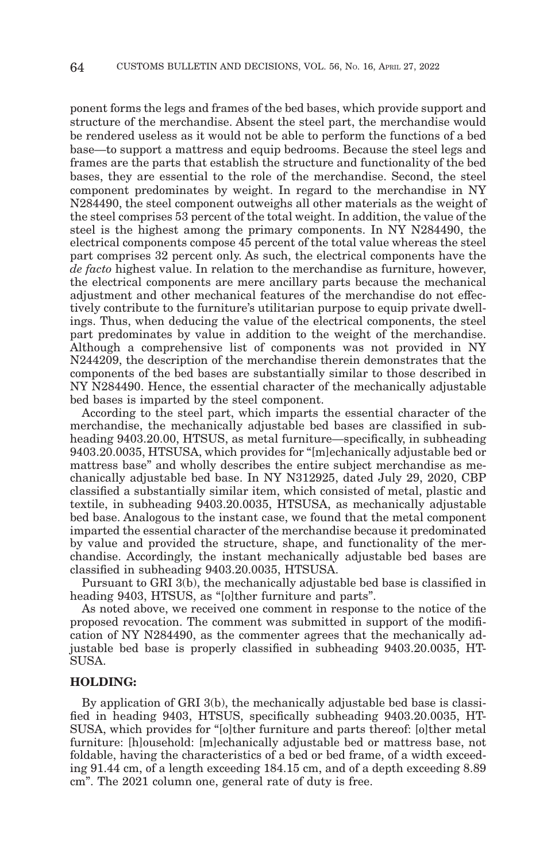ponent forms the legs and frames of the bed bases, which provide support and structure of the merchandise. Absent the steel part, the merchandise would be rendered useless as it would not be able to perform the functions of a bed base—to support a mattress and equip bedrooms. Because the steel legs and frames are the parts that establish the structure and functionality of the bed bases, they are essential to the role of the merchandise. Second, the steel component predominates by weight. In regard to the merchandise in NY N284490, the steel component outweighs all other materials as the weight of the steel comprises 53 percent of the total weight. In addition, the value of the steel is the highest among the primary components. In NY N284490, the electrical components compose 45 percent of the total value whereas the steel part comprises 32 percent only. As such, the electrical components have the *de facto* highest value. In relation to the merchandise as furniture, however, the electrical components are mere ancillary parts because the mechanical adjustment and other mechanical features of the merchandise do not effectively contribute to the furniture's utilitarian purpose to equip private dwellings. Thus, when deducing the value of the electrical components, the steel part predominates by value in addition to the weight of the merchandise. Although a comprehensive list of components was not provided in NY N244209, the description of the merchandise therein demonstrates that the components of the bed bases are substantially similar to those described in NY N284490. Hence, the essential character of the mechanically adjustable bed bases is imparted by the steel component.

According to the steel part, which imparts the essential character of the merchandise, the mechanically adjustable bed bases are classified in subheading 9403.20.00, HTSUS, as metal furniture—specifically, in subheading 9403.20.0035, HTSUSA, which provides for "[m]echanically adjustable bed or mattress base" and wholly describes the entire subject merchandise as mechanically adjustable bed base. In NY N312925, dated July 29, 2020, CBP classified a substantially similar item, which consisted of metal, plastic and textile, in subheading 9403.20.0035, HTSUSA, as mechanically adjustable bed base. Analogous to the instant case, we found that the metal component imparted the essential character of the merchandise because it predominated by value and provided the structure, shape, and functionality of the merchandise. Accordingly, the instant mechanically adjustable bed bases are classified in subheading 9403.20.0035, HTSUSA.

Pursuant to GRI 3(b), the mechanically adjustable bed base is classified in heading 9403, HTSUS, as "[o]ther furniture and parts".

As noted above, we received one comment in response to the notice of the proposed revocation. The comment was submitted in support of the modification of NY N284490, as the commenter agrees that the mechanically adjustable bed base is properly classified in subheading 9403.20.0035, HT-SUSA.

#### **HOLDING:**

By application of GRI 3(b), the mechanically adjustable bed base is classified in heading 9403, HTSUS, specifically subheading 9403.20.0035, HT-SUSA, which provides for "[o]ther furniture and parts thereof: [o]ther metal furniture: [h]ousehold: [m]echanically adjustable bed or mattress base, not foldable, having the characteristics of a bed or bed frame, of a width exceeding 91.44 cm, of a length exceeding 184.15 cm, and of a depth exceeding 8.89 cm". The 2021 column one, general rate of duty is free.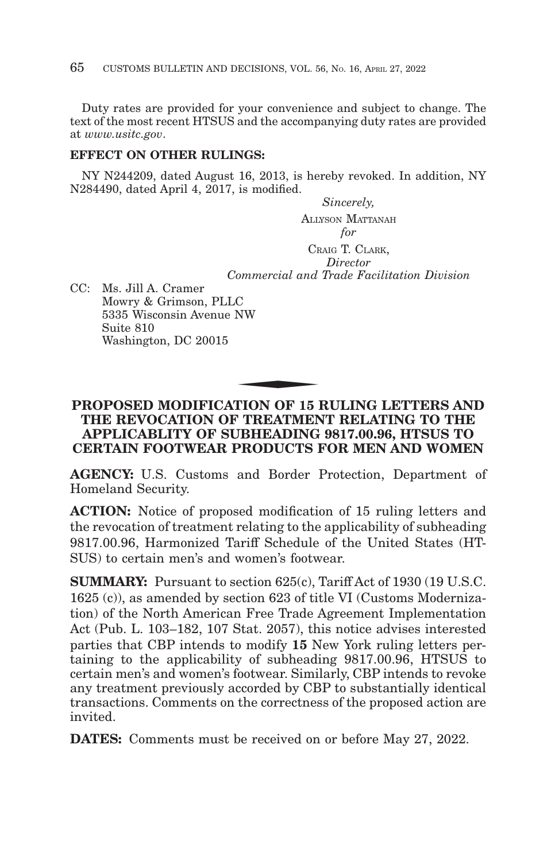Duty rates are provided for your convenience and subject to change. The text of the most recent HTSUS and the accompanying duty rates are provided at *www.usitc.gov*.

## **EFFECT ON OTHER RULINGS:**

NY N244209, dated August 16, 2013, is hereby revoked. In addition, NY N284490, dated April 4, 2017, is modified.

> *Sincerely,* ALLYSON MATTANAH *for* CRAIG T. CLARK, *Director Commercial and Trade Facilitation Division*

CC: Ms. Jill A. Cramer Mowry & Grimson, PLLC 5335 Wisconsin Avenue NW Suite 810 Washington, DC 20015 C<br>NW<br>TION OF 15 1

## **PROPOSED MODIFICATION OF 15 RULING LETTERS AND THE REVOCATION OF TREATMENT RELATING TO THE APPLICABLITY OF SUBHEADING 9817.00.96, HTSUS TO CERTAIN FOOTWEAR PRODUCTS FOR MEN AND WOMEN**

**AGENCY:** U.S. Customs and Border Protection, Department of Homeland Security.

**ACTION:** Notice of proposed modification of 15 ruling letters and the revocation of treatment relating to the applicability of subheading 9817.00.96, Harmonized Tariff Schedule of the United States (HT-SUS) to certain men's and women's footwear.

**SUMMARY:** Pursuant to section 625(c), Tariff Act of 1930 (19 U.S.C. 1625 (c)), as amended by section 623 of title VI (Customs Modernization) of the North American Free Trade Agreement Implementation Act (Pub. L. 103–182, 107 Stat. 2057), this notice advises interested parties that CBP intends to modify **15** New York ruling letters pertaining to the applicability of subheading 9817.00.96, HTSUS to certain men's and women's footwear. Similarly, CBP intends to revoke any treatment previously accorded by CBP to substantially identical transactions. Comments on the correctness of the proposed action are invited.

**DATES:** Comments must be received on or before May 27, 2022.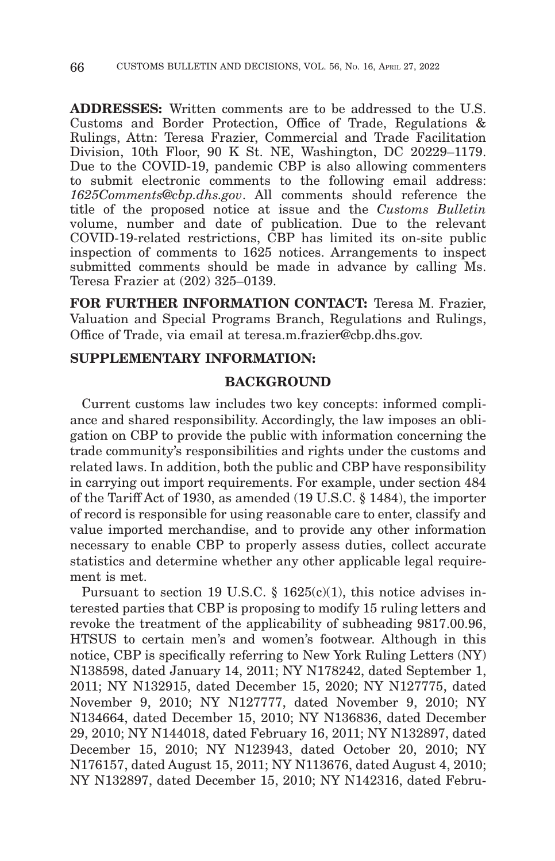**ADDRESSES:** Written comments are to be addressed to the U.S. Customs and Border Protection, Office of Trade, Regulations & Rulings, Attn: Teresa Frazier, Commercial and Trade Facilitation Division, 10th Floor, 90 K St. NE, Washington, DC 20229–1179. Due to the COVID-19, pandemic CBP is also allowing commenters to submit electronic comments to the following email address: *1625Comments@cbp.dhs.gov*. All comments should reference the title of the proposed notice at issue and the *Customs Bulletin* volume, number and date of publication. Due to the relevant COVID-19-related restrictions, CBP has limited its on-site public inspection of comments to 1625 notices. Arrangements to inspect submitted comments should be made in advance by calling Ms. Teresa Frazier at (202) 325–0139.

**FOR FURTHER INFORMATION CONTACT:** Teresa M. Frazier, Valuation and Special Programs Branch, Regulations and Rulings, Office of Trade, via email at teresa.m.frazier@cbp.dhs.gov.

## **SUPPLEMENTARY INFORMATION:**

### **BACKGROUND**

Current customs law includes two key concepts: informed compliance and shared responsibility. Accordingly, the law imposes an obligation on CBP to provide the public with information concerning the trade community's responsibilities and rights under the customs and related laws. In addition, both the public and CBP have responsibility in carrying out import requirements. For example, under section 484 of the Tariff Act of 1930, as amended (19 U.S.C. § 1484), the importer of record is responsible for using reasonable care to enter, classify and value imported merchandise, and to provide any other information necessary to enable CBP to properly assess duties, collect accurate statistics and determine whether any other applicable legal requirement is met.

Pursuant to section 19 U.S.C.  $\S$  1625(c)(1), this notice advises interested parties that CBP is proposing to modify 15 ruling letters and revoke the treatment of the applicability of subheading 9817.00.96, HTSUS to certain men's and women's footwear. Although in this notice, CBP is specifically referring to New York Ruling Letters (NY) N138598, dated January 14, 2011; NY N178242, dated September 1, 2011; NY N132915, dated December 15, 2020; NY N127775, dated November 9, 2010; NY N127777, dated November 9, 2010; NY N134664, dated December 15, 2010; NY N136836, dated December 29, 2010; NY N144018, dated February 16, 2011; NY N132897, dated December 15, 2010; NY N123943, dated October 20, 2010; NY N176157, dated August 15, 2011; NY N113676, dated August 4, 2010; NY N132897, dated December 15, 2010; NY N142316, dated Febru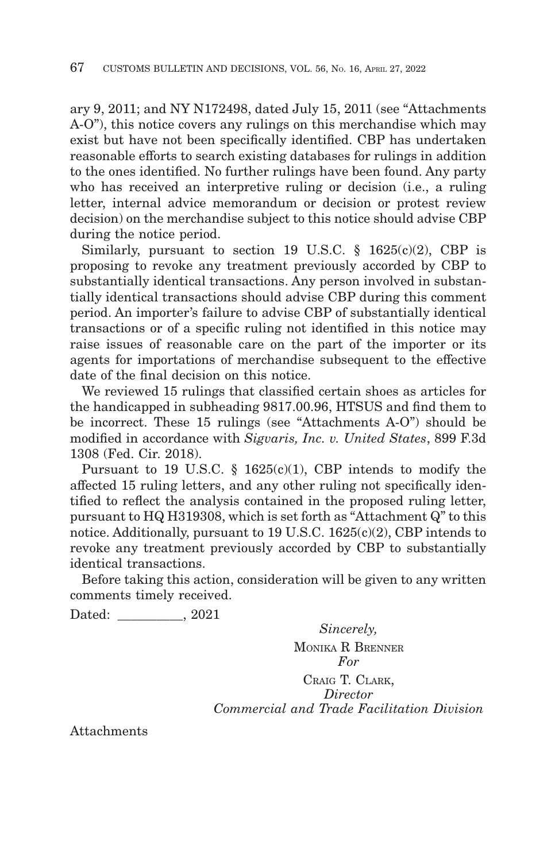ary 9, 2011; and NY N172498, dated July 15, 2011 (see "Attachments A-O"), this notice covers any rulings on this merchandise which may exist but have not been specifically identified. CBP has undertaken reasonable efforts to search existing databases for rulings in addition to the ones identified. No further rulings have been found. Any party who has received an interpretive ruling or decision (i.e., a ruling letter, internal advice memorandum or decision or protest review decision) on the merchandise subject to this notice should advise CBP during the notice period.

Similarly, pursuant to section 19 U.S.C.  $\S$  1625(c)(2), CBP is proposing to revoke any treatment previously accorded by CBP to substantially identical transactions. Any person involved in substantially identical transactions should advise CBP during this comment period. An importer's failure to advise CBP of substantially identical transactions or of a specific ruling not identified in this notice may raise issues of reasonable care on the part of the importer or its agents for importations of merchandise subsequent to the effective date of the final decision on this notice.

We reviewed 15 rulings that classified certain shoes as articles for the handicapped in subheading 9817.00.96, HTSUS and find them to be incorrect. These 15 rulings (see "Attachments A-O") should be modified in accordance with *Sigvaris, Inc. v. United States*, 899 F.3d 1308 (Fed. Cir. 2018).

Pursuant to 19 U.S.C.  $\S$  1625(c)(1), CBP intends to modify the affected 15 ruling letters, and any other ruling not specifically identified to reflect the analysis contained in the proposed ruling letter, pursuant to HQ H319308, which is set forth as "Attachment Q" to this notice. Additionally, pursuant to 19 U.S.C. 1625(c)(2), CBP intends to revoke any treatment previously accorded by CBP to substantially identical transactions.

Before taking this action, consideration will be given to any written comments timely received.

Dated:  $0.2021$ 

*Sincerely,* MONIKA R BRENNER *For* CRAIG T. CLARK, *Director Commercial and Trade Facilitation Division*

Attachments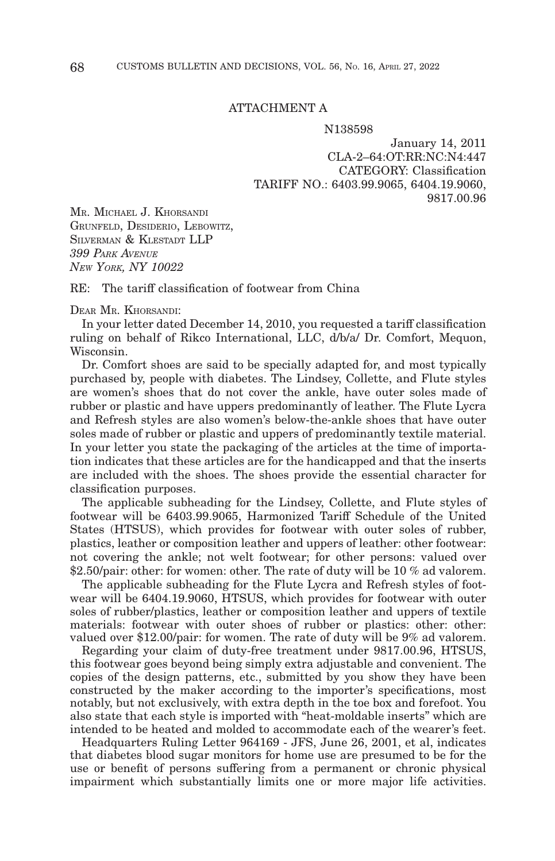#### ATTACHMENT A

N138598

January 14, 2011 CLA-2–64:OT:RR:NC:N4:447 CATEGORY: Classification TARIFF NO.: 6403.99.9065, 6404.19.9060, 9817.00.96

MR. MICHAEL J. KHORSANDI GRUNFELD, DESIDERIO, LEBOWITZ, SILVERMAN & KLESTADT LLP *399 PARK AVENUE NEW YORK, NY 10022*

RE: The tariff classification of footwear from China

#### DEAR MR. KHORSANDI:

In your letter dated December 14, 2010, you requested a tariff classification ruling on behalf of Rikco International, LLC, d/b/a/ Dr. Comfort, Mequon, Wisconsin.

Dr. Comfort shoes are said to be specially adapted for, and most typically purchased by, people with diabetes. The Lindsey, Collette, and Flute styles are women's shoes that do not cover the ankle, have outer soles made of rubber or plastic and have uppers predominantly of leather. The Flute Lycra and Refresh styles are also women's below-the-ankle shoes that have outer soles made of rubber or plastic and uppers of predominantly textile material. In your letter you state the packaging of the articles at the time of importation indicates that these articles are for the handicapped and that the inserts are included with the shoes. The shoes provide the essential character for classification purposes.

The applicable subheading for the Lindsey, Collette, and Flute styles of footwear will be 6403.99.9065, Harmonized Tariff Schedule of the United States (HTSUS), which provides for footwear with outer soles of rubber, plastics, leather or composition leather and uppers of leather: other footwear: not covering the ankle; not welt footwear; for other persons: valued over \$2.50/pair: other: for women: other. The rate of duty will be 10 % ad valorem.

The applicable subheading for the Flute Lycra and Refresh styles of footwear will be 6404.19.9060, HTSUS, which provides for footwear with outer soles of rubber/plastics, leather or composition leather and uppers of textile materials: footwear with outer shoes of rubber or plastics: other: other: valued over \$12.00/pair: for women. The rate of duty will be 9% ad valorem.

Regarding your claim of duty-free treatment under 9817.00.96, HTSUS, this footwear goes beyond being simply extra adjustable and convenient. The copies of the design patterns, etc., submitted by you show they have been constructed by the maker according to the importer's specifications, most notably, but not exclusively, with extra depth in the toe box and forefoot. You also state that each style is imported with "heat-moldable inserts" which are intended to be heated and molded to accommodate each of the wearer's feet.

Headquarters Ruling Letter 964169 - JFS, June 26, 2001, et al, indicates that diabetes blood sugar monitors for home use are presumed to be for the use or benefit of persons suffering from a permanent or chronic physical impairment which substantially limits one or more major life activities.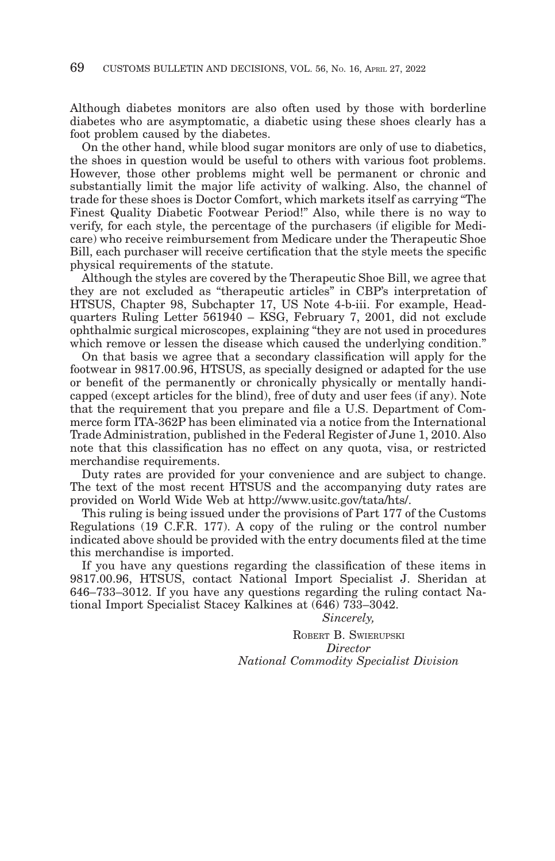Although diabetes monitors are also often used by those with borderline diabetes who are asymptomatic, a diabetic using these shoes clearly has a foot problem caused by the diabetes.

On the other hand, while blood sugar monitors are only of use to diabetics, the shoes in question would be useful to others with various foot problems. However, those other problems might well be permanent or chronic and substantially limit the major life activity of walking. Also, the channel of trade for these shoes is Doctor Comfort, which markets itself as carrying "The Finest Quality Diabetic Footwear Period!" Also, while there is no way to verify, for each style, the percentage of the purchasers (if eligible for Medicare) who receive reimbursement from Medicare under the Therapeutic Shoe Bill, each purchaser will receive certification that the style meets the specific physical requirements of the statute.

Although the styles are covered by the Therapeutic Shoe Bill, we agree that they are not excluded as "therapeutic articles" in CBP's interpretation of HTSUS, Chapter 98, Subchapter 17, US Note 4-b-iii. For example, Headquarters Ruling Letter 561940 – KSG, February 7, 2001, did not exclude ophthalmic surgical microscopes, explaining "they are not used in procedures which remove or lessen the disease which caused the underlying condition."

On that basis we agree that a secondary classification will apply for the footwear in 9817.00.96, HTSUS, as specially designed or adapted for the use or benefit of the permanently or chronically physically or mentally handicapped (except articles for the blind), free of duty and user fees (if any). Note that the requirement that you prepare and file a U.S. Department of Commerce form ITA-362P has been eliminated via a notice from the International Trade Administration, published in the Federal Register of June 1, 2010. Also note that this classification has no effect on any quota, visa, or restricted merchandise requirements.

Duty rates are provided for your convenience and are subject to change. The text of the most recent HTSUS and the accompanying duty rates are provided on World Wide Web at http://www.usitc.gov/tata/hts/.

This ruling is being issued under the provisions of Part 177 of the Customs Regulations (19 C.F.R. 177). A copy of the ruling or the control number indicated above should be provided with the entry documents filed at the time this merchandise is imported.

If you have any questions regarding the classification of these items in 9817.00.96, HTSUS, contact National Import Specialist J. Sheridan at 646–733–3012. If you have any questions regarding the ruling contact National Import Specialist Stacey Kalkines at (646) 733–3042.

#### *Sincerely,*

ROBERT B. SWIERUPSKI *Director National Commodity Specialist Division*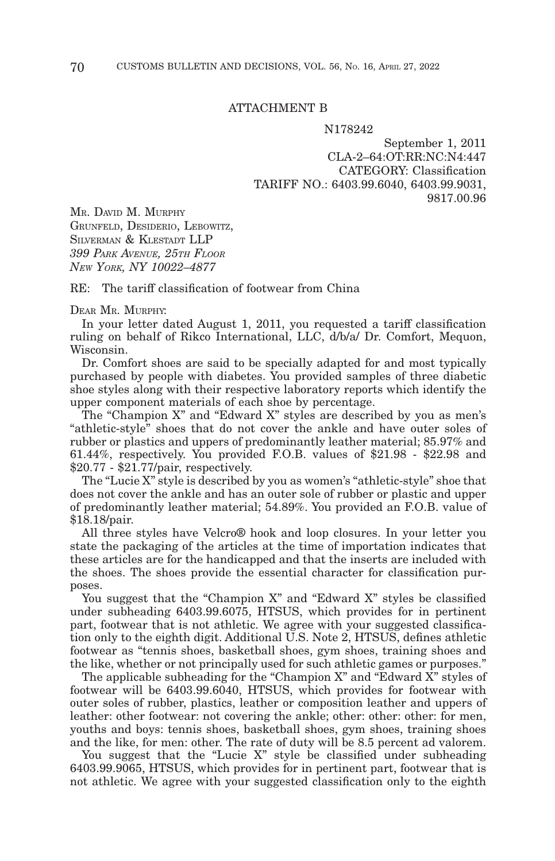#### ATTACHMENT B

#### N178242

September 1, 2011 CLA-2–64:OT:RR:NC:N4:447 CATEGORY: Classification TARIFF NO.: 6403.99.6040, 6403.99.9031, 9817.00.96

MR. DAVID M. MURPHY GRUNFELD, DESIDERIO, LEBOWITZ, SILVERMAN & KLESTADT LLP *399 PARK AVENUE, 25TH FLOOR NEW YORK, NY 10022–4877*

RE: The tariff classification of footwear from China

#### DEAR MR. MURPHY:

In your letter dated August 1, 2011, you requested a tariff classification ruling on behalf of Rikco International, LLC, d/b/a/ Dr. Comfort, Mequon, Wisconsin.

Dr. Comfort shoes are said to be specially adapted for and most typically purchased by people with diabetes. You provided samples of three diabetic shoe styles along with their respective laboratory reports which identify the upper component materials of each shoe by percentage.

The "Champion X" and "Edward X" styles are described by you as men's "athletic-style" shoes that do not cover the ankle and have outer soles of rubber or plastics and uppers of predominantly leather material; 85.97% and 61.44%, respectively. You provided F.O.B. values of \$21.98 - \$22.98 and \$20.77 - \$21.77/pair, respectively.

The "Lucie X" style is described by you as women's "athletic-style" shoe that does not cover the ankle and has an outer sole of rubber or plastic and upper of predominantly leather material; 54.89%. You provided an F.O.B. value of \$18.18/pair.

All three styles have Velcro® hook and loop closures. In your letter you state the packaging of the articles at the time of importation indicates that these articles are for the handicapped and that the inserts are included with the shoes. The shoes provide the essential character for classification purposes.

You suggest that the "Champion X" and "Edward X" styles be classified under subheading 6403.99.6075, HTSUS, which provides for in pertinent part, footwear that is not athletic. We agree with your suggested classification only to the eighth digit. Additional U.S. Note 2, HTSUS, defines athletic footwear as "tennis shoes, basketball shoes, gym shoes, training shoes and the like, whether or not principally used for such athletic games or purposes."

The applicable subheading for the "Champion X" and "Edward X" styles of footwear will be 6403.99.6040, HTSUS, which provides for footwear with outer soles of rubber, plastics, leather or composition leather and uppers of leather: other footwear: not covering the ankle; other: other: other: for men, youths and boys: tennis shoes, basketball shoes, gym shoes, training shoes and the like, for men: other. The rate of duty will be 8.5 percent ad valorem.

You suggest that the "Lucie X" style be classified under subheading 6403.99.9065, HTSUS, which provides for in pertinent part, footwear that is not athletic. We agree with your suggested classification only to the eighth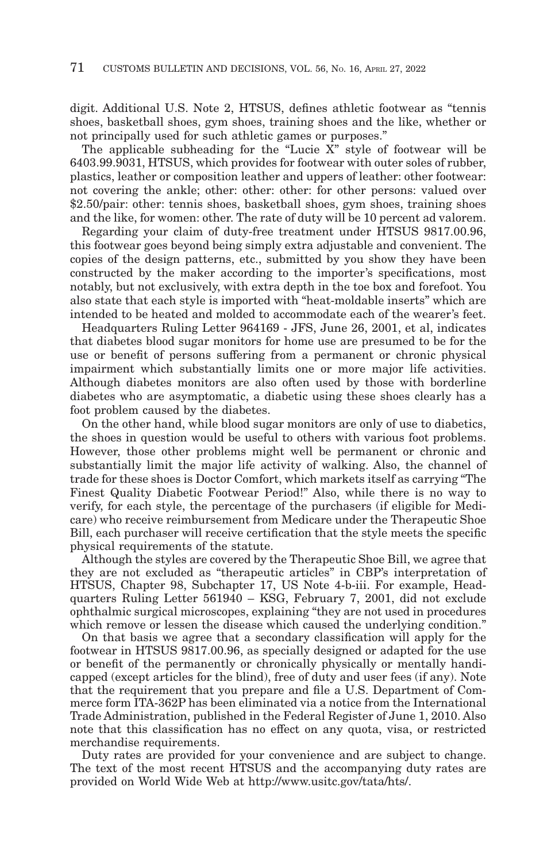digit. Additional U.S. Note 2, HTSUS, defines athletic footwear as "tennis shoes, basketball shoes, gym shoes, training shoes and the like, whether or not principally used for such athletic games or purposes."

The applicable subheading for the "Lucie X" style of footwear will be 6403.99.9031, HTSUS, which provides for footwear with outer soles of rubber, plastics, leather or composition leather and uppers of leather: other footwear: not covering the ankle; other: other: other: for other persons: valued over \$2.50/pair: other: tennis shoes, basketball shoes, gym shoes, training shoes and the like, for women: other. The rate of duty will be 10 percent ad valorem.

Regarding your claim of duty-free treatment under HTSUS 9817.00.96, this footwear goes beyond being simply extra adjustable and convenient. The copies of the design patterns, etc., submitted by you show they have been constructed by the maker according to the importer's specifications, most notably, but not exclusively, with extra depth in the toe box and forefoot. You also state that each style is imported with "heat-moldable inserts" which are intended to be heated and molded to accommodate each of the wearer's feet.

Headquarters Ruling Letter 964169 - JFS, June 26, 2001, et al, indicates that diabetes blood sugar monitors for home use are presumed to be for the use or benefit of persons suffering from a permanent or chronic physical impairment which substantially limits one or more major life activities. Although diabetes monitors are also often used by those with borderline diabetes who are asymptomatic, a diabetic using these shoes clearly has a foot problem caused by the diabetes.

On the other hand, while blood sugar monitors are only of use to diabetics, the shoes in question would be useful to others with various foot problems. However, those other problems might well be permanent or chronic and substantially limit the major life activity of walking. Also, the channel of trade for these shoes is Doctor Comfort, which markets itself as carrying "The Finest Quality Diabetic Footwear Period!" Also, while there is no way to verify, for each style, the percentage of the purchasers (if eligible for Medicare) who receive reimbursement from Medicare under the Therapeutic Shoe Bill, each purchaser will receive certification that the style meets the specific physical requirements of the statute.

Although the styles are covered by the Therapeutic Shoe Bill, we agree that they are not excluded as "therapeutic articles" in CBP's interpretation of HTSUS, Chapter 98, Subchapter 17, US Note 4-b-iii. For example, Headquarters Ruling Letter 561940 – KSG, February 7, 2001, did not exclude ophthalmic surgical microscopes, explaining "they are not used in procedures which remove or lessen the disease which caused the underlying condition."

On that basis we agree that a secondary classification will apply for the footwear in HTSUS 9817.00.96, as specially designed or adapted for the use or benefit of the permanently or chronically physically or mentally handicapped (except articles for the blind), free of duty and user fees (if any). Note that the requirement that you prepare and file a U.S. Department of Commerce form ITA-362P has been eliminated via a notice from the International Trade Administration, published in the Federal Register of June 1, 2010. Also note that this classification has no effect on any quota, visa, or restricted merchandise requirements.

Duty rates are provided for your convenience and are subject to change. The text of the most recent HTSUS and the accompanying duty rates are provided on World Wide Web at http://www.usitc.gov/tata/hts/.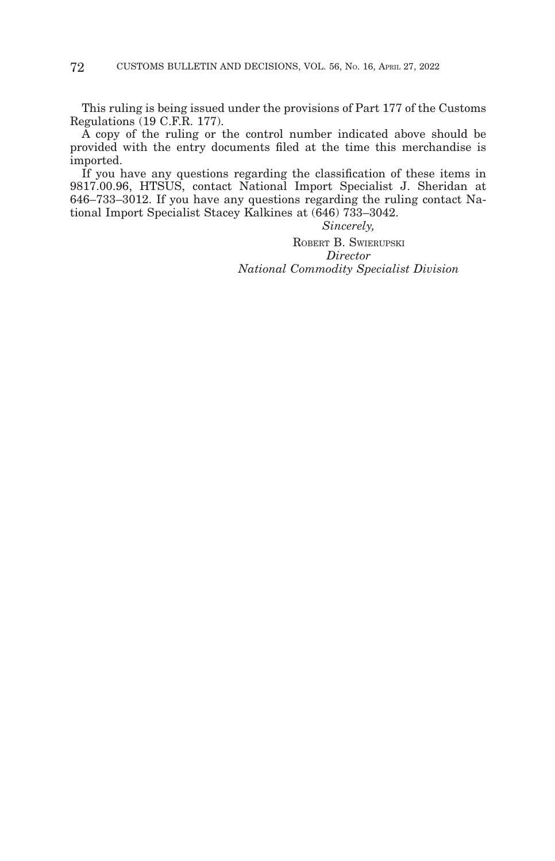This ruling is being issued under the provisions of Part 177 of the Customs Regulations (19 C.F.R. 177).

A copy of the ruling or the control number indicated above should be provided with the entry documents filed at the time this merchandise is imported.

If you have any questions regarding the classification of these items in 9817.00.96, HTSUS, contact National Import Specialist J. Sheridan at 646–733–3012. If you have any questions regarding the ruling contact National Import Specialist Stacey Kalkines at (646) 733–3042.

*Sincerely,*

ROBERT B. SWIERUPSKI *Director National Commodity Specialist Division*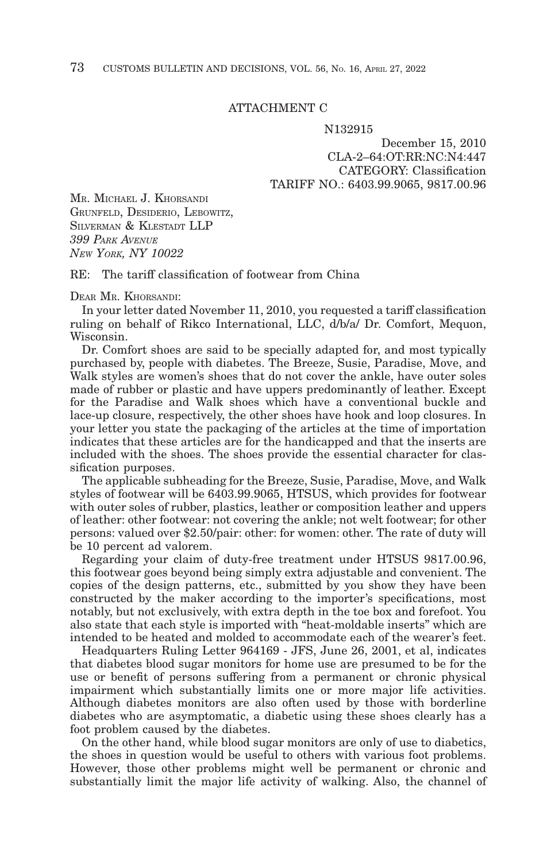## ATTACHMENT C

#### N132915

December 15, 2010 CLA-2–64:OT:RR:NC:N4:447 CATEGORY: Classification TARIFF NO.: 6403.99.9065, 9817.00.96

MR. MICHAEL J. KHORSANDI GRUNFELD, DESIDERIO, LEBOWITZ, SILVERMAN & KLESTADT LLP *399 PARK AVENUE NEW YORK, NY 10022*

RE: The tariff classification of footwear from China

DEAR MR. KHORSANDI:

In your letter dated November 11, 2010, you requested a tariff classification ruling on behalf of Rikco International, LLC, d/b/a/ Dr. Comfort, Mequon, Wisconsin.

Dr. Comfort shoes are said to be specially adapted for, and most typically purchased by, people with diabetes. The Breeze, Susie, Paradise, Move, and Walk styles are women's shoes that do not cover the ankle, have outer soles made of rubber or plastic and have uppers predominantly of leather. Except for the Paradise and Walk shoes which have a conventional buckle and lace-up closure, respectively, the other shoes have hook and loop closures. In your letter you state the packaging of the articles at the time of importation indicates that these articles are for the handicapped and that the inserts are included with the shoes. The shoes provide the essential character for classification purposes.

The applicable subheading for the Breeze, Susie, Paradise, Move, and Walk styles of footwear will be 6403.99.9065, HTSUS, which provides for footwear with outer soles of rubber, plastics, leather or composition leather and uppers of leather: other footwear: not covering the ankle; not welt footwear; for other persons: valued over \$2.50/pair: other: for women: other. The rate of duty will be 10 percent ad valorem.

Regarding your claim of duty-free treatment under HTSUS 9817.00.96, this footwear goes beyond being simply extra adjustable and convenient. The copies of the design patterns, etc., submitted by you show they have been constructed by the maker according to the importer's specifications, most notably, but not exclusively, with extra depth in the toe box and forefoot. You also state that each style is imported with "heat-moldable inserts" which are intended to be heated and molded to accommodate each of the wearer's feet.

Headquarters Ruling Letter 964169 - JFS, June 26, 2001, et al, indicates that diabetes blood sugar monitors for home use are presumed to be for the use or benefit of persons suffering from a permanent or chronic physical impairment which substantially limits one or more major life activities. Although diabetes monitors are also often used by those with borderline diabetes who are asymptomatic, a diabetic using these shoes clearly has a foot problem caused by the diabetes.

On the other hand, while blood sugar monitors are only of use to diabetics, the shoes in question would be useful to others with various foot problems. However, those other problems might well be permanent or chronic and substantially limit the major life activity of walking. Also, the channel of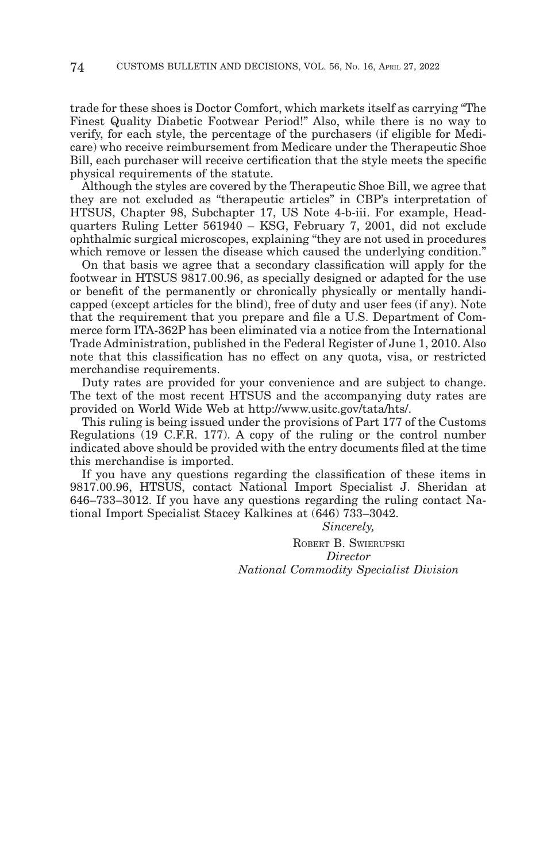trade for these shoes is Doctor Comfort, which markets itself as carrying "The Finest Quality Diabetic Footwear Period!" Also, while there is no way to verify, for each style, the percentage of the purchasers (if eligible for Medicare) who receive reimbursement from Medicare under the Therapeutic Shoe Bill, each purchaser will receive certification that the style meets the specific physical requirements of the statute.

Although the styles are covered by the Therapeutic Shoe Bill, we agree that they are not excluded as "therapeutic articles" in CBP's interpretation of HTSUS, Chapter 98, Subchapter 17, US Note 4-b-iii. For example, Headquarters Ruling Letter 561940 – KSG, February 7, 2001, did not exclude ophthalmic surgical microscopes, explaining "they are not used in procedures which remove or lessen the disease which caused the underlying condition."

On that basis we agree that a secondary classification will apply for the footwear in HTSUS 9817.00.96, as specially designed or adapted for the use or benefit of the permanently or chronically physically or mentally handicapped (except articles for the blind), free of duty and user fees (if any). Note that the requirement that you prepare and file a U.S. Department of Commerce form ITA-362P has been eliminated via a notice from the International Trade Administration, published in the Federal Register of June 1, 2010. Also note that this classification has no effect on any quota, visa, or restricted merchandise requirements.

Duty rates are provided for your convenience and are subject to change. The text of the most recent HTSUS and the accompanying duty rates are provided on World Wide Web at http://www.usitc.gov/tata/hts/.

This ruling is being issued under the provisions of Part 177 of the Customs Regulations (19 C.F.R. 177). A copy of the ruling or the control number indicated above should be provided with the entry documents filed at the time this merchandise is imported.

If you have any questions regarding the classification of these items in 9817.00.96, HTSUS, contact National Import Specialist J. Sheridan at 646–733–3012. If you have any questions regarding the ruling contact National Import Specialist Stacey Kalkines at (646) 733–3042.

*Sincerely,*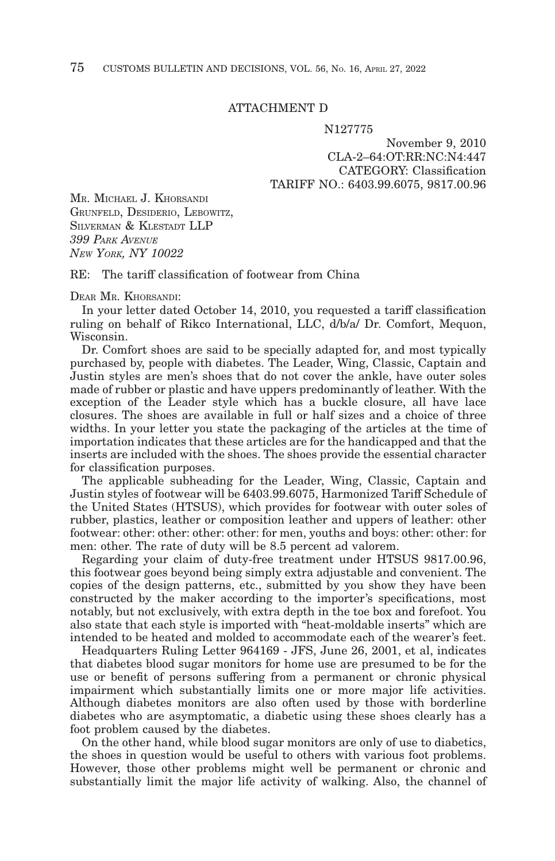## ATTACHMENT D

#### N127775

## November 9, 2010 CLA-2–64:OT:RR:NC:N4:447 CATEGORY: Classification TARIFF NO.: 6403.99.6075, 9817.00.96

MR. MICHAEL J. KHORSANDI GRUNFELD, DESIDERIO, LEBOWITZ, SILVERMAN & KLESTADT LLP *399 PARK AVENUE NEW YORK, NY 10022*

RE: The tariff classification of footwear from China

DEAR MR. KHORSANDI:

In your letter dated October 14, 2010, you requested a tariff classification ruling on behalf of Rikco International, LLC, d/b/a/ Dr. Comfort, Mequon, Wisconsin.

Dr. Comfort shoes are said to be specially adapted for, and most typically purchased by, people with diabetes. The Leader, Wing, Classic, Captain and Justin styles are men's shoes that do not cover the ankle, have outer soles made of rubber or plastic and have uppers predominantly of leather. With the exception of the Leader style which has a buckle closure, all have lace closures. The shoes are available in full or half sizes and a choice of three widths. In your letter you state the packaging of the articles at the time of importation indicates that these articles are for the handicapped and that the inserts are included with the shoes. The shoes provide the essential character for classification purposes.

The applicable subheading for the Leader, Wing, Classic, Captain and Justin styles of footwear will be 6403.99.6075, Harmonized Tariff Schedule of the United States (HTSUS), which provides for footwear with outer soles of rubber, plastics, leather or composition leather and uppers of leather: other footwear: other: other: other: other: for men, youths and boys: other: other: for men: other. The rate of duty will be 8.5 percent ad valorem.

Regarding your claim of duty-free treatment under HTSUS 9817.00.96, this footwear goes beyond being simply extra adjustable and convenient. The copies of the design patterns, etc., submitted by you show they have been constructed by the maker according to the importer's specifications, most notably, but not exclusively, with extra depth in the toe box and forefoot. You also state that each style is imported with "heat-moldable inserts" which are intended to be heated and molded to accommodate each of the wearer's feet.

Headquarters Ruling Letter 964169 - JFS, June 26, 2001, et al, indicates that diabetes blood sugar monitors for home use are presumed to be for the use or benefit of persons suffering from a permanent or chronic physical impairment which substantially limits one or more major life activities. Although diabetes monitors are also often used by those with borderline diabetes who are asymptomatic, a diabetic using these shoes clearly has a foot problem caused by the diabetes.

On the other hand, while blood sugar monitors are only of use to diabetics, the shoes in question would be useful to others with various foot problems. However, those other problems might well be permanent or chronic and substantially limit the major life activity of walking. Also, the channel of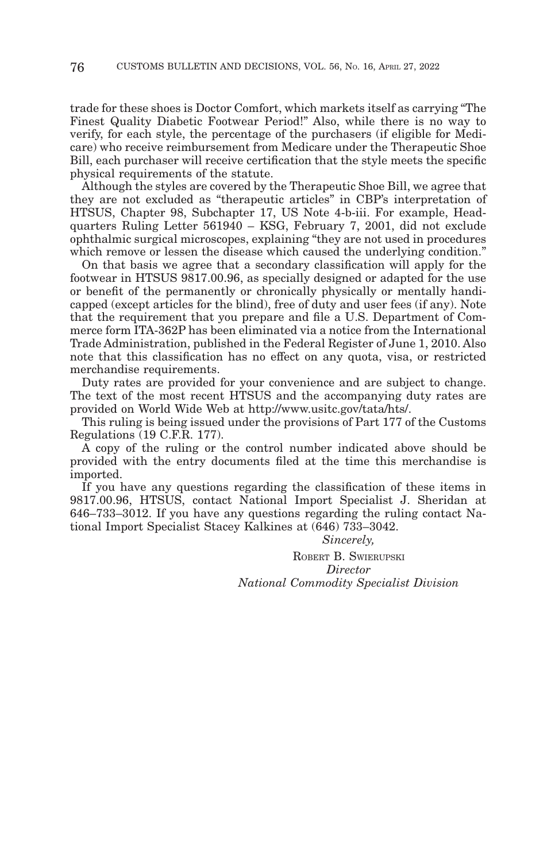trade for these shoes is Doctor Comfort, which markets itself as carrying "The Finest Quality Diabetic Footwear Period!" Also, while there is no way to verify, for each style, the percentage of the purchasers (if eligible for Medicare) who receive reimbursement from Medicare under the Therapeutic Shoe Bill, each purchaser will receive certification that the style meets the specific physical requirements of the statute.

Although the styles are covered by the Therapeutic Shoe Bill, we agree that they are not excluded as "therapeutic articles" in CBP's interpretation of HTSUS, Chapter 98, Subchapter 17, US Note 4-b-iii. For example, Headquarters Ruling Letter 561940 – KSG, February 7, 2001, did not exclude ophthalmic surgical microscopes, explaining "they are not used in procedures which remove or lessen the disease which caused the underlying condition."

On that basis we agree that a secondary classification will apply for the footwear in HTSUS 9817.00.96, as specially designed or adapted for the use or benefit of the permanently or chronically physically or mentally handicapped (except articles for the blind), free of duty and user fees (if any). Note that the requirement that you prepare and file a U.S. Department of Commerce form ITA-362P has been eliminated via a notice from the International Trade Administration, published in the Federal Register of June 1, 2010. Also note that this classification has no effect on any quota, visa, or restricted merchandise requirements.

Duty rates are provided for your convenience and are subject to change. The text of the most recent HTSUS and the accompanying duty rates are provided on World Wide Web at http://www.usitc.gov/tata/hts/.

This ruling is being issued under the provisions of Part 177 of the Customs Regulations (19 C.F.R. 177).

A copy of the ruling or the control number indicated above should be provided with the entry documents filed at the time this merchandise is imported.

If you have any questions regarding the classification of these items in 9817.00.96, HTSUS, contact National Import Specialist J. Sheridan at 646–733–3012. If you have any questions regarding the ruling contact National Import Specialist Stacey Kalkines at (646) 733–3042.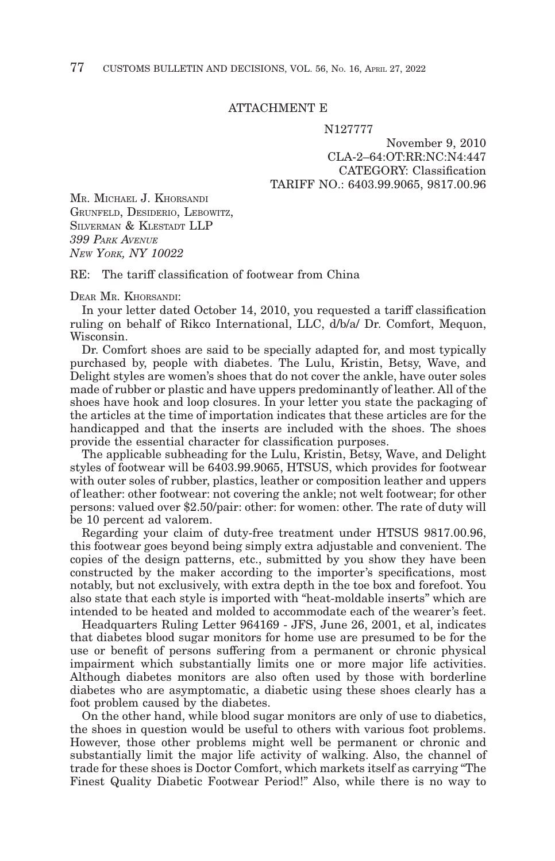## ATTACHMENT E

#### N127777

November 9, 2010 CLA-2–64:OT:RR:NC:N4:447 CATEGORY: Classification TARIFF NO.: 6403.99.9065, 9817.00.96

MR. MICHAEL J. KHORSANDI GRUNFELD, DESIDERIO, LEBOWITZ, SILVERMAN & KLESTADT LLP *399 PARK AVENUE NEW YORK, NY 10022*

RE: The tariff classification of footwear from China

DEAR MR. KHORSANDI:

In your letter dated October 14, 2010, you requested a tariff classification ruling on behalf of Rikco International, LLC, d/b/a/ Dr. Comfort, Mequon, Wisconsin.

Dr. Comfort shoes are said to be specially adapted for, and most typically purchased by, people with diabetes. The Lulu, Kristin, Betsy, Wave, and Delight styles are women's shoes that do not cover the ankle, have outer soles made of rubber or plastic and have uppers predominantly of leather. All of the shoes have hook and loop closures. In your letter you state the packaging of the articles at the time of importation indicates that these articles are for the handicapped and that the inserts are included with the shoes. The shoes provide the essential character for classification purposes.

The applicable subheading for the Lulu, Kristin, Betsy, Wave, and Delight styles of footwear will be 6403.99.9065, HTSUS, which provides for footwear with outer soles of rubber, plastics, leather or composition leather and uppers of leather: other footwear: not covering the ankle; not welt footwear; for other persons: valued over \$2.50/pair: other: for women: other. The rate of duty will be 10 percent ad valorem.

Regarding your claim of duty-free treatment under HTSUS 9817.00.96, this footwear goes beyond being simply extra adjustable and convenient. The copies of the design patterns, etc., submitted by you show they have been constructed by the maker according to the importer's specifications, most notably, but not exclusively, with extra depth in the toe box and forefoot. You also state that each style is imported with "heat-moldable inserts" which are intended to be heated and molded to accommodate each of the wearer's feet.

Headquarters Ruling Letter 964169 - JFS, June 26, 2001, et al, indicates that diabetes blood sugar monitors for home use are presumed to be for the use or benefit of persons suffering from a permanent or chronic physical impairment which substantially limits one or more major life activities. Although diabetes monitors are also often used by those with borderline diabetes who are asymptomatic, a diabetic using these shoes clearly has a foot problem caused by the diabetes.

On the other hand, while blood sugar monitors are only of use to diabetics, the shoes in question would be useful to others with various foot problems. However, those other problems might well be permanent or chronic and substantially limit the major life activity of walking. Also, the channel of trade for these shoes is Doctor Comfort, which markets itself as carrying "The Finest Quality Diabetic Footwear Period!" Also, while there is no way to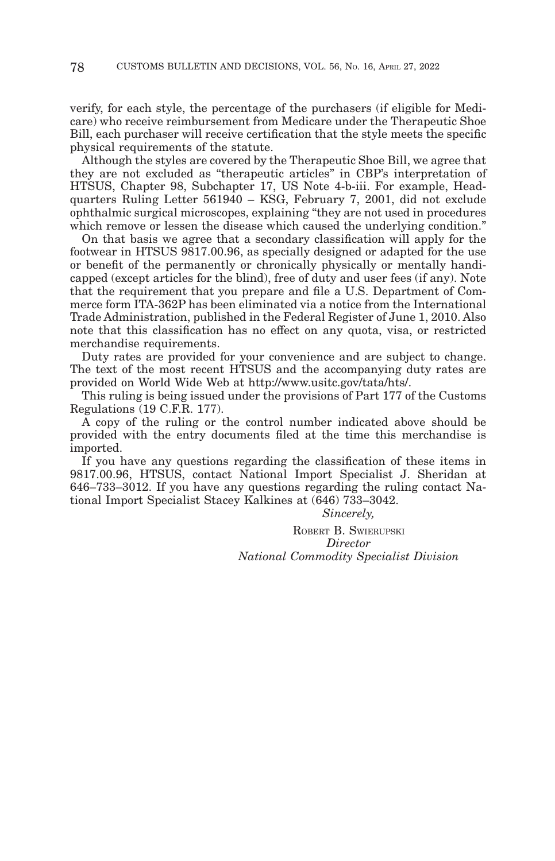verify, for each style, the percentage of the purchasers (if eligible for Medicare) who receive reimbursement from Medicare under the Therapeutic Shoe Bill, each purchaser will receive certification that the style meets the specific physical requirements of the statute.

Although the styles are covered by the Therapeutic Shoe Bill, we agree that they are not excluded as "therapeutic articles" in CBP's interpretation of HTSUS, Chapter 98, Subchapter 17, US Note 4-b-iii. For example, Headquarters Ruling Letter 561940 – KSG, February 7, 2001, did not exclude ophthalmic surgical microscopes, explaining "they are not used in procedures which remove or lessen the disease which caused the underlying condition."

On that basis we agree that a secondary classification will apply for the footwear in HTSUS 9817.00.96, as specially designed or adapted for the use or benefit of the permanently or chronically physically or mentally handicapped (except articles for the blind), free of duty and user fees (if any). Note that the requirement that you prepare and file a U.S. Department of Commerce form ITA-362P has been eliminated via a notice from the International Trade Administration, published in the Federal Register of June 1, 2010. Also note that this classification has no effect on any quota, visa, or restricted merchandise requirements.

Duty rates are provided for your convenience and are subject to change. The text of the most recent HTSUS and the accompanying duty rates are provided on World Wide Web at http://www.usitc.gov/tata/hts/.

This ruling is being issued under the provisions of Part 177 of the Customs Regulations (19 C.F.R. 177).

A copy of the ruling or the control number indicated above should be provided with the entry documents filed at the time this merchandise is imported.

If you have any questions regarding the classification of these items in 9817.00.96, HTSUS, contact National Import Specialist J. Sheridan at 646–733–3012. If you have any questions regarding the ruling contact National Import Specialist Stacey Kalkines at (646) 733–3042.

*Sincerely,*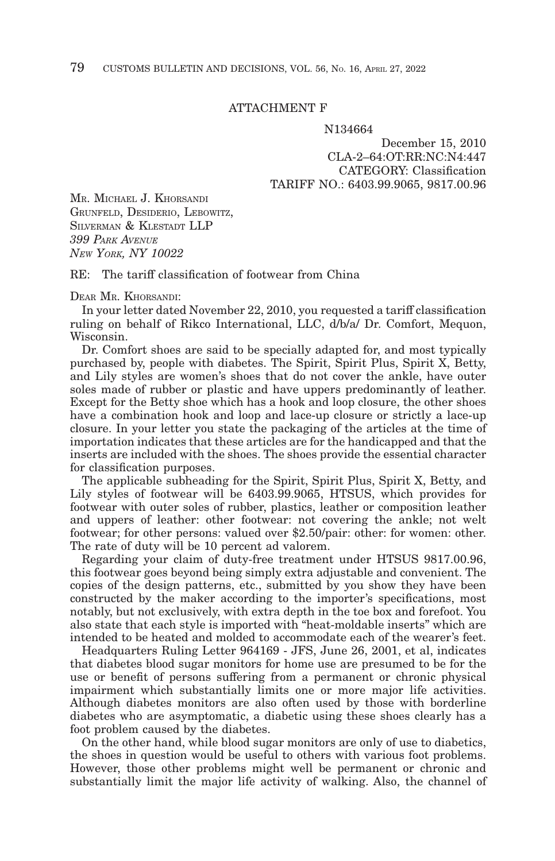## ATTACHMENT F

#### N134664

December 15, 2010 CLA-2–64:OT:RR:NC:N4:447 CATEGORY: Classification TARIFF NO.: 6403.99.9065, 9817.00.96

MR. MICHAEL J. KHORSANDI GRUNFELD, DESIDERIO, LEBOWITZ, SILVERMAN & KLESTADT LLP *399 PARK AVENUE NEW YORK, NY 10022*

RE: The tariff classification of footwear from China

DEAR MR. KHORSANDI:

In your letter dated November 22, 2010, you requested a tariff classification ruling on behalf of Rikco International, LLC, d/b/a/ Dr. Comfort, Mequon, Wisconsin.

Dr. Comfort shoes are said to be specially adapted for, and most typically purchased by, people with diabetes. The Spirit, Spirit Plus, Spirit X, Betty, and Lily styles are women's shoes that do not cover the ankle, have outer soles made of rubber or plastic and have uppers predominantly of leather. Except for the Betty shoe which has a hook and loop closure, the other shoes have a combination hook and loop and lace-up closure or strictly a lace-up closure. In your letter you state the packaging of the articles at the time of importation indicates that these articles are for the handicapped and that the inserts are included with the shoes. The shoes provide the essential character for classification purposes.

The applicable subheading for the Spirit, Spirit Plus, Spirit X, Betty, and Lily styles of footwear will be 6403.99.9065, HTSUS, which provides for footwear with outer soles of rubber, plastics, leather or composition leather and uppers of leather: other footwear: not covering the ankle; not welt footwear; for other persons: valued over \$2.50/pair: other: for women: other. The rate of duty will be 10 percent ad valorem.

Regarding your claim of duty-free treatment under HTSUS 9817.00.96, this footwear goes beyond being simply extra adjustable and convenient. The copies of the design patterns, etc., submitted by you show they have been constructed by the maker according to the importer's specifications, most notably, but not exclusively, with extra depth in the toe box and forefoot. You also state that each style is imported with "heat-moldable inserts" which are intended to be heated and molded to accommodate each of the wearer's feet.

Headquarters Ruling Letter 964169 - JFS, June 26, 2001, et al, indicates that diabetes blood sugar monitors for home use are presumed to be for the use or benefit of persons suffering from a permanent or chronic physical impairment which substantially limits one or more major life activities. Although diabetes monitors are also often used by those with borderline diabetes who are asymptomatic, a diabetic using these shoes clearly has a foot problem caused by the diabetes.

On the other hand, while blood sugar monitors are only of use to diabetics, the shoes in question would be useful to others with various foot problems. However, those other problems might well be permanent or chronic and substantially limit the major life activity of walking. Also, the channel of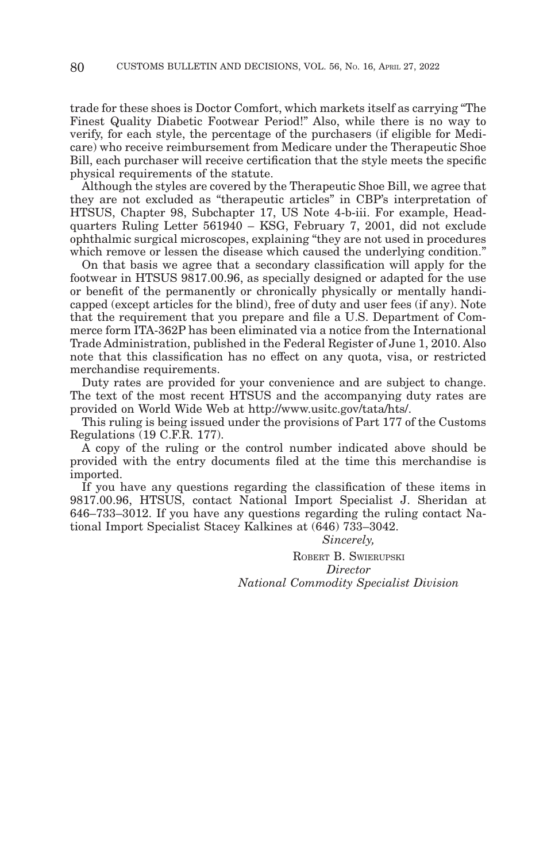trade for these shoes is Doctor Comfort, which markets itself as carrying "The Finest Quality Diabetic Footwear Period!" Also, while there is no way to verify, for each style, the percentage of the purchasers (if eligible for Medicare) who receive reimbursement from Medicare under the Therapeutic Shoe Bill, each purchaser will receive certification that the style meets the specific physical requirements of the statute.

Although the styles are covered by the Therapeutic Shoe Bill, we agree that they are not excluded as "therapeutic articles" in CBP's interpretation of HTSUS, Chapter 98, Subchapter 17, US Note 4-b-iii. For example, Headquarters Ruling Letter 561940 – KSG, February 7, 2001, did not exclude ophthalmic surgical microscopes, explaining "they are not used in procedures which remove or lessen the disease which caused the underlying condition."

On that basis we agree that a secondary classification will apply for the footwear in HTSUS 9817.00.96, as specially designed or adapted for the use or benefit of the permanently or chronically physically or mentally handicapped (except articles for the blind), free of duty and user fees (if any). Note that the requirement that you prepare and file a U.S. Department of Commerce form ITA-362P has been eliminated via a notice from the International Trade Administration, published in the Federal Register of June 1, 2010. Also note that this classification has no effect on any quota, visa, or restricted merchandise requirements.

Duty rates are provided for your convenience and are subject to change. The text of the most recent HTSUS and the accompanying duty rates are provided on World Wide Web at http://www.usitc.gov/tata/hts/.

This ruling is being issued under the provisions of Part 177 of the Customs Regulations (19 C.F.R. 177).

A copy of the ruling or the control number indicated above should be provided with the entry documents filed at the time this merchandise is imported.

If you have any questions regarding the classification of these items in 9817.00.96, HTSUS, contact National Import Specialist J. Sheridan at 646–733–3012. If you have any questions regarding the ruling contact National Import Specialist Stacey Kalkines at (646) 733–3042.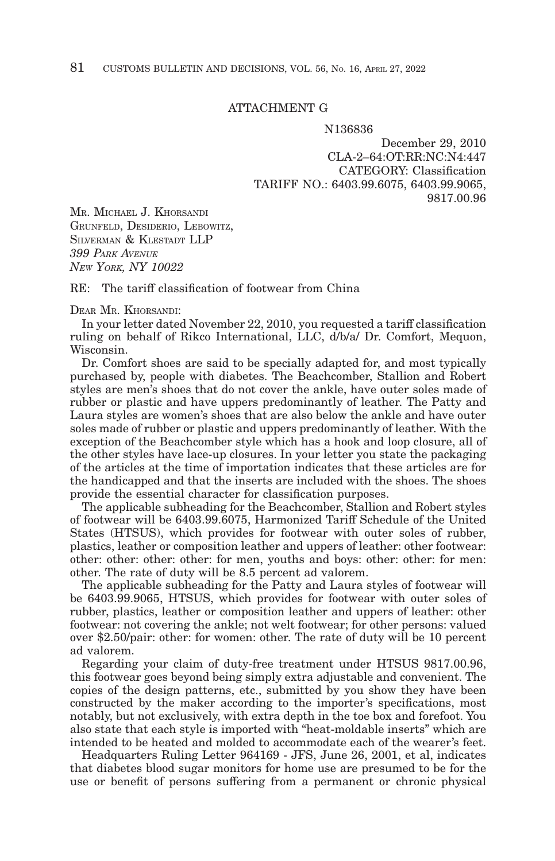## ATTACHMENT G

N136836

December 29, 2010 CLA-2–64:OT:RR:NC:N4:447 CATEGORY: Classification TARIFF NO.: 6403.99.6075, 6403.99.9065, 9817.00.96

MR. MICHAEL J. KHORSANDI GRUNFELD, DESIDERIO, LEBOWITZ, SILVERMAN & KLESTADT LLP *399 PARK AVENUE NEW YORK, NY 10022*

 $RE:$  The tariff classification of footwear from China

## DEAR MR. KHORSANDI:

In your letter dated November 22, 2010, you requested a tariff classification ruling on behalf of Rikco International, LLC, d/b/a/ Dr. Comfort, Mequon, Wisconsin.

Dr. Comfort shoes are said to be specially adapted for, and most typically purchased by, people with diabetes. The Beachcomber, Stallion and Robert styles are men's shoes that do not cover the ankle, have outer soles made of rubber or plastic and have uppers predominantly of leather. The Patty and Laura styles are women's shoes that are also below the ankle and have outer soles made of rubber or plastic and uppers predominantly of leather. With the exception of the Beachcomber style which has a hook and loop closure, all of the other styles have lace-up closures. In your letter you state the packaging of the articles at the time of importation indicates that these articles are for the handicapped and that the inserts are included with the shoes. The shoes provide the essential character for classification purposes.

The applicable subheading for the Beachcomber, Stallion and Robert styles of footwear will be 6403.99.6075, Harmonized Tariff Schedule of the United States (HTSUS), which provides for footwear with outer soles of rubber, plastics, leather or composition leather and uppers of leather: other footwear: other: other: other: other: for men, youths and boys: other: other: for men: other. The rate of duty will be 8.5 percent ad valorem.

The applicable subheading for the Patty and Laura styles of footwear will be 6403.99.9065, HTSUS, which provides for footwear with outer soles of rubber, plastics, leather or composition leather and uppers of leather: other footwear: not covering the ankle; not welt footwear; for other persons: valued over \$2.50/pair: other: for women: other. The rate of duty will be 10 percent ad valorem.

Regarding your claim of duty-free treatment under HTSUS 9817.00.96, this footwear goes beyond being simply extra adjustable and convenient. The copies of the design patterns, etc., submitted by you show they have been constructed by the maker according to the importer's specifications, most notably, but not exclusively, with extra depth in the toe box and forefoot. You also state that each style is imported with "heat-moldable inserts" which are intended to be heated and molded to accommodate each of the wearer's feet.

Headquarters Ruling Letter 964169 - JFS, June 26, 2001, et al, indicates that diabetes blood sugar monitors for home use are presumed to be for the use or benefit of persons suffering from a permanent or chronic physical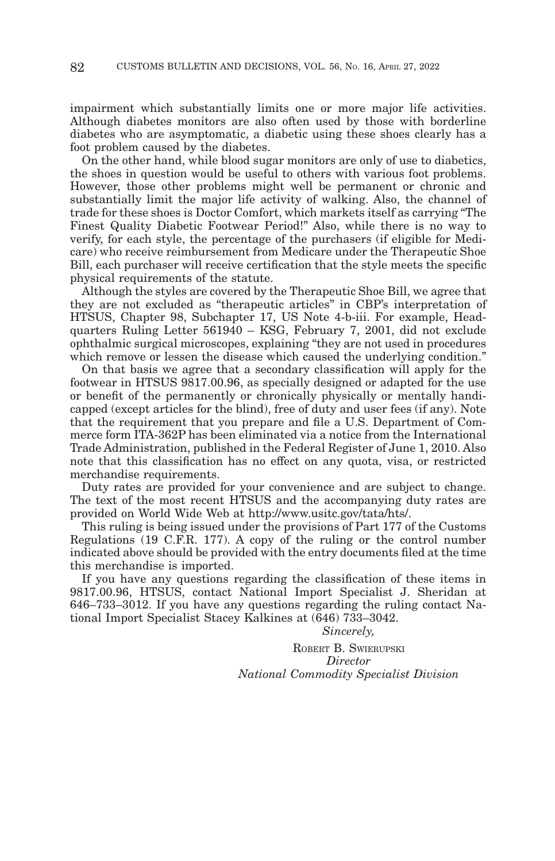impairment which substantially limits one or more major life activities. Although diabetes monitors are also often used by those with borderline diabetes who are asymptomatic, a diabetic using these shoes clearly has a foot problem caused by the diabetes.

On the other hand, while blood sugar monitors are only of use to diabetics, the shoes in question would be useful to others with various foot problems. However, those other problems might well be permanent or chronic and substantially limit the major life activity of walking. Also, the channel of trade for these shoes is Doctor Comfort, which markets itself as carrying "The Finest Quality Diabetic Footwear Period!" Also, while there is no way to verify, for each style, the percentage of the purchasers (if eligible for Medicare) who receive reimbursement from Medicare under the Therapeutic Shoe Bill, each purchaser will receive certification that the style meets the specific physical requirements of the statute.

Although the styles are covered by the Therapeutic Shoe Bill, we agree that they are not excluded as "therapeutic articles" in CBP's interpretation of HTSUS, Chapter 98, Subchapter 17, US Note 4-b-iii. For example, Headquarters Ruling Letter 561940 – KSG, February 7, 2001, did not exclude ophthalmic surgical microscopes, explaining "they are not used in procedures which remove or lessen the disease which caused the underlying condition."

On that basis we agree that a secondary classification will apply for the footwear in HTSUS 9817.00.96, as specially designed or adapted for the use or benefit of the permanently or chronically physically or mentally handicapped (except articles for the blind), free of duty and user fees (if any). Note that the requirement that you prepare and file a U.S. Department of Commerce form ITA-362P has been eliminated via a notice from the International Trade Administration, published in the Federal Register of June 1, 2010. Also note that this classification has no effect on any quota, visa, or restricted merchandise requirements.

Duty rates are provided for your convenience and are subject to change. The text of the most recent HTSUS and the accompanying duty rates are provided on World Wide Web at http://www.usitc.gov/tata/hts/.

This ruling is being issued under the provisions of Part 177 of the Customs Regulations (19 C.F.R. 177). A copy of the ruling or the control number indicated above should be provided with the entry documents filed at the time this merchandise is imported.

If you have any questions regarding the classification of these items in 9817.00.96, HTSUS, contact National Import Specialist J. Sheridan at 646–733–3012. If you have any questions regarding the ruling contact National Import Specialist Stacey Kalkines at (646) 733–3042.

*Sincerely,*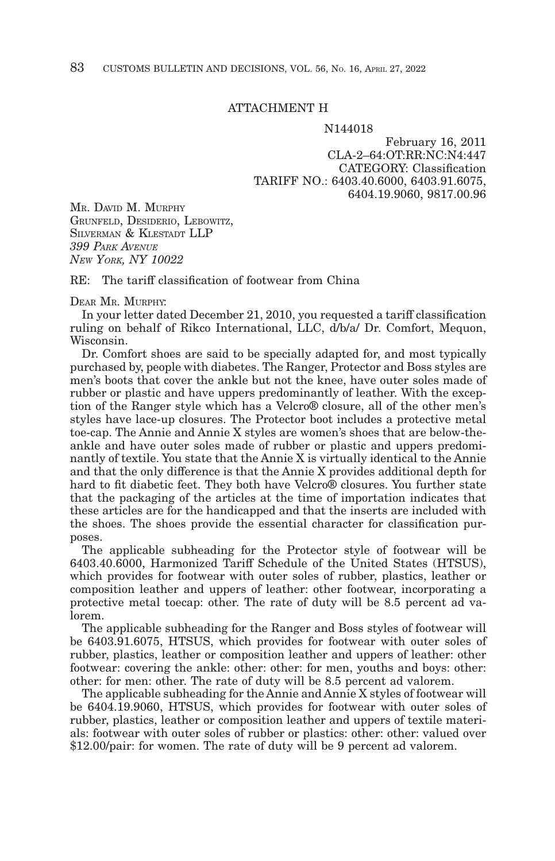## ATTACHMENT H

#### N144018

February 16, 2011 CLA-2–64:OT:RR:NC:N4:447 CATEGORY: Classification TARIFF NO.: 6403.40.6000, 6403.91.6075, 6404.19.9060, 9817.00.96

MR. DAVID M. MURPHY GRUNFELD, DESIDERIO, LEBOWITZ, SILVERMAN & KLESTADT LLP *399 PARK AVENUE NEW YORK, NY 10022*

RE: The tariff classification of footwear from China

## DEAR MR MIRPHY

In your letter dated December 21, 2010, you requested a tariff classification ruling on behalf of Rikco International, LLC, d/b/a/ Dr. Comfort, Mequon, Wisconsin.

Dr. Comfort shoes are said to be specially adapted for, and most typically purchased by, people with diabetes. The Ranger, Protector and Boss styles are men's boots that cover the ankle but not the knee, have outer soles made of rubber or plastic and have uppers predominantly of leather. With the exception of the Ranger style which has a Velcro® closure, all of the other men's styles have lace-up closures. The Protector boot includes a protective metal toe-cap. The Annie and Annie X styles are women's shoes that are below-theankle and have outer soles made of rubber or plastic and uppers predominantly of textile. You state that the Annie X is virtually identical to the Annie and that the only difference is that the Annie X provides additional depth for hard to fit diabetic feet. They both have Velcro® closures. You further state that the packaging of the articles at the time of importation indicates that these articles are for the handicapped and that the inserts are included with the shoes. The shoes provide the essential character for classification purposes.

The applicable subheading for the Protector style of footwear will be 6403.40.6000, Harmonized Tariff Schedule of the United States (HTSUS), which provides for footwear with outer soles of rubber, plastics, leather or composition leather and uppers of leather: other footwear, incorporating a protective metal toecap: other. The rate of duty will be 8.5 percent ad valorem.

The applicable subheading for the Ranger and Boss styles of footwear will be 6403.91.6075, HTSUS, which provides for footwear with outer soles of rubber, plastics, leather or composition leather and uppers of leather: other footwear: covering the ankle: other: other: for men, youths and boys: other: other: for men: other. The rate of duty will be 8.5 percent ad valorem.

The applicable subheading for the Annie and Annie X styles of footwear will be 6404.19.9060, HTSUS, which provides for footwear with outer soles of rubber, plastics, leather or composition leather and uppers of textile materials: footwear with outer soles of rubber or plastics: other: other: valued over \$12.00/pair: for women. The rate of duty will be 9 percent ad valorem.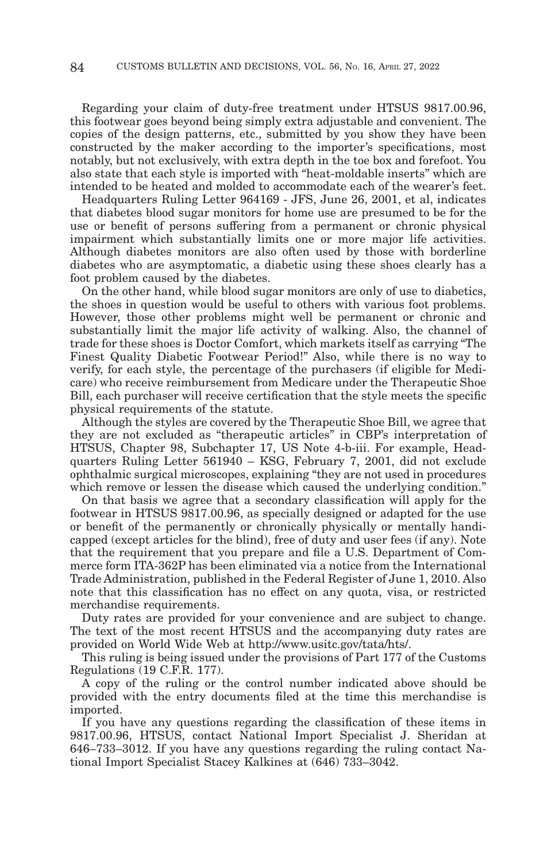Regarding your claim of duty-free treatment under HTSUS 9817.00.96, this footwear goes beyond being simply extra adjustable and convenient. The copies of the design patterns, etc., submitted by you show they have been constructed by the maker according to the importer's specifications, most notably, but not exclusively, with extra depth in the toe box and forefoot. You also state that each style is imported with "heat-moldable inserts" which are intended to be heated and molded to accommodate each of the wearer's feet.

Headquarters Ruling Letter 964169 - JFS, June 26, 2001, et al, indicates that diabetes blood sugar monitors for home use are presumed to be for the use or benefit of persons suffering from a permanent or chronic physical impairment which substantially limits one or more major life activities. Although diabetes monitors are also often used by those with borderline diabetes who are asymptomatic, a diabetic using these shoes clearly has a foot problem caused by the diabetes.

On the other hand, while blood sugar monitors are only of use to diabetics, the shoes in question would be useful to others with various foot problems. However, those other problems might well be permanent or chronic and substantially limit the major life activity of walking. Also, the channel of trade for these shoes is Doctor Comfort, which markets itself as carrying "The Finest Quality Diabetic Footwear Period!" Also, while there is no way to verify, for each style, the percentage of the purchasers (if eligible for Medicare) who receive reimbursement from Medicare under the Therapeutic Shoe Bill, each purchaser will receive certification that the style meets the specific physical requirements of the statute.

Although the styles are covered by the Therapeutic Shoe Bill, we agree that they are not excluded as "therapeutic articles" in CBP's interpretation of HTSUS, Chapter 98, Subchapter 17, US Note 4-b-iii. For example, Headquarters Ruling Letter 561940 – KSG, February 7, 2001, did not exclude ophthalmic surgical microscopes, explaining "they are not used in procedures which remove or lessen the disease which caused the underlying condition."

On that basis we agree that a secondary classification will apply for the footwear in HTSUS 9817.00.96, as specially designed or adapted for the use or benefit of the permanently or chronically physically or mentally handicapped (except articles for the blind), free of duty and user fees (if any). Note that the requirement that you prepare and file a U.S. Department of Commerce form ITA-362P has been eliminated via a notice from the International Trade Administration, published in the Federal Register of June 1, 2010. Also note that this classification has no effect on any quota, visa, or restricted merchandise requirements.

Duty rates are provided for your convenience and are subject to change. The text of the most recent HTSUS and the accompanying duty rates are provided on World Wide Web at http://www.usitc.gov/tata/hts/.

This ruling is being issued under the provisions of Part 177 of the Customs Regulations (19 C.F.R. 177).

A copy of the ruling or the control number indicated above should be provided with the entry documents filed at the time this merchandise is imported.

If you have any questions regarding the classification of these items in 9817.00.96, HTSUS, contact National Import Specialist J. Sheridan at 646–733–3012. If you have any questions regarding the ruling contact National Import Specialist Stacey Kalkines at (646) 733–3042.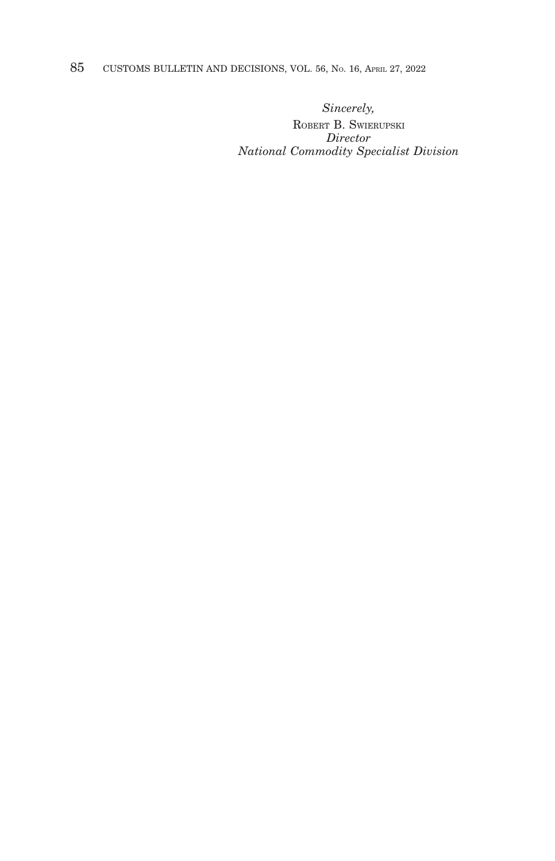# 85 CUSTOMS BULLETIN AND DECISIONS, VOL. 56, NO. 16, APRIL 27, 2022

*Sincerely,*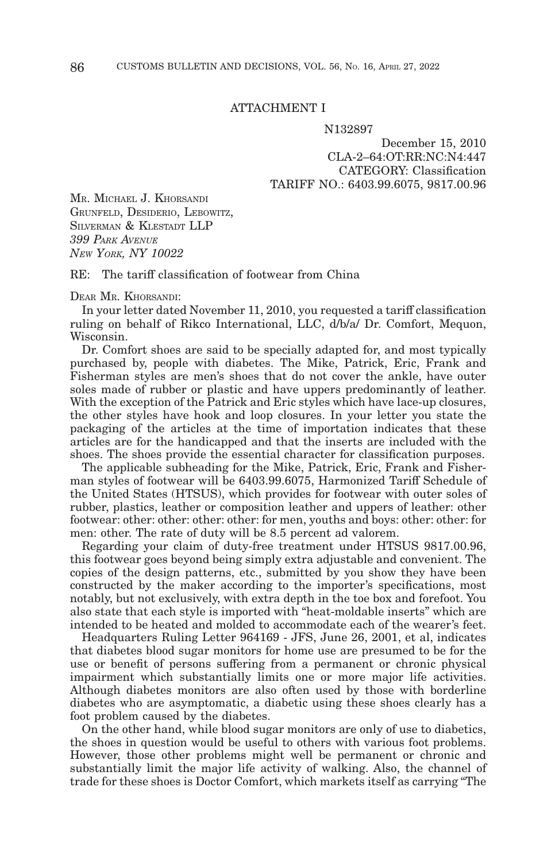## ATTACHMENT I

#### N132897

December 15, 2010 CLA-2–64:OT:RR:NC:N4:447 CATEGORY: Classification TARIFF NO.: 6403.99.6075, 9817.00.96

MR. MICHAEL J. KHORSANDI GRUNFELD, DESIDERIO, LEBOWITZ, SILVERMAN & KLESTADT LLP *399 PARK AVENUE NEW YORK, NY 10022*

RE: The tariff classification of footwear from China

DEAR MR. KHORSANDI:

In your letter dated November 11, 2010, you requested a tariff classification ruling on behalf of Rikco International, LLC, d/b/a/ Dr. Comfort, Mequon, Wisconsin.

Dr. Comfort shoes are said to be specially adapted for, and most typically purchased by, people with diabetes. The Mike, Patrick, Eric, Frank and Fisherman styles are men's shoes that do not cover the ankle, have outer soles made of rubber or plastic and have uppers predominantly of leather. With the exception of the Patrick and Eric styles which have lace-up closures, the other styles have hook and loop closures. In your letter you state the packaging of the articles at the time of importation indicates that these articles are for the handicapped and that the inserts are included with the shoes. The shoes provide the essential character for classification purposes.

The applicable subheading for the Mike, Patrick, Eric, Frank and Fisherman styles of footwear will be 6403.99.6075, Harmonized Tariff Schedule of the United States (HTSUS), which provides for footwear with outer soles of rubber, plastics, leather or composition leather and uppers of leather: other footwear: other: other: other: other: for men, youths and boys: other: other: for men: other. The rate of duty will be 8.5 percent ad valorem.

Regarding your claim of duty-free treatment under HTSUS 9817.00.96, this footwear goes beyond being simply extra adjustable and convenient. The copies of the design patterns, etc., submitted by you show they have been constructed by the maker according to the importer's specifications, most notably, but not exclusively, with extra depth in the toe box and forefoot. You also state that each style is imported with "heat-moldable inserts" which are intended to be heated and molded to accommodate each of the wearer's feet.

Headquarters Ruling Letter 964169 - JFS, June 26, 2001, et al, indicates that diabetes blood sugar monitors for home use are presumed to be for the use or benefit of persons suffering from a permanent or chronic physical impairment which substantially limits one or more major life activities. Although diabetes monitors are also often used by those with borderline diabetes who are asymptomatic, a diabetic using these shoes clearly has a foot problem caused by the diabetes.

On the other hand, while blood sugar monitors are only of use to diabetics, the shoes in question would be useful to others with various foot problems. However, those other problems might well be permanent or chronic and substantially limit the major life activity of walking. Also, the channel of trade for these shoes is Doctor Comfort, which markets itself as carrying "The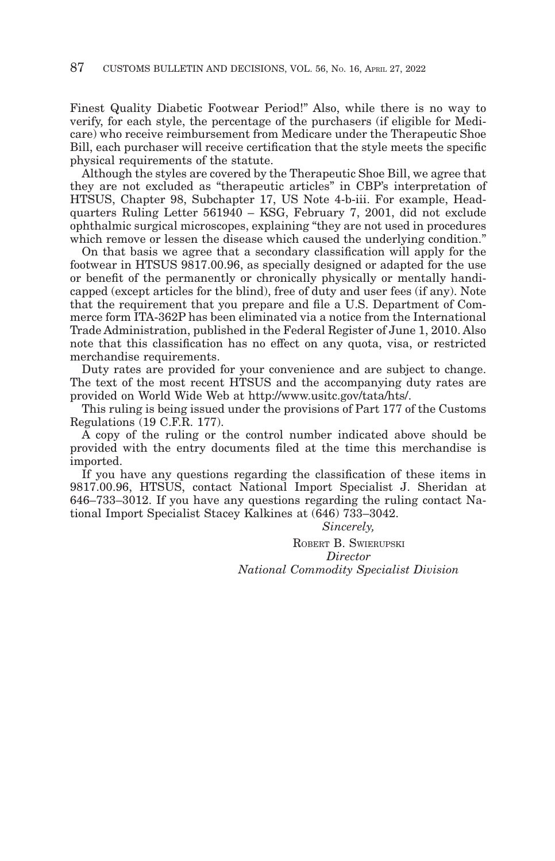Finest Quality Diabetic Footwear Period!" Also, while there is no way to verify, for each style, the percentage of the purchasers (if eligible for Medicare) who receive reimbursement from Medicare under the Therapeutic Shoe Bill, each purchaser will receive certification that the style meets the specific physical requirements of the statute.

Although the styles are covered by the Therapeutic Shoe Bill, we agree that they are not excluded as "therapeutic articles" in CBP's interpretation of HTSUS, Chapter 98, Subchapter 17, US Note 4-b-iii. For example, Headquarters Ruling Letter 561940 – KSG, February 7, 2001, did not exclude ophthalmic surgical microscopes, explaining "they are not used in procedures which remove or lessen the disease which caused the underlying condition."

On that basis we agree that a secondary classification will apply for the footwear in HTSUS 9817.00.96, as specially designed or adapted for the use or benefit of the permanently or chronically physically or mentally handicapped (except articles for the blind), free of duty and user fees (if any). Note that the requirement that you prepare and file a U.S. Department of Commerce form ITA-362P has been eliminated via a notice from the International Trade Administration, published in the Federal Register of June 1, 2010. Also note that this classification has no effect on any quota, visa, or restricted merchandise requirements.

Duty rates are provided for your convenience and are subject to change. The text of the most recent HTSUS and the accompanying duty rates are provided on World Wide Web at http://www.usitc.gov/tata/hts/.

This ruling is being issued under the provisions of Part 177 of the Customs Regulations (19 C.F.R. 177).

A copy of the ruling or the control number indicated above should be provided with the entry documents filed at the time this merchandise is imported.

If you have any questions regarding the classification of these items in 9817.00.96, HTSUS, contact National Import Specialist J. Sheridan at 646–733–3012. If you have any questions regarding the ruling contact National Import Specialist Stacey Kalkines at (646) 733–3042.

*Sincerely,*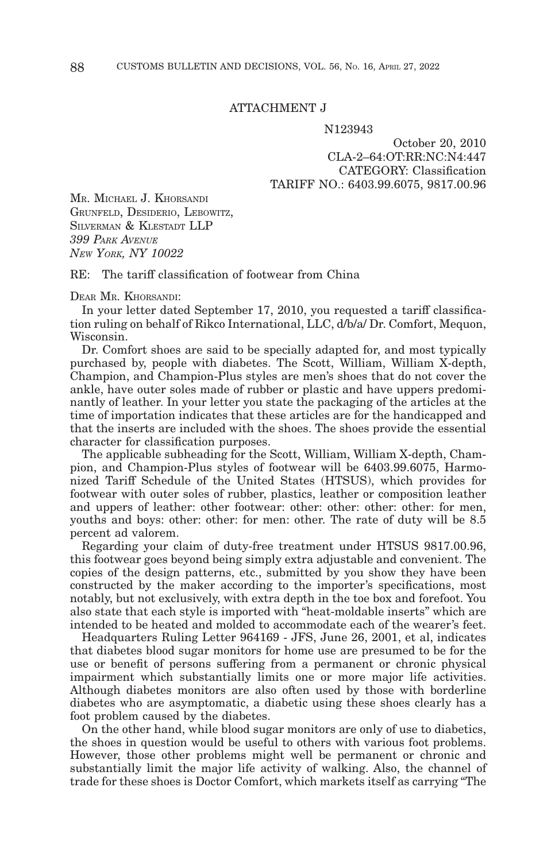## ATTACHMENT J

#### N123943

October 20, 2010 CLA-2–64:OT:RR:NC:N4:447 CATEGORY: Classification TARIFF NO.: 6403.99.6075, 9817.00.96

MR. MICHAEL J. KHORSANDI GRUNFELD, DESIDERIO, LEBOWITZ, SILVERMAN & KLESTADT LLP *399 PARK AVENUE NEW YORK, NY 10022*

RE: The tariff classification of footwear from China

DEAR MR. KHORSANDI:

In your letter dated September 17, 2010, you requested a tariff classification ruling on behalf of Rikco International, LLC, d/b/a/ Dr. Comfort, Mequon, Wisconsin.

Dr. Comfort shoes are said to be specially adapted for, and most typically purchased by, people with diabetes. The Scott, William, William X-depth, Champion, and Champion-Plus styles are men's shoes that do not cover the ankle, have outer soles made of rubber or plastic and have uppers predominantly of leather. In your letter you state the packaging of the articles at the time of importation indicates that these articles are for the handicapped and that the inserts are included with the shoes. The shoes provide the essential character for classification purposes.

The applicable subheading for the Scott, William, William X-depth, Champion, and Champion-Plus styles of footwear will be 6403.99.6075, Harmonized Tariff Schedule of the United States (HTSUS), which provides for footwear with outer soles of rubber, plastics, leather or composition leather and uppers of leather: other footwear: other: other: other: other: for men, youths and boys: other: other: for men: other. The rate of duty will be 8.5 percent ad valorem.

Regarding your claim of duty-free treatment under HTSUS 9817.00.96, this footwear goes beyond being simply extra adjustable and convenient. The copies of the design patterns, etc., submitted by you show they have been constructed by the maker according to the importer's specifications, most notably, but not exclusively, with extra depth in the toe box and forefoot. You also state that each style is imported with "heat-moldable inserts" which are intended to be heated and molded to accommodate each of the wearer's feet.

Headquarters Ruling Letter 964169 - JFS, June 26, 2001, et al, indicates that diabetes blood sugar monitors for home use are presumed to be for the use or benefit of persons suffering from a permanent or chronic physical impairment which substantially limits one or more major life activities. Although diabetes monitors are also often used by those with borderline diabetes who are asymptomatic, a diabetic using these shoes clearly has a foot problem caused by the diabetes.

On the other hand, while blood sugar monitors are only of use to diabetics, the shoes in question would be useful to others with various foot problems. However, those other problems might well be permanent or chronic and substantially limit the major life activity of walking. Also, the channel of trade for these shoes is Doctor Comfort, which markets itself as carrying "The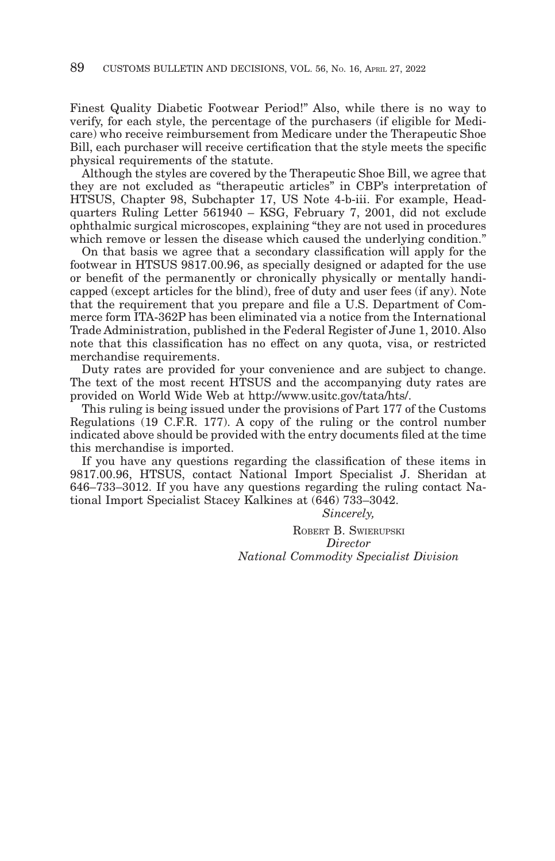Finest Quality Diabetic Footwear Period!" Also, while there is no way to verify, for each style, the percentage of the purchasers (if eligible for Medicare) who receive reimbursement from Medicare under the Therapeutic Shoe Bill, each purchaser will receive certification that the style meets the specific physical requirements of the statute.

Although the styles are covered by the Therapeutic Shoe Bill, we agree that they are not excluded as "therapeutic articles" in CBP's interpretation of HTSUS, Chapter 98, Subchapter 17, US Note 4-b-iii. For example, Headquarters Ruling Letter 561940 – KSG, February 7, 2001, did not exclude ophthalmic surgical microscopes, explaining "they are not used in procedures which remove or lessen the disease which caused the underlying condition."

On that basis we agree that a secondary classification will apply for the footwear in HTSUS 9817.00.96, as specially designed or adapted for the use or benefit of the permanently or chronically physically or mentally handicapped (except articles for the blind), free of duty and user fees (if any). Note that the requirement that you prepare and file a U.S. Department of Commerce form ITA-362P has been eliminated via a notice from the International Trade Administration, published in the Federal Register of June 1, 2010. Also note that this classification has no effect on any quota, visa, or restricted merchandise requirements.

Duty rates are provided for your convenience and are subject to change. The text of the most recent HTSUS and the accompanying duty rates are provided on World Wide Web at http://www.usitc.gov/tata/hts/.

This ruling is being issued under the provisions of Part 177 of the Customs Regulations (19 C.F.R. 177). A copy of the ruling or the control number indicated above should be provided with the entry documents filed at the time this merchandise is imported.

If you have any questions regarding the classification of these items in 9817.00.96, HTSUS, contact National Import Specialist J. Sheridan at 646–733–3012. If you have any questions regarding the ruling contact National Import Specialist Stacey Kalkines at (646) 733–3042.

*Sincerely,*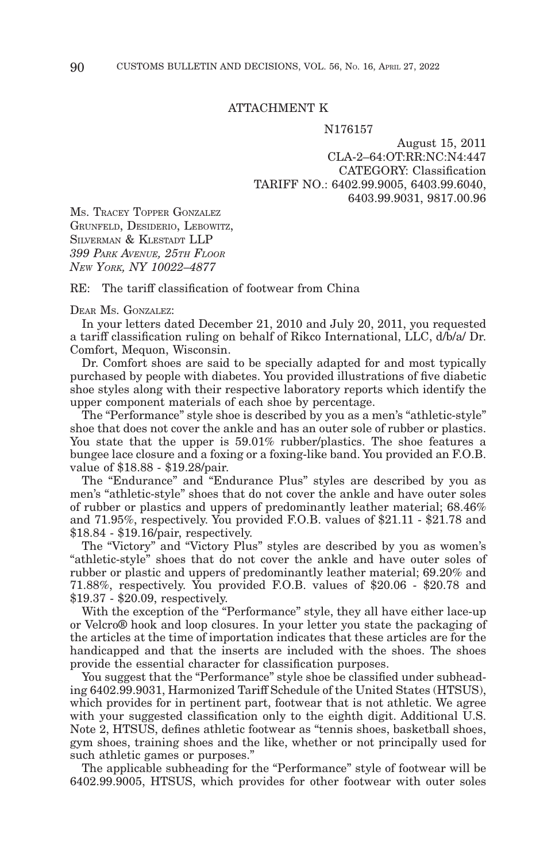## ATTACHMENT K

#### N176157

August 15, 2011 CLA-2–64:OT:RR:NC:N4:447 CATEGORY: Classification TARIFF NO.: 6402.99.9005, 6403.99.6040, 6403.99.9031, 9817.00.96

MS. TRACEY TOPPER GONZALEZ GRUNFELD, DESIDERIO, LEBOWITZ, SILVERMAN & KLESTADT LLP *399 PARK AVENUE, 25TH FLOOR NEW YORK, NY 10022–4877*

RE: The tariff classification of footwear from China

#### DEAR MS. GONZALEZ:

In your letters dated December 21, 2010 and July 20, 2011, you requested a tariff classification ruling on behalf of Rikco International, LLC, d/b/a/ Dr. Comfort, Mequon, Wisconsin.

Dr. Comfort shoes are said to be specially adapted for and most typically purchased by people with diabetes. You provided illustrations of five diabetic shoe styles along with their respective laboratory reports which identify the upper component materials of each shoe by percentage.

The "Performance" style shoe is described by you as a men's "athletic-style" shoe that does not cover the ankle and has an outer sole of rubber or plastics. You state that the upper is 59.01% rubber/plastics. The shoe features a bungee lace closure and a foxing or a foxing-like band. You provided an F.O.B. value of \$18.88 - \$19.28/pair.

The "Endurance" and "Endurance Plus" styles are described by you as men's "athletic-style" shoes that do not cover the ankle and have outer soles of rubber or plastics and uppers of predominantly leather material; 68.46% and 71.95%, respectively. You provided F.O.B. values of \$21.11 - \$21.78 and \$18.84 - \$19.16/pair, respectively.

The "Victory" and "Victory Plus" styles are described by you as women's "athletic-style" shoes that do not cover the ankle and have outer soles of rubber or plastic and uppers of predominantly leather material; 69.20% and 71.88%, respectively. You provided F.O.B. values of \$20.06 - \$20.78 and \$19.37 - \$20.09, respectively.

With the exception of the "Performance" style, they all have either lace-up or Velcro® hook and loop closures. In your letter you state the packaging of the articles at the time of importation indicates that these articles are for the handicapped and that the inserts are included with the shoes. The shoes provide the essential character for classification purposes.

You suggest that the "Performance" style shoe be classified under subheading 6402.99.9031, Harmonized Tariff Schedule of the United States (HTSUS), which provides for in pertinent part, footwear that is not athletic. We agree with your suggested classification only to the eighth digit. Additional U.S. Note 2, HTSUS, defines athletic footwear as "tennis shoes, basketball shoes, gym shoes, training shoes and the like, whether or not principally used for such athletic games or purposes."

The applicable subheading for the "Performance" style of footwear will be 6402.99.9005, HTSUS, which provides for other footwear with outer soles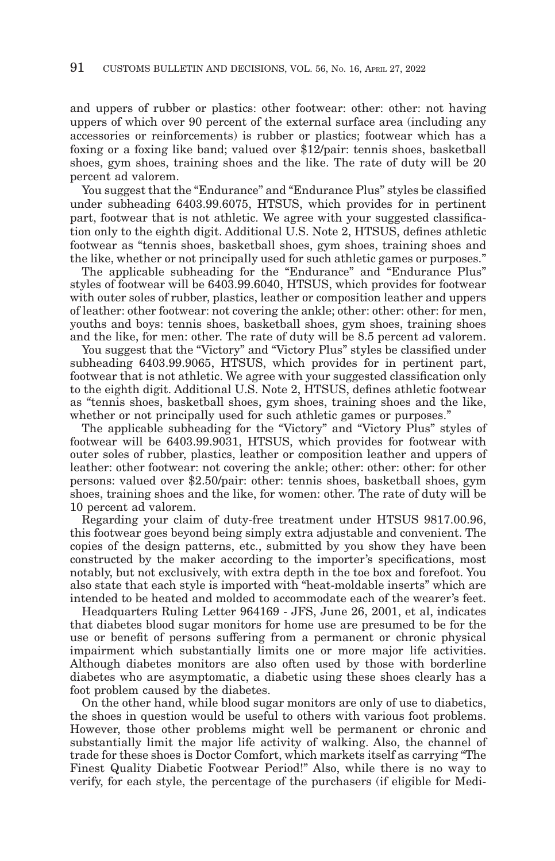and uppers of rubber or plastics: other footwear: other: other: not having uppers of which over 90 percent of the external surface area (including any accessories or reinforcements) is rubber or plastics; footwear which has a foxing or a foxing like band; valued over \$12/pair: tennis shoes, basketball shoes, gym shoes, training shoes and the like. The rate of duty will be 20 percent ad valorem.

You suggest that the "Endurance" and "Endurance Plus" styles be classified under subheading 6403.99.6075, HTSUS, which provides for in pertinent part, footwear that is not athletic. We agree with your suggested classification only to the eighth digit. Additional U.S. Note 2, HTSUS, defines athletic footwear as "tennis shoes, basketball shoes, gym shoes, training shoes and the like, whether or not principally used for such athletic games or purposes."

The applicable subheading for the "Endurance" and "Endurance Plus" styles of footwear will be 6403.99.6040, HTSUS, which provides for footwear with outer soles of rubber, plastics, leather or composition leather and uppers of leather: other footwear: not covering the ankle; other: other: other: for men, youths and boys: tennis shoes, basketball shoes, gym shoes, training shoes and the like, for men: other. The rate of duty will be 8.5 percent ad valorem.

You suggest that the "Victory" and "Victory Plus" styles be classified under subheading 6403.99.9065, HTSUS, which provides for in pertinent part, footwear that is not athletic. We agree with your suggested classification only to the eighth digit. Additional U.S. Note 2, HTSUS, defines athletic footwear as "tennis shoes, basketball shoes, gym shoes, training shoes and the like, whether or not principally used for such athletic games or purposes."

The applicable subheading for the "Victory" and "Victory Plus" styles of footwear will be 6403.99.9031, HTSUS, which provides for footwear with outer soles of rubber, plastics, leather or composition leather and uppers of leather: other footwear: not covering the ankle; other: other: other: for other persons: valued over \$2.50/pair: other: tennis shoes, basketball shoes, gym shoes, training shoes and the like, for women: other. The rate of duty will be 10 percent ad valorem.

Regarding your claim of duty-free treatment under HTSUS 9817.00.96, this footwear goes beyond being simply extra adjustable and convenient. The copies of the design patterns, etc., submitted by you show they have been constructed by the maker according to the importer's specifications, most notably, but not exclusively, with extra depth in the toe box and forefoot. You also state that each style is imported with "heat-moldable inserts" which are intended to be heated and molded to accommodate each of the wearer's feet.

Headquarters Ruling Letter 964169 - JFS, June 26, 2001, et al, indicates that diabetes blood sugar monitors for home use are presumed to be for the use or benefit of persons suffering from a permanent or chronic physical impairment which substantially limits one or more major life activities. Although diabetes monitors are also often used by those with borderline diabetes who are asymptomatic, a diabetic using these shoes clearly has a foot problem caused by the diabetes.

On the other hand, while blood sugar monitors are only of use to diabetics, the shoes in question would be useful to others with various foot problems. However, those other problems might well be permanent or chronic and substantially limit the major life activity of walking. Also, the channel of trade for these shoes is Doctor Comfort, which markets itself as carrying "The Finest Quality Diabetic Footwear Period!" Also, while there is no way to verify, for each style, the percentage of the purchasers (if eligible for Medi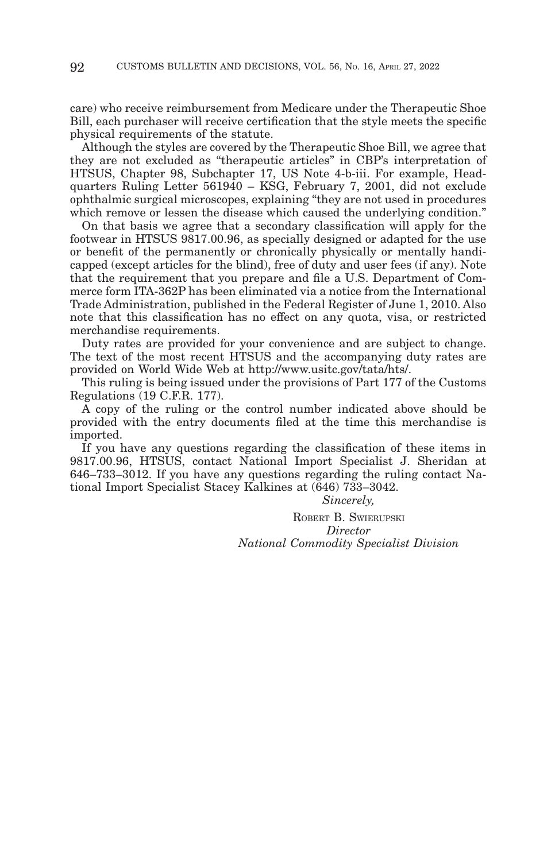care) who receive reimbursement from Medicare under the Therapeutic Shoe Bill, each purchaser will receive certification that the style meets the specific physical requirements of the statute.

Although the styles are covered by the Therapeutic Shoe Bill, we agree that they are not excluded as "therapeutic articles" in CBP's interpretation of HTSUS, Chapter 98, Subchapter 17, US Note 4-b-iii. For example, Headquarters Ruling Letter 561940 – KSG, February 7, 2001, did not exclude ophthalmic surgical microscopes, explaining "they are not used in procedures which remove or lessen the disease which caused the underlying condition."

On that basis we agree that a secondary classification will apply for the footwear in HTSUS 9817.00.96, as specially designed or adapted for the use or benefit of the permanently or chronically physically or mentally handicapped (except articles for the blind), free of duty and user fees (if any). Note that the requirement that you prepare and file a U.S. Department of Commerce form ITA-362P has been eliminated via a notice from the International Trade Administration, published in the Federal Register of June 1, 2010. Also note that this classification has no effect on any quota, visa, or restricted merchandise requirements.

Duty rates are provided for your convenience and are subject to change. The text of the most recent HTSUS and the accompanying duty rates are provided on World Wide Web at http://www.usitc.gov/tata/hts/.

This ruling is being issued under the provisions of Part 177 of the Customs Regulations (19 C.F.R. 177).

A copy of the ruling or the control number indicated above should be provided with the entry documents filed at the time this merchandise is imported.

If you have any questions regarding the classification of these items in 9817.00.96, HTSUS, contact National Import Specialist J. Sheridan at 646–733–3012. If you have any questions regarding the ruling contact National Import Specialist Stacey Kalkines at (646) 733–3042.

# *Sincerely,*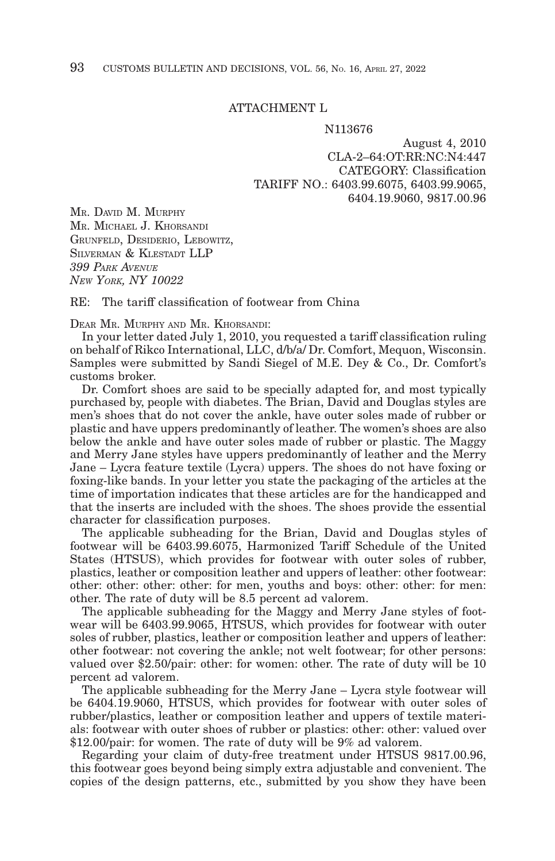## ATTACHMENT L

#### N113676

August 4, 2010 CLA-2–64:OT:RR:NC:N4:447 CATEGORY: Classification TARIFF NO.: 6403.99.6075, 6403.99.9065, 6404.19.9060, 9817.00.96

MR. DAVID M. MURPHY MR. MICHAEL J. KHORSANDI GRUNFELD, DESIDERIO, LEBOWITZ, SILVERMAN & KLESTADT LLP *399 PARK AVENUE NEW YORK, NY 10022*

 $RE:$  The tariff classification of footwear from China

DEAR MR. MURPHY AND MR. KHORSANDI:

In your letter dated July 1, 2010, you requested a tariff classification ruling on behalf of Rikco International, LLC, d/b/a/ Dr. Comfort, Mequon, Wisconsin. Samples were submitted by Sandi Siegel of M.E. Dey & Co., Dr. Comfort's customs broker.

Dr. Comfort shoes are said to be specially adapted for, and most typically purchased by, people with diabetes. The Brian, David and Douglas styles are men's shoes that do not cover the ankle, have outer soles made of rubber or plastic and have uppers predominantly of leather. The women's shoes are also below the ankle and have outer soles made of rubber or plastic. The Maggy and Merry Jane styles have uppers predominantly of leather and the Merry Jane – Lycra feature textile (Lycra) uppers. The shoes do not have foxing or foxing-like bands. In your letter you state the packaging of the articles at the time of importation indicates that these articles are for the handicapped and that the inserts are included with the shoes. The shoes provide the essential character for classification purposes.

The applicable subheading for the Brian, David and Douglas styles of footwear will be 6403.99.6075, Harmonized Tariff Schedule of the United States (HTSUS), which provides for footwear with outer soles of rubber, plastics, leather or composition leather and uppers of leather: other footwear: other: other: other: other: for men, youths and boys: other: other: for men: other. The rate of duty will be 8.5 percent ad valorem.

The applicable subheading for the Maggy and Merry Jane styles of footwear will be 6403.99.9065, HTSUS, which provides for footwear with outer soles of rubber, plastics, leather or composition leather and uppers of leather: other footwear: not covering the ankle; not welt footwear; for other persons: valued over \$2.50/pair: other: for women: other. The rate of duty will be 10 percent ad valorem.

The applicable subheading for the Merry Jane – Lycra style footwear will be 6404.19.9060, HTSUS, which provides for footwear with outer soles of rubber/plastics, leather or composition leather and uppers of textile materials: footwear with outer shoes of rubber or plastics: other: other: valued over \$12.00/pair: for women. The rate of duty will be 9% ad valorem.

Regarding your claim of duty-free treatment under HTSUS 9817.00.96, this footwear goes beyond being simply extra adjustable and convenient. The copies of the design patterns, etc., submitted by you show they have been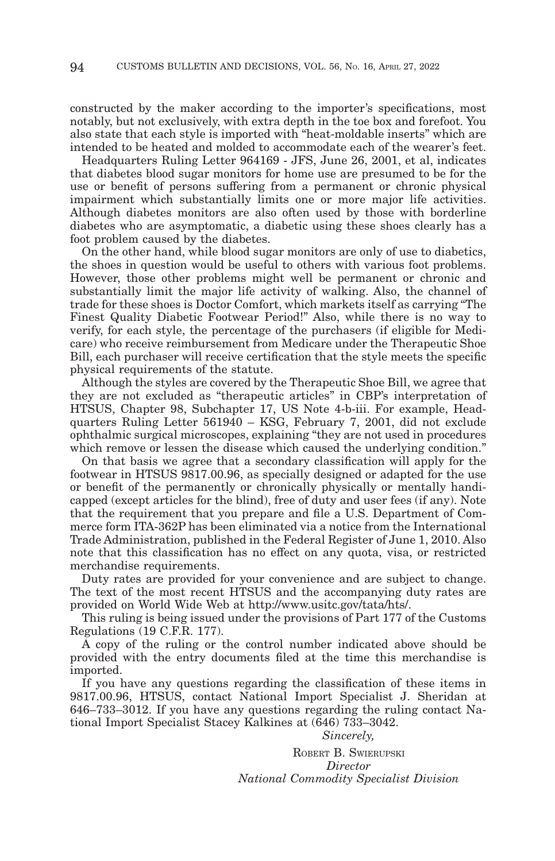constructed by the maker according to the importer's specifications, most notably, but not exclusively, with extra depth in the toe box and forefoot. You also state that each style is imported with "heat-moldable inserts" which are intended to be heated and molded to accommodate each of the wearer's feet.

Headquarters Ruling Letter 964169 - JFS, June 26, 2001, et al, indicates that diabetes blood sugar monitors for home use are presumed to be for the use or benefit of persons suffering from a permanent or chronic physical impairment which substantially limits one or more major life activities. Although diabetes monitors are also often used by those with borderline diabetes who are asymptomatic, a diabetic using these shoes clearly has a foot problem caused by the diabetes.

On the other hand, while blood sugar monitors are only of use to diabetics, the shoes in question would be useful to others with various foot problems. However, those other problems might well be permanent or chronic and substantially limit the major life activity of walking. Also, the channel of trade for these shoes is Doctor Comfort, which markets itself as carrying "The Finest Quality Diabetic Footwear Period!" Also, while there is no way to verify, for each style, the percentage of the purchasers (if eligible for Medicare) who receive reimbursement from Medicare under the Therapeutic Shoe Bill, each purchaser will receive certification that the style meets the specific physical requirements of the statute.

Although the styles are covered by the Therapeutic Shoe Bill, we agree that they are not excluded as "therapeutic articles" in CBP's interpretation of HTSUS, Chapter 98, Subchapter 17, US Note 4-b-iii. For example, Headquarters Ruling Letter 561940 – KSG, February 7, 2001, did not exclude ophthalmic surgical microscopes, explaining "they are not used in procedures which remove or lessen the disease which caused the underlying condition."

On that basis we agree that a secondary classification will apply for the footwear in HTSUS 9817.00.96, as specially designed or adapted for the use or benefit of the permanently or chronically physically or mentally handicapped (except articles for the blind), free of duty and user fees (if any). Note that the requirement that you prepare and file a U.S. Department of Commerce form ITA-362P has been eliminated via a notice from the International Trade Administration, published in the Federal Register of June 1, 2010. Also note that this classification has no effect on any quota, visa, or restricted merchandise requirements.

Duty rates are provided for your convenience and are subject to change. The text of the most recent HTSUS and the accompanying duty rates are provided on World Wide Web at http://www.usitc.gov/tata/hts/.

This ruling is being issued under the provisions of Part 177 of the Customs Regulations (19 C.F.R. 177).

A copy of the ruling or the control number indicated above should be provided with the entry documents filed at the time this merchandise is imported.

If you have any questions regarding the classification of these items in 9817.00.96, HTSUS, contact National Import Specialist J. Sheridan at 646–733–3012. If you have any questions regarding the ruling contact National Import Specialist Stacey Kalkines at (646) 733–3042.

*Sincerely,*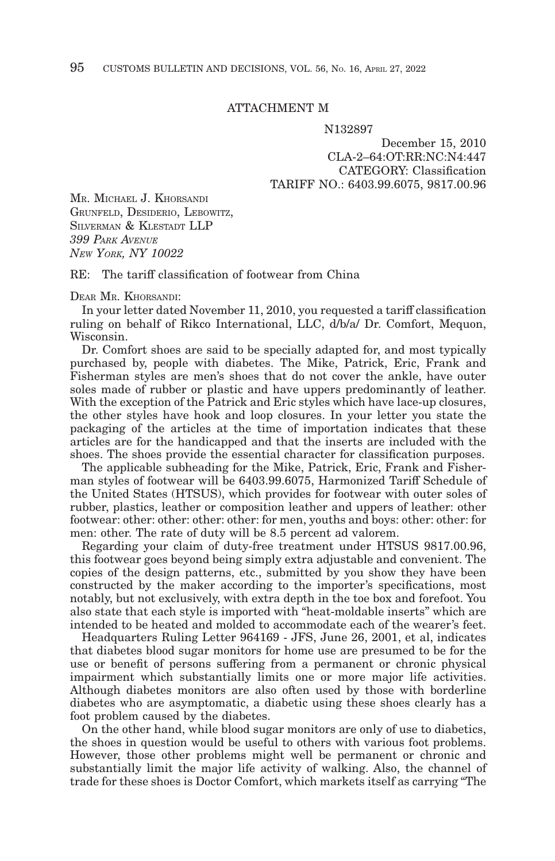## ATTACHMENT M

#### N132897

December 15, 2010 CLA-2–64:OT:RR:NC:N4:447 CATEGORY: Classification TARIFF NO.: 6403.99.6075, 9817.00.96

MR. MICHAEL J. KHORSANDI GRUNFELD, DESIDERIO, LEBOWITZ, SILVERMAN & KLESTADT LLP *399 PARK AVENUE NEW YORK, NY 10022*

RE: The tariff classification of footwear from China

DEAR MR. KHORSANDI:

In your letter dated November 11, 2010, you requested a tariff classification ruling on behalf of Rikco International, LLC, d/b/a/ Dr. Comfort, Mequon, Wisconsin.

Dr. Comfort shoes are said to be specially adapted for, and most typically purchased by, people with diabetes. The Mike, Patrick, Eric, Frank and Fisherman styles are men's shoes that do not cover the ankle, have outer soles made of rubber or plastic and have uppers predominantly of leather. With the exception of the Patrick and Eric styles which have lace-up closures, the other styles have hook and loop closures. In your letter you state the packaging of the articles at the time of importation indicates that these articles are for the handicapped and that the inserts are included with the shoes. The shoes provide the essential character for classification purposes.

The applicable subheading for the Mike, Patrick, Eric, Frank and Fisherman styles of footwear will be 6403.99.6075, Harmonized Tariff Schedule of the United States (HTSUS), which provides for footwear with outer soles of rubber, plastics, leather or composition leather and uppers of leather: other footwear: other: other: other: other: for men, youths and boys: other: other: for men: other. The rate of duty will be 8.5 percent ad valorem.

Regarding your claim of duty-free treatment under HTSUS 9817.00.96, this footwear goes beyond being simply extra adjustable and convenient. The copies of the design patterns, etc., submitted by you show they have been constructed by the maker according to the importer's specifications, most notably, but not exclusively, with extra depth in the toe box and forefoot. You also state that each style is imported with "heat-moldable inserts" which are intended to be heated and molded to accommodate each of the wearer's feet.

Headquarters Ruling Letter 964169 - JFS, June 26, 2001, et al, indicates that diabetes blood sugar monitors for home use are presumed to be for the use or benefit of persons suffering from a permanent or chronic physical impairment which substantially limits one or more major life activities. Although diabetes monitors are also often used by those with borderline diabetes who are asymptomatic, a diabetic using these shoes clearly has a foot problem caused by the diabetes.

On the other hand, while blood sugar monitors are only of use to diabetics, the shoes in question would be useful to others with various foot problems. However, those other problems might well be permanent or chronic and substantially limit the major life activity of walking. Also, the channel of trade for these shoes is Doctor Comfort, which markets itself as carrying "The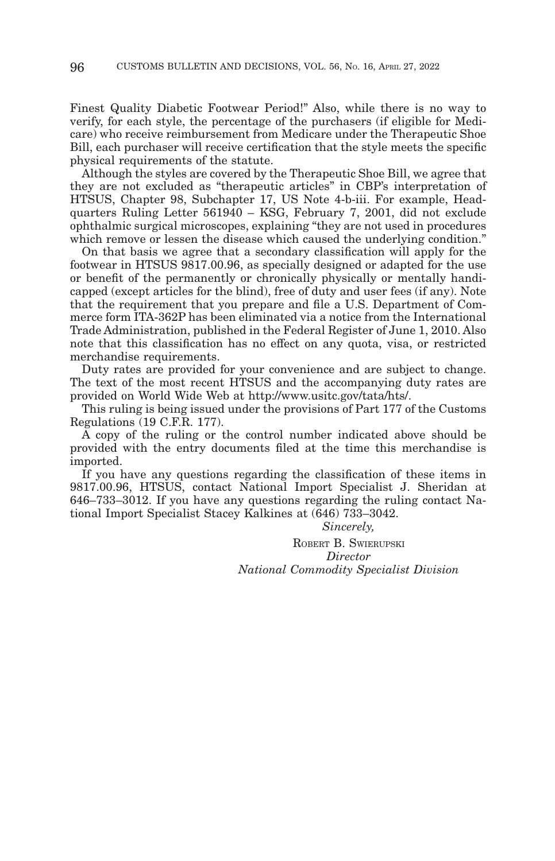Finest Quality Diabetic Footwear Period!" Also, while there is no way to verify, for each style, the percentage of the purchasers (if eligible for Medicare) who receive reimbursement from Medicare under the Therapeutic Shoe Bill, each purchaser will receive certification that the style meets the specific physical requirements of the statute.

Although the styles are covered by the Therapeutic Shoe Bill, we agree that they are not excluded as "therapeutic articles" in CBP's interpretation of HTSUS, Chapter 98, Subchapter 17, US Note 4-b-iii. For example, Headquarters Ruling Letter 561940 – KSG, February 7, 2001, did not exclude ophthalmic surgical microscopes, explaining "they are not used in procedures which remove or lessen the disease which caused the underlying condition."

On that basis we agree that a secondary classification will apply for the footwear in HTSUS 9817.00.96, as specially designed or adapted for the use or benefit of the permanently or chronically physically or mentally handicapped (except articles for the blind), free of duty and user fees (if any). Note that the requirement that you prepare and file a U.S. Department of Commerce form ITA-362P has been eliminated via a notice from the International Trade Administration, published in the Federal Register of June 1, 2010. Also note that this classification has no effect on any quota, visa, or restricted merchandise requirements.

Duty rates are provided for your convenience and are subject to change. The text of the most recent HTSUS and the accompanying duty rates are provided on World Wide Web at http://www.usitc.gov/tata/hts/.

This ruling is being issued under the provisions of Part 177 of the Customs Regulations (19 C.F.R. 177).

A copy of the ruling or the control number indicated above should be provided with the entry documents filed at the time this merchandise is imported.

If you have any questions regarding the classification of these items in 9817.00.96, HTSUS, contact National Import Specialist J. Sheridan at 646–733–3012. If you have any questions regarding the ruling contact National Import Specialist Stacey Kalkines at (646) 733–3042.

*Sincerely,*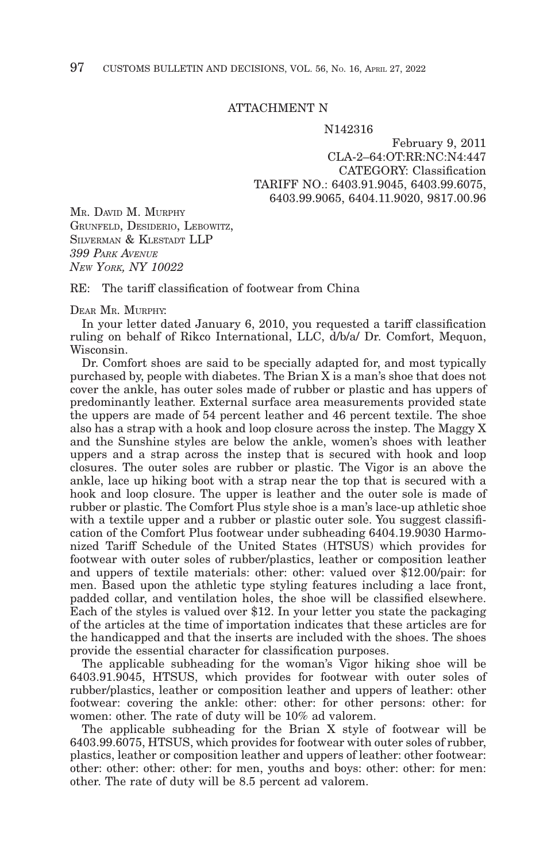## ATTACHMENT N

#### N142316

February 9, 2011 CLA-2–64:OT:RR:NC:N4:447 CATEGORY: Classification TARIFF NO.: 6403.91.9045, 6403.99.6075, 6403.99.9065, 6404.11.9020, 9817.00.96

MR. DAVID M. MURPHY GRUNFELD, DESIDERIO, LEBOWITZ, SILVERMAN & KLESTADT LLP *399 PARK AVENUE NEW YORK, NY 10022*

 $RE:$  The tariff classification of footwear from China

## DEAR MR. MURPHY:

In your letter dated January 6, 2010, you requested a tariff classification ruling on behalf of Rikco International, LLC, d/b/a/ Dr. Comfort, Mequon, Wisconsin.

Dr. Comfort shoes are said to be specially adapted for, and most typically purchased by, people with diabetes. The Brian X is a man's shoe that does not cover the ankle, has outer soles made of rubber or plastic and has uppers of predominantly leather. External surface area measurements provided state the uppers are made of 54 percent leather and 46 percent textile. The shoe also has a strap with a hook and loop closure across the instep. The Maggy X and the Sunshine styles are below the ankle, women's shoes with leather uppers and a strap across the instep that is secured with hook and loop closures. The outer soles are rubber or plastic. The Vigor is an above the ankle, lace up hiking boot with a strap near the top that is secured with a hook and loop closure. The upper is leather and the outer sole is made of rubber or plastic. The Comfort Plus style shoe is a man's lace-up athletic shoe with a textile upper and a rubber or plastic outer sole. You suggest classification of the Comfort Plus footwear under subheading 6404.19.9030 Harmonized Tariff Schedule of the United States (HTSUS) which provides for footwear with outer soles of rubber/plastics, leather or composition leather and uppers of textile materials: other: other: valued over \$12.00/pair: for men. Based upon the athletic type styling features including a lace front, padded collar, and ventilation holes, the shoe will be classified elsewhere. Each of the styles is valued over \$12. In your letter you state the packaging of the articles at the time of importation indicates that these articles are for the handicapped and that the inserts are included with the shoes. The shoes provide the essential character for classification purposes.

The applicable subheading for the woman's Vigor hiking shoe will be 6403.91.9045, HTSUS, which provides for footwear with outer soles of rubber/plastics, leather or composition leather and uppers of leather: other footwear: covering the ankle: other: other: for other persons: other: for women: other. The rate of duty will be 10% ad valorem.

The applicable subheading for the Brian X style of footwear will be 6403.99.6075, HTSUS, which provides for footwear with outer soles of rubber, plastics, leather or composition leather and uppers of leather: other footwear: other: other: other: other: for men, youths and boys: other: other: for men: other. The rate of duty will be 8.5 percent ad valorem.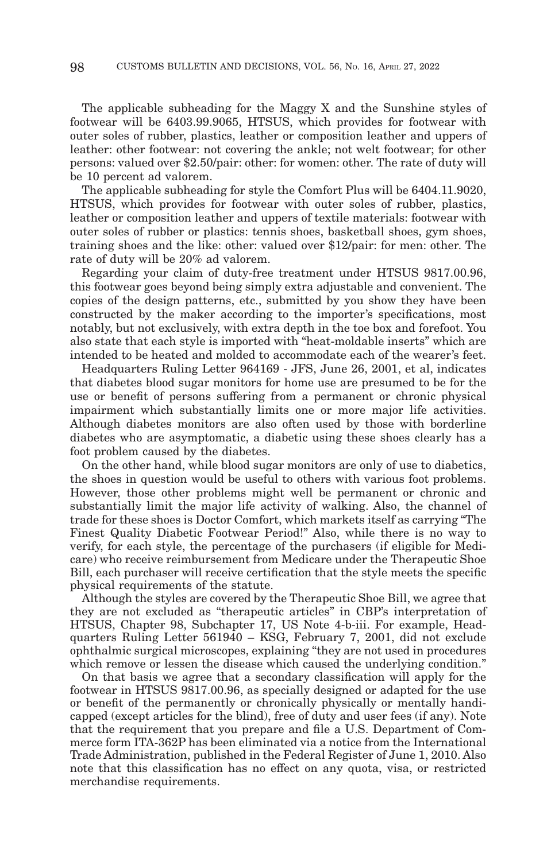The applicable subheading for the Maggy X and the Sunshine styles of footwear will be 6403.99.9065, HTSUS, which provides for footwear with outer soles of rubber, plastics, leather or composition leather and uppers of leather: other footwear: not covering the ankle; not welt footwear; for other persons: valued over \$2.50/pair: other: for women: other. The rate of duty will be 10 percent ad valorem.

The applicable subheading for style the Comfort Plus will be 6404.11.9020, HTSUS, which provides for footwear with outer soles of rubber, plastics, leather or composition leather and uppers of textile materials: footwear with outer soles of rubber or plastics: tennis shoes, basketball shoes, gym shoes, training shoes and the like: other: valued over \$12/pair: for men: other. The rate of duty will be 20% ad valorem.

Regarding your claim of duty-free treatment under HTSUS 9817.00.96, this footwear goes beyond being simply extra adjustable and convenient. The copies of the design patterns, etc., submitted by you show they have been constructed by the maker according to the importer's specifications, most notably, but not exclusively, with extra depth in the toe box and forefoot. You also state that each style is imported with "heat-moldable inserts" which are intended to be heated and molded to accommodate each of the wearer's feet.

Headquarters Ruling Letter 964169 - JFS, June 26, 2001, et al, indicates that diabetes blood sugar monitors for home use are presumed to be for the use or benefit of persons suffering from a permanent or chronic physical impairment which substantially limits one or more major life activities. Although diabetes monitors are also often used by those with borderline diabetes who are asymptomatic, a diabetic using these shoes clearly has a foot problem caused by the diabetes.

On the other hand, while blood sugar monitors are only of use to diabetics, the shoes in question would be useful to others with various foot problems. However, those other problems might well be permanent or chronic and substantially limit the major life activity of walking. Also, the channel of trade for these shoes is Doctor Comfort, which markets itself as carrying "The Finest Quality Diabetic Footwear Period!" Also, while there is no way to verify, for each style, the percentage of the purchasers (if eligible for Medicare) who receive reimbursement from Medicare under the Therapeutic Shoe Bill, each purchaser will receive certification that the style meets the specific physical requirements of the statute.

Although the styles are covered by the Therapeutic Shoe Bill, we agree that they are not excluded as "therapeutic articles" in CBP's interpretation of HTSUS, Chapter 98, Subchapter 17, US Note 4-b-iii. For example, Headquarters Ruling Letter 561940 – KSG, February 7, 2001, did not exclude ophthalmic surgical microscopes, explaining "they are not used in procedures which remove or lessen the disease which caused the underlying condition."

On that basis we agree that a secondary classification will apply for the footwear in HTSUS 9817.00.96, as specially designed or adapted for the use or benefit of the permanently or chronically physically or mentally handicapped (except articles for the blind), free of duty and user fees (if any). Note that the requirement that you prepare and file a U.S. Department of Commerce form ITA-362P has been eliminated via a notice from the International Trade Administration, published in the Federal Register of June 1, 2010. Also note that this classification has no effect on any quota, visa, or restricted merchandise requirements.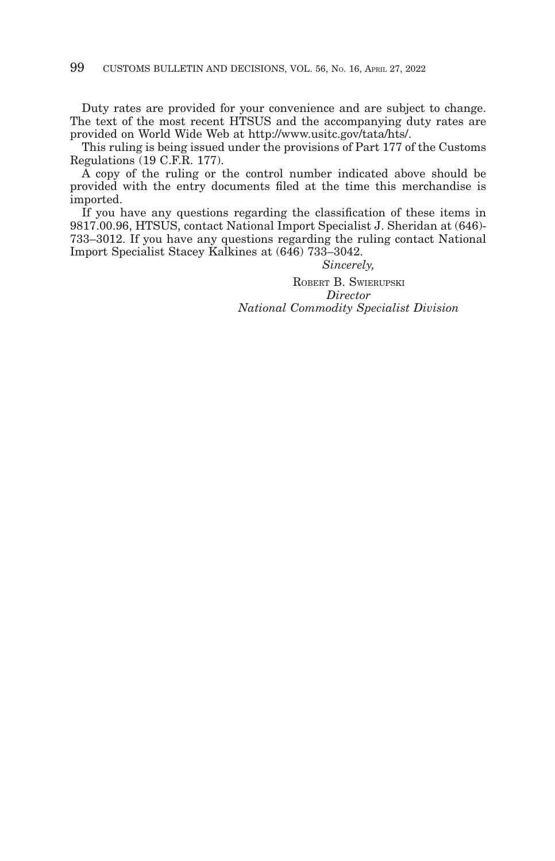Duty rates are provided for your convenience and are subject to change. The text of the most recent HTSUS and the accompanying duty rates are provided on World Wide Web at http://www.usitc.gov/tata/hts/.

This ruling is being issued under the provisions of Part 177 of the Customs Regulations (19 C.F.R. 177).

A copy of the ruling or the control number indicated above should be provided with the entry documents filed at the time this merchandise is imported.

If you have any questions regarding the classification of these items in 9817.00.96, HTSUS, contact National Import Specialist J. Sheridan at (646)- 733–3012. If you have any questions regarding the ruling contact National Import Specialist Stacey Kalkines at (646) 733–3042.

*Sincerely,*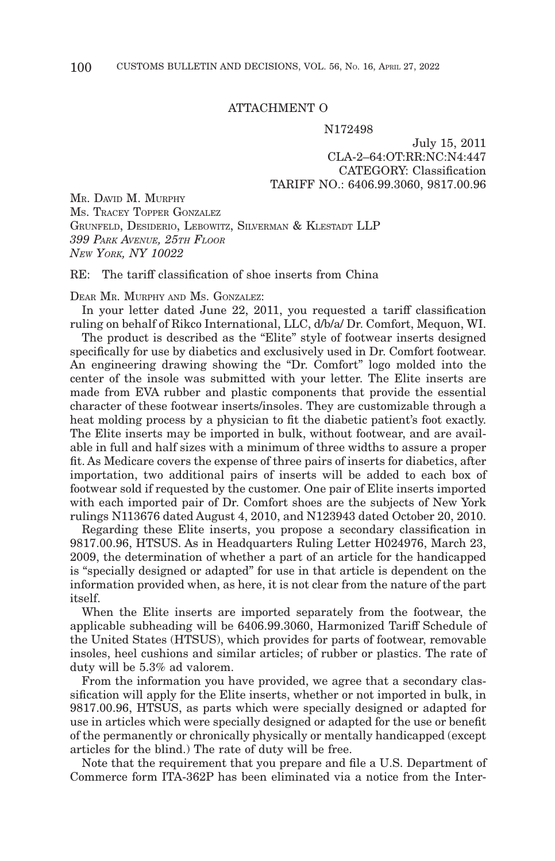## ATTACHMENT O

#### N172498

July 15, 2011 CLA-2–64:OT:RR:NC:N4:447 CATEGORY: Classification TARIFF NO.: 6406.99.3060, 9817.00.96

MR. DAVID M. MURPHY MS. TRACEY TOPPER GONZALEZ GRUNFELD, DESIDERIO, LEBOWITZ, SILVERMAN & KLESTADT LLP *399 PARK AVENUE, 25TH FLOOR NEW YORK, NY 10022*

 $RE:$  The tariff classification of shoe inserts from China

DEAR MR. MURPHY AND MS. GONZALEZ:

In your letter dated June 22, 2011, you requested a tariff classification ruling on behalf of Rikco International, LLC, d/b/a/ Dr. Comfort, Mequon, WI.

The product is described as the "Elite" style of footwear inserts designed specifically for use by diabetics and exclusively used in Dr. Comfort footwear. An engineering drawing showing the "Dr. Comfort" logo molded into the center of the insole was submitted with your letter. The Elite inserts are made from EVA rubber and plastic components that provide the essential character of these footwear inserts/insoles. They are customizable through a heat molding process by a physician to fit the diabetic patient's foot exactly. The Elite inserts may be imported in bulk, without footwear, and are available in full and half sizes with a minimum of three widths to assure a proper fit. As Medicare covers the expense of three pairs of inserts for diabetics, after importation, two additional pairs of inserts will be added to each box of footwear sold if requested by the customer. One pair of Elite inserts imported with each imported pair of Dr. Comfort shoes are the subjects of New York rulings N113676 dated August 4, 2010, and N123943 dated October 20, 2010.

Regarding these Elite inserts, you propose a secondary classification in 9817.00.96, HTSUS. As in Headquarters Ruling Letter H024976, March 23, 2009, the determination of whether a part of an article for the handicapped is "specially designed or adapted" for use in that article is dependent on the information provided when, as here, it is not clear from the nature of the part itself.

When the Elite inserts are imported separately from the footwear, the applicable subheading will be 6406.99.3060, Harmonized Tariff Schedule of the United States (HTSUS), which provides for parts of footwear, removable insoles, heel cushions and similar articles; of rubber or plastics. The rate of duty will be 5.3% ad valorem.

From the information you have provided, we agree that a secondary classification will apply for the Elite inserts, whether or not imported in bulk, in 9817.00.96, HTSUS, as parts which were specially designed or adapted for use in articles which were specially designed or adapted for the use or benefit of the permanently or chronically physically or mentally handicapped (except articles for the blind.) The rate of duty will be free.

Note that the requirement that you prepare and file a U.S. Department of Commerce form ITA-362P has been eliminated via a notice from the Inter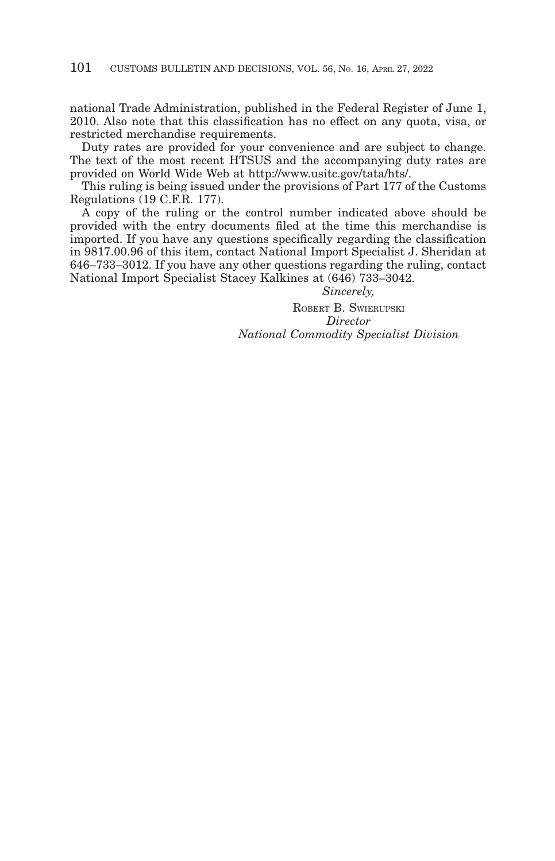national Trade Administration, published in the Federal Register of June 1, 2010. Also note that this classification has no effect on any quota, visa, or restricted merchandise requirements.

Duty rates are provided for your convenience and are subject to change. The text of the most recent HTSUS and the accompanying duty rates are provided on World Wide Web at http://www.usitc.gov/tata/hts/.

This ruling is being issued under the provisions of Part 177 of the Customs Regulations (19 C.F.R. 177).

 $\overline{A}$  copy of the ruling or the control number indicated above should be provided with the entry documents filed at the time this merchandise is imported. If you have any questions specifically regarding the classification in 9817.00.96 of this item, contact National Import Specialist J. Sheridan at 646–733–3012. If you have any other questions regarding the ruling, contact National Import Specialist Stacey Kalkines at (646) 733–3042.

*Sincerely,*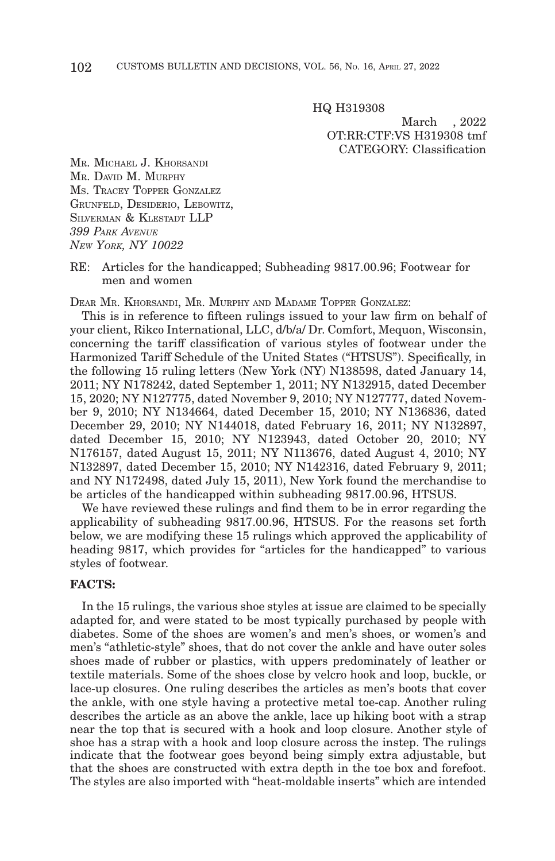HQ H319308

March , 2022 OT:RR:CTF:VS H319308 tmf CATEGORY: Classification

MR. MICHAEL J. KHORSANDI MR. DAVID M. MURPHY MS. TRACEY TOPPER GONZALEZ GRUNFELD, DESIDERIO, LEBOWITZ, SILVERMAN & KLESTADT LLP *399 PARK AVENUE NEW YORK, NY 10022*

## RE: Articles for the handicapped; Subheading 9817.00.96; Footwear for men and women

DEAR MR. KHORSANDI, MR. MURPHY AND MADAME TOPPER GONZALEZ:

This is in reference to fifteen rulings issued to your law firm on behalf of your client, Rikco International, LLC, d/b/a/ Dr. Comfort, Mequon, Wisconsin, concerning the tariff classification of various styles of footwear under the Harmonized Tariff Schedule of the United States ("HTSUS"). Specifically, in the following 15 ruling letters (New York (NY) N138598, dated January 14, 2011; NY N178242, dated September 1, 2011; NY N132915, dated December 15, 2020; NY N127775, dated November 9, 2010; NY N127777, dated November 9, 2010; NY N134664, dated December 15, 2010; NY N136836, dated December 29, 2010; NY N144018, dated February 16, 2011; NY N132897, dated December 15, 2010; NY N123943, dated October 20, 2010; NY N176157, dated August 15, 2011; NY N113676, dated August 4, 2010; NY N132897, dated December 15, 2010; NY N142316, dated February 9, 2011; and NY N172498, dated July 15, 2011), New York found the merchandise to be articles of the handicapped within subheading 9817.00.96, HTSUS.

We have reviewed these rulings and find them to be in error regarding the applicability of subheading 9817.00.96, HTSUS. For the reasons set forth below, we are modifying these 15 rulings which approved the applicability of heading 9817, which provides for "articles for the handicapped" to various styles of footwear.

## **FACTS:**

In the 15 rulings, the various shoe styles at issue are claimed to be specially adapted for, and were stated to be most typically purchased by people with diabetes. Some of the shoes are women's and men's shoes, or women's and men's "athletic-style" shoes, that do not cover the ankle and have outer soles shoes made of rubber or plastics, with uppers predominately of leather or textile materials. Some of the shoes close by velcro hook and loop, buckle, or lace-up closures. One ruling describes the articles as men's boots that cover the ankle, with one style having a protective metal toe-cap. Another ruling describes the article as an above the ankle, lace up hiking boot with a strap near the top that is secured with a hook and loop closure. Another style of shoe has a strap with a hook and loop closure across the instep. The rulings indicate that the footwear goes beyond being simply extra adjustable, but that the shoes are constructed with extra depth in the toe box and forefoot. The styles are also imported with "heat-moldable inserts" which are intended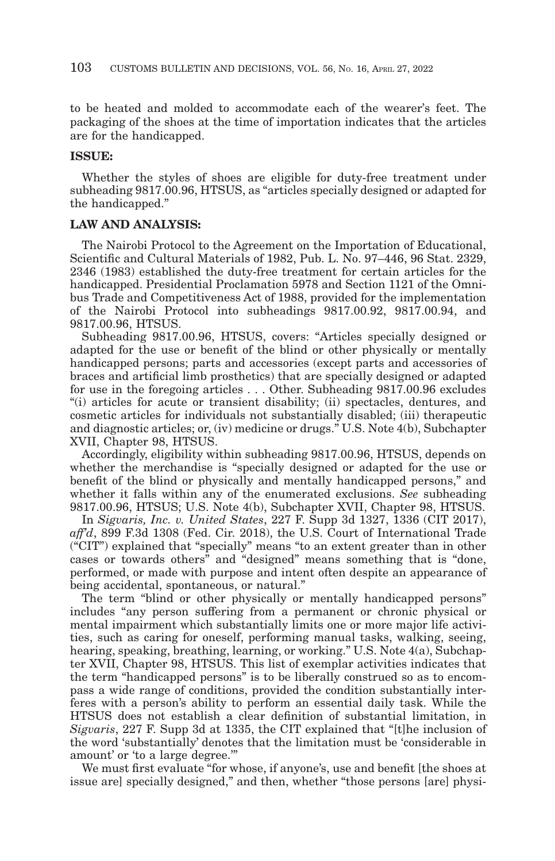to be heated and molded to accommodate each of the wearer's feet. The packaging of the shoes at the time of importation indicates that the articles are for the handicapped.

## **ISSUE:**

Whether the styles of shoes are eligible for duty-free treatment under subheading 9817.00.96, HTSUS, as "articles specially designed or adapted for the handicapped."

## **LAW AND ANALYSIS:**

The Nairobi Protocol to the Agreement on the Importation of Educational, Scientific and Cultural Materials of 1982, Pub. L. No. 97–446, 96 Stat. 2329, 2346 (1983) established the duty-free treatment for certain articles for the handicapped. Presidential Proclamation 5978 and Section 1121 of the Omnibus Trade and Competitiveness Act of 1988, provided for the implementation of the Nairobi Protocol into subheadings 9817.00.92, 9817.00.94, and 9817.00.96, HTSUS.

Subheading 9817.00.96, HTSUS, covers: "Articles specially designed or adapted for the use or benefit of the blind or other physically or mentally handicapped persons; parts and accessories (except parts and accessories of braces and artificial limb prosthetics) that are specially designed or adapted for use in the foregoing articles . . . Other. Subheading 9817.00.96 excludes "(i) articles for acute or transient disability; (ii) spectacles, dentures, and cosmetic articles for individuals not substantially disabled; (iii) therapeutic and diagnostic articles; or, (iv) medicine or drugs." U.S. Note 4(b), Subchapter XVII, Chapter 98, HTSUS.

Accordingly, eligibility within subheading 9817.00.96, HTSUS, depends on whether the merchandise is "specially designed or adapted for the use or benefit of the blind or physically and mentally handicapped persons," and whether it falls within any of the enumerated exclusions. *See* subheading 9817.00.96, HTSUS; U.S. Note 4(b), Subchapter XVII, Chapter 98, HTSUS.

In *Sigvaris, Inc. v. United States*, 227 F. Supp 3d 1327, 1336 (CIT 2017), *aff'd*, 899 F.3d 1308 (Fed. Cir. 2018), the U.S. Court of International Trade ("CIT") explained that "specially" means "to an extent greater than in other cases or towards others" and "designed" means something that is "done, performed, or made with purpose and intent often despite an appearance of being accidental, spontaneous, or natural."

The term "blind or other physically or mentally handicapped persons" includes "any person suffering from a permanent or chronic physical or mental impairment which substantially limits one or more major life activities, such as caring for oneself, performing manual tasks, walking, seeing, hearing, speaking, breathing, learning, or working." U.S. Note 4(a), Subchapter XVII, Chapter 98, HTSUS. This list of exemplar activities indicates that the term "handicapped persons" is to be liberally construed so as to encompass a wide range of conditions, provided the condition substantially interferes with a person's ability to perform an essential daily task. While the HTSUS does not establish a clear definition of substantial limitation, in *Sigvaris*, 227 F. Supp 3d at 1335, the CIT explained that "[t]he inclusion of the word 'substantially' denotes that the limitation must be 'considerable in amount' or 'to a large degree.'"

We must first evaluate "for whose, if anyone's, use and benefit [the shoes at issue are] specially designed," and then, whether "those persons [are] physi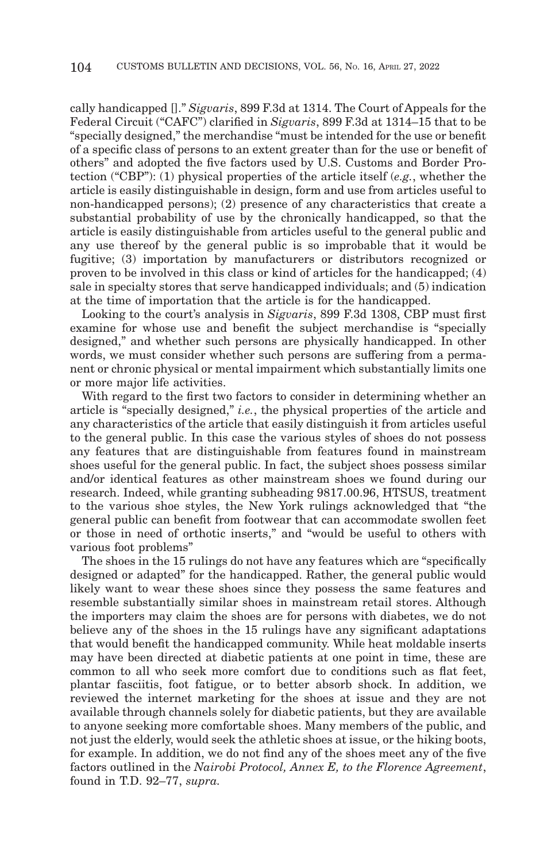cally handicapped []." *Sigvaris*, 899 F.3d at 1314. The Court of Appeals for the Federal Circuit ("CAFC") clarified in *Sigvaris*, 899 F.3d at 1314–15 that to be "specially designed," the merchandise "must be intended for the use or benefit of a specific class of persons to an extent greater than for the use or benefit of others" and adopted the five factors used by U.S. Customs and Border Protection ("CBP"): (1) physical properties of the article itself (*e.g.*, whether the article is easily distinguishable in design, form and use from articles useful to non-handicapped persons); (2) presence of any characteristics that create a substantial probability of use by the chronically handicapped, so that the article is easily distinguishable from articles useful to the general public and any use thereof by the general public is so improbable that it would be fugitive; (3) importation by manufacturers or distributors recognized or proven to be involved in this class or kind of articles for the handicapped; (4) sale in specialty stores that serve handicapped individuals; and (5) indication at the time of importation that the article is for the handicapped.

Looking to the court's analysis in *Sigvaris*, 899 F.3d 1308, CBP must first examine for whose use and benefit the subject merchandise is "specially designed," and whether such persons are physically handicapped. In other words, we must consider whether such persons are suffering from a permanent or chronic physical or mental impairment which substantially limits one or more major life activities.

With regard to the first two factors to consider in determining whether an article is "specially designed," *i.e.*, the physical properties of the article and any characteristics of the article that easily distinguish it from articles useful to the general public. In this case the various styles of shoes do not possess any features that are distinguishable from features found in mainstream shoes useful for the general public. In fact, the subject shoes possess similar and/or identical features as other mainstream shoes we found during our research. Indeed, while granting subheading 9817.00.96, HTSUS, treatment to the various shoe styles, the New York rulings acknowledged that "the general public can benefit from footwear that can accommodate swollen feet or those in need of orthotic inserts," and "would be useful to others with various foot problems"

The shoes in the 15 rulings do not have any features which are "specifically designed or adapted" for the handicapped. Rather, the general public would likely want to wear these shoes since they possess the same features and resemble substantially similar shoes in mainstream retail stores. Although the importers may claim the shoes are for persons with diabetes, we do not believe any of the shoes in the 15 rulings have any significant adaptations that would benefit the handicapped community. While heat moldable inserts may have been directed at diabetic patients at one point in time, these are common to all who seek more comfort due to conditions such as flat feet, plantar fasciitis, foot fatigue, or to better absorb shock. In addition, we reviewed the internet marketing for the shoes at issue and they are not available through channels solely for diabetic patients, but they are available to anyone seeking more comfortable shoes. Many members of the public, and not just the elderly, would seek the athletic shoes at issue, or the hiking boots, for example. In addition, we do not find any of the shoes meet any of the five factors outlined in the *Nairobi Protocol, Annex E, to the Florence Agreement*, found in T.D. 92–77, *supra.*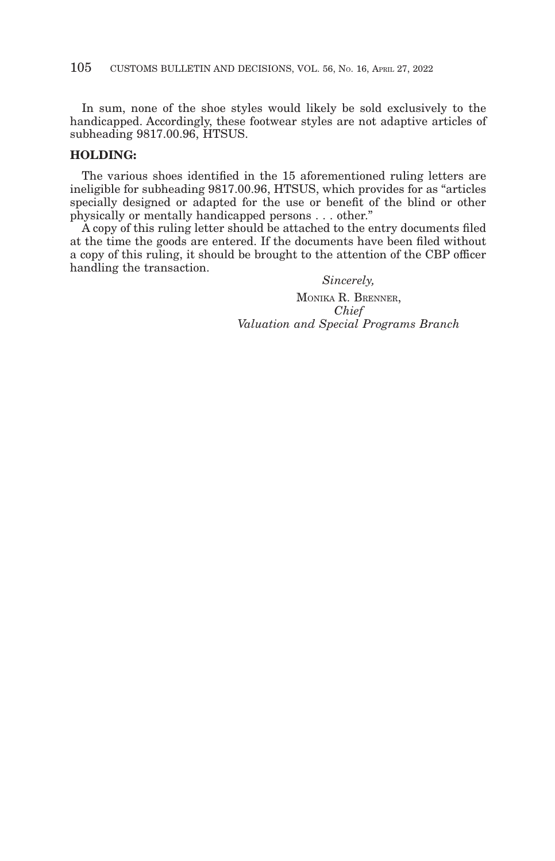In sum, none of the shoe styles would likely be sold exclusively to the handicapped. Accordingly, these footwear styles are not adaptive articles of subheading 9817.00.96, HTSUS.

# **HOLDING:**

The various shoes identified in the 15 aforementioned ruling letters are ineligible for subheading 9817.00.96, HTSUS, which provides for as "articles specially designed or adapted for the use or benefit of the blind or other physically or mentally handicapped persons . . . other."

A copy of this ruling letter should be attached to the entry documents filed at the time the goods are entered. If the documents have been filed without a copy of this ruling, it should be brought to the attention of the CBP officer handling the transaction.

> *Sincerely,* MONIKA R. BRENNER, *Chief Valuation and Special Programs Branch*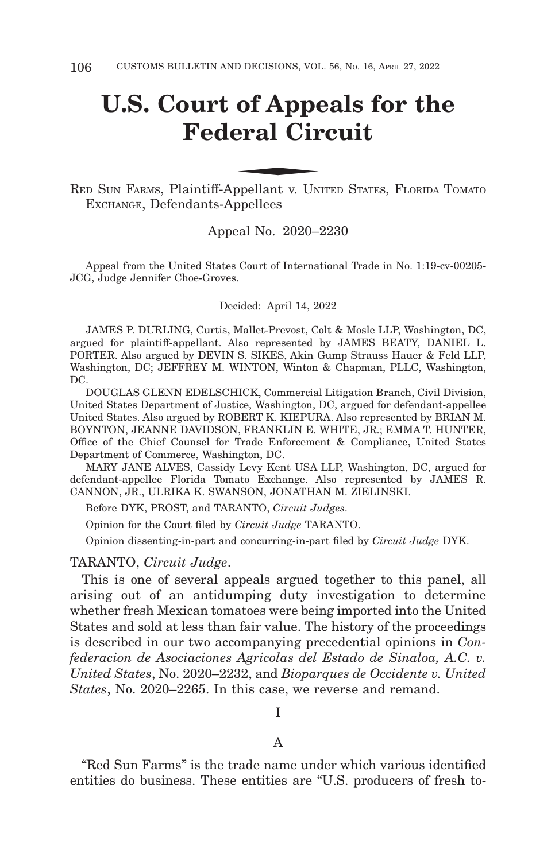# **U.S. Court of Appeals for the Federal Circuit** of Appenderal Circle of Appendent V Live

RED SUN FARMS, Plaintiff-Appellant v. U NITED STATES, FLORIDA TOMATO EXCHANGE, Defendants-Appellees

# Appeal No. 2020–2230

Appeal from the United States Court of International Trade in No. 1:19-cv-00205- JCG, Judge Jennifer Choe-Groves.

Decided: April 14, 2022

JAMES P. DURLING, Curtis, Mallet-Prevost, Colt & Mosle LLP, Washington, DC, argued for plaintiff-appellant. Also represented by JAMES BEATY, DANIEL L. PORTER. Also argued by DEVIN S. SIKES, Akin Gump Strauss Hauer & Feld LLP, Washington, DC; JEFFREY M. WINTON, Winton & Chapman, PLLC, Washington, DC.

DOUGLAS GLENN EDELSCHICK, Commercial Litigation Branch, Civil Division, United States Department of Justice, Washington, DC, argued for defendant-appellee United States. Also argued by ROBERT K. KIEPURA. Also represented by BRIAN M. BOYNTON, JEANNE DAVIDSON, FRANKLIN E. WHITE, JR.; EMMA T. HUNTER, Office of the Chief Counsel for Trade Enforcement & Compliance, United States Department of Commerce, Washington, DC.

MARY JANE ALVES, Cassidy Levy Kent USA LLP, Washington, DC, argued for defendant-appellee Florida Tomato Exchange. Also represented by JAMES R. CANNON, JR., ULRIKA K. SWANSON, JONATHAN M. ZIELINSKI.

Before DYK, PROST, and TARANTO, *Circuit Judges*.

Opinion for the Court filed by *Circuit Judge* TARANTO.

Opinion dissenting-in-part and concurring-in-part filed by *Circuit Judge* DYK.

TARANTO, *Circuit Judge*.

This is one of several appeals argued together to this panel, all arising out of an antidumping duty investigation to determine whether fresh Mexican tomatoes were being imported into the United States and sold at less than fair value. The history of the proceedings is described in our two accompanying precedential opinions in *Confederacion de Asociaciones Agricolas del Estado de Sinaloa, A.C. v. United States*, No. 2020–2232, and *Bioparques de Occidente v. United States*, No. 2020–2265. In this case, we reverse and remand.

I

A

"Red Sun Farms" is the trade name under which various identified entities do business. These entities are "U.S. producers of fresh to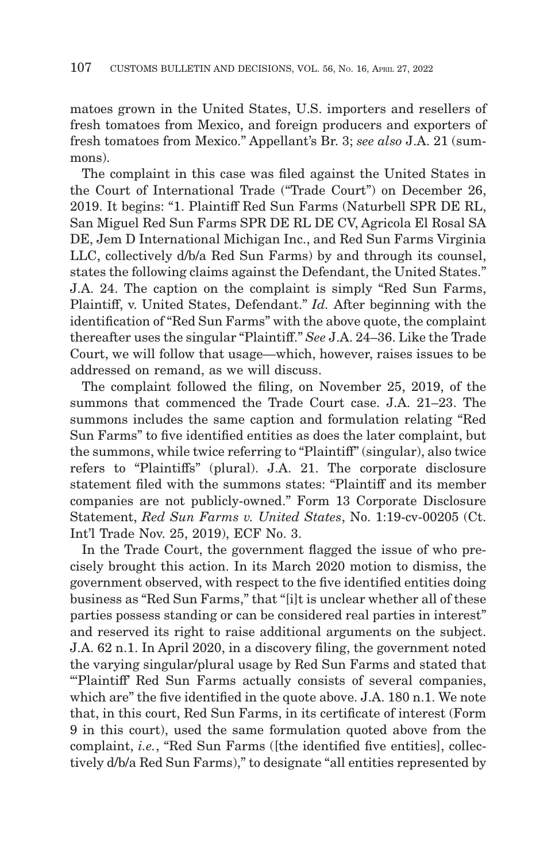matoes grown in the United States, U.S. importers and resellers of fresh tomatoes from Mexico, and foreign producers and exporters of fresh tomatoes from Mexico." Appellant's Br. 3; *see also* J.A. 21 (summons).

The complaint in this case was filed against the United States in the Court of International Trade ("Trade Court") on December 26, 2019. It begins: "1. Plaintiff Red Sun Farms (Naturbell SPR DE RL, San Miguel Red Sun Farms SPR DE RL DE CV, Agricola El Rosal SA DE, Jem D International Michigan Inc., and Red Sun Farms Virginia LLC, collectively d/b/a Red Sun Farms) by and through its counsel, states the following claims against the Defendant, the United States." J.A. 24. The caption on the complaint is simply "Red Sun Farms, Plaintiff, v. United States, Defendant." *Id.* After beginning with the identification of "Red Sun Farms" with the above quote, the complaint thereafter uses the singular "Plaintiff." *See* J.A. 24–36. Like the Trade Court, we will follow that usage—which, however, raises issues to be addressed on remand, as we will discuss.

The complaint followed the filing, on November 25, 2019, of the summons that commenced the Trade Court case. J.A. 21–23. The summons includes the same caption and formulation relating "Red Sun Farms" to five identified entities as does the later complaint, but the summons, while twice referring to "Plaintiff" (singular), also twice refers to "Plaintiffs" (plural). J.A. 21. The corporate disclosure statement filed with the summons states: "Plaintiff and its member companies are not publicly-owned." Form 13 Corporate Disclosure Statement, *Red Sun Farms v. United States*, No. 1:19-cv-00205 (Ct. Int'l Trade Nov. 25, 2019), ECF No. 3.

In the Trade Court, the government flagged the issue of who precisely brought this action. In its March 2020 motion to dismiss, the government observed, with respect to the five identified entities doing business as "Red Sun Farms," that "[i]t is unclear whether all of these parties possess standing or can be considered real parties in interest" and reserved its right to raise additional arguments on the subject. J.A. 62 n.1. In April 2020, in a discovery filing, the government noted the varying singular/plural usage by Red Sun Farms and stated that "'Plaintiff' Red Sun Farms actually consists of several companies, which are" the five identified in the quote above. J.A. 180 n.1. We note that, in this court, Red Sun Farms, in its certificate of interest (Form 9 in this court), used the same formulation quoted above from the complaint, *i.e.*, "Red Sun Farms ([the identified five entities], collectively d/b/a Red Sun Farms)," to designate "all entities represented by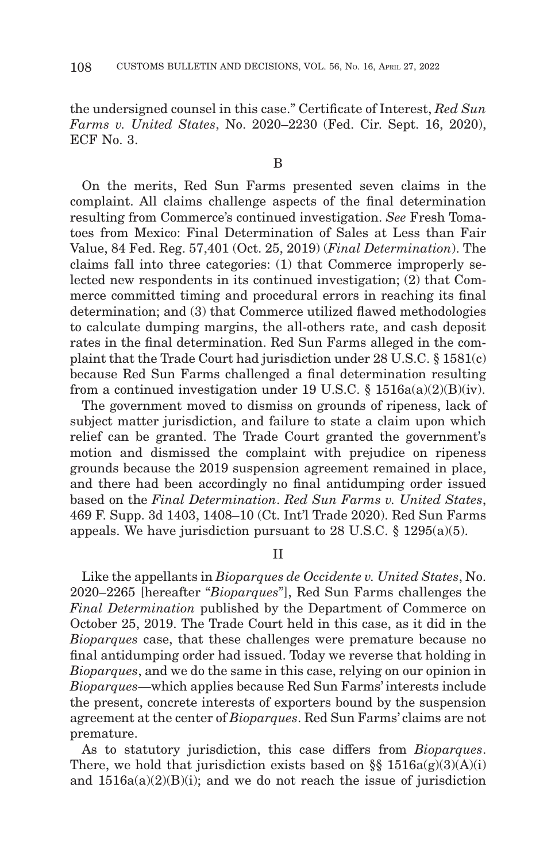the undersigned counsel in this case." Certificate of Interest, *Red Sun Farms v. United States*, No. 2020–2230 (Fed. Cir. Sept. 16, 2020), ECF No. 3.

On the merits, Red Sun Farms presented seven claims in the complaint. All claims challenge aspects of the final determination resulting from Commerce's continued investigation. *See* Fresh Tomatoes from Mexico: Final Determination of Sales at Less than Fair Value, 84 Fed. Reg. 57,401 (Oct. 25, 2019) (*Final Determination*). The claims fall into three categories: (1) that Commerce improperly selected new respondents in its continued investigation; (2) that Commerce committed timing and procedural errors in reaching its final determination; and (3) that Commerce utilized flawed methodologies to calculate dumping margins, the all-others rate, and cash deposit rates in the final determination. Red Sun Farms alleged in the complaint that the Trade Court had jurisdiction under 28 U.S.C. § 1581(c) because Red Sun Farms challenged a final determination resulting from a continued investigation under 19 U.S.C. §  $1516a(a)(2)(B)(iv)$ .

The government moved to dismiss on grounds of ripeness, lack of subject matter jurisdiction, and failure to state a claim upon which relief can be granted. The Trade Court granted the government's motion and dismissed the complaint with prejudice on ripeness grounds because the 2019 suspension agreement remained in place, and there had been accordingly no final antidumping order issued based on the *Final Determination*. *Red Sun Farms v. United States*, 469 F. Supp. 3d 1403, 1408–10 (Ct. Int'l Trade 2020). Red Sun Farms appeals. We have jurisdiction pursuant to 28 U.S.C. § 1295(a)(5).

II

Like the appellants in *Bioparques de Occidente v. United States*, No. 2020–2265 [hereafter "*Bioparques*"], Red Sun Farms challenges the *Final Determination* published by the Department of Commerce on October 25, 2019. The Trade Court held in this case, as it did in the *Bioparques* case, that these challenges were premature because no final antidumping order had issued. Today we reverse that holding in *Bioparques*, and we do the same in this case, relying on our opinion in *Bioparques*—which applies because Red Sun Farms' interests include the present, concrete interests of exporters bound by the suspension agreement at the center of *Bioparques*. Red Sun Farms' claims are not premature.

As to statutory jurisdiction, this case differs from *Bioparques*. There, we hold that jurisdiction exists based on §§  $1516a(g)(3)(A)(i)$ and  $1516a(a)(2)(B)(i)$ ; and we do not reach the issue of jurisdiction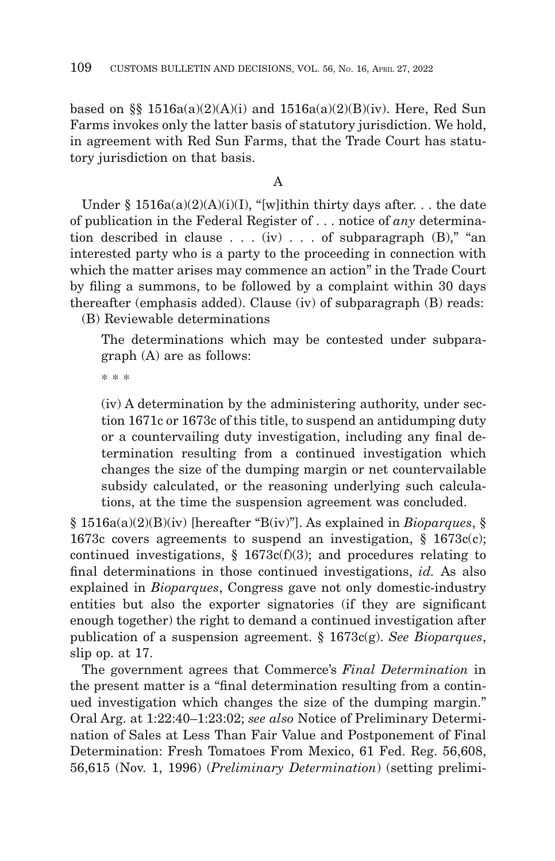based on §§  $1516a(a)(2)(A)(i)$  and  $1516a(a)(2)(B)(iv)$ . Here, Red Sun Farms invokes only the latter basis of statutory jurisdiction. We hold, in agreement with Red Sun Farms, that the Trade Court has statutory jurisdiction on that basis.

# A

Under §  $1516a(a)(2)(A)(i)(I)$ , "[w]ithin thirty days after. . . the date of publication in the Federal Register of . . . notice of *any* determination described in clause  $\dots$  (iv)  $\dots$  of subparagraph (B)," "an interested party who is a party to the proceeding in connection with which the matter arises may commence an action" in the Trade Court by filing a summons, to be followed by a complaint within 30 days thereafter (emphasis added). Clause (iv) of subparagraph (B) reads: (B) Reviewable determinations

The determinations which may be contested under subparagraph (A) are as follows:

\* \* \*

(iv) A determination by the administering authority, under section 1671c or 1673c of this title, to suspend an antidumping duty or a countervailing duty investigation, including any final determination resulting from a continued investigation which changes the size of the dumping margin or net countervailable subsidy calculated, or the reasoning underlying such calculations, at the time the suspension agreement was concluded.

§ 1516a(a)(2)(B)(iv) [hereafter "B(iv)"]. As explained in *Bioparques*, § 1673c covers agreements to suspend an investigation, § 1673c(c); continued investigations,  $\S$  1673c(f)(3); and procedures relating to final determinations in those continued investigations, *id.* As also explained in *Bioparques*, Congress gave not only domestic-industry entities but also the exporter signatories (if they are significant enough together) the right to demand a continued investigation after publication of a suspension agreement. § 1673c(g). *See Bioparques*, slip op. at 17.

The government agrees that Commerce's *Final Determination* in the present matter is a "final determination resulting from a continued investigation which changes the size of the dumping margin." Oral Arg. at 1:22:40–1:23:02; *see also* Notice of Preliminary Determination of Sales at Less Than Fair Value and Postponement of Final Determination: Fresh Tomatoes From Mexico, 61 Fed. Reg. 56,608, 56,615 (Nov. 1, 1996) (*Preliminary Determination*) (setting prelimi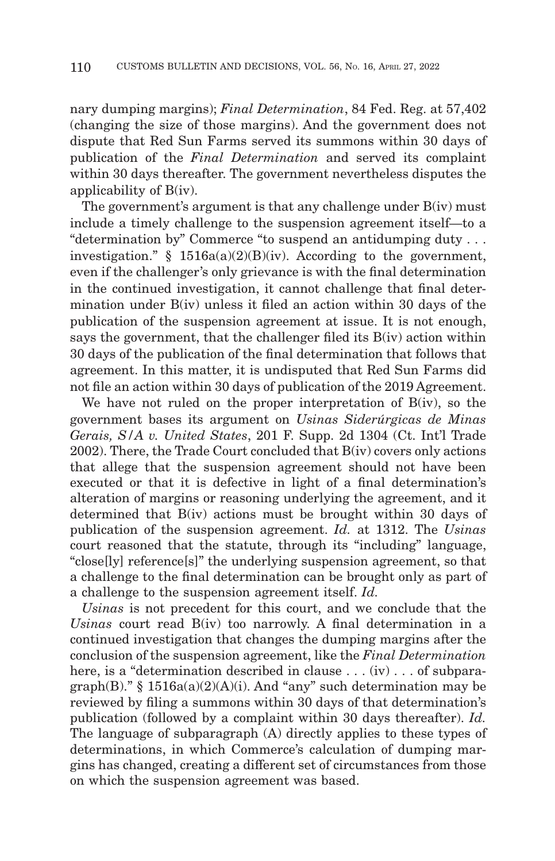nary dumping margins); *Final Determination*, 84 Fed. Reg. at 57,402 (changing the size of those margins). And the government does not dispute that Red Sun Farms served its summons within 30 days of publication of the *Final Determination* and served its complaint within 30 days thereafter. The government nevertheless disputes the applicability of B(iv).

The government's argument is that any challenge under  $B(iv)$  must include a timely challenge to the suspension agreement itself—to a "determination by" Commerce "to suspend an antidumping duty . . . investigation." §  $1516a(a)(2)(B)(iv)$ . According to the government, even if the challenger's only grievance is with the final determination in the continued investigation, it cannot challenge that final determination under B(iv) unless it filed an action within 30 days of the publication of the suspension agreement at issue. It is not enough, says the government, that the challenger filed its B(iv) action within 30 days of the publication of the final determination that follows that agreement. In this matter, it is undisputed that Red Sun Farms did not file an action within 30 days of publication of the 2019 Agreement.

We have not ruled on the proper interpretation of B(iv), so the government bases its argument on *Usinas Siderúrgicas de Minas Gerais, S/A v. United States*, 201 F. Supp. 2d 1304 (Ct. Int'l Trade 2002). There, the Trade Court concluded that B(iv) covers only actions that allege that the suspension agreement should not have been executed or that it is defective in light of a final determination's alteration of margins or reasoning underlying the agreement, and it determined that B(iv) actions must be brought within 30 days of publication of the suspension agreement. *Id.* at 1312. The *Usinas* court reasoned that the statute, through its "including" language, "close[ly] reference[s]" the underlying suspension agreement, so that a challenge to the final determination can be brought only as part of a challenge to the suspension agreement itself. *Id.*

*Usinas* is not precedent for this court, and we conclude that the *Usinas* court read B(iv) too narrowly. A final determination in a continued investigation that changes the dumping margins after the conclusion of the suspension agreement, like the *Final Determination* here, is a "determination described in clause . . . (iv) . . . of subparagraph(B)." § 1516a(a)(2)(A)(i). And "any" such determination may be reviewed by filing a summons within 30 days of that determination's publication (followed by a complaint within 30 days thereafter). *Id.* The language of subparagraph (A) directly applies to these types of determinations, in which Commerce's calculation of dumping margins has changed, creating a different set of circumstances from those on which the suspension agreement was based.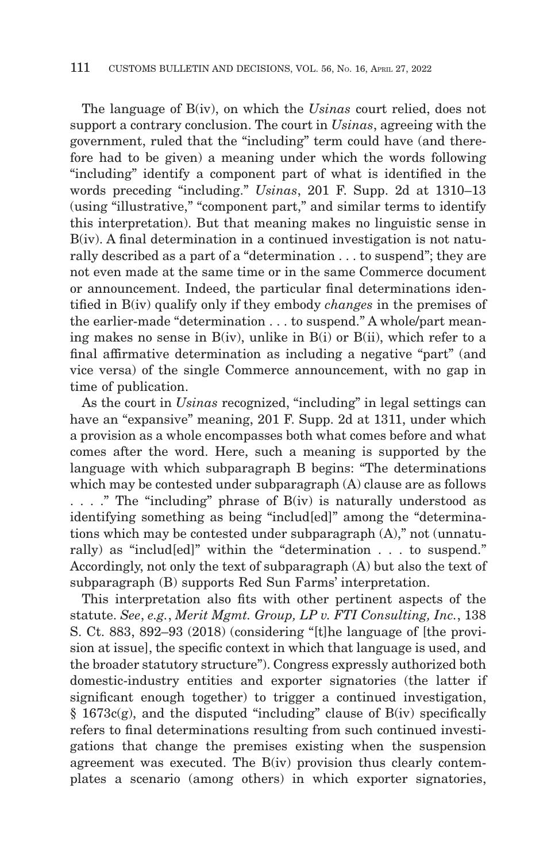The language of B(iv), on which the *Usinas* court relied, does not support a contrary conclusion. The court in *Usinas*, agreeing with the government, ruled that the "including" term could have (and therefore had to be given) a meaning under which the words following "including" identify a component part of what is identified in the words preceding "including." *Usinas*, 201 F. Supp. 2d at 1310–13 (using "illustrative," "component part," and similar terms to identify this interpretation). But that meaning makes no linguistic sense in B(iv). A final determination in a continued investigation is not naturally described as a part of a "determination . . . to suspend"; they are not even made at the same time or in the same Commerce document or announcement. Indeed, the particular final determinations identified in B(iv) qualify only if they embody *changes* in the premises of the earlier-made "determination . . . to suspend." A whole/part meaning makes no sense in B(iv), unlike in B(i) or B(ii), which refer to a final affirmative determination as including a negative "part" (and vice versa) of the single Commerce announcement, with no gap in time of publication.

As the court in *Usinas* recognized, "including" in legal settings can have an "expansive" meaning, 201 F. Supp. 2d at 1311, under which a provision as a whole encompasses both what comes before and what comes after the word. Here, such a meaning is supported by the language with which subparagraph B begins: "The determinations which may be contested under subparagraph (A) clause are as follows . . . ." The "including" phrase of B(iv) is naturally understood as identifying something as being "includ[ed]" among the "determinations which may be contested under subparagraph (A)," not (unnaturally) as "includ[ed]" within the "determination . . . to suspend." Accordingly, not only the text of subparagraph (A) but also the text of subparagraph (B) supports Red Sun Farms' interpretation.

This interpretation also fits with other pertinent aspects of the statute. *See*, *e.g.*, *Merit Mgmt. Group, LP v. FTI Consulting, Inc.*, 138 S. Ct. 883, 892–93 (2018) (considering "[t]he language of [the provision at issue], the specific context in which that language is used, and the broader statutory structure"). Congress expressly authorized both domestic-industry entities and exporter signatories (the latter if significant enough together) to trigger a continued investigation, § 1673c(g), and the disputed "including" clause of B(iv) specifically refers to final determinations resulting from such continued investigations that change the premises existing when the suspension agreement was executed. The B(iv) provision thus clearly contemplates a scenario (among others) in which exporter signatories,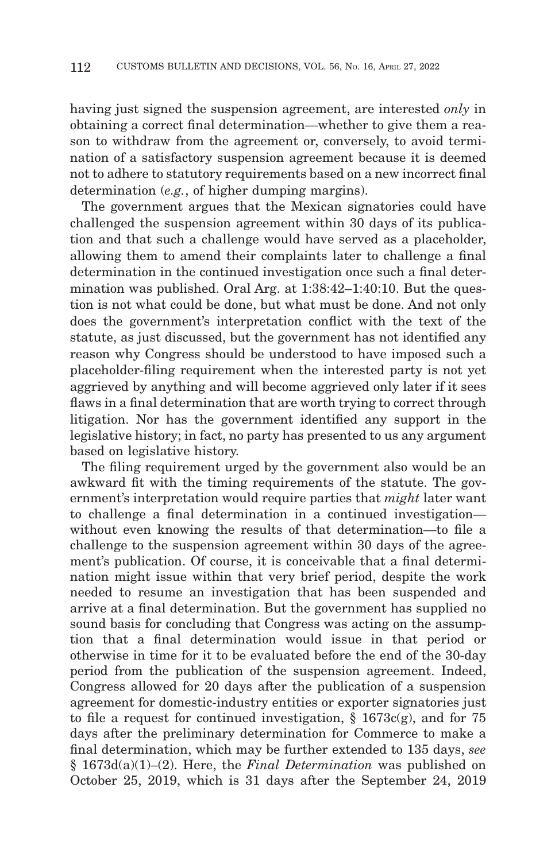having just signed the suspension agreement, are interested *only* in obtaining a correct final determination—whether to give them a reason to withdraw from the agreement or, conversely, to avoid termination of a satisfactory suspension agreement because it is deemed not to adhere to statutory requirements based on a new incorrect final determination (*e.g.*, of higher dumping margins).

The government argues that the Mexican signatories could have challenged the suspension agreement within 30 days of its publication and that such a challenge would have served as a placeholder, allowing them to amend their complaints later to challenge a final determination in the continued investigation once such a final determination was published. Oral Arg. at 1:38:42–1:40:10. But the question is not what could be done, but what must be done. And not only does the government's interpretation conflict with the text of the statute, as just discussed, but the government has not identified any reason why Congress should be understood to have imposed such a placeholder-filing requirement when the interested party is not yet aggrieved by anything and will become aggrieved only later if it sees flaws in a final determination that are worth trying to correct through litigation. Nor has the government identified any support in the legislative history; in fact, no party has presented to us any argument based on legislative history.

The filing requirement urged by the government also would be an awkward fit with the timing requirements of the statute. The government's interpretation would require parties that *might* later want to challenge a final determination in a continued investigation without even knowing the results of that determination—to file a challenge to the suspension agreement within 30 days of the agreement's publication. Of course, it is conceivable that a final determination might issue within that very brief period, despite the work needed to resume an investigation that has been suspended and arrive at a final determination. But the government has supplied no sound basis for concluding that Congress was acting on the assumption that a final determination would issue in that period or otherwise in time for it to be evaluated before the end of the 30-day period from the publication of the suspension agreement. Indeed, Congress allowed for 20 days after the publication of a suspension agreement for domestic-industry entities or exporter signatories just to file a request for continued investigation,  $\S$  1673c(g), and for 75 days after the preliminary determination for Commerce to make a final determination, which may be further extended to 135 days, *see* § 1673d(a)(1)–(2). Here, the *Final Determination* was published on October 25, 2019, which is 31 days after the September 24, 2019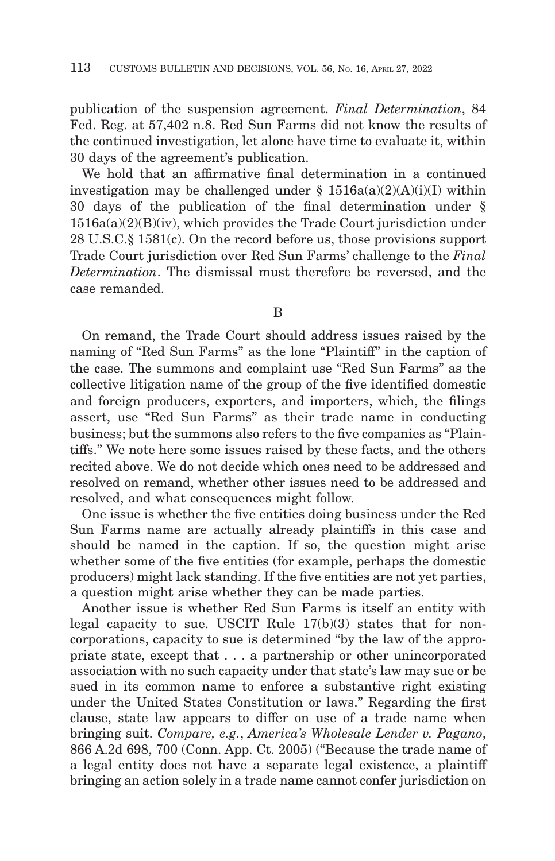publication of the suspension agreement. *Final Determination*, 84 Fed. Reg. at 57,402 n.8. Red Sun Farms did not know the results of the continued investigation, let alone have time to evaluate it, within 30 days of the agreement's publication.

We hold that an affirmative final determination in a continued investigation may be challenged under  $\S$  1516a(a)(2)(A)(i)(I) within 30 days of the publication of the final determination under §  $1516a(a)(2)(B)(iv)$ , which provides the Trade Court jurisdiction under 28 U.S.C.§ 1581(c). On the record before us, those provisions support Trade Court jurisdiction over Red Sun Farms' challenge to the *Final Determination*. The dismissal must therefore be reversed, and the case remanded.

B

On remand, the Trade Court should address issues raised by the naming of "Red Sun Farms" as the lone "Plaintiff" in the caption of the case. The summons and complaint use "Red Sun Farms" as the collective litigation name of the group of the five identified domestic and foreign producers, exporters, and importers, which, the filings assert, use "Red Sun Farms" as their trade name in conducting business; but the summons also refers to the five companies as "Plaintiffs." We note here some issues raised by these facts, and the others recited above. We do not decide which ones need to be addressed and resolved on remand, whether other issues need to be addressed and resolved, and what consequences might follow.

One issue is whether the five entities doing business under the Red Sun Farms name are actually already plaintiffs in this case and should be named in the caption. If so, the question might arise whether some of the five entities (for example, perhaps the domestic producers) might lack standing. If the five entities are not yet parties, a question might arise whether they can be made parties.

Another issue is whether Red Sun Farms is itself an entity with legal capacity to sue. USCIT Rule  $17(b)(3)$  states that for noncorporations, capacity to sue is determined "by the law of the appropriate state, except that . . . a partnership or other unincorporated association with no such capacity under that state's law may sue or be sued in its common name to enforce a substantive right existing under the United States Constitution or laws." Regarding the first clause, state law appears to differ on use of a trade name when bringing suit. *Compare, e.g.*, *America's Wholesale Lender v. Pagano*, 866 A.2d 698, 700 (Conn. App. Ct. 2005) ("Because the trade name of a legal entity does not have a separate legal existence, a plaintiff bringing an action solely in a trade name cannot confer jurisdiction on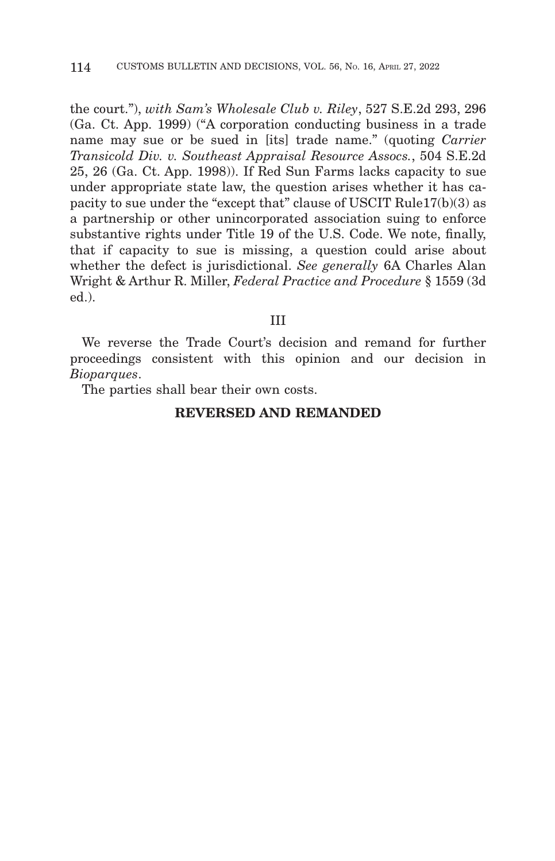the court."), *with Sam's Wholesale Club v. Riley*, 527 S.E.2d 293, 296 (Ga. Ct. App. 1999) ("A corporation conducting business in a trade name may sue or be sued in [its] trade name." (quoting *Carrier Transicold Div. v. Southeast Appraisal Resource Assocs.*, 504 S.E.2d 25, 26 (Ga. Ct. App. 1998)). If Red Sun Farms lacks capacity to sue under appropriate state law, the question arises whether it has capacity to sue under the "except that" clause of USCIT Rule17(b)(3) as a partnership or other unincorporated association suing to enforce substantive rights under Title 19 of the U.S. Code. We note, finally, that if capacity to sue is missing, a question could arise about whether the defect is jurisdictional. *See generally* 6A Charles Alan Wright & Arthur R. Miller, *Federal Practice and Procedure* § 1559 (3d ed.).

#### III

We reverse the Trade Court's decision and remand for further proceedings consistent with this opinion and our decision in *Bioparques*.

The parties shall bear their own costs.

# **REVERSED AND REMANDED**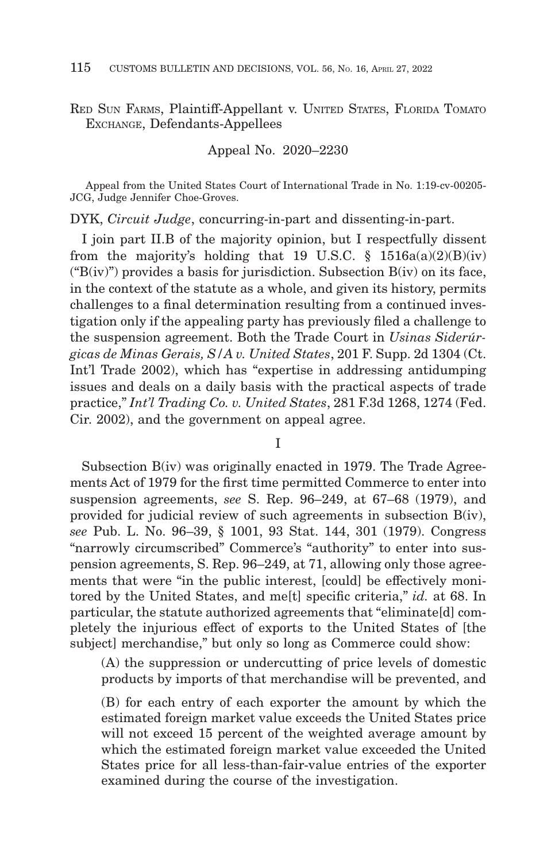RED SUN FARMS, Plaintiff-Appellant v. UNITED STATES, FLORIDA TOMATO EXCHANGE, Defendants-Appellees

Appeal No. 2020–2230

Appeal from the United States Court of International Trade in No. 1:19-cv-00205- JCG, Judge Jennifer Choe-Groves.

DYK, *Circuit Judge*, concurring-in-part and dissenting-in-part.

I join part II.B of the majority opinion, but I respectfully dissent from the majority's holding that 19 U.S.C.  $\S$  1516a(a)(2)(B)(iv) (" $B(iv)$ ") provides a basis for jurisdiction. Subsection  $B(iv)$  on its face, in the context of the statute as a whole, and given its history, permits challenges to a final determination resulting from a continued investigation only if the appealing party has previously filed a challenge to the suspension agreement. Both the Trade Court in *Usinas Siderúrgicas de Minas Gerais, S/A v. United States*, 201 F. Supp. 2d 1304 (Ct. Int'l Trade 2002), which has "expertise in addressing antidumping issues and deals on a daily basis with the practical aspects of trade practice," *Int'l Trading Co. v. United States*, 281 F.3d 1268, 1274 (Fed. Cir. 2002), and the government on appeal agree.

I

Subsection B(iv) was originally enacted in 1979. The Trade Agreements Act of 1979 for the first time permitted Commerce to enter into suspension agreements, *see* S. Rep. 96–249, at 67–68 (1979), and provided for judicial review of such agreements in subsection B(iv), *see* Pub. L. No. 96–39, § 1001, 93 Stat. 144, 301 (1979). Congress "narrowly circumscribed" Commerce's "authority" to enter into suspension agreements, S. Rep. 96–249, at 71, allowing only those agreements that were "in the public interest, [could] be effectively monitored by the United States, and me[t] specific criteria," *id.* at 68. In particular, the statute authorized agreements that "eliminate[d] completely the injurious effect of exports to the United States of [the subject] merchandise," but only so long as Commerce could show:

(A) the suppression or undercutting of price levels of domestic products by imports of that merchandise will be prevented, and

(B) for each entry of each exporter the amount by which the estimated foreign market value exceeds the United States price will not exceed 15 percent of the weighted average amount by which the estimated foreign market value exceeded the United States price for all less-than-fair-value entries of the exporter examined during the course of the investigation.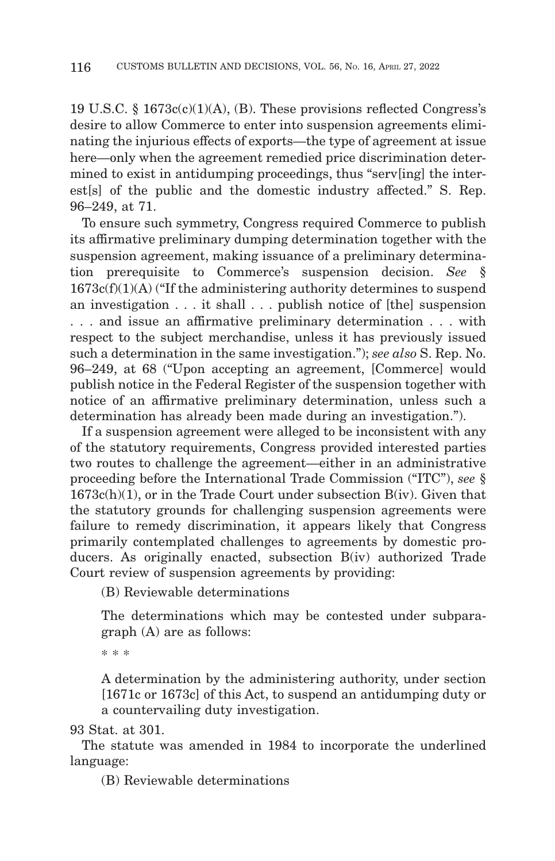19 U.S.C. § 1673c(c)(1)(A), (B). These provisions reflected Congress's desire to allow Commerce to enter into suspension agreements eliminating the injurious effects of exports—the type of agreement at issue here—only when the agreement remedied price discrimination determined to exist in antidumping proceedings, thus "serv[ing] the interest[s] of the public and the domestic industry affected." S. Rep. 96–249, at 71.

To ensure such symmetry, Congress required Commerce to publish its affirmative preliminary dumping determination together with the suspension agreement, making issuance of a preliminary determination prerequisite to Commerce's suspension decision. See  $1673c(f)(1)(A)$  ("If the administering authority determines to suspend an investigation . . . it shall . . . publish notice of [the] suspension . . . and issue an affirmative preliminary determination . . . with respect to the subject merchandise, unless it has previously issued such a determination in the same investigation."); *see also* S. Rep. No. 96–249, at 68 ("Upon accepting an agreement, [Commerce] would publish notice in the Federal Register of the suspension together with notice of an affirmative preliminary determination, unless such a determination has already been made during an investigation.").

If a suspension agreement were alleged to be inconsistent with any of the statutory requirements, Congress provided interested parties two routes to challenge the agreement—either in an administrative proceeding before the International Trade Commission ("ITC"), *see* § 1673c(h)(1), or in the Trade Court under subsection B(iv). Given that the statutory grounds for challenging suspension agreements were failure to remedy discrimination, it appears likely that Congress primarily contemplated challenges to agreements by domestic producers. As originally enacted, subsection B(iv) authorized Trade Court review of suspension agreements by providing:

(B) Reviewable determinations

The determinations which may be contested under subparagraph (A) are as follows:

\* \* \*

A determination by the administering authority, under section [1671c or 1673c] of this Act, to suspend an antidumping duty or a countervailing duty investigation.

93 Stat. at 301.

The statute was amended in 1984 to incorporate the underlined language:

(B) Reviewable determinations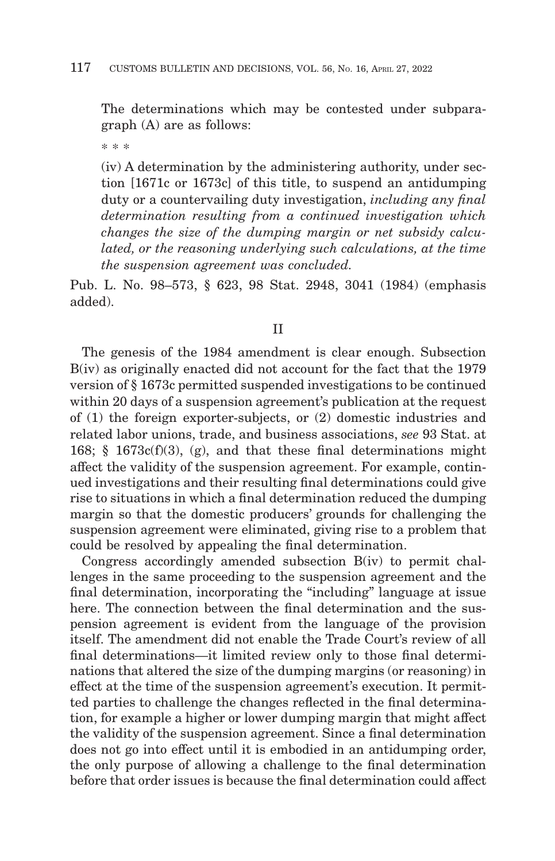The determinations which may be contested under subparagraph (A) are as follows:

\* \* \*

(iv) A determination by the administering authority, under section [1671c or 1673c] of this title, to suspend an antidumping duty or a countervailing duty investigation, *including any final determination resulting from a continued investigation which changes the size of the dumping margin or net subsidy calculated, or the reasoning underlying such calculations, at the time the suspension agreement was concluded.*

Pub. L. No. 98–573, § 623, 98 Stat. 2948, 3041 (1984) (emphasis added).

# II

The genesis of the 1984 amendment is clear enough. Subsection B(iv) as originally enacted did not account for the fact that the 1979 version of § 1673c permitted suspended investigations to be continued within 20 days of a suspension agreement's publication at the request of (1) the foreign exporter-subjects, or (2) domestic industries and related labor unions, trade, and business associations, *see* 93 Stat. at 168; § 1673c(f)(3), (g), and that these final determinations might affect the validity of the suspension agreement. For example, continued investigations and their resulting final determinations could give rise to situations in which a final determination reduced the dumping margin so that the domestic producers' grounds for challenging the suspension agreement were eliminated, giving rise to a problem that could be resolved by appealing the final determination.

Congress accordingly amended subsection B(iv) to permit challenges in the same proceeding to the suspension agreement and the final determination, incorporating the "including" language at issue here. The connection between the final determination and the suspension agreement is evident from the language of the provision itself. The amendment did not enable the Trade Court's review of all final determinations—it limited review only to those final determinations that altered the size of the dumping margins (or reasoning) in effect at the time of the suspension agreement's execution. It permitted parties to challenge the changes reflected in the final determination, for example a higher or lower dumping margin that might affect the validity of the suspension agreement. Since a final determination does not go into effect until it is embodied in an antidumping order, the only purpose of allowing a challenge to the final determination before that order issues is because the final determination could affect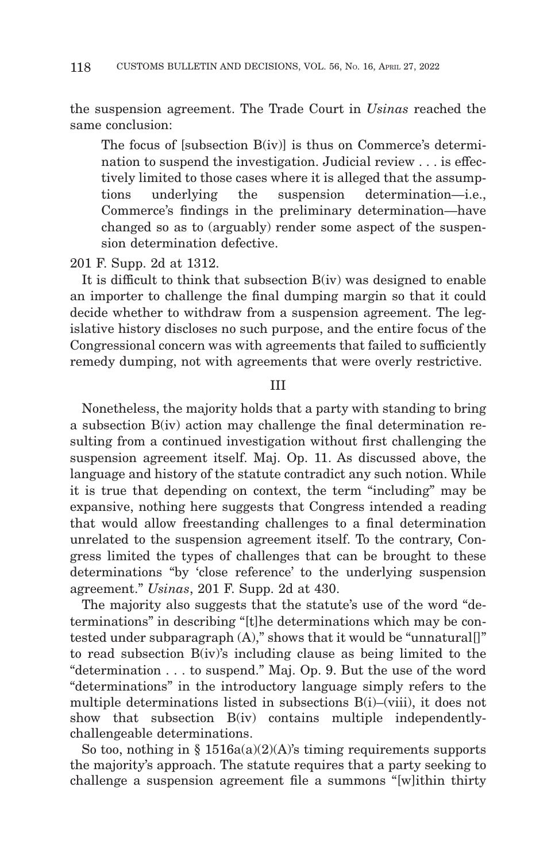the suspension agreement. The Trade Court in *Usinas* reached the same conclusion:

The focus of [subsection B(iv)] is thus on Commerce's determination to suspend the investigation. Judicial review . . . is effectively limited to those cases where it is alleged that the assumptions underlying the suspension determination—i.e., Commerce's findings in the preliminary determination—have changed so as to (arguably) render some aspect of the suspension determination defective.

201 F. Supp. 2d at 1312.

It is difficult to think that subsection B(iv) was designed to enable an importer to challenge the final dumping margin so that it could decide whether to withdraw from a suspension agreement. The legislative history discloses no such purpose, and the entire focus of the Congressional concern was with agreements that failed to sufficiently remedy dumping, not with agreements that were overly restrictive.

# III

Nonetheless, the majority holds that a party with standing to bring a subsection B(iv) action may challenge the final determination resulting from a continued investigation without first challenging the suspension agreement itself. Maj. Op. 11. As discussed above, the language and history of the statute contradict any such notion. While it is true that depending on context, the term "including" may be expansive, nothing here suggests that Congress intended a reading that would allow freestanding challenges to a final determination unrelated to the suspension agreement itself. To the contrary, Congress limited the types of challenges that can be brought to these determinations "by 'close reference' to the underlying suspension agreement." *Usinas*, 201 F. Supp. 2d at 430.

The majority also suggests that the statute's use of the word "determinations" in describing "[t]he determinations which may be contested under subparagraph (A)," shows that it would be "unnatural[]" to read subsection B(iv)'s including clause as being limited to the "determination . . . to suspend." Maj. Op. 9. But the use of the word "determinations" in the introductory language simply refers to the multiple determinations listed in subsections B(i)–(viii), it does not show that subsection B(iv) contains multiple independentlychallengeable determinations.

So too, nothing in §  $1516a(a)(2)(A)$ 's timing requirements supports the majority's approach. The statute requires that a party seeking to challenge a suspension agreement file a summons "[w]ithin thirty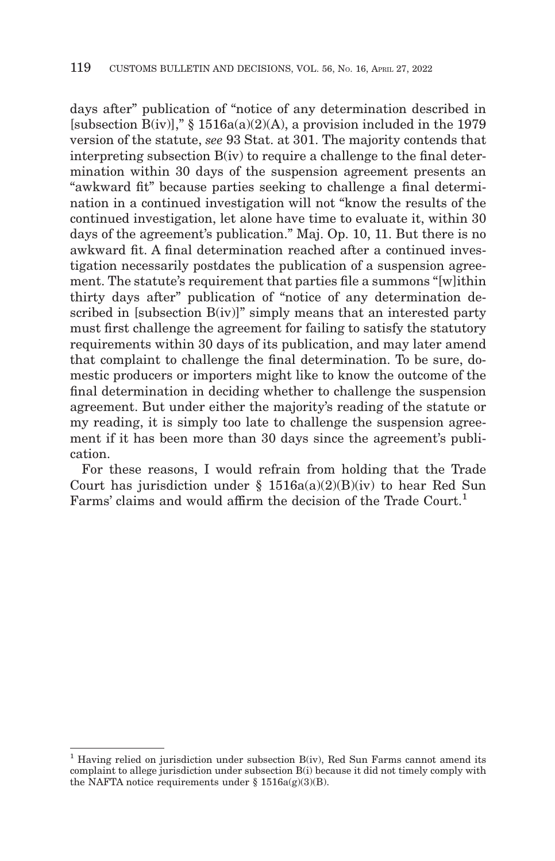days after" publication of "notice of any determination described in [subsection  $B(iv)$ ]," § 1516a(a)(2)(A), a provision included in the 1979 version of the statute, *see* 93 Stat. at 301. The majority contends that interpreting subsection  $B(iv)$  to require a challenge to the final determination within 30 days of the suspension agreement presents an "awkward fit" because parties seeking to challenge a final determination in a continued investigation will not "know the results of the continued investigation, let alone have time to evaluate it, within 30 days of the agreement's publication." Maj. Op. 10, 11. But there is no awkward fit. A final determination reached after a continued investigation necessarily postdates the publication of a suspension agreement. The statute's requirement that parties file a summons "[w]ithin thirty days after" publication of "notice of any determination described in [subsection B(iv)]" simply means that an interested party must first challenge the agreement for failing to satisfy the statutory requirements within 30 days of its publication, and may later amend that complaint to challenge the final determination. To be sure, domestic producers or importers might like to know the outcome of the final determination in deciding whether to challenge the suspension agreement. But under either the majority's reading of the statute or my reading, it is simply too late to challenge the suspension agreement if it has been more than 30 days since the agreement's publication.

For these reasons, I would refrain from holding that the Trade Court has jurisdiction under  $\S$  1516a(a)(2)(B)(iv) to hear Red Sun Farms' claims and would affirm the decision of the Trade Court.<sup>1</sup>

<sup>&</sup>lt;sup>1</sup> Having relied on jurisdiction under subsection  $B(iv)$ , Red Sun Farms cannot amend its complaint to allege jurisdiction under subsection B(i) because it did not timely comply with the NAFTA notice requirements under  $\S$  1516a(g)(3)(B).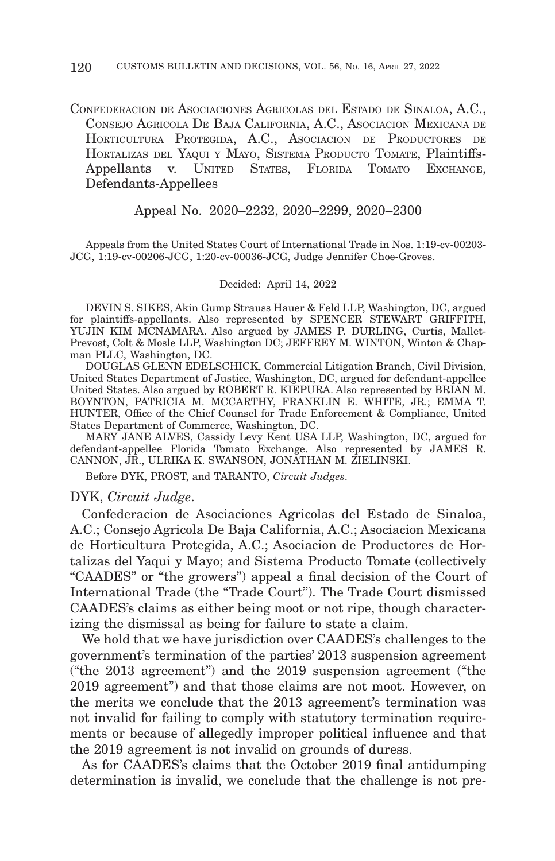CONFEDERACION DE ASOCIACIONES AGRICOLAS DEL ESTADO DE SINALOA, A.C., CONSEJO AGRICOLA DE BAJA CALIFORNIA, A.C., ASOCIACION MEXICANA DE HORTICULTURA PROTEGIDA, A.C., ASOCIACION DE PRODUCTORES DE HORTALIZAS DEL YAQUI Y MAYO, SISTEMA PRODUCTO TOMATE, Plaintiffs-Appellants v. UNITED STATES, FLORIDA TOMATO EXCHANGE, Defendants-Appellees

#### Appeal No. 2020–2232, 2020–2299, 2020–2300

Appeals from the United States Court of International Trade in Nos. 1:19-cv-00203- JCG, 1:19-cv-00206-JCG, 1:20-cv-00036-JCG, Judge Jennifer Choe-Groves.

#### Decided: April 14, 2022

DEVIN S. SIKES, Akin Gump Strauss Hauer & Feld LLP, Washington, DC, argued for plaintiffs-appellants. Also represented by SPENCER STEWART GRIFFITH, YUJIN KIM MCNAMARA. Also argued by JAMES P. DURLING, Curtis, Mallet-Prevost, Colt & Mosle LLP, Washington DC; JEFFREY M. WINTON, Winton & Chapman PLLC, Washington, DC.

DOUGLAS GLENN EDELSCHICK, Commercial Litigation Branch, Civil Division, United States Department of Justice, Washington, DC, argued for defendant-appellee United States. Also argued by ROBERT R. KIEPURA. Also represented by BRIAN M. BOYNTON, PATRICIA M. MCCARTHY, FRANKLIN E. WHITE, JR.; EMMA T. HUNTER, Office of the Chief Counsel for Trade Enforcement & Compliance, United States Department of Commerce, Washington, DC.

MARY JANE ALVES, Cassidy Levy Kent USA LLP, Washington, DC, argued for defendant-appellee Florida Tomato Exchange. Also represented by JAMES R. CANNON, JR., ULRIKA K. SWANSON, JONATHAN M. ZIELINSKI.

Before DYK, PROST, and TARANTO, *Circuit Judges*.

#### DYK, *Circuit Judge*.

Confederacion de Asociaciones Agricolas del Estado de Sinaloa, A.C.; Consejo Agricola De Baja California, A.C.; Asociacion Mexicana de Horticultura Protegida, A.C.; Asociacion de Productores de Hortalizas del Yaqui y Mayo; and Sistema Producto Tomate (collectively "CAADES" or "the growers") appeal a final decision of the Court of International Trade (the "Trade Court"). The Trade Court dismissed CAADES's claims as either being moot or not ripe, though characterizing the dismissal as being for failure to state a claim.

We hold that we have jurisdiction over CAADES's challenges to the government's termination of the parties' 2013 suspension agreement ("the 2013 agreement") and the 2019 suspension agreement ("the 2019 agreement") and that those claims are not moot. However, on the merits we conclude that the 2013 agreement's termination was not invalid for failing to comply with statutory termination requirements or because of allegedly improper political influence and that the 2019 agreement is not invalid on grounds of duress.

As for CAADES's claims that the October 2019 final antidumping determination is invalid, we conclude that the challenge is not pre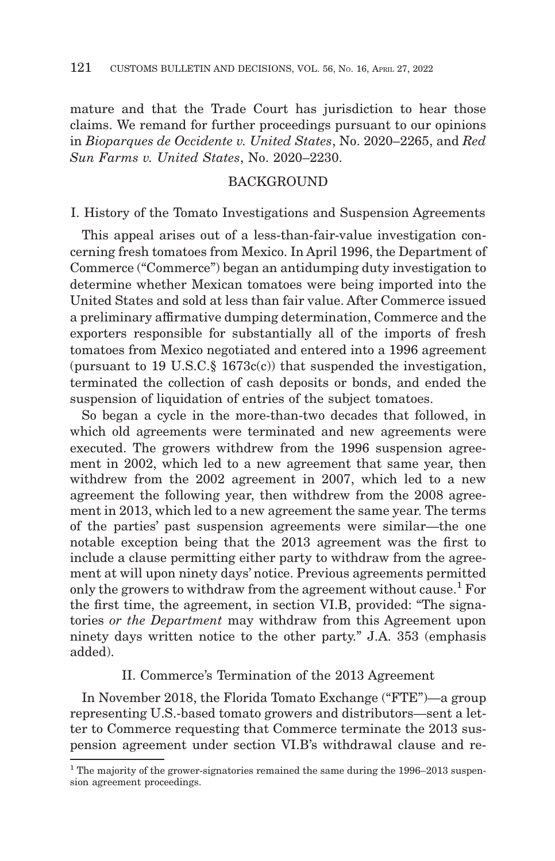mature and that the Trade Court has jurisdiction to hear those claims. We remand for further proceedings pursuant to our opinions in *Bioparques de Occidente v. United States*, No. 2020–2265, and *Red Sun Farms v. United States*, No. 2020–2230.

## **BACKGROUND**

I. History of the Tomato Investigations and Suspension Agreements

This appeal arises out of a less-than-fair-value investigation concerning fresh tomatoes from Mexico. In April 1996, the Department of Commerce ("Commerce") began an antidumping duty investigation to determine whether Mexican tomatoes were being imported into the United States and sold at less than fair value. After Commerce issued a preliminary affirmative dumping determination, Commerce and the exporters responsible for substantially all of the imports of fresh tomatoes from Mexico negotiated and entered into a 1996 agreement (pursuant to 19 U.S.C.§ 1673c(c)) that suspended the investigation, terminated the collection of cash deposits or bonds, and ended the suspension of liquidation of entries of the subject tomatoes.

So began a cycle in the more-than-two decades that followed, in which old agreements were terminated and new agreements were executed. The growers withdrew from the 1996 suspension agreement in 2002, which led to a new agreement that same year, then withdrew from the 2002 agreement in 2007, which led to a new agreement the following year, then withdrew from the 2008 agreement in 2013, which led to a new agreement the same year. The terms of the parties' past suspension agreements were similar—the one notable exception being that the 2013 agreement was the first to include a clause permitting either party to withdraw from the agreement at will upon ninety days' notice. Previous agreements permitted only the growers to withdraw from the agreement without cause.<sup>1</sup> For the first time, the agreement, in section VI.B, provided: "The signatories *or the Department* may withdraw from this Agreement upon ninety days written notice to the other party." J.A. 353 (emphasis added).

# II. Commerce's Termination of the 2013 Agreement

In November 2018, the Florida Tomato Exchange ("FTE")—a group representing U.S.-based tomato growers and distributors—sent a letter to Commerce requesting that Commerce terminate the 2013 suspension agreement under section VI.B's withdrawal clause and re-

<sup>&</sup>lt;sup>1</sup> The majority of the grower-signatories remained the same during the 1996–2013 suspension agreement proceedings.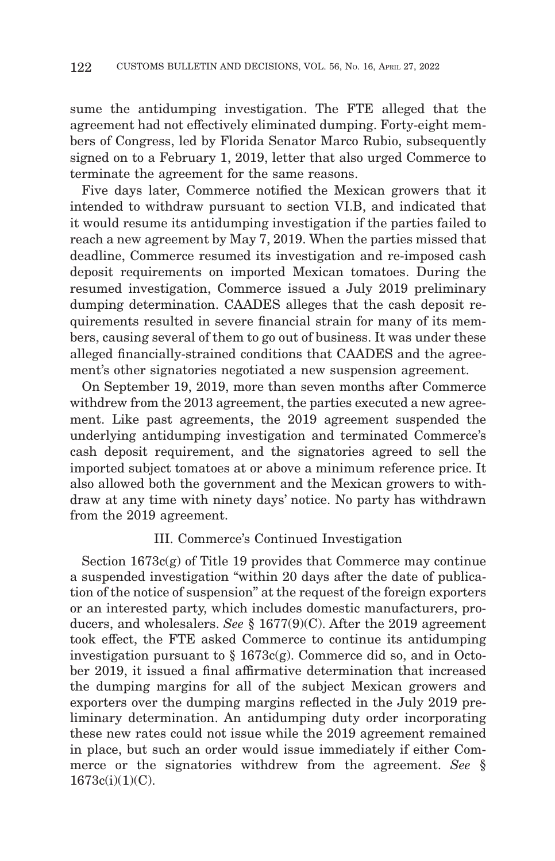sume the antidumping investigation. The FTE alleged that the agreement had not effectively eliminated dumping. Forty-eight members of Congress, led by Florida Senator Marco Rubio, subsequently signed on to a February 1, 2019, letter that also urged Commerce to terminate the agreement for the same reasons.

Five days later, Commerce notified the Mexican growers that it intended to withdraw pursuant to section VI.B, and indicated that it would resume its antidumping investigation if the parties failed to reach a new agreement by May 7, 2019. When the parties missed that deadline, Commerce resumed its investigation and re-imposed cash deposit requirements on imported Mexican tomatoes. During the resumed investigation, Commerce issued a July 2019 preliminary dumping determination. CAADES alleges that the cash deposit requirements resulted in severe financial strain for many of its members, causing several of them to go out of business. It was under these alleged financially-strained conditions that CAADES and the agreement's other signatories negotiated a new suspension agreement.

On September 19, 2019, more than seven months after Commerce withdrew from the 2013 agreement, the parties executed a new agreement. Like past agreements, the 2019 agreement suspended the underlying antidumping investigation and terminated Commerce's cash deposit requirement, and the signatories agreed to sell the imported subject tomatoes at or above a minimum reference price. It also allowed both the government and the Mexican growers to withdraw at any time with ninety days' notice. No party has withdrawn from the 2019 agreement.

### III. Commerce's Continued Investigation

Section  $1673c(g)$  of Title 19 provides that Commerce may continue a suspended investigation "within 20 days after the date of publication of the notice of suspension" at the request of the foreign exporters or an interested party, which includes domestic manufacturers, producers, and wholesalers. *See* § 1677(9)(C). After the 2019 agreement took effect, the FTE asked Commerce to continue its antidumping investigation pursuant to  $\S 1673c(g)$ . Commerce did so, and in October 2019, it issued a final affirmative determination that increased the dumping margins for all of the subject Mexican growers and exporters over the dumping margins reflected in the July 2019 preliminary determination. An antidumping duty order incorporating these new rates could not issue while the 2019 agreement remained in place, but such an order would issue immediately if either Commerce or the signatories withdrew from the agreement. *See* § 1673c(i)(1)(C).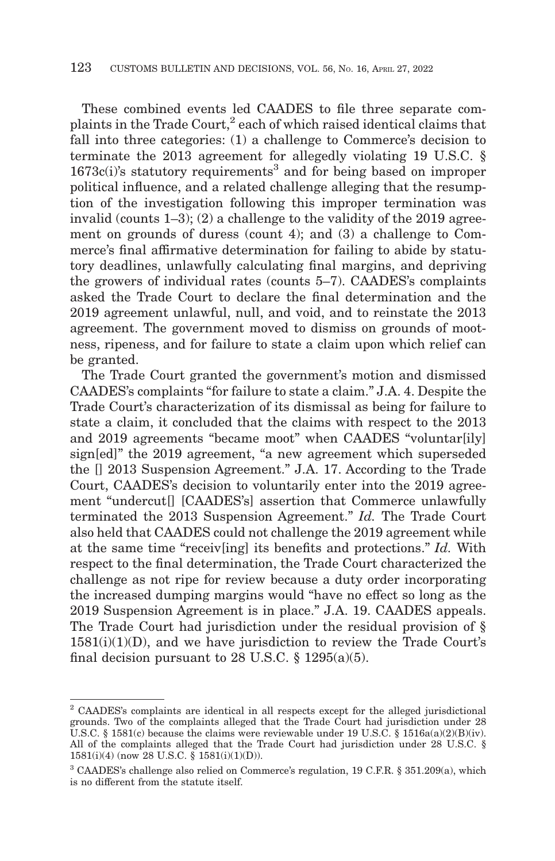These combined events led CAADES to file three separate complaints in the Trade Court,<sup>2</sup> each of which raised identical claims that fall into three categories: (1) a challenge to Commerce's decision to terminate the 2013 agreement for allegedly violating 19 U.S.C. §  $1673c(i)$ 's statutory requirements<sup>3</sup> and for being based on improper political influence, and a related challenge alleging that the resumption of the investigation following this improper termination was invalid (counts 1–3); (2) a challenge to the validity of the 2019 agreement on grounds of duress (count 4); and (3) a challenge to Commerce's final affirmative determination for failing to abide by statutory deadlines, unlawfully calculating final margins, and depriving the growers of individual rates (counts 5–7). CAADES's complaints asked the Trade Court to declare the final determination and the 2019 agreement unlawful, null, and void, and to reinstate the 2013 agreement. The government moved to dismiss on grounds of mootness, ripeness, and for failure to state a claim upon which relief can be granted.

The Trade Court granted the government's motion and dismissed CAADES's complaints "for failure to state a claim." J.A. 4. Despite the Trade Court's characterization of its dismissal as being for failure to state a claim, it concluded that the claims with respect to the 2013 and 2019 agreements "became moot" when CAADES "voluntar[ily] sign[ed]" the 2019 agreement, "a new agreement which superseded the [] 2013 Suspension Agreement." J.A. 17. According to the Trade Court, CAADES's decision to voluntarily enter into the 2019 agreement "undercut[] [CAADES's] assertion that Commerce unlawfully terminated the 2013 Suspension Agreement." *Id.* The Trade Court also held that CAADES could not challenge the 2019 agreement while at the same time "receiv[ing] its benefits and protections." *Id.* With respect to the final determination, the Trade Court characterized the challenge as not ripe for review because a duty order incorporating the increased dumping margins would "have no effect so long as the 2019 Suspension Agreement is in place." J.A. 19. CAADES appeals. The Trade Court had jurisdiction under the residual provision of §  $1581(i)(1)(D)$ , and we have jurisdiction to review the Trade Court's final decision pursuant to 28 U.S.C.  $\S$  1295(a)(5).

<sup>2</sup> CAADES's complaints are identical in all respects except for the alleged jurisdictional grounds. Two of the complaints alleged that the Trade Court had jurisdiction under 28 U.S.C. § 1581(c) because the claims were reviewable under 19 U.S.C. § 1516a(a)(2)(B)(iv). All of the complaints alleged that the Trade Court had jurisdiction under 28 U.S.C. § 1581(i)(4) (now 28 U.S.C. § 1581(i)(1)(D)).

<sup>3</sup> CAADES's challenge also relied on Commerce's regulation, 19 C.F.R. § 351.209(a), which is no different from the statute itself.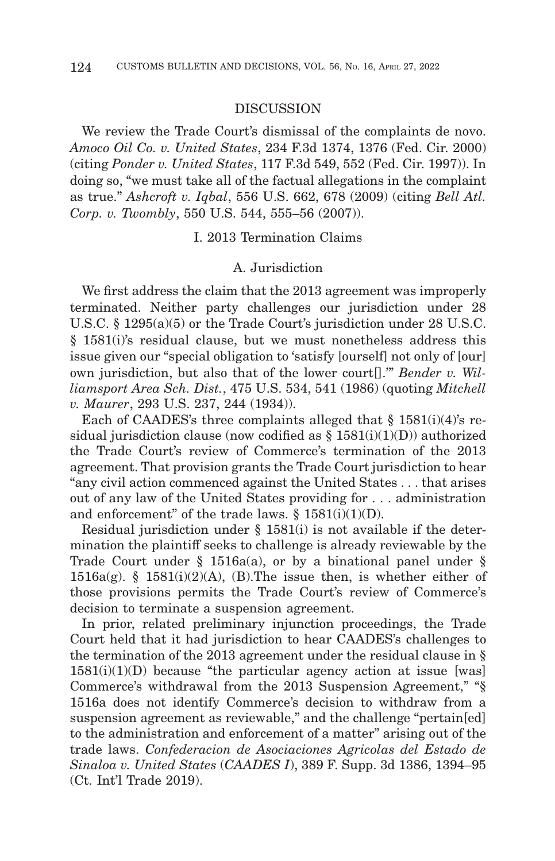#### DISCUSSION

We review the Trade Court's dismissal of the complaints de novo. *Amoco Oil Co. v. United States*, 234 F.3d 1374, 1376 (Fed. Cir. 2000) (citing *Ponder v. United States*, 117 F.3d 549, 552 (Fed. Cir. 1997)). In doing so, "we must take all of the factual allegations in the complaint as true." *Ashcroft v. Iqbal*, 556 U.S. 662, 678 (2009) (citing *Bell Atl. Corp. v. Twombly*, 550 U.S. 544, 555–56 (2007)).

I. 2013 Termination Claims

# A. Jurisdiction

We first address the claim that the 2013 agreement was improperly terminated. Neither party challenges our jurisdiction under 28 U.S.C. § 1295(a)(5) or the Trade Court's jurisdiction under 28 U.S.C. § 1581(i)'s residual clause, but we must nonetheless address this issue given our "special obligation to 'satisfy [ourself] not only of [our] own jurisdiction, but also that of the lower court[].'" *Bender v. Williamsport Area Sch. Dist.*, 475 U.S. 534, 541 (1986) (quoting *Mitchell v. Maurer*, 293 U.S. 237, 244 (1934)).

Each of CAADES's three complaints alleged that  $\S$  1581(i)(4)'s residual jurisdiction clause (now codified as  $\S$  1581(i)(1)(D)) authorized the Trade Court's review of Commerce's termination of the 2013 agreement. That provision grants the Trade Court jurisdiction to hear "any civil action commenced against the United States . . . that arises out of any law of the United States providing for . . . administration and enforcement" of the trade laws.  $§ 1581(i)(1)(D)$ .

Residual jurisdiction under § 1581(i) is not available if the determination the plaintiff seeks to challenge is already reviewable by the Trade Court under  $\S$  1516a(a), or by a binational panel under  $\S$  $1516a(g)$ . §  $1581(i)(2)(A)$ , (B). The issue then, is whether either of those provisions permits the Trade Court's review of Commerce's decision to terminate a suspension agreement.

In prior, related preliminary injunction proceedings, the Trade Court held that it had jurisdiction to hear CAADES's challenges to the termination of the 2013 agreement under the residual clause in §  $1581(i)(1)(D)$  because "the particular agency action at issue [was] Commerce's withdrawal from the 2013 Suspension Agreement," "§ 1516a does not identify Commerce's decision to withdraw from a suspension agreement as reviewable," and the challenge "pertain[ed] to the administration and enforcement of a matter" arising out of the trade laws. *Confederacion de Asociaciones Agricolas del Estado de Sinaloa v. United States* (*CAADES I*), 389 F. Supp. 3d 1386, 1394–95 (Ct. Int'l Trade 2019).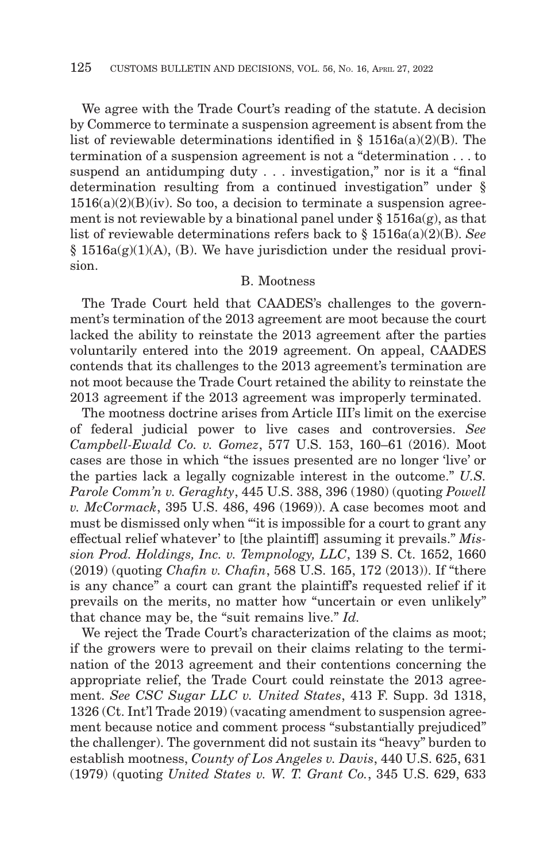We agree with the Trade Court's reading of the statute. A decision by Commerce to terminate a suspension agreement is absent from the list of reviewable determinations identified in §  $1516a(a)(2)(B)$ . The termination of a suspension agreement is not a "determination . . . to suspend an antidumping duty . . . investigation," nor is it a "final determination resulting from a continued investigation" under §  $1516(a)(2)(B)(iv)$ . So too, a decision to terminate a suspension agreement is not reviewable by a binational panel under  $\S 1516a(g)$ , as that list of reviewable determinations refers back to § 1516a(a)(2)(B). *See*  $§ 1516a(g)(1)(A)$ , (B). We have jurisdiction under the residual provision.

# B. Mootness

The Trade Court held that CAADES's challenges to the government's termination of the 2013 agreement are moot because the court lacked the ability to reinstate the 2013 agreement after the parties voluntarily entered into the 2019 agreement. On appeal, CAADES contends that its challenges to the 2013 agreement's termination are not moot because the Trade Court retained the ability to reinstate the 2013 agreement if the 2013 agreement was improperly terminated.

The mootness doctrine arises from Article III's limit on the exercise of federal judicial power to live cases and controversies. *See Campbell-Ewald Co. v. Gomez*, 577 U.S. 153, 160–61 (2016). Moot cases are those in which "the issues presented are no longer 'live' or the parties lack a legally cognizable interest in the outcome." *U.S. Parole Comm'n v. Geraghty*, 445 U.S. 388, 396 (1980) (quoting *Powell v. McCormack*, 395 U.S. 486, 496 (1969)). A case becomes moot and must be dismissed only when "'it is impossible for a court to grant any effectual relief whatever' to [the plaintiff] assuming it prevails." *Mission Prod. Holdings, Inc. v. Tempnology, LLC*, 139 S. Ct. 1652, 1660 (2019) (quoting *Chafin v. Chafin*, 568 U.S. 165, 172 (2013)). If "there is any chance" a court can grant the plaintiff's requested relief if it prevails on the merits, no matter how "uncertain or even unlikely" that chance may be, the "suit remains live." *Id.*

We reject the Trade Court's characterization of the claims as moot; if the growers were to prevail on their claims relating to the termination of the 2013 agreement and their contentions concerning the appropriate relief, the Trade Court could reinstate the 2013 agreement. *See CSC Sugar LLC v. United States*, 413 F. Supp. 3d 1318, 1326 (Ct. Int'l Trade 2019) (vacating amendment to suspension agreement because notice and comment process "substantially prejudiced" the challenger). The government did not sustain its "heavy" burden to establish mootness, *County of Los Angeles v. Davis*, 440 U.S. 625, 631 (1979) (quoting *United States v. W. T. Grant Co.*, 345 U.S. 629, 633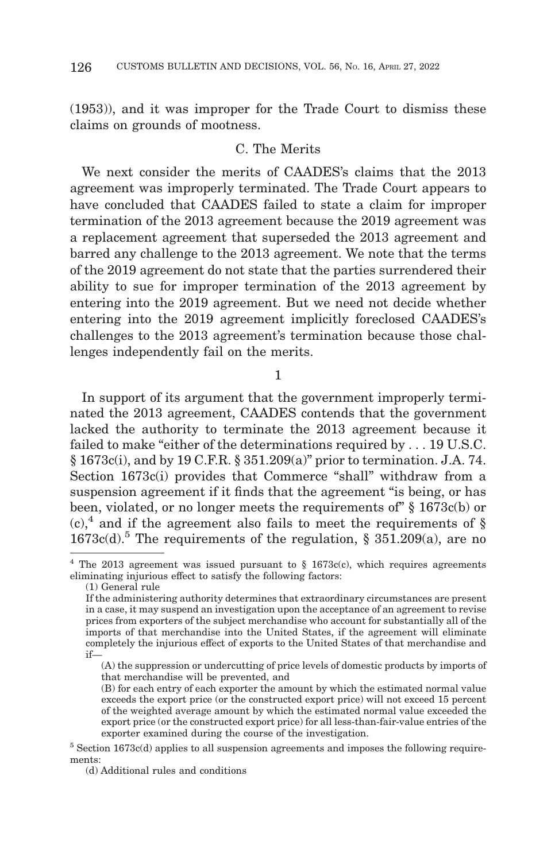(1953)), and it was improper for the Trade Court to dismiss these claims on grounds of mootness.

## C. The Merits

We next consider the merits of CAADES's claims that the 2013 agreement was improperly terminated. The Trade Court appears to have concluded that CAADES failed to state a claim for improper termination of the 2013 agreement because the 2019 agreement was a replacement agreement that superseded the 2013 agreement and barred any challenge to the 2013 agreement. We note that the terms of the 2019 agreement do not state that the parties surrendered their ability to sue for improper termination of the 2013 agreement by entering into the 2019 agreement. But we need not decide whether entering into the 2019 agreement implicitly foreclosed CAADES's challenges to the 2013 agreement's termination because those challenges independently fail on the merits.

1

In support of its argument that the government improperly terminated the 2013 agreement, CAADES contends that the government lacked the authority to terminate the 2013 agreement because it failed to make "either of the determinations required by . . . 19 U.S.C. § 1673c(i), and by 19 C.F.R. § 351.209(a)" prior to termination. J.A. 74. Section 1673c(i) provides that Commerce "shall" withdraw from a suspension agreement if it finds that the agreement "is being, or has been, violated, or no longer meets the requirements of" § 1673c(b) or  $(c)$ ,<sup>4</sup> and if the agreement also fails to meet the requirements of §  $1673c(d).$ <sup>5</sup> The requirements of the regulation, § 351.209(a), are no

<sup>&</sup>lt;sup>4</sup> The 2013 agreement was issued pursuant to  $\S$  1673c(c), which requires agreements eliminating injurious effect to satisfy the following factors:

<sup>(1)</sup> General rule

If the administering authority determines that extraordinary circumstances are present in a case, it may suspend an investigation upon the acceptance of an agreement to revise prices from exporters of the subject merchandise who account for substantially all of the imports of that merchandise into the United States, if the agreement will eliminate completely the injurious effect of exports to the United States of that merchandise and if—

<sup>(</sup>A) the suppression or undercutting of price levels of domestic products by imports of that merchandise will be prevented, and

<sup>(</sup>B) for each entry of each exporter the amount by which the estimated normal value exceeds the export price (or the constructed export price) will not exceed 15 percent of the weighted average amount by which the estimated normal value exceeded the export price (or the constructed export price) for all less-than-fair-value entries of the exporter examined during the course of the investigation.

 $5$  Section 1673c(d) applies to all suspension agreements and imposes the following requirements:

<sup>(</sup>d) Additional rules and conditions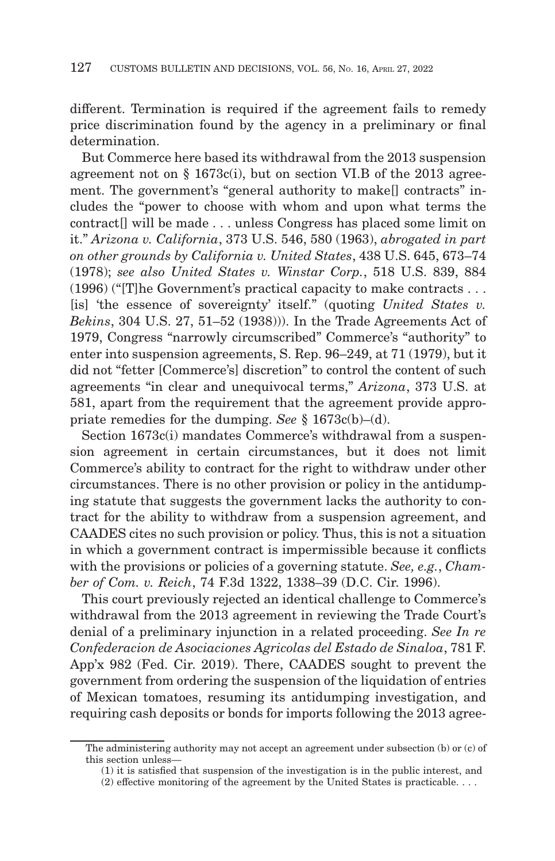different. Termination is required if the agreement fails to remedy price discrimination found by the agency in a preliminary or final determination.

But Commerce here based its withdrawal from the 2013 suspension agreement not on  $\S$  1673c(i), but on section VI.B of the 2013 agreement. The government's "general authority to make[] contracts" includes the "power to choose with whom and upon what terms the contract<sup>[]</sup> will be made . . . unless Congress has placed some limit on it." *Arizona v. California*, 373 U.S. 546, 580 (1963), *abrogated in part on other grounds by California v. United States*, 438 U.S. 645, 673–74 (1978); *see also United States v. Winstar Corp.*, 518 U.S. 839, 884 (1996) ("[T]he Government's practical capacity to make contracts . . . [is] 'the essence of sovereignty' itself." (quoting *United States v. Bekins*, 304 U.S. 27, 51–52 (1938))). In the Trade Agreements Act of 1979, Congress "narrowly circumscribed" Commerce's "authority" to enter into suspension agreements, S. Rep. 96–249, at 71 (1979), but it did not "fetter [Commerce's] discretion" to control the content of such agreements "in clear and unequivocal terms," *Arizona*, 373 U.S. at 581, apart from the requirement that the agreement provide appropriate remedies for the dumping. *See* § 1673c(b)–(d).

Section 1673c(i) mandates Commerce's withdrawal from a suspension agreement in certain circumstances, but it does not limit Commerce's ability to contract for the right to withdraw under other circumstances. There is no other provision or policy in the antidumping statute that suggests the government lacks the authority to contract for the ability to withdraw from a suspension agreement, and CAADES cites no such provision or policy. Thus, this is not a situation in which a government contract is impermissible because it conflicts with the provisions or policies of a governing statute. *See, e.g.*, *Chamber of Com. v. Reich*, 74 F.3d 1322, 1338–39 (D.C. Cir. 1996).

This court previously rejected an identical challenge to Commerce's withdrawal from the 2013 agreement in reviewing the Trade Court's denial of a preliminary injunction in a related proceeding. *See In re Confederacion de Asociaciones Agricolas del Estado de Sinaloa*, 781 F. App'x 982 (Fed. Cir. 2019). There, CAADES sought to prevent the government from ordering the suspension of the liquidation of entries of Mexican tomatoes, resuming its antidumping investigation, and requiring cash deposits or bonds for imports following the 2013 agree-

The administering authority may not accept an agreement under subsection (b) or (c) of this section unless—

<sup>(1)</sup> it is satisfied that suspension of the investigation is in the public interest, and

<sup>(2)</sup> effective monitoring of the agreement by the United States is practicable. . . .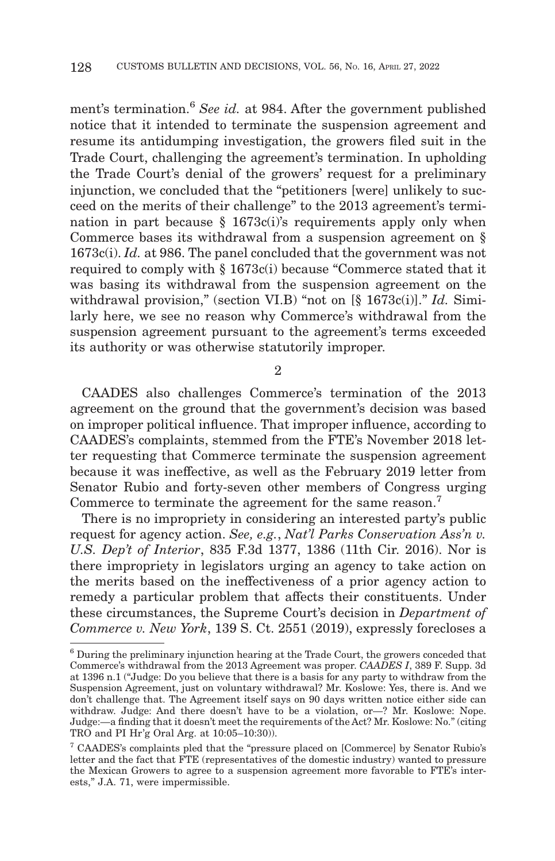ment's termination.<sup>6</sup> *See id.* at 984. After the government published notice that it intended to terminate the suspension agreement and resume its antidumping investigation, the growers filed suit in the Trade Court, challenging the agreement's termination. In upholding the Trade Court's denial of the growers' request for a preliminary injunction, we concluded that the "petitioners [were] unlikely to succeed on the merits of their challenge" to the 2013 agreement's termination in part because  $\S$  1673c(i)'s requirements apply only when Commerce bases its withdrawal from a suspension agreement on § 1673c(i). *Id.* at 986. The panel concluded that the government was not required to comply with § 1673c(i) because "Commerce stated that it was basing its withdrawal from the suspension agreement on the withdrawal provision," (section VI.B) "not on [§ 1673c(i)]." *Id.* Similarly here, we see no reason why Commerce's withdrawal from the suspension agreement pursuant to the agreement's terms exceeded its authority or was otherwise statutorily improper.

 $\overline{2}$ 

CAADES also challenges Commerce's termination of the 2013 agreement on the ground that the government's decision was based on improper political influence. That improper influence, according to CAADES's complaints, stemmed from the FTE's November 2018 letter requesting that Commerce terminate the suspension agreement because it was ineffective, as well as the February 2019 letter from Senator Rubio and forty-seven other members of Congress urging Commerce to terminate the agreement for the same reason.<sup>7</sup>

There is no impropriety in considering an interested party's public request for agency action. *See, e.g.*, *Nat'l Parks Conservation Ass'n v. U.S. Dep't of Interior*, 835 F.3d 1377, 1386 (11th Cir. 2016). Nor is there impropriety in legislators urging an agency to take action on the merits based on the ineffectiveness of a prior agency action to remedy a particular problem that affects their constituents. Under these circumstances, the Supreme Court's decision in *Department of Commerce v. New York*, 139 S. Ct. 2551 (2019), expressly forecloses a

<sup>6</sup> During the preliminary injunction hearing at the Trade Court, the growers conceded that Commerce's withdrawal from the 2013 Agreement was proper. *CAADES I*, 389 F. Supp. 3d at 1396 n.1 ("Judge: Do you believe that there is a basis for any party to withdraw from the Suspension Agreement, just on voluntary withdrawal? Mr. Koslowe: Yes, there is. And we don't challenge that. The Agreement itself says on 90 days written notice either side can withdraw. Judge: And there doesn't have to be a violation, or—? Mr. Koslowe: Nope. Judge:—a finding that it doesn't meet the requirements of the Act? Mr. Koslowe: No." (citing TRO and PI Hr'g Oral Arg. at  $10:05-10:30$ ).

<sup>7</sup> CAADES's complaints pled that the "pressure placed on [Commerce] by Senator Rubio's letter and the fact that FTE (representatives of the domestic industry) wanted to pressure the Mexican Growers to agree to a suspension agreement more favorable to FTE's interests," J.A. 71, were impermissible.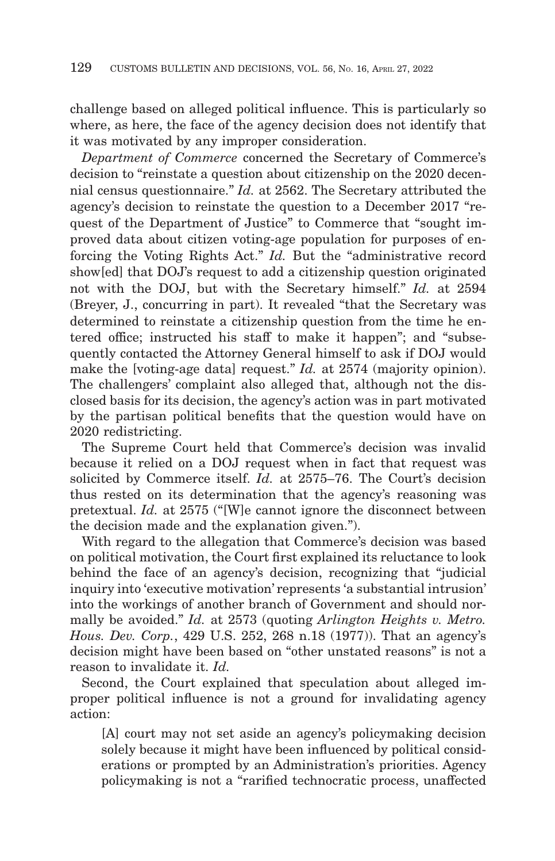challenge based on alleged political influence. This is particularly so where, as here, the face of the agency decision does not identify that it was motivated by any improper consideration.

*Department of Commerce* concerned the Secretary of Commerce's decision to "reinstate a question about citizenship on the 2020 decennial census questionnaire." *Id.* at 2562. The Secretary attributed the agency's decision to reinstate the question to a December 2017 "request of the Department of Justice" to Commerce that "sought improved data about citizen voting-age population for purposes of enforcing the Voting Rights Act." *Id.* But the "administrative record show[ed] that DOJ's request to add a citizenship question originated not with the DOJ, but with the Secretary himself." *Id.* at 2594 (Breyer, J., concurring in part). It revealed "that the Secretary was determined to reinstate a citizenship question from the time he entered office; instructed his staff to make it happen"; and "subsequently contacted the Attorney General himself to ask if DOJ would make the [voting-age data] request." *Id.* at 2574 (majority opinion). The challengers' complaint also alleged that, although not the disclosed basis for its decision, the agency's action was in part motivated by the partisan political benefits that the question would have on 2020 redistricting.

The Supreme Court held that Commerce's decision was invalid because it relied on a DOJ request when in fact that request was solicited by Commerce itself. *Id.* at 2575–76. The Court's decision thus rested on its determination that the agency's reasoning was pretextual. *Id.* at 2575 ("[W]e cannot ignore the disconnect between the decision made and the explanation given.").

With regard to the allegation that Commerce's decision was based on political motivation, the Court first explained its reluctance to look behind the face of an agency's decision, recognizing that "judicial inquiry into 'executive motivation' represents 'a substantial intrusion' into the workings of another branch of Government and should normally be avoided." *Id.* at 2573 (quoting *Arlington Heights v. Metro. Hous. Dev. Corp.*, 429 U.S. 252, 268 n.18 (1977)). That an agency's decision might have been based on "other unstated reasons" is not a reason to invalidate it. *Id.*

Second, the Court explained that speculation about alleged improper political influence is not a ground for invalidating agency action:

[A] court may not set aside an agency's policymaking decision solely because it might have been influenced by political considerations or prompted by an Administration's priorities. Agency policymaking is not a "rarified technocratic process, unaffected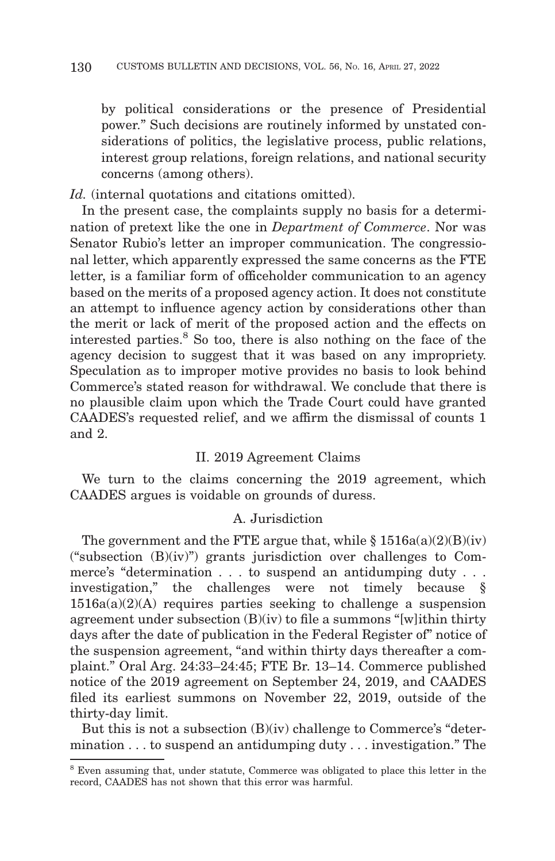by political considerations or the presence of Presidential power." Such decisions are routinely informed by unstated considerations of politics, the legislative process, public relations, interest group relations, foreign relations, and national security concerns (among others).

Id. (internal quotations and citations omitted).

In the present case, the complaints supply no basis for a determination of pretext like the one in *Department of Commerce*. Nor was Senator Rubio's letter an improper communication. The congressional letter, which apparently expressed the same concerns as the FTE letter, is a familiar form of officeholder communication to an agency based on the merits of a proposed agency action. It does not constitute an attempt to influence agency action by considerations other than the merit or lack of merit of the proposed action and the effects on interested parties.8 So too, there is also nothing on the face of the agency decision to suggest that it was based on any impropriety. Speculation as to improper motive provides no basis to look behind Commerce's stated reason for withdrawal. We conclude that there is no plausible claim upon which the Trade Court could have granted CAADES's requested relief, and we affirm the dismissal of counts 1 and 2.

## II. 2019 Agreement Claims

We turn to the claims concerning the 2019 agreement, which CAADES argues is voidable on grounds of duress.

## A. Jurisdiction

The government and the FTE argue that, while  $\S 1516a(a)(2)(B)(iv)$ ("subsection (B)(iv)") grants jurisdiction over challenges to Commerce's "determination . . . to suspend an antidumping duty . . . investigation," the challenges were not timely because §  $1516a(a)(2)(A)$  requires parties seeking to challenge a suspension agreement under subsection (B)(iv) to file a summons "[w]ithin thirty days after the date of publication in the Federal Register of" notice of the suspension agreement, "and within thirty days thereafter a complaint." Oral Arg. 24:33–24:45; FTE Br. 13–14. Commerce published notice of the 2019 agreement on September 24, 2019, and CAADES filed its earliest summons on November 22, 2019, outside of the thirty-day limit.

But this is not a subsection (B)(iv) challenge to Commerce's "determination . . . to suspend an antidumping duty . . . investigation." The

<sup>8</sup> Even assuming that, under statute, Commerce was obligated to place this letter in the record, CAADES has not shown that this error was harmful.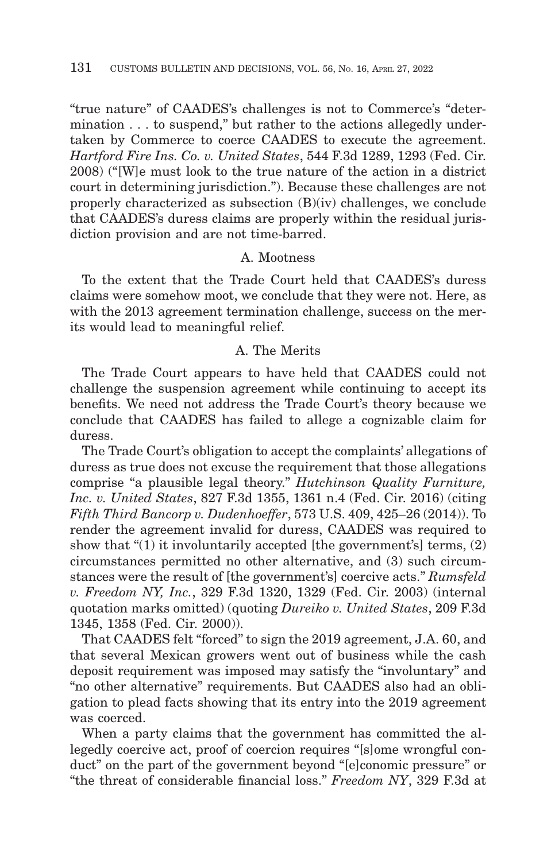"true nature" of CAADES's challenges is not to Commerce's "determination . . . to suspend," but rather to the actions allegedly undertaken by Commerce to coerce CAADES to execute the agreement. *Hartford Fire Ins. Co. v. United States*, 544 F.3d 1289, 1293 (Fed. Cir. 2008) ("[W]e must look to the true nature of the action in a district court in determining jurisdiction."). Because these challenges are not properly characterized as subsection (B)(iv) challenges, we conclude that CAADES's duress claims are properly within the residual jurisdiction provision and are not time-barred.

## A. Mootness

To the extent that the Trade Court held that CAADES's duress claims were somehow moot, we conclude that they were not. Here, as with the 2013 agreement termination challenge, success on the merits would lead to meaningful relief.

## A. The Merits

The Trade Court appears to have held that CAADES could not challenge the suspension agreement while continuing to accept its benefits. We need not address the Trade Court's theory because we conclude that CAADES has failed to allege a cognizable claim for duress.

The Trade Court's obligation to accept the complaints' allegations of duress as true does not excuse the requirement that those allegations comprise "a plausible legal theory." *Hutchinson Quality Furniture, Inc. v. United States*, 827 F.3d 1355, 1361 n.4 (Fed. Cir. 2016) (citing *Fifth Third Bancorp v. Dudenhoeffer*, 573 U.S. 409, 425–26 (2014)). To render the agreement invalid for duress, CAADES was required to show that "(1) it involuntarily accepted [the government's] terms, (2) circumstances permitted no other alternative, and (3) such circumstances were the result of [the government's] coercive acts." *Rumsfeld v. Freedom NY, Inc.*, 329 F.3d 1320, 1329 (Fed. Cir. 2003) (internal quotation marks omitted) (quoting *Dureiko v. United States*, 209 F.3d 1345, 1358 (Fed. Cir. 2000)).

That CAADES felt "forced" to sign the 2019 agreement, J.A. 60, and that several Mexican growers went out of business while the cash deposit requirement was imposed may satisfy the "involuntary" and "no other alternative" requirements. But CAADES also had an obligation to plead facts showing that its entry into the 2019 agreement was coerced.

When a party claims that the government has committed the allegedly coercive act, proof of coercion requires "[s]ome wrongful conduct" on the part of the government beyond "[e]conomic pressure" or "the threat of considerable financial loss." *Freedom NY*, 329 F.3d at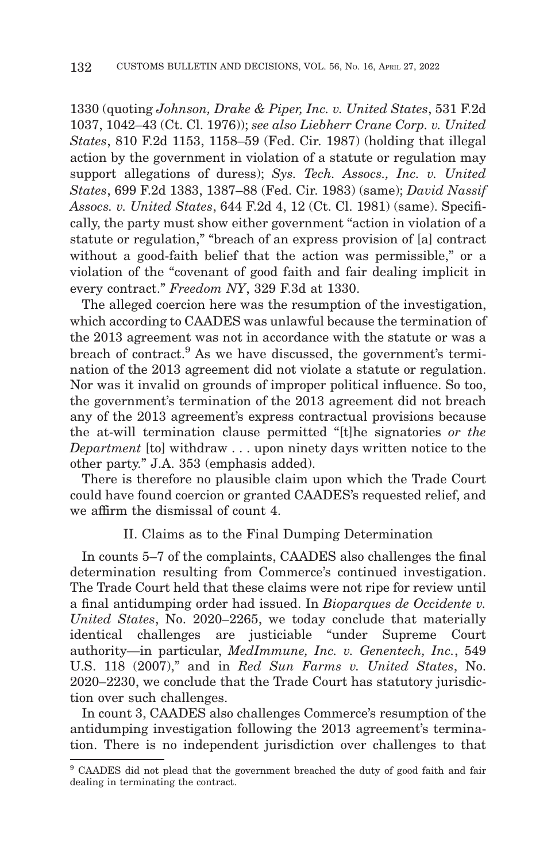1330 (quoting *Johnson, Drake & Piper, Inc. v. United States*, 531 F.2d 1037, 1042–43 (Ct. Cl. 1976)); *see also Liebherr Crane Corp. v. United States*, 810 F.2d 1153, 1158–59 (Fed. Cir. 1987) (holding that illegal action by the government in violation of a statute or regulation may support allegations of duress); *Sys. Tech. Assocs., Inc. v. United States*, 699 F.2d 1383, 1387–88 (Fed. Cir. 1983) (same); *David Nassif Assocs. v. United States*, 644 F.2d 4, 12 (Ct. Cl. 1981) (same). Specifically, the party must show either government "action in violation of a statute or regulation," "breach of an express provision of [a] contract without a good-faith belief that the action was permissible," or a violation of the "covenant of good faith and fair dealing implicit in every contract." *Freedom NY*, 329 F.3d at 1330.

The alleged coercion here was the resumption of the investigation, which according to CAADES was unlawful because the termination of the 2013 agreement was not in accordance with the statute or was a breach of contract.9 As we have discussed, the government's termination of the 2013 agreement did not violate a statute or regulation. Nor was it invalid on grounds of improper political influence. So too, the government's termination of the 2013 agreement did not breach any of the 2013 agreement's express contractual provisions because the at-will termination clause permitted "[t]he signatories *or the Department* [to] withdraw . . . upon ninety days written notice to the other party." J.A. 353 (emphasis added).

There is therefore no plausible claim upon which the Trade Court could have found coercion or granted CAADES's requested relief, and we affirm the dismissal of count 4.

## II. Claims as to the Final Dumping Determination

In counts 5–7 of the complaints, CAADES also challenges the final determination resulting from Commerce's continued investigation. The Trade Court held that these claims were not ripe for review until a final antidumping order had issued. In *Bioparques de Occidente v. United States*, No. 2020–2265, we today conclude that materially identical challenges are justiciable "under Supreme Court authority—in particular, *MedImmune, Inc. v. Genentech, Inc.*, 549 U.S. 118 (2007)," and in *Red Sun Farms v. United States*, No. 2020–2230, we conclude that the Trade Court has statutory jurisdiction over such challenges.

In count 3, CAADES also challenges Commerce's resumption of the antidumping investigation following the 2013 agreement's termination. There is no independent jurisdiction over challenges to that

<sup>9</sup> CAADES did not plead that the government breached the duty of good faith and fair dealing in terminating the contract.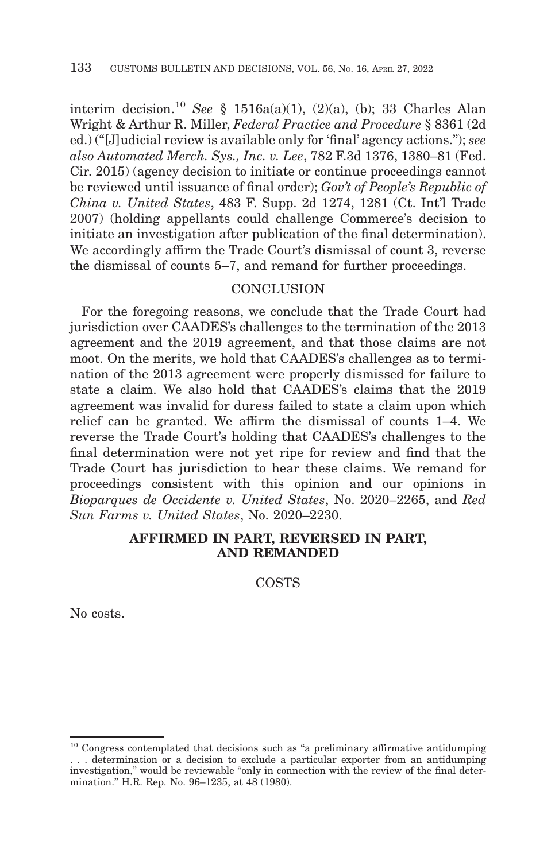interim decision.10 *See* § 1516a(a)(1), (2)(a), (b); 33 Charles Alan Wright & Arthur R. Miller, *Federal Practice and Procedure* § 8361 (2d ed.) ("[J]udicial review is available only for 'final' agency actions."); *see also Automated Merch. Sys., Inc. v. Lee*, 782 F.3d 1376, 1380–81 (Fed. Cir. 2015) (agency decision to initiate or continue proceedings cannot be reviewed until issuance of final order); *Gov't of People's Republic of China v. United States*, 483 F. Supp. 2d 1274, 1281 (Ct. Int'l Trade 2007) (holding appellants could challenge Commerce's decision to initiate an investigation after publication of the final determination). We accordingly affirm the Trade Court's dismissal of count 3, reverse the dismissal of counts 5–7, and remand for further proceedings.

# **CONCLUSION**

For the foregoing reasons, we conclude that the Trade Court had jurisdiction over CAADES's challenges to the termination of the 2013 agreement and the 2019 agreement, and that those claims are not moot. On the merits, we hold that CAADES's challenges as to termination of the 2013 agreement were properly dismissed for failure to state a claim. We also hold that CAADES's claims that the 2019 agreement was invalid for duress failed to state a claim upon which relief can be granted. We affirm the dismissal of counts 1–4. We reverse the Trade Court's holding that CAADES's challenges to the final determination were not yet ripe for review and find that the Trade Court has jurisdiction to hear these claims. We remand for proceedings consistent with this opinion and our opinions in *Bioparques de Occidente v. United States*, No. 2020–2265, and *Red Sun Farms v. United States*, No. 2020–2230.

# **AFFIRMED IN PART, REVERSED IN PART, AND REMANDED**

COSTS

No costs.

 $10$  Congress contemplated that decisions such as "a preliminary affirmative antidumping . . . determination or a decision to exclude a particular exporter from an antidumping investigation," would be reviewable "only in connection with the review of the final determination." H.R. Rep. No. 96–1235, at 48 (1980).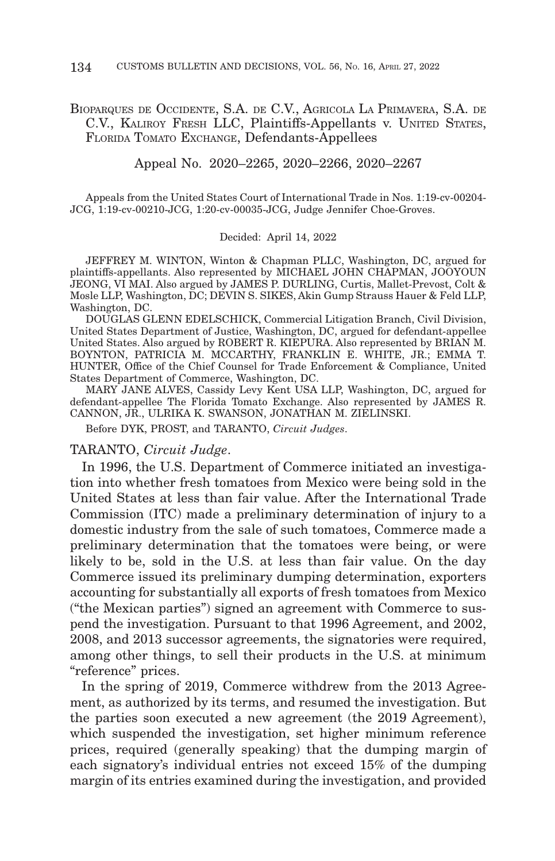# BIOPARQUES DE OCCIDENTE, S.A. DE C.V., AGRICOLA LA PRIMAVERA, S.A. DE C.V., KALIROY FRESH LLC, Plaintiffs-Appellants v. UNITED STATES, FLORIDA TOMATO EXCHANGE, Defendants-Appellees

Appeal No. 2020–2265, 2020–2266, 2020–2267

Appeals from the United States Court of International Trade in Nos. 1:19-cv-00204- JCG, 1:19-cv-00210-JCG, 1:20-cv-00035-JCG, Judge Jennifer Choe-Groves.

#### Decided: April 14, 2022

JEFFREY M. WINTON, Winton & Chapman PLLC, Washington, DC, argued for plaintiffs-appellants. Also represented by MICHAEL JOHN CHAPMAN, JOOYOUN JEONG, VI MAI. Also argued by JAMES P. DURLING, Curtis, Mallet-Prevost, Colt & Mosle LLP, Washington, DC; DEVIN S. SIKES, Akin Gump Strauss Hauer & Feld LLP, Washington, DC.

DOUGLAS GLENN EDELSCHICK, Commercial Litigation Branch, Civil Division, United States Department of Justice, Washington, DC, argued for defendant-appellee United States. Also argued by ROBERT R. KIEPURA. Also represented by BRIAN M. BOYNTON, PATRICIA M. MCCARTHY, FRANKLIN E. WHITE, JR.; EMMA T. HUNTER, Office of the Chief Counsel for Trade Enforcement & Compliance, United States Department of Commerce, Washington, DC.

MARY JANE ALVES, Cassidy Levy Kent USA LLP, Washington, DC, argued for defendant-appellee The Florida Tomato Exchange. Also represented by JAMES R. CANNON, JR., ULRIKA K. SWANSON, JONATHAN M. ZIELINSKI.

Before DYK, PROST, and TARANTO, *Circuit Judges*.

#### TARANTO, *Circuit Judge*.

In 1996, the U.S. Department of Commerce initiated an investigation into whether fresh tomatoes from Mexico were being sold in the United States at less than fair value. After the International Trade Commission (ITC) made a preliminary determination of injury to a domestic industry from the sale of such tomatoes, Commerce made a preliminary determination that the tomatoes were being, or were likely to be, sold in the U.S. at less than fair value. On the day Commerce issued its preliminary dumping determination, exporters accounting for substantially all exports of fresh tomatoes from Mexico ("the Mexican parties") signed an agreement with Commerce to suspend the investigation. Pursuant to that 1996 Agreement, and 2002, 2008, and 2013 successor agreements, the signatories were required, among other things, to sell their products in the U.S. at minimum "reference" prices.

In the spring of 2019, Commerce withdrew from the 2013 Agreement, as authorized by its terms, and resumed the investigation. But the parties soon executed a new agreement (the 2019 Agreement), which suspended the investigation, set higher minimum reference prices, required (generally speaking) that the dumping margin of each signatory's individual entries not exceed 15% of the dumping margin of its entries examined during the investigation, and provided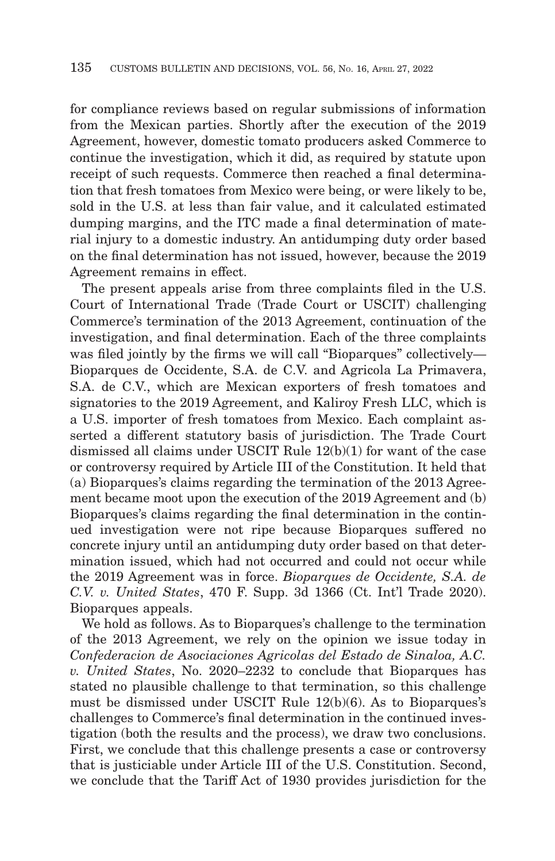for compliance reviews based on regular submissions of information from the Mexican parties. Shortly after the execution of the 2019 Agreement, however, domestic tomato producers asked Commerce to continue the investigation, which it did, as required by statute upon receipt of such requests. Commerce then reached a final determination that fresh tomatoes from Mexico were being, or were likely to be, sold in the U.S. at less than fair value, and it calculated estimated dumping margins, and the ITC made a final determination of material injury to a domestic industry. An antidumping duty order based on the final determination has not issued, however, because the 2019 Agreement remains in effect.

The present appeals arise from three complaints filed in the U.S. Court of International Trade (Trade Court or USCIT) challenging Commerce's termination of the 2013 Agreement, continuation of the investigation, and final determination. Each of the three complaints was filed jointly by the firms we will call "Bioparques" collectively— Bioparques de Occidente, S.A. de C.V. and Agricola La Primavera, S.A. de C.V., which are Mexican exporters of fresh tomatoes and signatories to the 2019 Agreement, and Kaliroy Fresh LLC, which is a U.S. importer of fresh tomatoes from Mexico. Each complaint asserted a different statutory basis of jurisdiction. The Trade Court dismissed all claims under USCIT Rule 12(b)(1) for want of the case or controversy required by Article III of the Constitution. It held that (a) Bioparques's claims regarding the termination of the 2013 Agreement became moot upon the execution of the 2019 Agreement and (b) Bioparques's claims regarding the final determination in the continued investigation were not ripe because Bioparques suffered no concrete injury until an antidumping duty order based on that determination issued, which had not occurred and could not occur while the 2019 Agreement was in force. *Bioparques de Occidente, S.A. de C.V. v. United States*, 470 F. Supp. 3d 1366 (Ct. Int'l Trade 2020). Bioparques appeals.

We hold as follows. As to Bioparques's challenge to the termination of the 2013 Agreement, we rely on the opinion we issue today in *Confederacion de Asociaciones Agricolas del Estado de Sinaloa, A.C. v. United States*, No. 2020–2232 to conclude that Bioparques has stated no plausible challenge to that termination, so this challenge must be dismissed under USCIT Rule 12(b)(6). As to Bioparques's challenges to Commerce's final determination in the continued investigation (both the results and the process), we draw two conclusions. First, we conclude that this challenge presents a case or controversy that is justiciable under Article III of the U.S. Constitution. Second, we conclude that the Tariff Act of 1930 provides jurisdiction for the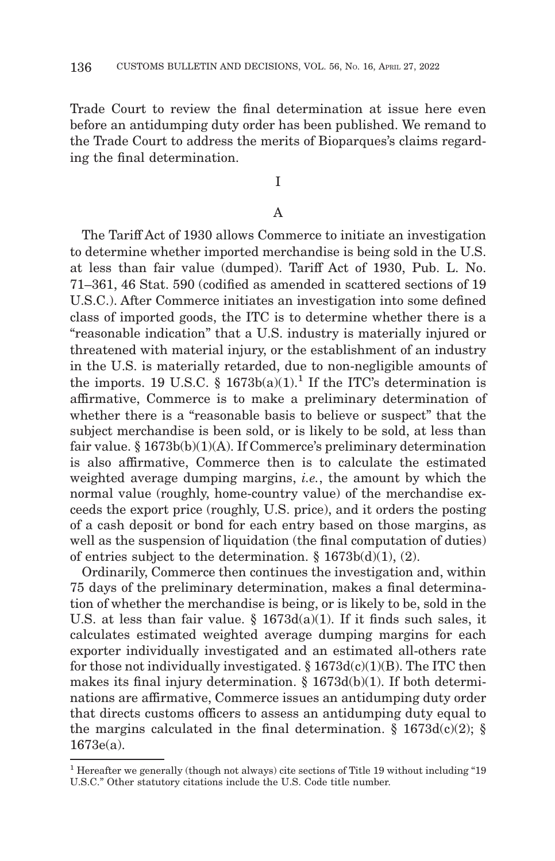Trade Court to review the final determination at issue here even before an antidumping duty order has been published. We remand to the Trade Court to address the merits of Bioparques's claims regarding the final determination.

# I

#### A

The Tariff Act of 1930 allows Commerce to initiate an investigation to determine whether imported merchandise is being sold in the U.S. at less than fair value (dumped). Tariff Act of 1930, Pub. L. No. 71–361, 46 Stat. 590 (codified as amended in scattered sections of 19 U.S.C.). After Commerce initiates an investigation into some defined class of imported goods, the ITC is to determine whether there is a "reasonable indication" that a U.S. industry is materially injured or threatened with material injury, or the establishment of an industry in the U.S. is materially retarded, due to non-negligible amounts of the imports. 19 U.S.C. § 1673b(a)(1).<sup>1</sup> If the ITC's determination is affirmative, Commerce is to make a preliminary determination of whether there is a "reasonable basis to believe or suspect" that the subject merchandise is been sold, or is likely to be sold, at less than fair value. § 1673b(b)(1)(A). If Commerce's preliminary determination is also affirmative, Commerce then is to calculate the estimated weighted average dumping margins, *i.e.*, the amount by which the normal value (roughly, home-country value) of the merchandise exceeds the export price (roughly, U.S. price), and it orders the posting of a cash deposit or bond for each entry based on those margins, as well as the suspension of liquidation (the final computation of duties) of entries subject to the determination. § 1673b(d)(1), (2).

Ordinarily, Commerce then continues the investigation and, within 75 days of the preliminary determination, makes a final determination of whether the merchandise is being, or is likely to be, sold in the U.S. at less than fair value.  $\S$  1673d(a)(1). If it finds such sales, it calculates estimated weighted average dumping margins for each exporter individually investigated and an estimated all-others rate for those not individually investigated.  $\S 1673d(c)(1)(B)$ . The ITC then makes its final injury determination.  $\S$  1673d(b)(1). If both determinations are affirmative, Commerce issues an antidumping duty order that directs customs officers to assess an antidumping duty equal to the margins calculated in the final determination.  $\S$  1673d(c)(2);  $\S$ 1673e(a).

<sup>1</sup> Hereafter we generally (though not always) cite sections of Title 19 without including "19 U.S.C." Other statutory citations include the U.S. Code title number.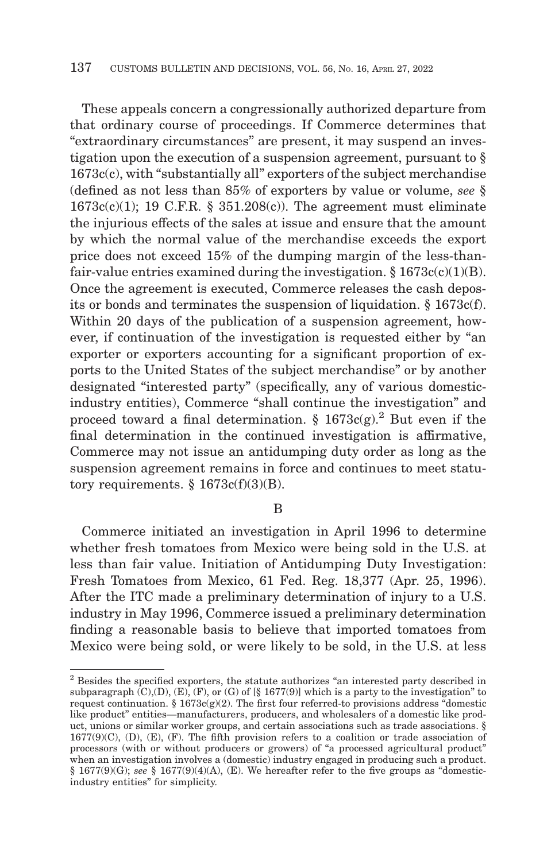These appeals concern a congressionally authorized departure from that ordinary course of proceedings. If Commerce determines that "extraordinary circumstances" are present, it may suspend an investigation upon the execution of a suspension agreement, pursuant to § 1673c(c), with "substantially all" exporters of the subject merchandise (defined as not less than 85% of exporters by value or volume, *see* §  $1673c(c)(1)$ ; 19 C.F.R. § 351.208(c)). The agreement must eliminate the injurious effects of the sales at issue and ensure that the amount by which the normal value of the merchandise exceeds the export price does not exceed 15% of the dumping margin of the less-thanfair-value entries examined during the investigation.  $\S 1673c(c)(1)(B)$ . Once the agreement is executed, Commerce releases the cash deposits or bonds and terminates the suspension of liquidation. § 1673c(f). Within 20 days of the publication of a suspension agreement, however, if continuation of the investigation is requested either by "an exporter or exporters accounting for a significant proportion of exports to the United States of the subject merchandise" or by another designated "interested party" (specifically, any of various domesticindustry entities), Commerce "shall continue the investigation" and proceed toward a final determination. §  $1673c(g).^2$  But even if the final determination in the continued investigation is affirmative, Commerce may not issue an antidumping duty order as long as the suspension agreement remains in force and continues to meet statutory requirements.  $§$  1673 $c(f)(3)(B)$ .

B

Commerce initiated an investigation in April 1996 to determine whether fresh tomatoes from Mexico were being sold in the U.S. at less than fair value. Initiation of Antidumping Duty Investigation: Fresh Tomatoes from Mexico, 61 Fed. Reg. 18,377 (Apr. 25, 1996). After the ITC made a preliminary determination of injury to a U.S. industry in May 1996, Commerce issued a preliminary determination finding a reasonable basis to believe that imported tomatoes from Mexico were being sold, or were likely to be sold, in the U.S. at less

<sup>&</sup>lt;sup>2</sup> Besides the specified exporters, the statute authorizes "an interested party described in subparagraph  $(C), (D), (E), (F),$  or  $(G)$  of  $[\S 1677(9)]$  which is a party to the investigation" to request continuation. §  $1673c(g)(2)$ . The first four referred-to provisions address "domestic like product" entities—manufacturers, producers, and wholesalers of a domestic like product, unions or similar worker groups, and certain associations such as trade associations. §  $1677(9)(C)$ ,  $(D)$ ,  $(E)$ ,  $(F)$ . The fifth provision refers to a coalition or trade association of processors (with or without producers or growers) of "a processed agricultural product" when an investigation involves a (domestic) industry engaged in producing such a product.  $§$  1677(9)(G); *see* § 1677(9)(4)(A), (E). We hereafter refer to the five groups as "domesticindustry entities" for simplicity.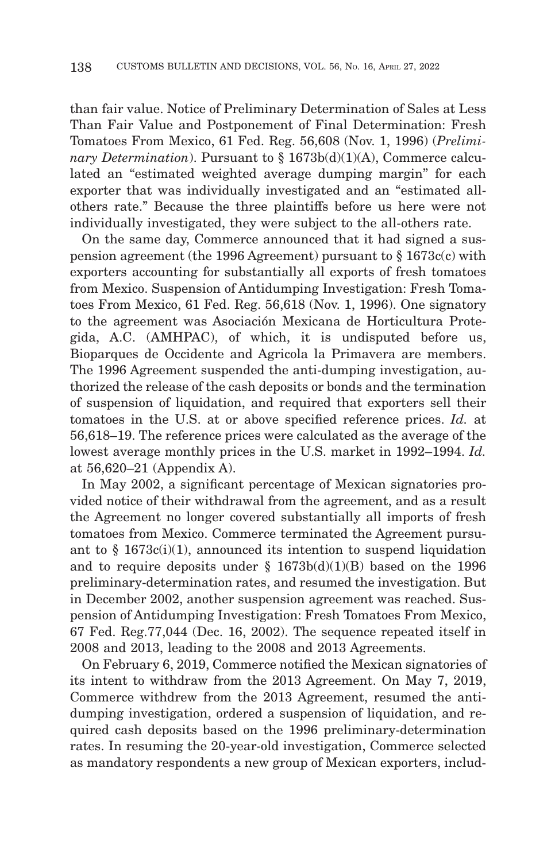than fair value. Notice of Preliminary Determination of Sales at Less Than Fair Value and Postponement of Final Determination: Fresh Tomatoes From Mexico, 61 Fed. Reg. 56,608 (Nov. 1, 1996) (*Preliminary Determination*). Pursuant to § 1673b(d)(1)(A), Commerce calculated an "estimated weighted average dumping margin" for each exporter that was individually investigated and an "estimated allothers rate." Because the three plaintiffs before us here were not individually investigated, they were subject to the all-others rate.

On the same day, Commerce announced that it had signed a suspension agreement (the 1996 Agreement) pursuant to § 1673c(c) with exporters accounting for substantially all exports of fresh tomatoes from Mexico. Suspension of Antidumping Investigation: Fresh Tomatoes From Mexico, 61 Fed. Reg. 56,618 (Nov. 1, 1996). One signatory to the agreement was Asociación Mexicana de Horticultura Protegida, A.C. (AMHPAC), of which, it is undisputed before us, Bioparques de Occidente and Agricola la Primavera are members. The 1996 Agreement suspended the anti-dumping investigation, authorized the release of the cash deposits or bonds and the termination of suspension of liquidation, and required that exporters sell their tomatoes in the U.S. at or above specified reference prices. *Id.* at 56,618–19. The reference prices were calculated as the average of the lowest average monthly prices in the U.S. market in 1992–1994. *Id.* at 56,620–21 (Appendix A).

In May 2002, a significant percentage of Mexican signatories provided notice of their withdrawal from the agreement, and as a result the Agreement no longer covered substantially all imports of fresh tomatoes from Mexico. Commerce terminated the Agreement pursuant to  $§$  1673 $c(i)(1)$ , announced its intention to suspend liquidation and to require deposits under  $\S$  1673b(d)(1)(B) based on the 1996 preliminary-determination rates, and resumed the investigation. But in December 2002, another suspension agreement was reached. Suspension of Antidumping Investigation: Fresh Tomatoes From Mexico, 67 Fed. Reg.77,044 (Dec. 16, 2002). The sequence repeated itself in 2008 and 2013, leading to the 2008 and 2013 Agreements.

On February 6, 2019, Commerce notified the Mexican signatories of its intent to withdraw from the 2013 Agreement. On May 7, 2019, Commerce withdrew from the 2013 Agreement, resumed the antidumping investigation, ordered a suspension of liquidation, and required cash deposits based on the 1996 preliminary-determination rates. In resuming the 20-year-old investigation, Commerce selected as mandatory respondents a new group of Mexican exporters, includ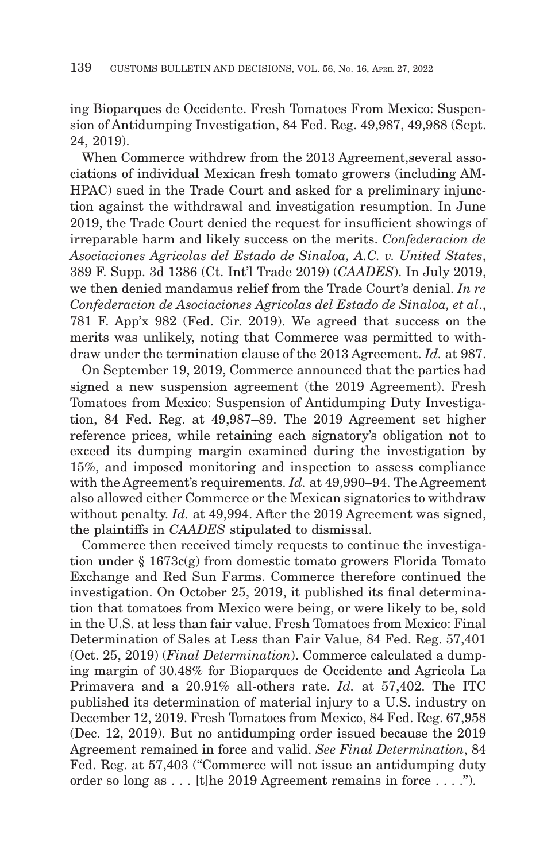ing Bioparques de Occidente. Fresh Tomatoes From Mexico: Suspension of Antidumping Investigation, 84 Fed. Reg. 49,987, 49,988 (Sept. 24, 2019).

When Commerce withdrew from the 2013 Agreement,several associations of individual Mexican fresh tomato growers (including AM-HPAC) sued in the Trade Court and asked for a preliminary injunction against the withdrawal and investigation resumption. In June 2019, the Trade Court denied the request for insufficient showings of irreparable harm and likely success on the merits. *Confederacion de Asociaciones Agricolas del Estado de Sinaloa, A.C. v. United States*, 389 F. Supp. 3d 1386 (Ct. Int'l Trade 2019) (*CAADES*). In July 2019, we then denied mandamus relief from the Trade Court's denial. *In re Confederacion de Asociaciones Agricolas del Estado de Sinaloa, et al*., 781 F. App'x 982 (Fed. Cir. 2019). We agreed that success on the merits was unlikely, noting that Commerce was permitted to withdraw under the termination clause of the 2013 Agreement. *Id.* at 987.

On September 19, 2019, Commerce announced that the parties had signed a new suspension agreement (the 2019 Agreement). Fresh Tomatoes from Mexico: Suspension of Antidumping Duty Investigation, 84 Fed. Reg. at 49,987–89. The 2019 Agreement set higher reference prices, while retaining each signatory's obligation not to exceed its dumping margin examined during the investigation by 15%, and imposed monitoring and inspection to assess compliance with the Agreement's requirements. *Id.* at 49,990–94. The Agreement also allowed either Commerce or the Mexican signatories to withdraw without penalty. *Id.* at 49,994. After the 2019 Agreement was signed, the plaintiffs in *CAADES* stipulated to dismissal.

Commerce then received timely requests to continue the investigation under § 1673c(g) from domestic tomato growers Florida Tomato Exchange and Red Sun Farms. Commerce therefore continued the investigation. On October 25, 2019, it published its final determination that tomatoes from Mexico were being, or were likely to be, sold in the U.S. at less than fair value. Fresh Tomatoes from Mexico: Final Determination of Sales at Less than Fair Value, 84 Fed. Reg. 57,401 (Oct. 25, 2019) (*Final Determination*). Commerce calculated a dumping margin of 30.48% for Bioparques de Occidente and Agricola La Primavera and a 20.91% all-others rate. *Id.* at 57,402. The ITC published its determination of material injury to a U.S. industry on December 12, 2019. Fresh Tomatoes from Mexico, 84 Fed. Reg. 67,958 (Dec. 12, 2019). But no antidumping order issued because the 2019 Agreement remained in force and valid. *See Final Determination*, 84 Fed. Reg. at 57,403 ("Commerce will not issue an antidumping duty order so long as . . . [t]he 2019 Agreement remains in force . . . .").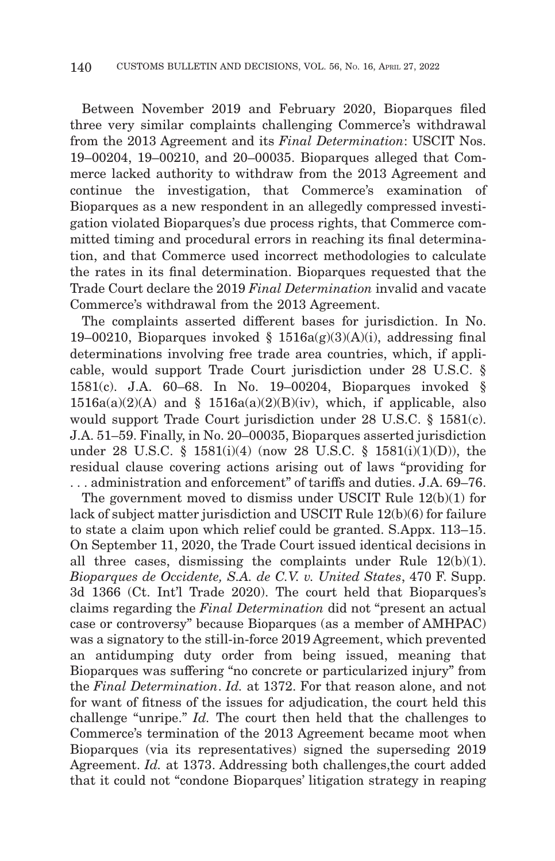Between November 2019 and February 2020, Bioparques filed three very similar complaints challenging Commerce's withdrawal from the 2013 Agreement and its *Final Determination*: USCIT Nos. 19–00204, 19–00210, and 20–00035. Bioparques alleged that Commerce lacked authority to withdraw from the 2013 Agreement and continue the investigation, that Commerce's examination of Bioparques as a new respondent in an allegedly compressed investigation violated Bioparques's due process rights, that Commerce committed timing and procedural errors in reaching its final determination, and that Commerce used incorrect methodologies to calculate the rates in its final determination. Bioparques requested that the Trade Court declare the 2019 *Final Determination* invalid and vacate Commerce's withdrawal from the 2013 Agreement.

The complaints asserted different bases for jurisdiction. In No. 19–00210, Bioparques invoked §  $1516a(g)(3)(A)(i)$ , addressing final determinations involving free trade area countries, which, if applicable, would support Trade Court jurisdiction under 28 U.S.C. § 1581(c). J.A. 60–68. In No. 19–00204, Bioparques invoked §  $1516a(a)(2)(A)$  and §  $1516a(a)(2)(B)(iv)$ , which, if applicable, also would support Trade Court jurisdiction under 28 U.S.C. § 1581(c). J.A. 51–59. Finally, in No. 20–00035, Bioparques asserted jurisdiction under 28 U.S.C. § 1581(i)(4) (now 28 U.S.C. § 1581(i)(1)(D)), the residual clause covering actions arising out of laws "providing for . . . administration and enforcement" of tariffs and duties. J.A. 69–76.

The government moved to dismiss under USCIT Rule 12(b)(1) for lack of subject matter jurisdiction and USCIT Rule 12(b)(6) for failure to state a claim upon which relief could be granted. S.Appx. 113–15. On September 11, 2020, the Trade Court issued identical decisions in all three cases, dismissing the complaints under Rule 12(b)(1). *Bioparques de Occidente, S.A. de C.V. v. United States*, 470 F. Supp. 3d 1366 (Ct. Int'l Trade 2020). The court held that Bioparques's claims regarding the *Final Determination* did not "present an actual case or controversy" because Bioparques (as a member of AMHPAC) was a signatory to the still-in-force 2019 Agreement, which prevented an antidumping duty order from being issued, meaning that Bioparques was suffering "no concrete or particularized injury" from the *Final Determination*. *Id.* at 1372. For that reason alone, and not for want of fitness of the issues for adjudication, the court held this challenge "unripe." *Id.* The court then held that the challenges to Commerce's termination of the 2013 Agreement became moot when Bioparques (via its representatives) signed the superseding 2019 Agreement. *Id.* at 1373. Addressing both challenges,the court added that it could not "condone Bioparques' litigation strategy in reaping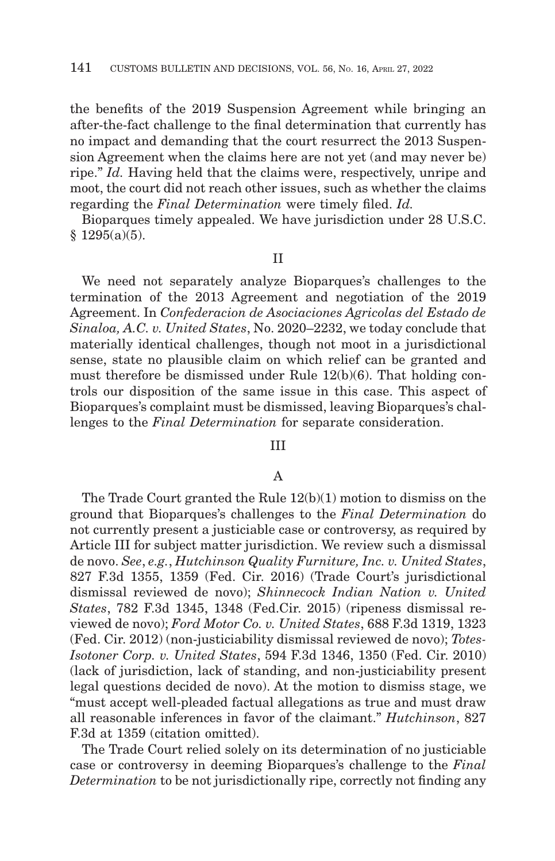the benefits of the 2019 Suspension Agreement while bringing an after-the-fact challenge to the final determination that currently has no impact and demanding that the court resurrect the 2013 Suspension Agreement when the claims here are not yet (and may never be) ripe." *Id.* Having held that the claims were, respectively, unripe and moot, the court did not reach other issues, such as whether the claims regarding the *Final Determination* were timely filed. *Id.*

Bioparques timely appealed. We have jurisdiction under 28 U.S.C. § 1295(a)(5).

II

We need not separately analyze Bioparques's challenges to the termination of the 2013 Agreement and negotiation of the 2019 Agreement. In *Confederacion de Asociaciones Agricolas del Estado de Sinaloa, A.C. v. United States*, No. 2020–2232, we today conclude that materially identical challenges, though not moot in a jurisdictional sense, state no plausible claim on which relief can be granted and must therefore be dismissed under Rule 12(b)(6). That holding controls our disposition of the same issue in this case. This aspect of Bioparques's complaint must be dismissed, leaving Bioparques's challenges to the *Final Determination* for separate consideration.

#### III

#### A

The Trade Court granted the Rule 12(b)(1) motion to dismiss on the ground that Bioparques's challenges to the *Final Determination* do not currently present a justiciable case or controversy, as required by Article III for subject matter jurisdiction. We review such a dismissal de novo. *See*, *e.g.*, *Hutchinson Quality Furniture, Inc. v. United States*, 827 F.3d 1355, 1359 (Fed. Cir. 2016) (Trade Court's jurisdictional dismissal reviewed de novo); *Shinnecock Indian Nation v. United States*, 782 F.3d 1345, 1348 (Fed.Cir. 2015) (ripeness dismissal reviewed de novo); *Ford Motor Co. v. United States*, 688 F.3d 1319, 1323 (Fed. Cir. 2012) (non-justiciability dismissal reviewed de novo); *Totes-Isotoner Corp. v. United States*, 594 F.3d 1346, 1350 (Fed. Cir. 2010) (lack of jurisdiction, lack of standing, and non-justiciability present legal questions decided de novo). At the motion to dismiss stage, we "must accept well-pleaded factual allegations as true and must draw all reasonable inferences in favor of the claimant." *Hutchinson*, 827 F.3d at 1359 (citation omitted).

The Trade Court relied solely on its determination of no justiciable case or controversy in deeming Bioparques's challenge to the *Final Determination* to be not jurisdictionally ripe, correctly not finding any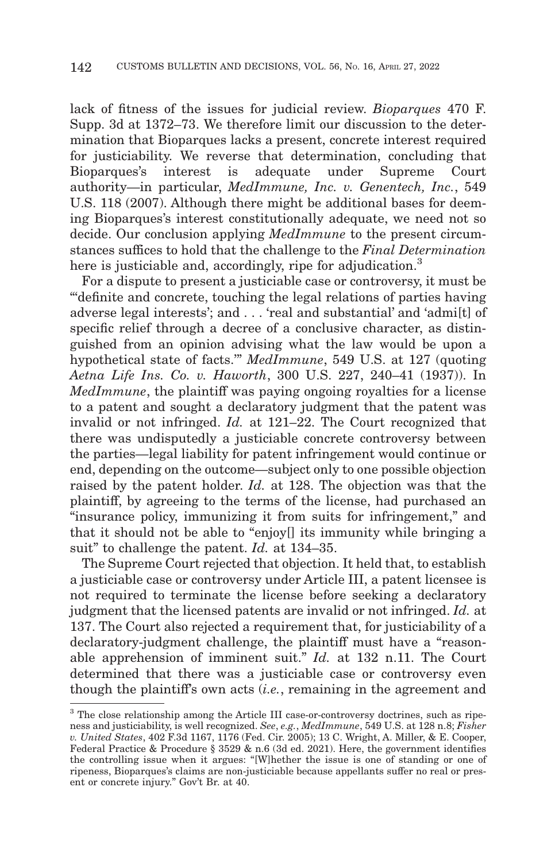lack of fitness of the issues for judicial review. *Bioparques* 470 F. Supp. 3d at 1372–73. We therefore limit our discussion to the determination that Bioparques lacks a present, concrete interest required for justiciability. We reverse that determination, concluding that Bioparques's interest is adequate under Supreme Court authority—in particular, *MedImmune, Inc. v. Genentech, Inc.*, 549 U.S. 118 (2007). Although there might be additional bases for deeming Bioparques's interest constitutionally adequate, we need not so decide. Our conclusion applying *MedImmune* to the present circumstances suffices to hold that the challenge to the *Final Determination* here is justiciable and, accordingly, ripe for adjudication.<sup>3</sup>

For a dispute to present a justiciable case or controversy, it must be "'definite and concrete, touching the legal relations of parties having adverse legal interests'; and . . . 'real and substantial' and 'admi[t] of specific relief through a decree of a conclusive character, as distinguished from an opinion advising what the law would be upon a hypothetical state of facts.'" *MedImmune*, 549 U.S. at 127 (quoting *Aetna Life Ins. Co. v. Haworth*, 300 U.S. 227, 240–41 (1937)). In *MedImmune*, the plaintiff was paying ongoing royalties for a license to a patent and sought a declaratory judgment that the patent was invalid or not infringed. *Id.* at 121–22. The Court recognized that there was undisputedly a justiciable concrete controversy between the parties—legal liability for patent infringement would continue or end, depending on the outcome—subject only to one possible objection raised by the patent holder. *Id.* at 128. The objection was that the plaintiff, by agreeing to the terms of the license, had purchased an "insurance policy, immunizing it from suits for infringement," and that it should not be able to "enjoy[] its immunity while bringing a suit" to challenge the patent. *Id.* at 134–35.

The Supreme Court rejected that objection. It held that, to establish a justiciable case or controversy under Article III, a patent licensee is not required to terminate the license before seeking a declaratory judgment that the licensed patents are invalid or not infringed. *Id.* at 137. The Court also rejected a requirement that, for justiciability of a declaratory-judgment challenge, the plaintiff must have a "reasonable apprehension of imminent suit." *Id.* at 132 n.11. The Court determined that there was a justiciable case or controversy even though the plaintiff's own acts (*i.e.*, remaining in the agreement and

<sup>3</sup> The close relationship among the Article III case-or-controversy doctrines, such as ripeness and justiciability, is well recognized. *See*, *e.g.*, *MedImmune*, 549 U.S. at 128 n.8; *Fisher v. United States*, 402 F.3d 1167, 1176 (Fed. Cir. 2005); 13 C. Wright, A. Miller, & E. Cooper, Federal Practice & Procedure § 3529 & n.6 (3d ed. 2021). Here, the government identifies the controlling issue when it argues: "[W]hether the issue is one of standing or one of ripeness, Bioparques's claims are non-justiciable because appellants suffer no real or present or concrete injury." Gov't Br. at 40.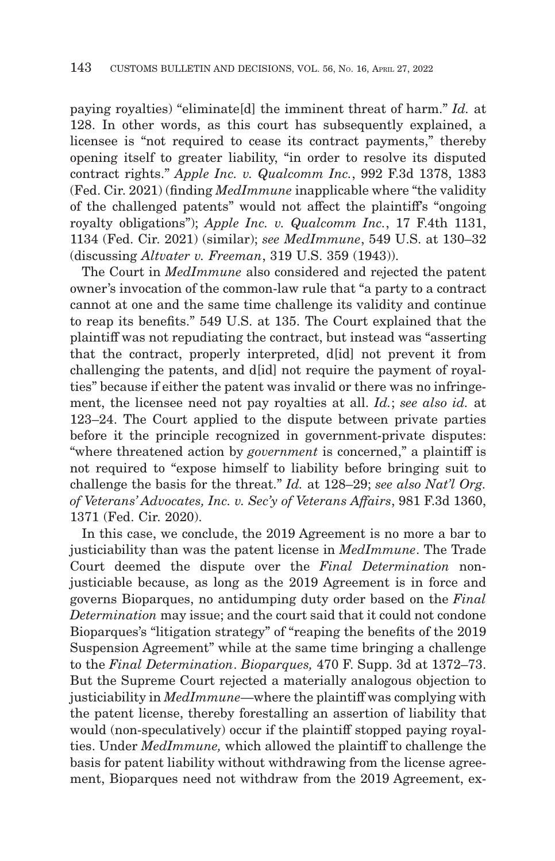paying royalties) "eliminate[d] the imminent threat of harm." *Id.* at 128. In other words, as this court has subsequently explained, a licensee is "not required to cease its contract payments," thereby opening itself to greater liability, "in order to resolve its disputed contract rights." *Apple Inc. v. Qualcomm Inc.*, 992 F.3d 1378, 1383 (Fed. Cir. 2021) (finding *MedImmune* inapplicable where "the validity of the challenged patents" would not affect the plaintiff's "ongoing royalty obligations"); *Apple Inc. v. Qualcomm Inc.*, 17 F.4th 1131, 1134 (Fed. Cir. 2021) (similar); *see MedImmune*, 549 U.S. at 130–32 (discussing *Altvater v. Freeman*, 319 U.S. 359 (1943)).

The Court in *MedImmune* also considered and rejected the patent owner's invocation of the common-law rule that "a party to a contract cannot at one and the same time challenge its validity and continue to reap its benefits." 549 U.S. at 135. The Court explained that the plaintiff was not repudiating the contract, but instead was "asserting that the contract, properly interpreted, d[id] not prevent it from challenging the patents, and d[id] not require the payment of royalties" because if either the patent was invalid or there was no infringement, the licensee need not pay royalties at all. *Id.*; *see also id.* at 123–24. The Court applied to the dispute between private parties before it the principle recognized in government-private disputes: "where threatened action by *government* is concerned," a plaintiff is not required to "expose himself to liability before bringing suit to challenge the basis for the threat." *Id.* at 128–29; *see also Nat'l Org. of Veterans' Advocates, Inc. v. Sec'y of Veterans Affairs*, 981 F.3d 1360, 1371 (Fed. Cir. 2020).

In this case, we conclude, the 2019 Agreement is no more a bar to justiciability than was the patent license in *MedImmune*. The Trade Court deemed the dispute over the *Final Determination* nonjusticiable because, as long as the 2019 Agreement is in force and governs Bioparques, no antidumping duty order based on the *Final Determination* may issue; and the court said that it could not condone Bioparques's "litigation strategy" of "reaping the benefits of the 2019 Suspension Agreement" while at the same time bringing a challenge to the *Final Determination*. *Bioparques,* 470 F. Supp. 3d at 1372–73. But the Supreme Court rejected a materially analogous objection to justiciability in *MedImmune*—where the plaintiff was complying with the patent license, thereby forestalling an assertion of liability that would (non-speculatively) occur if the plaintiff stopped paying royalties. Under *MedImmune,* which allowed the plaintiff to challenge the basis for patent liability without withdrawing from the license agreement, Bioparques need not withdraw from the 2019 Agreement, ex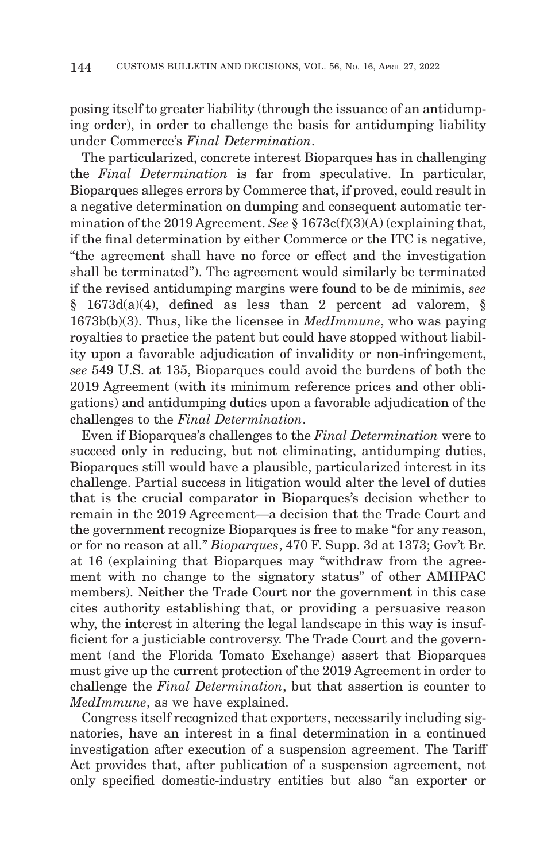posing itself to greater liability (through the issuance of an antidumping order), in order to challenge the basis for antidumping liability under Commerce's *Final Determination*.

The particularized, concrete interest Bioparques has in challenging the *Final Determination* is far from speculative. In particular, Bioparques alleges errors by Commerce that, if proved, could result in a negative determination on dumping and consequent automatic termination of the 2019 Agreement. *See* § 1673c(f)(3)(A) (explaining that, if the final determination by either Commerce or the ITC is negative, "the agreement shall have no force or effect and the investigation shall be terminated"). The agreement would similarly be terminated if the revised antidumping margins were found to be de minimis, *see* § 1673d(a)(4), defined as less than 2 percent ad valorem, § 1673b(b)(3). Thus, like the licensee in *MedImmune*, who was paying royalties to practice the patent but could have stopped without liability upon a favorable adjudication of invalidity or non-infringement, *see* 549 U.S. at 135, Bioparques could avoid the burdens of both the 2019 Agreement (with its minimum reference prices and other obligations) and antidumping duties upon a favorable adjudication of the challenges to the *Final Determination*.

Even if Bioparques's challenges to the *Final Determination* were to succeed only in reducing, but not eliminating, antidumping duties, Bioparques still would have a plausible, particularized interest in its challenge. Partial success in litigation would alter the level of duties that is the crucial comparator in Bioparques's decision whether to remain in the 2019 Agreement—a decision that the Trade Court and the government recognize Bioparques is free to make "for any reason, or for no reason at all." *Bioparques*, 470 F. Supp. 3d at 1373; Gov't Br. at 16 (explaining that Bioparques may "withdraw from the agreement with no change to the signatory status" of other AMHPAC members). Neither the Trade Court nor the government in this case cites authority establishing that, or providing a persuasive reason why, the interest in altering the legal landscape in this way is insufficient for a justiciable controversy. The Trade Court and the government (and the Florida Tomato Exchange) assert that Bioparques must give up the current protection of the 2019 Agreement in order to challenge the *Final Determination*, but that assertion is counter to *MedImmune*, as we have explained.

Congress itself recognized that exporters, necessarily including signatories, have an interest in a final determination in a continued investigation after execution of a suspension agreement. The Tariff Act provides that, after publication of a suspension agreement, not only specified domestic-industry entities but also "an exporter or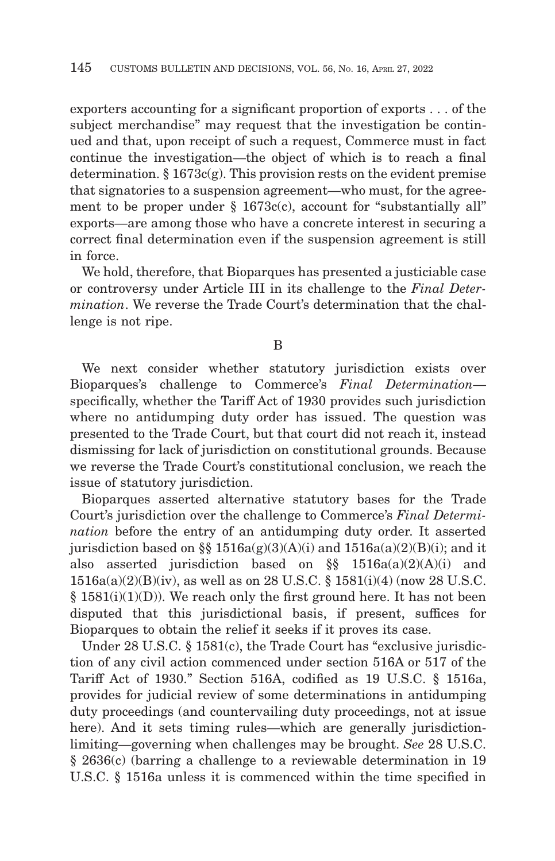exporters accounting for a significant proportion of exports . . . of the subject merchandise" may request that the investigation be continued and that, upon receipt of such a request, Commerce must in fact continue the investigation—the object of which is to reach a final determination.  $\S 1673c(g)$ . This provision rests on the evident premise that signatories to a suspension agreement—who must, for the agreement to be proper under § 1673c(c), account for "substantially all" exports—are among those who have a concrete interest in securing a correct final determination even if the suspension agreement is still in force.

We hold, therefore, that Bioparques has presented a justiciable case or controversy under Article III in its challenge to the *Final Determination*. We reverse the Trade Court's determination that the challenge is not ripe.

B

We next consider whether statutory jurisdiction exists over Bioparques's challenge to Commerce's *Final Determination* specifically, whether the Tariff Act of 1930 provides such jurisdiction where no antidumping duty order has issued. The question was presented to the Trade Court, but that court did not reach it, instead dismissing for lack of jurisdiction on constitutional grounds. Because we reverse the Trade Court's constitutional conclusion, we reach the issue of statutory jurisdiction.

Bioparques asserted alternative statutory bases for the Trade Court's jurisdiction over the challenge to Commerce's *Final Determination* before the entry of an antidumping duty order. It asserted jurisdiction based on §§  $1516a(g)(3)(A)(i)$  and  $1516a(a)(2)(B)(i)$ ; and it also asserted jurisdiction based on §§ 1516a(a)(2)(A)(i) and 1516a(a)(2)(B)(iv), as well as on 28 U.S.C. § 1581(i)(4) (now 28 U.S.C.  $§ 1581(i)(1)(D)$ ). We reach only the first ground here. It has not been disputed that this jurisdictional basis, if present, suffices for Bioparques to obtain the relief it seeks if it proves its case.

Under 28 U.S.C. § 1581(c), the Trade Court has "exclusive jurisdiction of any civil action commenced under section 516A or 517 of the Tariff Act of 1930." Section 516A, codified as 19 U.S.C. § 1516a, provides for judicial review of some determinations in antidumping duty proceedings (and countervailing duty proceedings, not at issue here). And it sets timing rules—which are generally jurisdictionlimiting—governing when challenges may be brought. *See* 28 U.S.C. § 2636(c) (barring a challenge to a reviewable determination in 19 U.S.C. § 1516a unless it is commenced within the time specified in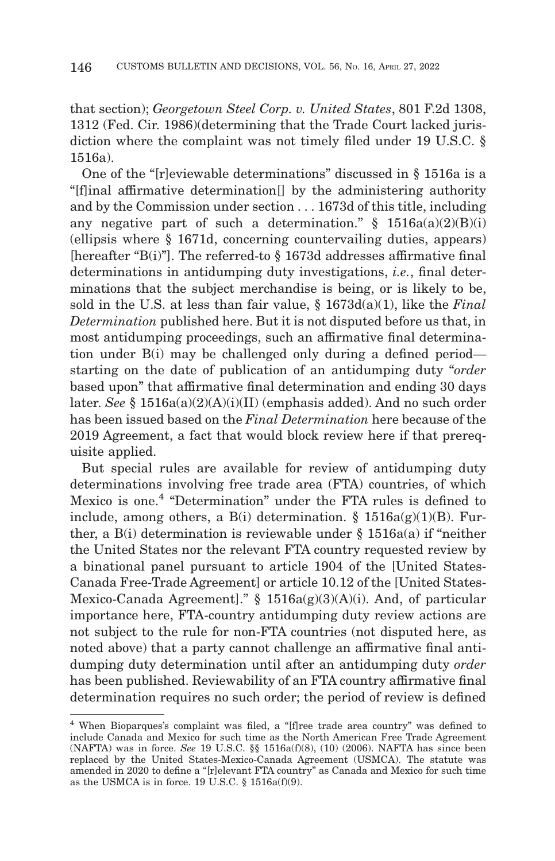that section); *Georgetown Steel Corp. v. United States*, 801 F.2d 1308, 1312 (Fed. Cir. 1986)(determining that the Trade Court lacked jurisdiction where the complaint was not timely filed under 19 U.S.C. § 1516a).

One of the "[r]eviewable determinations" discussed in § 1516a is a "[f]inal affirmative determination[] by the administering authority and by the Commission under section . . . 1673d of this title, including any negative part of such a determination."  $§$  1516a(a)(2)(B)(i) (ellipsis where § 1671d, concerning countervailing duties, appears) [hereafter "B(i)"]. The referred-to § 1673d addresses affirmative final determinations in antidumping duty investigations, *i.e.*, final determinations that the subject merchandise is being, or is likely to be, sold in the U.S. at less than fair value, § 1673d(a)(1), like the *Final Determination* published here. But it is not disputed before us that, in most antidumping proceedings, such an affirmative final determination under B(i) may be challenged only during a defined period starting on the date of publication of an antidumping duty "*order* based upon" that affirmative final determination and ending 30 days later. *See* § 1516a(a)(2)(A)(i)(II) (emphasis added). And no such order has been issued based on the *Final Determination* here because of the 2019 Agreement, a fact that would block review here if that prerequisite applied.

But special rules are available for review of antidumping duty determinations involving free trade area (FTA) countries, of which Mexico is one.4 "Determination" under the FTA rules is defined to include, among others, a B(i) determination. §  $1516a(g)(1)(B)$ . Further, a B(i) determination is reviewable under § 1516a(a) if "neither the United States nor the relevant FTA country requested review by a binational panel pursuant to article 1904 of the [United States-Canada Free-Trade Agreement] or article 10.12 of the [United States-Mexico-Canada Agreement]." § 1516a(g)(3)(A)(i). And, of particular importance here, FTA-country antidumping duty review actions are not subject to the rule for non-FTA countries (not disputed here, as noted above) that a party cannot challenge an affirmative final antidumping duty determination until after an antidumping duty *order* has been published. Reviewability of an FTA country affirmative final determination requires no such order; the period of review is defined

<sup>4</sup> When Bioparques's complaint was filed, a "[f]ree trade area country" was defined to include Canada and Mexico for such time as the North American Free Trade Agreement (NAFTA) was in force. *See* 19 U.S.C. §§ 1516a(f)(8), (10) (2006). NAFTA has since been replaced by the United States-Mexico-Canada Agreement (USMCA). The statute was amended in 2020 to define a "[r]elevant FTA country" as Canada and Mexico for such time as the USMCA is in force. 19 U.S.C.  $\S$  1516a(f)(9).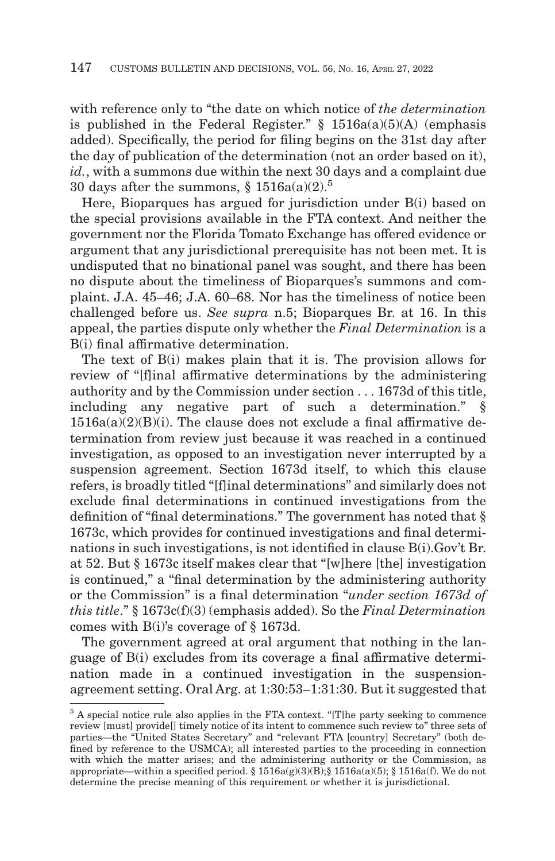with reference only to "the date on which notice of *the determination* is published in the Federal Register."  $\S$  1516a(a)(5)(A) (emphasis added). Specifically, the period for filing begins on the 31st day after the day of publication of the determination (not an order based on it), *id.*, with a summons due within the next 30 days and a complaint due 30 days after the summons,  $\S 1516a(a)(2)^5$ 

Here, Bioparques has argued for jurisdiction under B(i) based on the special provisions available in the FTA context. And neither the government nor the Florida Tomato Exchange has offered evidence or argument that any jurisdictional prerequisite has not been met. It is undisputed that no binational panel was sought, and there has been no dispute about the timeliness of Bioparques's summons and complaint. J.A. 45–46; J.A. 60–68. Nor has the timeliness of notice been challenged before us. *See supra* n.5; Bioparques Br. at 16. In this appeal, the parties dispute only whether the *Final Determination* is a B(i) final affirmative determination.

The text of B(i) makes plain that it is. The provision allows for review of "[f]inal affirmative determinations by the administering authority and by the Commission under section . . . 1673d of this title, including any negative part of such a determination." §  $1516a(a)(2)(B)(i)$ . The clause does not exclude a final affirmative determination from review just because it was reached in a continued investigation, as opposed to an investigation never interrupted by a suspension agreement. Section 1673d itself, to which this clause refers, is broadly titled "[f]inal determinations" and similarly does not exclude final determinations in continued investigations from the definition of "final determinations." The government has noted that § 1673c, which provides for continued investigations and final determinations in such investigations, is not identified in clause B(i).Gov't Br. at 52. But § 1673c itself makes clear that "[w]here [the] investigation is continued," a "final determination by the administering authority or the Commission" is a final determination "*under section 1673d of this title*." § 1673c(f)(3) (emphasis added). So the *Final Determination* comes with B(i)'s coverage of § 1673d.

The government agreed at oral argument that nothing in the language of B(i) excludes from its coverage a final affirmative determination made in a continued investigation in the suspensionagreement setting. Oral Arg. at 1:30:53–1:31:30. But it suggested that

<sup>5</sup> A special notice rule also applies in the FTA context. "[T]he party seeking to commence review [must] provide[] timely notice of its intent to commence such review to" three sets of parties—the "United States Secretary" and "relevant FTA [country] Secretary" (both defined by reference to the USMCA); all interested parties to the proceeding in connection with which the matter arises; and the administering authority or the Commission, as appropriate—within a specified period. §  $1516a(g)(3)(B)$ ; §  $1516a(a)(5)$ ; §  $1516a(f)$ . We do not determine the precise meaning of this requirement or whether it is jurisdictional.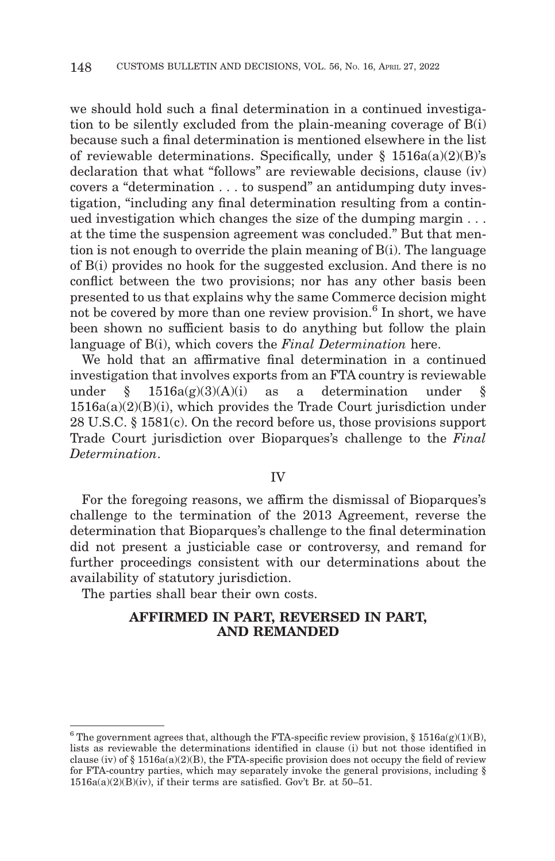we should hold such a final determination in a continued investigation to be silently excluded from the plain-meaning coverage of B(i) because such a final determination is mentioned elsewhere in the list of reviewable determinations. Specifically, under  $\S$  1516a(a)(2)(B)'s declaration that what "follows" are reviewable decisions, clause (iv) covers a "determination . . . to suspend" an antidumping duty investigation, "including any final determination resulting from a continued investigation which changes the size of the dumping margin . . . at the time the suspension agreement was concluded." But that mention is not enough to override the plain meaning of B(i). The language of B(i) provides no hook for the suggested exclusion. And there is no conflict between the two provisions; nor has any other basis been presented to us that explains why the same Commerce decision might not be covered by more than one review provision.<sup>6</sup> In short, we have been shown no sufficient basis to do anything but follow the plain language of B(i), which covers the *Final Determination* here.

We hold that an affirmative final determination in a continued investigation that involves exports from an FTA country is reviewable under § 1516a(g)(3)(A)(i) as a determination under §  $1516a(a)(2)(B)(i)$ , which provides the Trade Court jurisdiction under 28 U.S.C. § 1581(c). On the record before us, those provisions support Trade Court jurisdiction over Bioparques's challenge to the *Final Determination*.

#### IV

For the foregoing reasons, we affirm the dismissal of Bioparques's challenge to the termination of the 2013 Agreement, reverse the determination that Bioparques's challenge to the final determination did not present a justiciable case or controversy, and remand for further proceedings consistent with our determinations about the availability of statutory jurisdiction.

The parties shall bear their own costs.

# **AFFIRMED IN PART, REVERSED IN PART, AND REMANDED**

<sup>&</sup>lt;sup>6</sup> The government agrees that, although the FTA-specific review provision,  $\S 1516a(g)(1)(B)$ , lists as reviewable the determinations identified in clause (i) but not those identified in clause (iv) of  $\S$  1516a(a)(2)(B), the FTA-specific provision does not occupy the field of review for FTA-country parties, which may separately invoke the general provisions, including §  $1516a(a)(2)(B)(iv)$ , if their terms are satisfied. Gov't Br. at 50–51.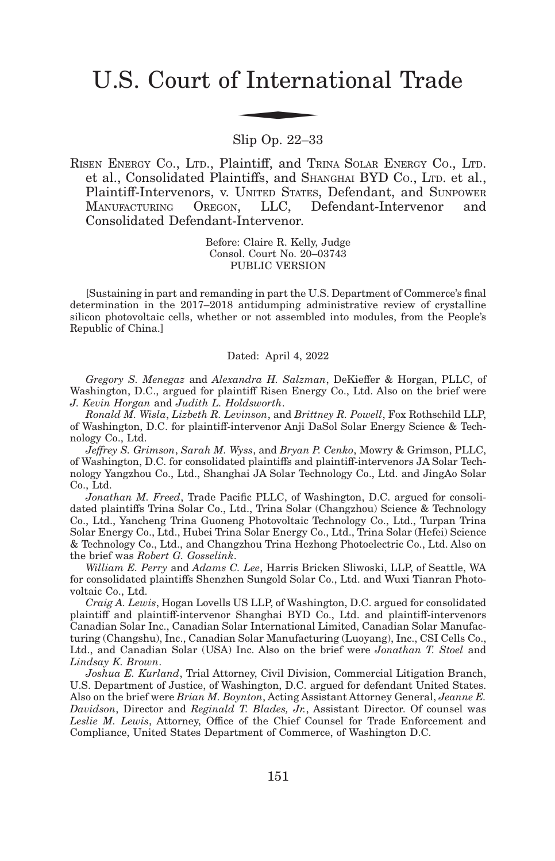# U.S. Court of International Trade f Interna

Slip Op. 22–33

RISEN ENERGY CO., LTD., Plaintiff, and TRINA SOLAR ENERGY CO., LTD. et al., Consolidated Plaintiffs, and SHANGHAI BYD CO., LTD. et al., Plaintiff-Intervenors, v. UNITED STATES, Defendant, and SUNPOWER MANUFACTURING OREGON, LLC, Defendant-Intervenor and Consolidated Defendant-Intervenor.

> Before: Claire R. Kelly, Judge Consol. Court No. 20–03743 PUBLIC VERSION

[Sustaining in part and remanding in part the U.S. Department of Commerce's final determination in the 2017–2018 antidumping administrative review of crystalline silicon photovoltaic cells, whether or not assembled into modules, from the People's Republic of China.]

#### Dated: April 4, 2022

*Gregory S. Menegaz* and *Alexandra H. Salzman*, DeKieffer & Horgan, PLLC, of Washington, D.C., argued for plaintiff Risen Energy Co., Ltd. Also on the brief were *J. Kevin Horgan* and *Judith L. Holdsworth*.

*Ronald M. Wisla*, *Lizbeth R. Levinson*, and *Brittney R. Powell*, Fox Rothschild LLP, of Washington, D.C. for plaintiff-intervenor Anji DaSol Solar Energy Science & Technology Co., Ltd.

*Jeffrey S. Grimson*, *Sarah M. Wyss*, and *Bryan P. Cenko*, Mowry & Grimson, PLLC, of Washington, D.C. for consolidated plaintiffs and plaintiff-intervenors JA Solar Technology Yangzhou Co., Ltd., Shanghai JA Solar Technology Co., Ltd. and JingAo Solar Co., Ltd.

*Jonathan M. Freed*, Trade Pacific PLLC, of Washington, D.C. argued for consolidated plaintiffs Trina Solar Co., Ltd., Trina Solar (Changzhou) Science & Technology Co., Ltd., Yancheng Trina Guoneng Photovoltaic Technology Co., Ltd., Turpan Trina Solar Energy Co., Ltd., Hubei Trina Solar Energy Co., Ltd., Trina Solar (Hefei) Science & Technology Co., Ltd., and Changzhou Trina Hezhong Photoelectric Co., Ltd. Also on the brief was *Robert G. Gosselink*.

*William E. Perry* and *Adams C. Lee*, Harris Bricken Sliwoski, LLP, of Seattle, WA for consolidated plaintiffs Shenzhen Sungold Solar Co., Ltd. and Wuxi Tianran Photovoltaic Co., Ltd.

*Craig A. Lewis*, Hogan Lovells US LLP, of Washington, D.C. argued for consolidated plaintiff and plaintiff-intervenor Shanghai BYD Co., Ltd. and plaintiff-intervenors Canadian Solar Inc., Canadian Solar International Limited, Canadian Solar Manufacturing (Changshu), Inc., Canadian Solar Manufacturing (Luoyang), Inc., CSI Cells Co., Ltd., and Canadian Solar (USA) Inc. Also on the brief were *Jonathan T. Stoel* and *Lindsay K. Brown*.

*Joshua E. Kurland*, Trial Attorney, Civil Division, Commercial Litigation Branch, U.S. Department of Justice, of Washington, D.C. argued for defendant United States. Also on the brief were *Brian M. Boynton*, Acting Assistant Attorney General, *Jeanne E. Davidson*, Director and *Reginald T. Blades, Jr.*, Assistant Director. Of counsel was *Leslie M. Lewis*, Attorney, Office of the Chief Counsel for Trade Enforcement and Compliance, United States Department of Commerce, of Washington D.C.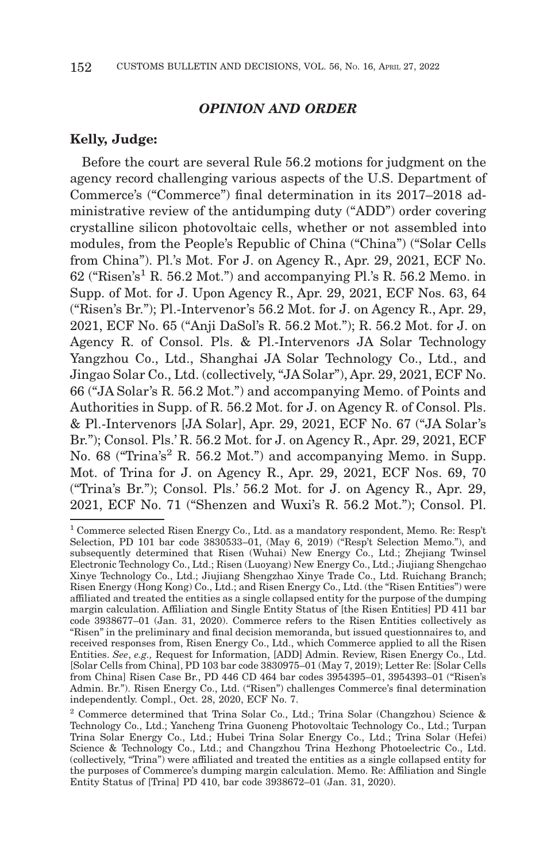## *OPINION AND ORDER*

#### **Kelly, Judge:**

Before the court are several Rule 56.2 motions for judgment on the agency record challenging various aspects of the U.S. Department of Commerce's ("Commerce") final determination in its 2017–2018 administrative review of the antidumping duty ("ADD") order covering crystalline silicon photovoltaic cells, whether or not assembled into modules, from the People's Republic of China ("China") ("Solar Cells from China"). Pl.'s Mot. For J. on Agency R., Apr. 29, 2021, ECF No.  $62$  ("Risen's<sup>1</sup> R. 56.2 Mot.") and accompanying Pl.'s R. 56.2 Memo. in Supp. of Mot. for J. Upon Agency R., Apr. 29, 2021, ECF Nos. 63, 64 ("Risen's Br."); Pl.-Intervenor's 56.2 Mot. for J. on Agency R., Apr. 29, 2021, ECF No. 65 ("Anji DaSol's R. 56.2 Mot."); R. 56.2 Mot. for J. on Agency R. of Consol. Pls. & Pl.-Intervenors JA Solar Technology Yangzhou Co., Ltd., Shanghai JA Solar Technology Co., Ltd., and Jingao Solar Co., Ltd. (collectively, "JA Solar"), Apr. 29, 2021, ECF No. 66 ("JA Solar's R. 56.2 Mot.") and accompanying Memo. of Points and Authorities in Supp. of R. 56.2 Mot. for J. on Agency R. of Consol. Pls. & Pl.-Intervenors [JA Solar], Apr. 29, 2021, ECF No. 67 ("JA Solar's Br."); Consol. Pls.' R. 56.2 Mot. for J. on Agency R., Apr. 29, 2021, ECF No. 68 ("Trina's<sup>2</sup> R. 56.2 Mot.") and accompanying Memo. in Supp. Mot. of Trina for J. on Agency R., Apr. 29, 2021, ECF Nos. 69, 70 ("Trina's Br."); Consol. Pls.' 56.2 Mot. for J. on Agency R., Apr. 29, 2021, ECF No. 71 ("Shenzen and Wuxi's R. 56.2 Mot."); Consol. Pl.

<sup>&</sup>lt;sup>1</sup> Commerce selected Risen Energy Co., Ltd. as a mandatory respondent, Memo. Re: Resp't Selection, PD 101 bar code 3830533–01, (May 6, 2019) ("Resp't Selection Memo."), and subsequently determined that Risen (Wuhai) New Energy Co., Ltd.; Zhejiang Twinsel Electronic Technology Co., Ltd.; Risen (Luoyang) New Energy Co., Ltd.; Jiujiang Shengchao Xinye Technology Co., Ltd.; Jiujiang Shengzhao Xinye Trade Co., Ltd. Ruichang Branch; Risen Energy (Hong Kong) Co., Ltd.; and Risen Energy Co., Ltd. (the "Risen Entities") were affiliated and treated the entities as a single collapsed entity for the purpose of the dumping margin calculation. Affiliation and Single Entity Status of [the Risen Entities] PD 411 bar code 3938677–01 (Jan. 31, 2020). Commerce refers to the Risen Entities collectively as "Risen" in the preliminary and final decision memoranda, but issued questionnaires to, and received responses from, Risen Energy Co., Ltd., which Commerce applied to all the Risen Entities. *See*, *e.g.,* Request for Information, [ADD] Admin. Review, Risen Energy Co., Ltd. [Solar Cells from China], PD 103 bar code 3830975–01 (May 7, 2019); Letter Re: [Solar Cells from China] Risen Case Br., PD 446 CD 464 bar codes 3954395–01, 3954393–01 ("Risen's Admin. Br."). Risen Energy Co., Ltd. ("Risen") challenges Commerce's final determination independently. Compl., Oct. 28, 2020, ECF No. 7.

<sup>&</sup>lt;sup>2</sup> Commerce determined that Trina Solar Co., Ltd.; Trina Solar (Changzhou) Science & Technology Co., Ltd.; Yancheng Trina Guoneng Photovoltaic Technology Co., Ltd.; Turpan Trina Solar Energy Co., Ltd.; Hubei Trina Solar Energy Co., Ltd.; Trina Solar (Hefei) Science & Technology Co., Ltd.; and Changzhou Trina Hezhong Photoelectric Co., Ltd. (collectively, "Trina") were affiliated and treated the entities as a single collapsed entity for the purposes of Commerce's dumping margin calculation. Memo. Re: Affiliation and Single Entity Status of [Trina] PD 410, bar code 3938672–01 (Jan. 31, 2020).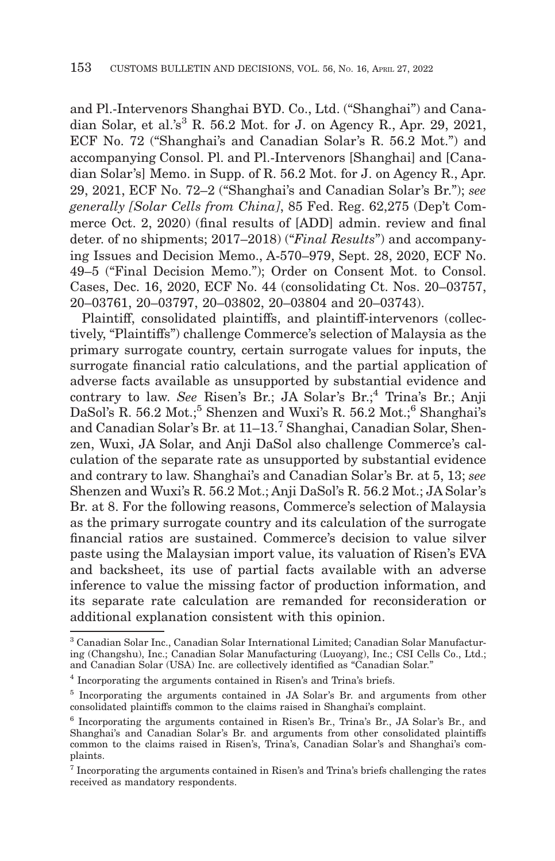and Pl.-Intervenors Shanghai BYD. Co., Ltd. ("Shanghai") and Canadian Solar, et al.'s<sup>3</sup> R. 56.2 Mot. for J. on Agency R., Apr. 29, 2021, ECF No. 72 ("Shanghai's and Canadian Solar's R. 56.2 Mot.") and accompanying Consol. Pl. and Pl.-Intervenors [Shanghai] and [Canadian Solar's] Memo. in Supp. of R. 56.2 Mot. for J. on Agency R., Apr. 29, 2021, ECF No. 72–2 ("Shanghai's and Canadian Solar's Br."); *see generally [Solar Cells from China]*, 85 Fed. Reg. 62,275 (Dep't Commerce Oct. 2, 2020) (final results of [ADD] admin. review and final deter. of no shipments; 2017–2018) ("*Final Results*") and accompanying Issues and Decision Memo., A-570–979, Sept. 28, 2020, ECF No. 49–5 ("Final Decision Memo."); Order on Consent Mot. to Consol. Cases, Dec. 16, 2020, ECF No. 44 (consolidating Ct. Nos. 20–03757, 20–03761, 20–03797, 20–03802, 20–03804 and 20–03743).

Plaintiff, consolidated plaintiffs, and plaintiff-intervenors (collectively, "Plaintiffs") challenge Commerce's selection of Malaysia as the primary surrogate country, certain surrogate values for inputs, the surrogate financial ratio calculations, and the partial application of adverse facts available as unsupported by substantial evidence and contrary to law. See Risen's Br.; JA Solar's Br.;<sup>4</sup> Trina's Br.; Anji DaSol's R. 56.2 Mot.;<sup>5</sup> Shenzen and Wuxi's R. 56.2 Mot.;<sup>6</sup> Shanghai's and Canadian Solar's Br. at 11–13.7 Shanghai, Canadian Solar, Shenzen, Wuxi, JA Solar, and Anji DaSol also challenge Commerce's calculation of the separate rate as unsupported by substantial evidence and contrary to law. Shanghai's and Canadian Solar's Br. at 5, 13; *see* Shenzen and Wuxi's R. 56.2 Mot.; Anji DaSol's R. 56.2 Mot.; JA Solar's Br. at 8. For the following reasons, Commerce's selection of Malaysia as the primary surrogate country and its calculation of the surrogate financial ratios are sustained. Commerce's decision to value silver paste using the Malaysian import value, its valuation of Risen's EVA and backsheet, its use of partial facts available with an adverse inference to value the missing factor of production information, and its separate rate calculation are remanded for reconsideration or additional explanation consistent with this opinion.

<sup>3</sup> Canadian Solar Inc., Canadian Solar International Limited; Canadian Solar Manufacturing (Changshu), Inc.; Canadian Solar Manufacturing (Luoyang), Inc.; CSI Cells Co., Ltd.; and Canadian Solar (USA) Inc. are collectively identified as "Canadian Solar."

<sup>4</sup> Incorporating the arguments contained in Risen's and Trina's briefs.

<sup>5</sup> Incorporating the arguments contained in JA Solar's Br. and arguments from other consolidated plaintiffs common to the claims raised in Shanghai's complaint.

<sup>6</sup> Incorporating the arguments contained in Risen's Br., Trina's Br., JA Solar's Br., and Shanghai's and Canadian Solar's Br. and arguments from other consolidated plaintiffs common to the claims raised in Risen's, Trina's, Canadian Solar's and Shanghai's complaints.

<sup>7</sup> Incorporating the arguments contained in Risen's and Trina's briefs challenging the rates received as mandatory respondents.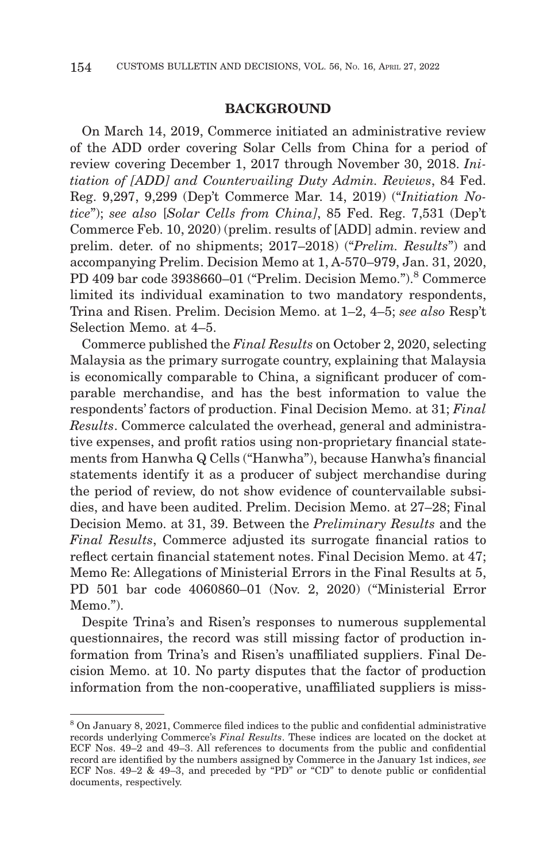## **BACKGROUND**

On March 14, 2019, Commerce initiated an administrative review of the ADD order covering Solar Cells from China for a period of review covering December 1, 2017 through November 30, 2018. *Initiation of [ADD] and Countervailing Duty Admin. Reviews*, 84 Fed. Reg. 9,297, 9,299 (Dep't Commerce Mar. 14, 2019) ("*Initiation Notice*"); *see also* [*Solar Cells from China]*, 85 Fed. Reg. 7,531 (Dep't Commerce Feb. 10, 2020) (prelim. results of [ADD] admin. review and prelim. deter. of no shipments; 2017–2018) ("*Prelim. Results*") and accompanying Prelim. Decision Memo at 1, A-570–979, Jan. 31, 2020, PD 409 bar code 3938660–01 ("Prelim. Decision Memo.").<sup>8</sup> Commerce limited its individual examination to two mandatory respondents, Trina and Risen. Prelim. Decision Memo. at 1–2, 4–5; *see also* Resp't Selection Memo. at 4–5.

Commerce published the *Final Results* on October 2, 2020, selecting Malaysia as the primary surrogate country, explaining that Malaysia is economically comparable to China, a significant producer of comparable merchandise, and has the best information to value the respondents' factors of production. Final Decision Memo. at 31; *Final Results*. Commerce calculated the overhead, general and administrative expenses, and profit ratios using non-proprietary financial statements from Hanwha Q Cells ("Hanwha"), because Hanwha's financial statements identify it as a producer of subject merchandise during the period of review, do not show evidence of countervailable subsidies, and have been audited. Prelim. Decision Memo. at 27–28; Final Decision Memo. at 31, 39. Between the *Preliminary Results* and the *Final Results*, Commerce adjusted its surrogate financial ratios to reflect certain financial statement notes. Final Decision Memo. at 47; Memo Re: Allegations of Ministerial Errors in the Final Results at 5, PD 501 bar code 4060860–01 (Nov. 2, 2020) ("Ministerial Error Memo.").

Despite Trina's and Risen's responses to numerous supplemental questionnaires, the record was still missing factor of production information from Trina's and Risen's unaffiliated suppliers. Final Decision Memo. at 10. No party disputes that the factor of production information from the non-cooperative, unaffiliated suppliers is miss-

<sup>8</sup> On January 8, 2021, Commerce filed indices to the public and confidential administrative records underlying Commerce's *Final Results*. These indices are located on the docket at ECF Nos. 49–2 and 49–3. All references to documents from the public and confidential record are identified by the numbers assigned by Commerce in the January 1st indices, *see* ECF Nos. 49–2 & 49–3, and preceded by "PD" or "CD" to denote public or confidential documents, respectively.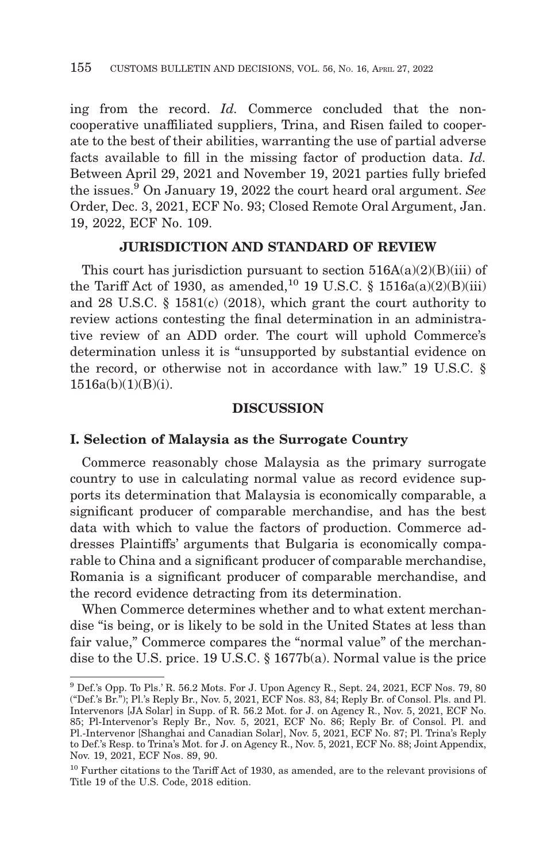ing from the record. *Id.* Commerce concluded that the noncooperative unaffiliated suppliers, Trina, and Risen failed to cooperate to the best of their abilities, warranting the use of partial adverse facts available to fill in the missing factor of production data. *Id.* Between April 29, 2021 and November 19, 2021 parties fully briefed the issues.9 On January 19, 2022 the court heard oral argument. *See* Order, Dec. 3, 2021, ECF No. 93; Closed Remote Oral Argument, Jan. 19, 2022, ECF No. 109.

## **JURISDICTION AND STANDARD OF REVIEW**

This court has jurisdiction pursuant to section  $516A(a)(2)(B)(iii)$  of the Tariff Act of 1930, as amended,<sup>10</sup> 19 U.S.C. § 1516a(a)(2)(B)(iii) and 28 U.S.C. § 1581(c) (2018), which grant the court authority to review actions contesting the final determination in an administrative review of an ADD order. The court will uphold Commerce's determination unless it is "unsupported by substantial evidence on the record, or otherwise not in accordance with law." 19 U.S.C. §  $1516a(b)(1)(B)(i)$ .

# **DISCUSSION**

#### **I. Selection of Malaysia as the Surrogate Country**

Commerce reasonably chose Malaysia as the primary surrogate country to use in calculating normal value as record evidence supports its determination that Malaysia is economically comparable, a significant producer of comparable merchandise, and has the best data with which to value the factors of production. Commerce addresses Plaintiffs' arguments that Bulgaria is economically comparable to China and a significant producer of comparable merchandise, Romania is a significant producer of comparable merchandise, and the record evidence detracting from its determination.

When Commerce determines whether and to what extent merchandise "is being, or is likely to be sold in the United States at less than fair value," Commerce compares the "normal value" of the merchandise to the U.S. price. 19 U.S.C. § 1677b(a). Normal value is the price

<sup>9</sup> Def.'s Opp. To Pls.' R. 56.2 Mots. For J. Upon Agency R., Sept. 24, 2021, ECF Nos. 79, 80 ("Def.'s Br."); Pl.'s Reply Br., Nov. 5, 2021, ECF Nos. 83, 84; Reply Br. of Consol. Pls. and Pl. Intervenors [JA Solar] in Supp. of R. 56.2 Mot. for J. on Agency R., Nov. 5, 2021, ECF No. 85; Pl-Intervenor's Reply Br., Nov. 5, 2021, ECF No. 86; Reply Br. of Consol. Pl. and Pl.-Intervenor [Shanghai and Canadian Solar], Nov. 5, 2021, ECF No. 87; Pl. Trina's Reply to Def.'s Resp. to Trina's Mot. for J. on Agency R., Nov. 5, 2021, ECF No. 88; Joint Appendix, Nov. 19, 2021, ECF Nos. 89, 90.

<sup>10</sup> Further citations to the Tariff Act of 1930, as amended, are to the relevant provisions of Title 19 of the U.S. Code, 2018 edition.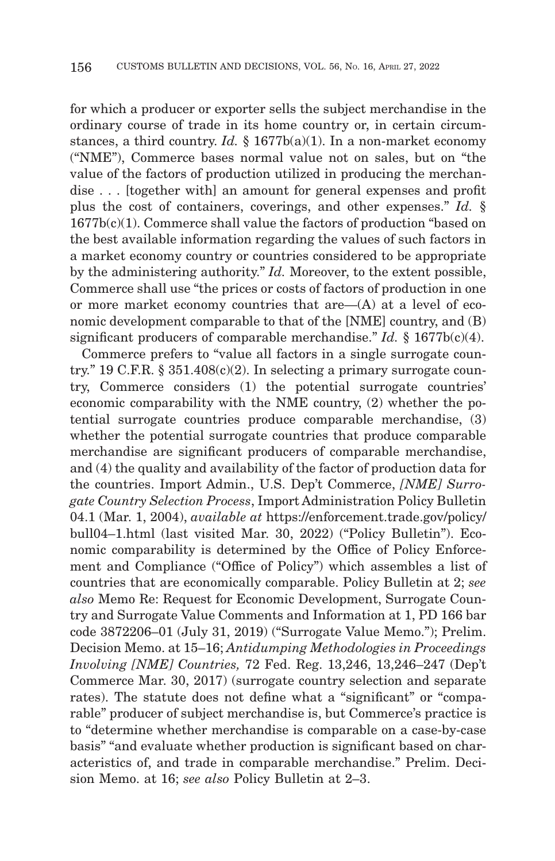for which a producer or exporter sells the subject merchandise in the ordinary course of trade in its home country or, in certain circumstances, a third country. *Id.* § 1677b(a)(1). In a non-market economy ("NME"), Commerce bases normal value not on sales, but on "the value of the factors of production utilized in producing the merchandise . . . [together with] an amount for general expenses and profit plus the cost of containers, coverings, and other expenses." *Id.* § 1677b(c)(1). Commerce shall value the factors of production "based on the best available information regarding the values of such factors in a market economy country or countries considered to be appropriate by the administering authority." *Id.* Moreover, to the extent possible, Commerce shall use "the prices or costs of factors of production in one or more market economy countries that are—(A) at a level of economic development comparable to that of the [NME] country, and (B) significant producers of comparable merchandise." *Id.* § 1677b(c)(4).

Commerce prefers to "value all factors in a single surrogate country." 19 C.F.R. §  $351.408(c)(2)$ . In selecting a primary surrogate country, Commerce considers (1) the potential surrogate countries' economic comparability with the NME country, (2) whether the potential surrogate countries produce comparable merchandise, (3) whether the potential surrogate countries that produce comparable merchandise are significant producers of comparable merchandise, and (4) the quality and availability of the factor of production data for the countries. Import Admin., U.S. Dep't Commerce, *[NME] Surrogate Country Selection Process*, Import Administration Policy Bulletin 04.1 (Mar. 1, 2004), *available at* https://enforcement.trade.gov/policy/ bull04–1.html (last visited Mar. 30, 2022) ("Policy Bulletin"). Economic comparability is determined by the Office of Policy Enforcement and Compliance ("Office of Policy") which assembles a list of countries that are economically comparable. Policy Bulletin at 2; *see also* Memo Re: Request for Economic Development, Surrogate Country and Surrogate Value Comments and Information at 1, PD 166 bar code 3872206–01 (July 31, 2019) ("Surrogate Value Memo."); Prelim. Decision Memo. at 15–16; *Antidumping Methodologies in Proceedings Involving [NME] Countries,* 72 Fed. Reg. 13,246, 13,246–247 (Dep't Commerce Mar. 30, 2017) (surrogate country selection and separate rates). The statute does not define what a "significant" or "comparable" producer of subject merchandise is, but Commerce's practice is to "determine whether merchandise is comparable on a case-by-case basis" "and evaluate whether production is significant based on characteristics of, and trade in comparable merchandise." Prelim. Decision Memo. at 16; *see also* Policy Bulletin at 2–3.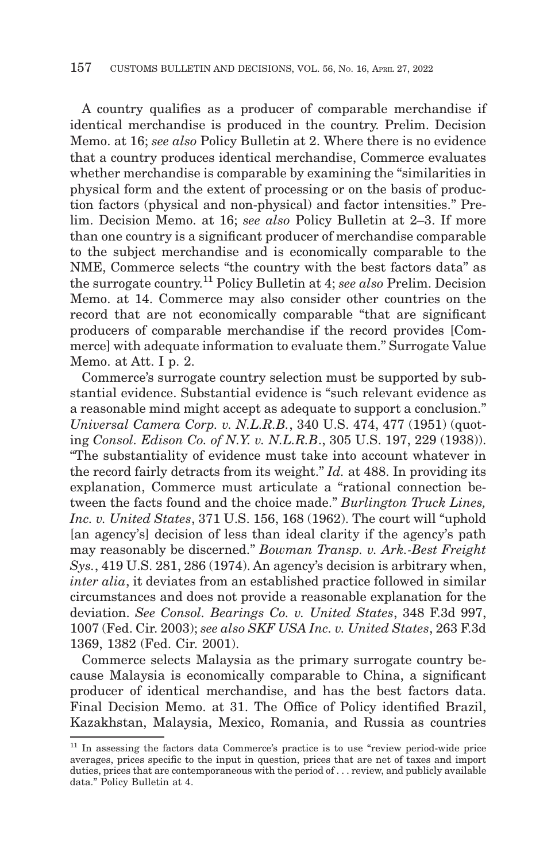A country qualifies as a producer of comparable merchandise if identical merchandise is produced in the country. Prelim. Decision Memo. at 16; *see also* Policy Bulletin at 2. Where there is no evidence that a country produces identical merchandise, Commerce evaluates whether merchandise is comparable by examining the "similarities in physical form and the extent of processing or on the basis of production factors (physical and non-physical) and factor intensities." Prelim. Decision Memo. at 16; *see also* Policy Bulletin at 2–3. If more than one country is a significant producer of merchandise comparable to the subject merchandise and is economically comparable to the NME, Commerce selects "the country with the best factors data" as the surrogate country.11 Policy Bulletin at 4; *see also* Prelim. Decision Memo. at 14. Commerce may also consider other countries on the record that are not economically comparable "that are significant producers of comparable merchandise if the record provides [Commerce] with adequate information to evaluate them." Surrogate Value Memo. at Att. I p. 2.

Commerce's surrogate country selection must be supported by substantial evidence. Substantial evidence is "such relevant evidence as a reasonable mind might accept as adequate to support a conclusion." *Universal Camera Corp. v. N.L.R.B.*, 340 U.S. 474, 477 (1951) (quoting *Consol. Edison Co. of N.Y. v. N.L.R.B*., 305 U.S. 197, 229 (1938)). "The substantiality of evidence must take into account whatever in the record fairly detracts from its weight." *Id.* at 488. In providing its explanation, Commerce must articulate a "rational connection between the facts found and the choice made." *Burlington Truck Lines, Inc. v. United States*, 371 U.S. 156, 168 (1962). The court will "uphold [an agency's] decision of less than ideal clarity if the agency's path may reasonably be discerned." *Bowman Transp. v. Ark.-Best Freight Sys.*, 419 U.S. 281, 286 (1974). An agency's decision is arbitrary when, *inter alia*, it deviates from an established practice followed in similar circumstances and does not provide a reasonable explanation for the deviation. *See Consol. Bearings Co. v. United States*, 348 F.3d 997, 1007 (Fed. Cir. 2003); *see also SKF USA Inc. v. United States*, 263 F.3d 1369, 1382 (Fed. Cir. 2001).

Commerce selects Malaysia as the primary surrogate country because Malaysia is economically comparable to China, a significant producer of identical merchandise, and has the best factors data. Final Decision Memo. at 31. The Office of Policy identified Brazil, Kazakhstan, Malaysia, Mexico, Romania, and Russia as countries

<sup>&</sup>lt;sup>11</sup> In assessing the factors data Commerce's practice is to use "review period-wide price averages, prices specific to the input in question, prices that are net of taxes and import duties, prices that are contemporaneous with the period of . . . review, and publicly available data." Policy Bulletin at 4.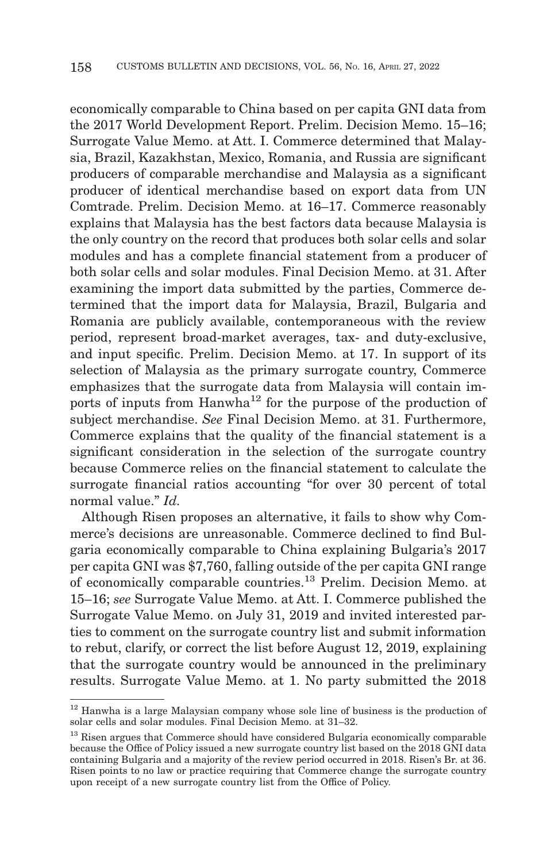economically comparable to China based on per capita GNI data from the 2017 World Development Report. Prelim. Decision Memo. 15–16; Surrogate Value Memo. at Att. I. Commerce determined that Malaysia, Brazil, Kazakhstan, Mexico, Romania, and Russia are significant producers of comparable merchandise and Malaysia as a significant producer of identical merchandise based on export data from UN Comtrade. Prelim. Decision Memo. at 16–17. Commerce reasonably explains that Malaysia has the best factors data because Malaysia is the only country on the record that produces both solar cells and solar modules and has a complete financial statement from a producer of both solar cells and solar modules. Final Decision Memo. at 31. After examining the import data submitted by the parties, Commerce determined that the import data for Malaysia, Brazil, Bulgaria and Romania are publicly available, contemporaneous with the review period, represent broad-market averages, tax- and duty-exclusive, and input specific. Prelim. Decision Memo. at 17. In support of its selection of Malaysia as the primary surrogate country, Commerce emphasizes that the surrogate data from Malaysia will contain imports of inputs from  $\text{Hanwha}^{12}$  for the purpose of the production of subject merchandise. *See* Final Decision Memo. at 31. Furthermore, Commerce explains that the quality of the financial statement is a significant consideration in the selection of the surrogate country because Commerce relies on the financial statement to calculate the surrogate financial ratios accounting "for over 30 percent of total normal value." *Id.*

Although Risen proposes an alternative, it fails to show why Commerce's decisions are unreasonable. Commerce declined to find Bulgaria economically comparable to China explaining Bulgaria's 2017 per capita GNI was \$7,760, falling outside of the per capita GNI range of economically comparable countries.13 Prelim. Decision Memo. at 15–16; *see* Surrogate Value Memo. at Att. I. Commerce published the Surrogate Value Memo. on July 31, 2019 and invited interested parties to comment on the surrogate country list and submit information to rebut, clarify, or correct the list before August 12, 2019, explaining that the surrogate country would be announced in the preliminary results. Surrogate Value Memo. at 1. No party submitted the 2018

<sup>&</sup>lt;sup>12</sup> Hanwha is a large Malaysian company whose sole line of business is the production of solar cells and solar modules. Final Decision Memo. at 31–32.

<sup>&</sup>lt;sup>13</sup> Risen argues that Commerce should have considered Bulgaria economically comparable because the Office of Policy issued a new surrogate country list based on the 2018 GNI data containing Bulgaria and a majority of the review period occurred in 2018. Risen's Br. at 36. Risen points to no law or practice requiring that Commerce change the surrogate country upon receipt of a new surrogate country list from the Office of Policy.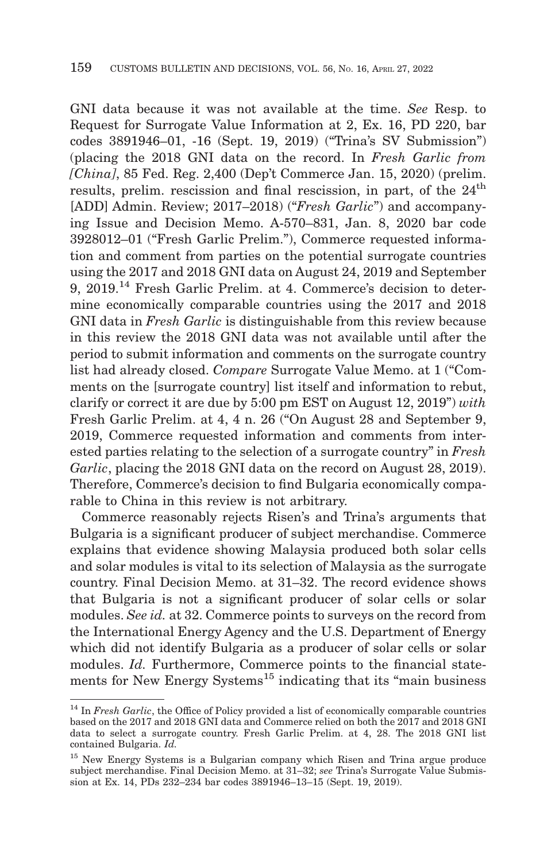GNI data because it was not available at the time. *See* Resp. to Request for Surrogate Value Information at 2, Ex. 16, PD 220, bar codes 3891946–01, -16 (Sept. 19, 2019) ("Trina's SV Submission") (placing the 2018 GNI data on the record. In *Fresh Garlic from [China]*, 85 Fed. Reg. 2,400 (Dep't Commerce Jan. 15, 2020) (prelim. results, prelim. rescission and final rescission, in part, of the  $24<sup>th</sup>$ [ADD] Admin. Review; 2017–2018) ("*Fresh Garlic*") and accompanying Issue and Decision Memo. A-570–831, Jan. 8, 2020 bar code 3928012–01 ("Fresh Garlic Prelim."), Commerce requested information and comment from parties on the potential surrogate countries using the 2017 and 2018 GNI data on August 24, 2019 and September 9, 2019.14 Fresh Garlic Prelim. at 4. Commerce's decision to determine economically comparable countries using the 2017 and 2018 GNI data in *Fresh Garlic* is distinguishable from this review because in this review the 2018 GNI data was not available until after the period to submit information and comments on the surrogate country list had already closed. *Compare* Surrogate Value Memo. at 1 ("Comments on the [surrogate country] list itself and information to rebut, clarify or correct it are due by 5:00 pm EST on August 12, 2019") *with* Fresh Garlic Prelim. at 4, 4 n. 26 ("On August 28 and September 9, 2019, Commerce requested information and comments from interested parties relating to the selection of a surrogate country" in *Fresh Garlic*, placing the 2018 GNI data on the record on August 28, 2019). Therefore, Commerce's decision to find Bulgaria economically comparable to China in this review is not arbitrary.

Commerce reasonably rejects Risen's and Trina's arguments that Bulgaria is a significant producer of subject merchandise. Commerce explains that evidence showing Malaysia produced both solar cells and solar modules is vital to its selection of Malaysia as the surrogate country. Final Decision Memo. at 31–32. The record evidence shows that Bulgaria is not a significant producer of solar cells or solar modules. *See id.* at 32. Commerce points to surveys on the record from the International Energy Agency and the U.S. Department of Energy which did not identify Bulgaria as a producer of solar cells or solar modules. *Id.* Furthermore, Commerce points to the financial statements for New Energy Systems<sup>15</sup> indicating that its "main business"

<sup>&</sup>lt;sup>14</sup> In *Fresh Garlic*, the Office of Policy provided a list of economically comparable countries based on the 2017 and 2018 GNI data and Commerce relied on both the 2017 and 2018 GNI data to select a surrogate country. Fresh Garlic Prelim. at 4, 28. The 2018 GNI list contained Bulgaria. *Id.*

<sup>&</sup>lt;sup>15</sup> New Energy Systems is a Bulgarian company which Risen and Trina argue produce subject merchandise. Final Decision Memo. at 31–32; *see* Trina's Surrogate Value Submission at Ex. 14, PDs 232–234 bar codes 3891946–13–15 (Sept. 19, 2019).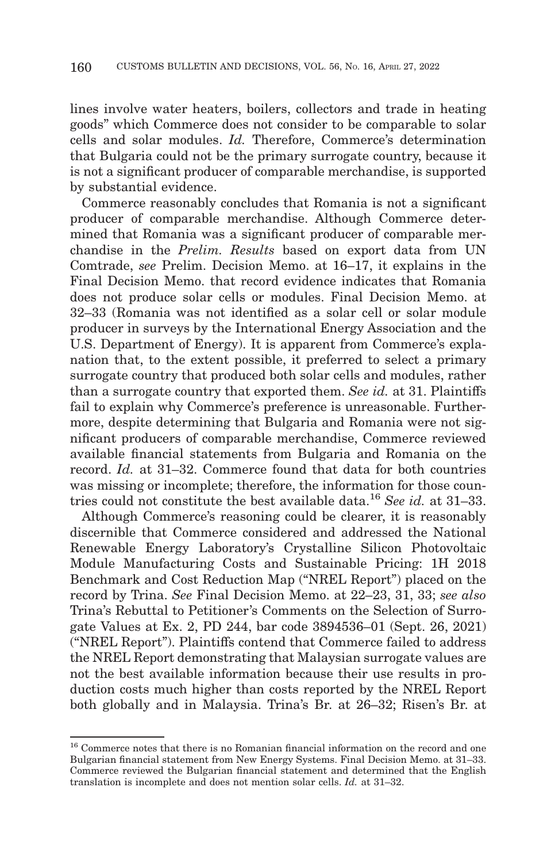lines involve water heaters, boilers, collectors and trade in heating goods" which Commerce does not consider to be comparable to solar cells and solar modules. *Id.* Therefore, Commerce's determination that Bulgaria could not be the primary surrogate country, because it is not a significant producer of comparable merchandise, is supported by substantial evidence.

Commerce reasonably concludes that Romania is not a significant producer of comparable merchandise. Although Commerce determined that Romania was a significant producer of comparable merchandise in the *Prelim. Results* based on export data from UN Comtrade, *see* Prelim. Decision Memo. at 16–17, it explains in the Final Decision Memo. that record evidence indicates that Romania does not produce solar cells or modules. Final Decision Memo. at 32–33 (Romania was not identified as a solar cell or solar module producer in surveys by the International Energy Association and the U.S. Department of Energy). It is apparent from Commerce's explanation that, to the extent possible, it preferred to select a primary surrogate country that produced both solar cells and modules, rather than a surrogate country that exported them. *See id.* at 31. Plaintiffs fail to explain why Commerce's preference is unreasonable. Furthermore, despite determining that Bulgaria and Romania were not significant producers of comparable merchandise, Commerce reviewed available financial statements from Bulgaria and Romania on the record. *Id.* at 31–32. Commerce found that data for both countries was missing or incomplete; therefore, the information for those countries could not constitute the best available data.16 *See id.* at 31–33.

Although Commerce's reasoning could be clearer, it is reasonably discernible that Commerce considered and addressed the National Renewable Energy Laboratory's Crystalline Silicon Photovoltaic Module Manufacturing Costs and Sustainable Pricing: 1H 2018 Benchmark and Cost Reduction Map ("NREL Report") placed on the record by Trina. *See* Final Decision Memo. at 22–23, 31, 33; *see also* Trina's Rebuttal to Petitioner's Comments on the Selection of Surrogate Values at Ex. 2, PD 244, bar code 3894536–01 (Sept. 26, 2021) ("NREL Report"). Plaintiffs contend that Commerce failed to address the NREL Report demonstrating that Malaysian surrogate values are not the best available information because their use results in production costs much higher than costs reported by the NREL Report both globally and in Malaysia. Trina's Br. at 26–32; Risen's Br. at

<sup>&</sup>lt;sup>16</sup> Commerce notes that there is no Romanian financial information on the record and one Bulgarian financial statement from New Energy Systems. Final Decision Memo. at 31–33. Commerce reviewed the Bulgarian financial statement and determined that the English translation is incomplete and does not mention solar cells. *Id.* at 31–32.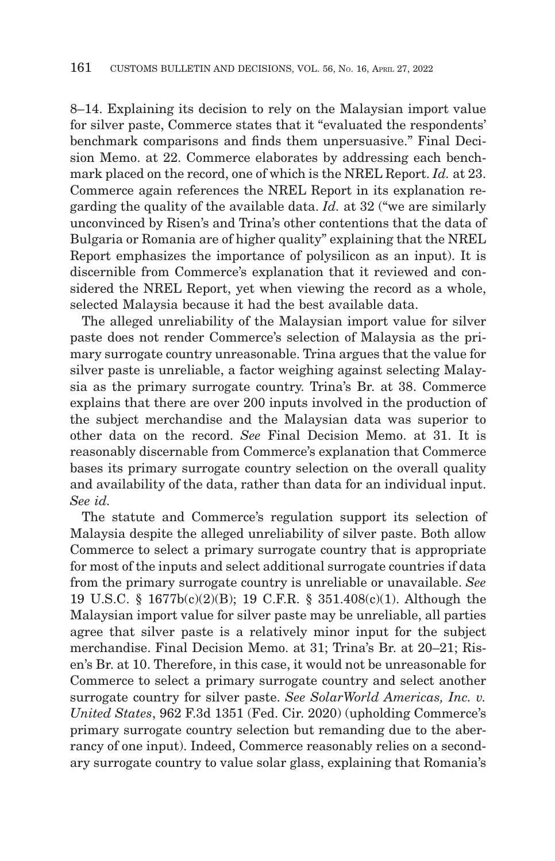8–14. Explaining its decision to rely on the Malaysian import value for silver paste, Commerce states that it "evaluated the respondents' benchmark comparisons and finds them unpersuasive." Final Decision Memo. at 22. Commerce elaborates by addressing each benchmark placed on the record, one of which is the NREL Report. *Id.* at 23. Commerce again references the NREL Report in its explanation regarding the quality of the available data. *Id.* at 32 ("we are similarly unconvinced by Risen's and Trina's other contentions that the data of Bulgaria or Romania are of higher quality" explaining that the NREL Report emphasizes the importance of polysilicon as an input). It is discernible from Commerce's explanation that it reviewed and considered the NREL Report, yet when viewing the record as a whole, selected Malaysia because it had the best available data.

The alleged unreliability of the Malaysian import value for silver paste does not render Commerce's selection of Malaysia as the primary surrogate country unreasonable. Trina argues that the value for silver paste is unreliable, a factor weighing against selecting Malaysia as the primary surrogate country. Trina's Br. at 38. Commerce explains that there are over 200 inputs involved in the production of the subject merchandise and the Malaysian data was superior to other data on the record. *See* Final Decision Memo. at 31. It is reasonably discernable from Commerce's explanation that Commerce bases its primary surrogate country selection on the overall quality and availability of the data, rather than data for an individual input. *See id.*

The statute and Commerce's regulation support its selection of Malaysia despite the alleged unreliability of silver paste. Both allow Commerce to select a primary surrogate country that is appropriate for most of the inputs and select additional surrogate countries if data from the primary surrogate country is unreliable or unavailable. *See* 19 U.S.C. § 1677b(c)(2)(B); 19 C.F.R. § 351.408(c)(1). Although the Malaysian import value for silver paste may be unreliable, all parties agree that silver paste is a relatively minor input for the subject merchandise. Final Decision Memo. at 31; Trina's Br. at 20–21; Risen's Br. at 10. Therefore, in this case, it would not be unreasonable for Commerce to select a primary surrogate country and select another surrogate country for silver paste. *See SolarWorld Americas, Inc. v. United States*, 962 F.3d 1351 (Fed. Cir. 2020) (upholding Commerce's primary surrogate country selection but remanding due to the aberrancy of one input). Indeed, Commerce reasonably relies on a secondary surrogate country to value solar glass, explaining that Romania's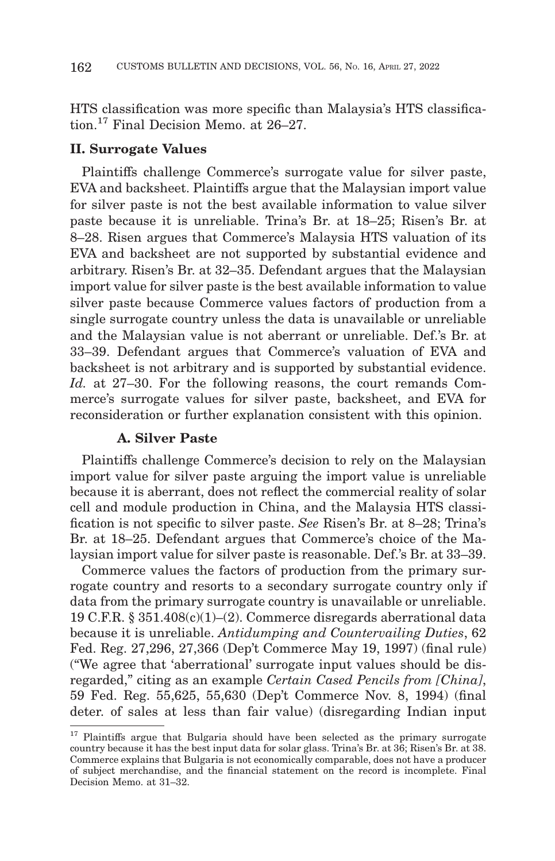HTS classification was more specific than Malaysia's HTS classification.17 Final Decision Memo. at 26–27.

#### **II. Surrogate Values**

Plaintiffs challenge Commerce's surrogate value for silver paste, EVA and backsheet. Plaintiffs argue that the Malaysian import value for silver paste is not the best available information to value silver paste because it is unreliable. Trina's Br. at 18–25; Risen's Br. at 8–28. Risen argues that Commerce's Malaysia HTS valuation of its EVA and backsheet are not supported by substantial evidence and arbitrary. Risen's Br. at 32–35. Defendant argues that the Malaysian import value for silver paste is the best available information to value silver paste because Commerce values factors of production from a single surrogate country unless the data is unavailable or unreliable and the Malaysian value is not aberrant or unreliable. Def.'s Br. at 33–39. Defendant argues that Commerce's valuation of EVA and backsheet is not arbitrary and is supported by substantial evidence. *Id.* at 27–30. For the following reasons, the court remands Commerce's surrogate values for silver paste, backsheet, and EVA for reconsideration or further explanation consistent with this opinion.

#### **A. Silver Paste**

Plaintiffs challenge Commerce's decision to rely on the Malaysian import value for silver paste arguing the import value is unreliable because it is aberrant, does not reflect the commercial reality of solar cell and module production in China, and the Malaysia HTS classification is not specific to silver paste. *See* Risen's Br. at 8–28; Trina's Br. at 18–25. Defendant argues that Commerce's choice of the Malaysian import value for silver paste is reasonable. Def.'s Br. at 33–39.

Commerce values the factors of production from the primary surrogate country and resorts to a secondary surrogate country only if data from the primary surrogate country is unavailable or unreliable. 19 C.F.R. § 351.408(c)(1)–(2). Commerce disregards aberrational data because it is unreliable. *Antidumping and Countervailing Duties*, 62 Fed. Reg. 27,296, 27,366 (Dep't Commerce May 19, 1997) (final rule) ("We agree that 'aberrational' surrogate input values should be disregarded," citing as an example *Certain Cased Pencils from [China]*, 59 Fed. Reg. 55,625, 55,630 (Dep't Commerce Nov. 8, 1994) (final deter. of sales at less than fair value) (disregarding Indian input

<sup>&</sup>lt;sup>17</sup> Plaintiffs argue that Bulgaria should have been selected as the primary surrogate country because it has the best input data for solar glass. Trina's Br. at 36; Risen's Br. at 38. Commerce explains that Bulgaria is not economically comparable, does not have a producer of subject merchandise, and the financial statement on the record is incomplete. Final Decision Memo. at 31–32.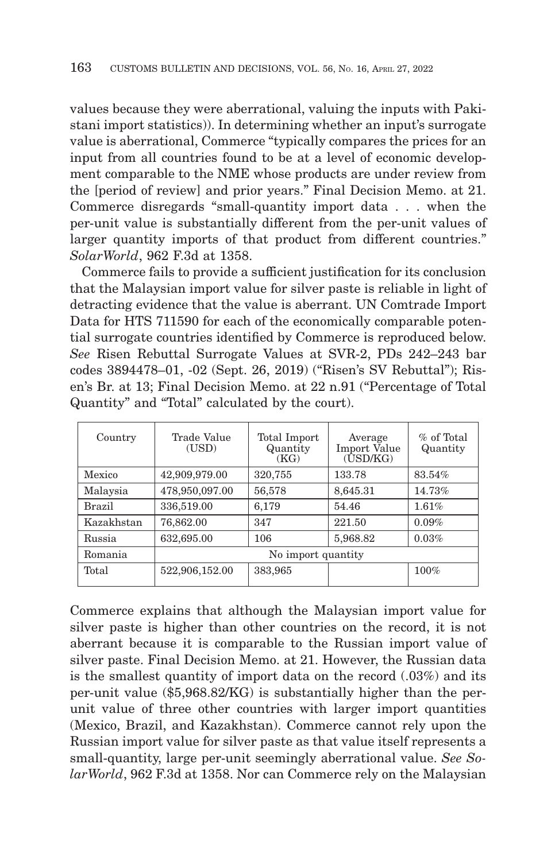values because they were aberrational, valuing the inputs with Pakistani import statistics)). In determining whether an input's surrogate value is aberrational, Commerce "typically compares the prices for an input from all countries found to be at a level of economic development comparable to the NME whose products are under review from the [period of review] and prior years." Final Decision Memo. at 21. Commerce disregards "small-quantity import data . . . when the per-unit value is substantially different from the per-unit values of larger quantity imports of that product from different countries." *SolarWorld*, 962 F.3d at 1358.

Commerce fails to provide a sufficient justification for its conclusion that the Malaysian import value for silver paste is reliable in light of detracting evidence that the value is aberrant. UN Comtrade Import Data for HTS 711590 for each of the economically comparable potential surrogate countries identified by Commerce is reproduced below. *See* Risen Rebuttal Surrogate Values at SVR-2, PDs 242–243 bar codes 3894478–01, -02 (Sept. 26, 2019) ("Risen's SV Rebuttal"); Risen's Br. at 13; Final Decision Memo. at 22 n.91 ("Percentage of Total Quantity" and "Total" calculated by the court).

| Country    | Trade Value<br>(USD) | Total Import<br>Quantity<br>(KG) | Average<br><b>Import Value</b><br>$(\overline{USD/KG})$ | $%$ of Total<br>Quantity |  |
|------------|----------------------|----------------------------------|---------------------------------------------------------|--------------------------|--|
| Mexico     | 42,909,979.00        | 320,755                          | 133.78                                                  | 83.54%                   |  |
| Malaysia   | 478,950,097.00       | 56,578                           | 8,645.31                                                | 14.73%                   |  |
| Brazil     | 336,519.00           | 6,179                            | 54.46                                                   | 1.61%                    |  |
| Kazakhstan | 76,862.00            | 347                              | 221.50                                                  | 0.09%                    |  |
| Russia     | 632,695.00           | 106                              | 5,968.82                                                | 0.03%                    |  |
| Romania    | No import quantity   |                                  |                                                         |                          |  |
| Total      | 522,906,152.00       | 383,965                          |                                                         | 100%                     |  |

Commerce explains that although the Malaysian import value for silver paste is higher than other countries on the record, it is not aberrant because it is comparable to the Russian import value of silver paste. Final Decision Memo. at 21. However, the Russian data is the smallest quantity of import data on the record (.03%) and its per-unit value (\$5,968.82/KG) is substantially higher than the perunit value of three other countries with larger import quantities (Mexico, Brazil, and Kazakhstan). Commerce cannot rely upon the Russian import value for silver paste as that value itself represents a small-quantity, large per-unit seemingly aberrational value. *See SolarWorld*, 962 F.3d at 1358. Nor can Commerce rely on the Malaysian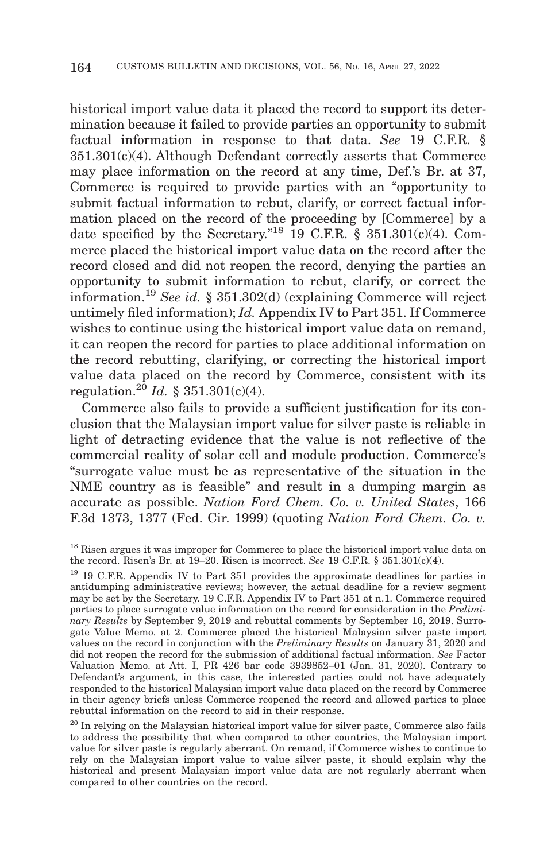historical import value data it placed the record to support its determination because it failed to provide parties an opportunity to submit factual information in response to that data. *See* 19 C.F.R. § 351.301(c)(4). Although Defendant correctly asserts that Commerce may place information on the record at any time, Def.'s Br. at 37, Commerce is required to provide parties with an "opportunity to submit factual information to rebut, clarify, or correct factual information placed on the record of the proceeding by [Commerce] by a date specified by the Secretary."<sup>18</sup> 19 C.F.R.  $\S$  351.301(c)(4). Commerce placed the historical import value data on the record after the record closed and did not reopen the record, denying the parties an opportunity to submit information to rebut, clarify, or correct the information.19 *See id.* § 351.302(d) (explaining Commerce will reject untimely filed information); *Id.* Appendix IV to Part 351. If Commerce wishes to continue using the historical import value data on remand, it can reopen the record for parties to place additional information on the record rebutting, clarifying, or correcting the historical import value data placed on the record by Commerce, consistent with its regulation.<sup>20</sup> *Id.* § 351.301(c)(4).

Commerce also fails to provide a sufficient justification for its conclusion that the Malaysian import value for silver paste is reliable in light of detracting evidence that the value is not reflective of the commercial reality of solar cell and module production. Commerce's "surrogate value must be as representative of the situation in the NME country as is feasible" and result in a dumping margin as accurate as possible. *Nation Ford Chem. Co. v. United States*, 166 F.3d 1373, 1377 (Fed. Cir. 1999) (quoting *Nation Ford Chem. Co. v.*

<sup>&</sup>lt;sup>18</sup> Risen argues it was improper for Commerce to place the historical import value data on the record. Risen's Br. at 19–20. Risen is incorrect. *See* 19 C.F.R. § 351.301(c)(4).

<sup>19 19</sup> C.F.R. Appendix IV to Part 351 provides the approximate deadlines for parties in antidumping administrative reviews; however, the actual deadline for a review segment may be set by the Secretary. 19 C.F.R. Appendix IV to Part 351 at n.1. Commerce required parties to place surrogate value information on the record for consideration in the *Preliminary Results* by September 9, 2019 and rebuttal comments by September 16, 2019. Surrogate Value Memo. at 2. Commerce placed the historical Malaysian silver paste import values on the record in conjunction with the *Preliminary Results* on January 31, 2020 and did not reopen the record for the submission of additional factual information. *See* Factor Valuation Memo. at Att. I, PR 426 bar code 3939852–01 (Jan. 31, 2020). Contrary to Defendant's argument, in this case, the interested parties could not have adequately responded to the historical Malaysian import value data placed on the record by Commerce in their agency briefs unless Commerce reopened the record and allowed parties to place rebuttal information on the record to aid in their response.

 $20$  In relying on the Malaysian historical import value for silver paste, Commerce also fails to address the possibility that when compared to other countries, the Malaysian import value for silver paste is regularly aberrant. On remand, if Commerce wishes to continue to rely on the Malaysian import value to value silver paste, it should explain why the historical and present Malaysian import value data are not regularly aberrant when compared to other countries on the record.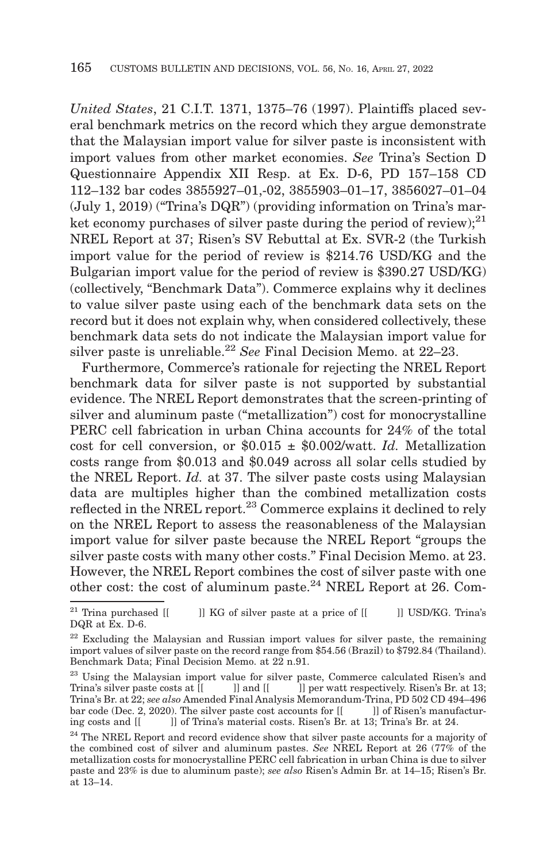*United States*, 21 C.I.T. 1371, 1375–76 (1997). Plaintiffs placed several benchmark metrics on the record which they argue demonstrate that the Malaysian import value for silver paste is inconsistent with import values from other market economies. *See* Trina's Section D Questionnaire Appendix XII Resp. at Ex. D-6, PD 157–158 CD 112–132 bar codes 3855927–01,-02, 3855903–01–17, 3856027–01–04 (July 1, 2019) ("Trina's DQR") (providing information on Trina's market economy purchases of silver paste during the period of review);  $2^{1}$ NREL Report at 37; Risen's SV Rebuttal at Ex. SVR-2 (the Turkish import value for the period of review is \$214.76 USD/KG and the Bulgarian import value for the period of review is \$390.27 USD/KG) (collectively, "Benchmark Data"). Commerce explains why it declines to value silver paste using each of the benchmark data sets on the record but it does not explain why, when considered collectively, these benchmark data sets do not indicate the Malaysian import value for silver paste is unreliable.<sup>22</sup> *See* Final Decision Memo. at 22–23.

Furthermore, Commerce's rationale for rejecting the NREL Report benchmark data for silver paste is not supported by substantial evidence. The NREL Report demonstrates that the screen-printing of silver and aluminum paste ("metallization") cost for monocrystalline PERC cell fabrication in urban China accounts for 24% of the total cost for cell conversion, or \$0.015 ± \$0.002/watt. *Id.* Metallization costs range from \$0.013 and \$0.049 across all solar cells studied by the NREL Report. *Id.* at 37. The silver paste costs using Malaysian data are multiples higher than the combined metallization costs reflected in the NREL report.23 Commerce explains it declined to rely on the NREL Report to assess the reasonableness of the Malaysian import value for silver paste because the NREL Report "groups the silver paste costs with many other costs." Final Decision Memo. at 23. However, the NREL Report combines the cost of silver paste with one other cost: the cost of aluminum paste.24 NREL Report at 26. Com-

 $^{21}$  Trina purchased [[ ]] KG of silver paste at a price of [[ ]] USD/KG. Trina's DQR at Ex. D-6.

<sup>22</sup> Excluding the Malaysian and Russian import values for silver paste, the remaining import values of silver paste on the record range from \$54.56 (Brazil) to \$792.84 (Thailand). Benchmark Data; Final Decision Memo. at 22 n.91.

<sup>&</sup>lt;sup>23</sup> Using the Malaysian import value for silver paste, Commerce calculated Risen's and Trina's silver paste costs at  $\begin{bmatrix} \begin{bmatrix} 1 \end{bmatrix}$  and  $\begin{bmatrix} \begin{bmatrix} 1 \end{bmatrix} \end{bmatrix}$  per watt respectively. Risen's Br. at 13;  $\Box$  per watt respectively. Risen's Br. at 13; Trina's Br. at 22; *see also* Amended Final Analysis Memorandum-Trina, PD 502 CD 494–496 bar code (Dec. 2, 2020). The silver paste cost accounts for  $[[$ ing costs and [[ ]] of Trina's material costs. Risen's Br. at 13; Trina's Br. at 24.

<sup>&</sup>lt;sup>24</sup> The NREL Report and record evidence show that silver paste accounts for a majority of the combined cost of silver and aluminum pastes. *See* NREL Report at 26 (77% of the metallization costs for monocrystalline PERC cell fabrication in urban China is due to silver paste and 23% is due to aluminum paste); *see also* Risen's Admin Br. at 14–15; Risen's Br. at 13–14.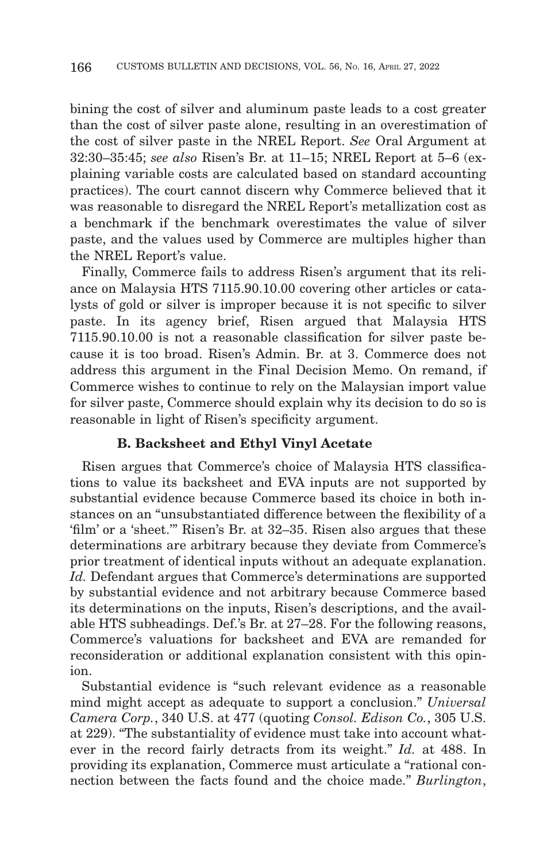bining the cost of silver and aluminum paste leads to a cost greater than the cost of silver paste alone, resulting in an overestimation of the cost of silver paste in the NREL Report. *See* Oral Argument at 32:30–35:45; *see also* Risen's Br. at 11–15; NREL Report at 5–6 (explaining variable costs are calculated based on standard accounting practices). The court cannot discern why Commerce believed that it was reasonable to disregard the NREL Report's metallization cost as a benchmark if the benchmark overestimates the value of silver paste, and the values used by Commerce are multiples higher than the NREL Report's value.

Finally, Commerce fails to address Risen's argument that its reliance on Malaysia HTS 7115.90.10.00 covering other articles or catalysts of gold or silver is improper because it is not specific to silver paste. In its agency brief, Risen argued that Malaysia HTS 7115.90.10.00 is not a reasonable classification for silver paste because it is too broad. Risen's Admin. Br. at 3. Commerce does not address this argument in the Final Decision Memo. On remand, if Commerce wishes to continue to rely on the Malaysian import value for silver paste, Commerce should explain why its decision to do so is reasonable in light of Risen's specificity argument.

## **B. Backsheet and Ethyl Vinyl Acetate**

Risen argues that Commerce's choice of Malaysia HTS classifications to value its backsheet and EVA inputs are not supported by substantial evidence because Commerce based its choice in both instances on an "unsubstantiated difference between the flexibility of a 'film' or a 'sheet.'" Risen's Br. at 32–35. Risen also argues that these determinations are arbitrary because they deviate from Commerce's prior treatment of identical inputs without an adequate explanation. *Id.* Defendant argues that Commerce's determinations are supported by substantial evidence and not arbitrary because Commerce based its determinations on the inputs, Risen's descriptions, and the available HTS subheadings. Def.'s Br. at 27–28. For the following reasons, Commerce's valuations for backsheet and EVA are remanded for reconsideration or additional explanation consistent with this opinion.

Substantial evidence is "such relevant evidence as a reasonable mind might accept as adequate to support a conclusion." *Universal Camera Corp.*, 340 U.S. at 477 (quoting *Consol. Edison Co.*, 305 U.S. at 229). "The substantiality of evidence must take into account whatever in the record fairly detracts from its weight." *Id.* at 488. In providing its explanation, Commerce must articulate a "rational connection between the facts found and the choice made." *Burlington*,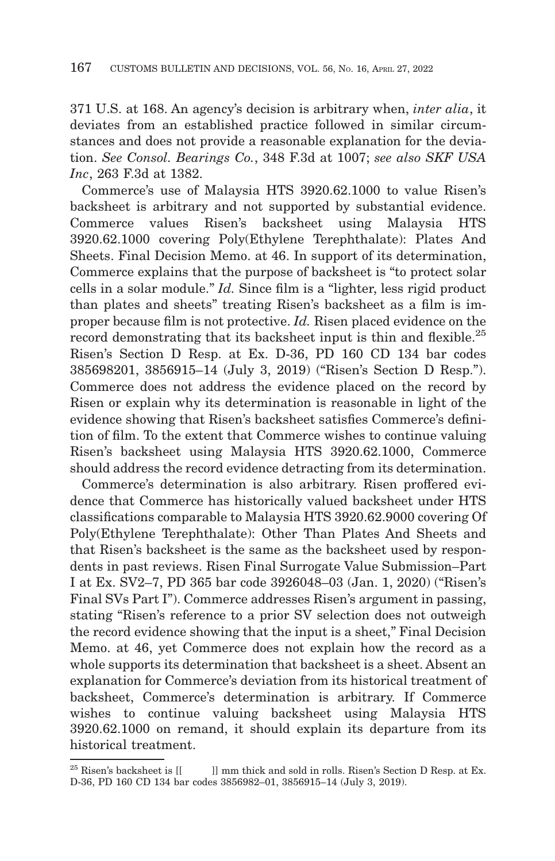371 U.S. at 168. An agency's decision is arbitrary when, *inter alia*, it deviates from an established practice followed in similar circumstances and does not provide a reasonable explanation for the deviation. *See Consol. Bearings Co.*, 348 F.3d at 1007; *see also SKF USA Inc*, 263 F.3d at 1382.

Commerce's use of Malaysia HTS 3920.62.1000 to value Risen's backsheet is arbitrary and not supported by substantial evidence. Commerce values Risen's backsheet using Malaysia HTS 3920.62.1000 covering Poly(Ethylene Terephthalate): Plates And Sheets. Final Decision Memo. at 46. In support of its determination, Commerce explains that the purpose of backsheet is "to protect solar cells in a solar module." *Id.* Since film is a "lighter, less rigid product than plates and sheets" treating Risen's backsheet as a film is improper because film is not protective. *Id.* Risen placed evidence on the record demonstrating that its backsheet input is thin and flexible.<sup>25</sup> Risen's Section D Resp. at Ex. D-36, PD 160 CD 134 bar codes 385698201, 3856915–14 (July 3, 2019) ("Risen's Section D Resp."). Commerce does not address the evidence placed on the record by Risen or explain why its determination is reasonable in light of the evidence showing that Risen's backsheet satisfies Commerce's definition of film. To the extent that Commerce wishes to continue valuing Risen's backsheet using Malaysia HTS 3920.62.1000, Commerce should address the record evidence detracting from its determination.

Commerce's determination is also arbitrary. Risen proffered evidence that Commerce has historically valued backsheet under HTS classifications comparable to Malaysia HTS 3920.62.9000 covering Of Poly(Ethylene Terephthalate): Other Than Plates And Sheets and that Risen's backsheet is the same as the backsheet used by respondents in past reviews. Risen Final Surrogate Value Submission–Part I at Ex. SV2–7, PD 365 bar code 3926048–03 (Jan. 1, 2020) ("Risen's Final SVs Part I"). Commerce addresses Risen's argument in passing, stating "Risen's reference to a prior SV selection does not outweigh the record evidence showing that the input is a sheet," Final Decision Memo. at 46, yet Commerce does not explain how the record as a whole supports its determination that backsheet is a sheet. Absent an explanation for Commerce's deviation from its historical treatment of backsheet, Commerce's determination is arbitrary. If Commerce wishes to continue valuing backsheet using Malaysia HTS 3920.62.1000 on remand, it should explain its departure from its historical treatment.

 $^{25}$  Risen's backsheet is  $[[ \quad \quad ]]$  mm thick and sold in rolls. Risen's Section D Resp. at Ex. D-36, PD 160 CD 134 bar codes 3856982–01, 3856915–14 (July 3, 2019).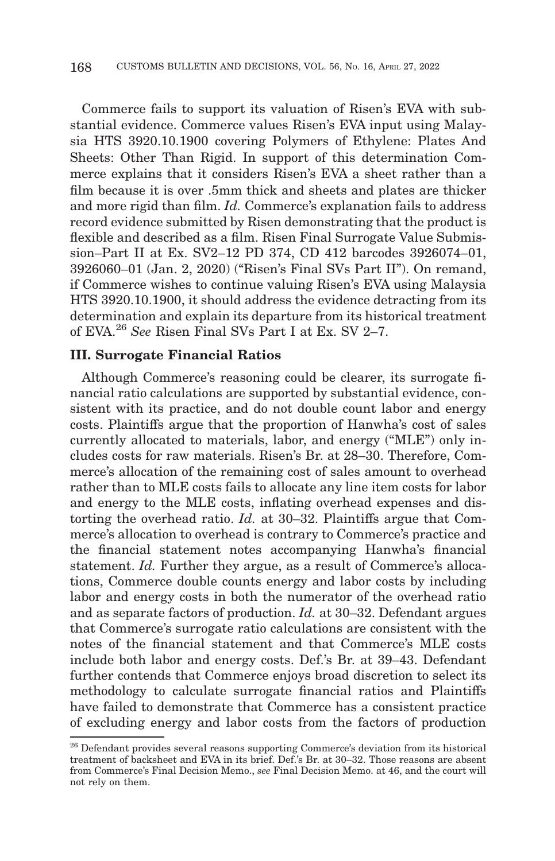Commerce fails to support its valuation of Risen's EVA with substantial evidence. Commerce values Risen's EVA input using Malaysia HTS 3920.10.1900 covering Polymers of Ethylene: Plates And Sheets: Other Than Rigid. In support of this determination Commerce explains that it considers Risen's EVA a sheet rather than a film because it is over .5mm thick and sheets and plates are thicker and more rigid than film. *Id.* Commerce's explanation fails to address record evidence submitted by Risen demonstrating that the product is flexible and described as a film. Risen Final Surrogate Value Submission–Part II at Ex. SV2–12 PD 374, CD 412 barcodes 3926074–01, 3926060–01 (Jan. 2, 2020) ("Risen's Final SVs Part II"). On remand, if Commerce wishes to continue valuing Risen's EVA using Malaysia HTS 3920.10.1900, it should address the evidence detracting from its determination and explain its departure from its historical treatment of EVA.26 *See* Risen Final SVs Part I at Ex. SV 2–7.

#### **III. Surrogate Financial Ratios**

Although Commerce's reasoning could be clearer, its surrogate financial ratio calculations are supported by substantial evidence, consistent with its practice, and do not double count labor and energy costs. Plaintiffs argue that the proportion of Hanwha's cost of sales currently allocated to materials, labor, and energy ("MLE") only includes costs for raw materials. Risen's Br. at 28–30. Therefore, Commerce's allocation of the remaining cost of sales amount to overhead rather than to MLE costs fails to allocate any line item costs for labor and energy to the MLE costs, inflating overhead expenses and distorting the overhead ratio. *Id.* at 30–32. Plaintiffs argue that Commerce's allocation to overhead is contrary to Commerce's practice and the financial statement notes accompanying Hanwha's financial statement. *Id.* Further they argue, as a result of Commerce's allocations, Commerce double counts energy and labor costs by including labor and energy costs in both the numerator of the overhead ratio and as separate factors of production. *Id.* at 30–32. Defendant argues that Commerce's surrogate ratio calculations are consistent with the notes of the financial statement and that Commerce's MLE costs include both labor and energy costs. Def.'s Br. at 39–43. Defendant further contends that Commerce enjoys broad discretion to select its methodology to calculate surrogate financial ratios and Plaintiffs have failed to demonstrate that Commerce has a consistent practice of excluding energy and labor costs from the factors of production

 $^{26}$  Defendant provides several reasons supporting Commerce's deviation from its historical treatment of backsheet and EVA in its brief. Def.'s Br. at 30–32. Those reasons are absent from Commerce's Final Decision Memo., *see* Final Decision Memo. at 46, and the court will not rely on them.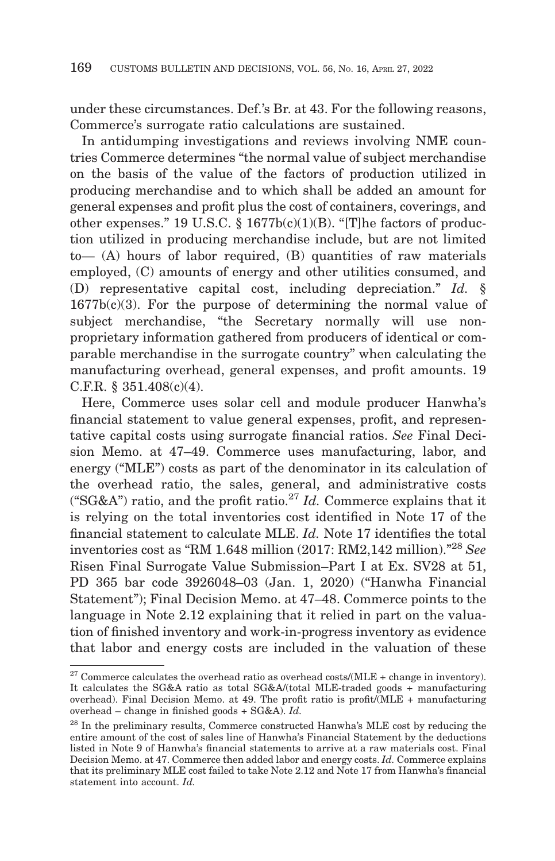under these circumstances. Def.'s Br. at 43. For the following reasons, Commerce's surrogate ratio calculations are sustained.

In antidumping investigations and reviews involving NME countries Commerce determines "the normal value of subject merchandise on the basis of the value of the factors of production utilized in producing merchandise and to which shall be added an amount for general expenses and profit plus the cost of containers, coverings, and other expenses." 19 U.S.C.  $\S$  1677b(c)(1)(B). "[T]he factors of production utilized in producing merchandise include, but are not limited to— (A) hours of labor required, (B) quantities of raw materials employed, (C) amounts of energy and other utilities consumed, and (D) representative capital cost, including depreciation." *Id.* §  $1677b(c)(3)$ . For the purpose of determining the normal value of subject merchandise, "the Secretary normally will use nonproprietary information gathered from producers of identical or comparable merchandise in the surrogate country" when calculating the manufacturing overhead, general expenses, and profit amounts. 19 C.F.R. § 351.408(c)(4).

Here, Commerce uses solar cell and module producer Hanwha's financial statement to value general expenses, profit, and representative capital costs using surrogate financial ratios. *See* Final Decision Memo. at 47–49. Commerce uses manufacturing, labor, and energy ("MLE") costs as part of the denominator in its calculation of the overhead ratio, the sales, general, and administrative costs ("SG&A") ratio, and the profit ratio.<sup>27</sup> *Id.* Commerce explains that it is relying on the total inventories cost identified in Note 17 of the financial statement to calculate MLE. *Id.* Note 17 identifies the total inventories cost as "RM 1.648 million (2017: RM2,142 million)."28 *See* Risen Final Surrogate Value Submission–Part I at Ex. SV28 at 51, PD 365 bar code 3926048–03 (Jan. 1, 2020) ("Hanwha Financial Statement"); Final Decision Memo. at 47–48. Commerce points to the language in Note 2.12 explaining that it relied in part on the valuation of finished inventory and work-in-progress inventory as evidence that labor and energy costs are included in the valuation of these

 $27$  Commerce calculates the overhead ratio as overhead costs/(MLE + change in inventory). It calculates the SG&A ratio as total SG&A/(total MLE-traded goods + manufacturing overhead). Final Decision Memo. at 49. The profit ratio is profit/(MLE + manufacturing overhead – change in finished goods + SG&A). *Id.*

<sup>28</sup> In the preliminary results, Commerce constructed Hanwha's MLE cost by reducing the entire amount of the cost of sales line of Hanwha's Financial Statement by the deductions listed in Note 9 of Hanwha's financial statements to arrive at a raw materials cost. Final Decision Memo. at 47. Commerce then added labor and energy costs. *Id.* Commerce explains that its preliminary MLE cost failed to take Note 2.12 and Note 17 from Hanwha's financial statement into account. *Id.*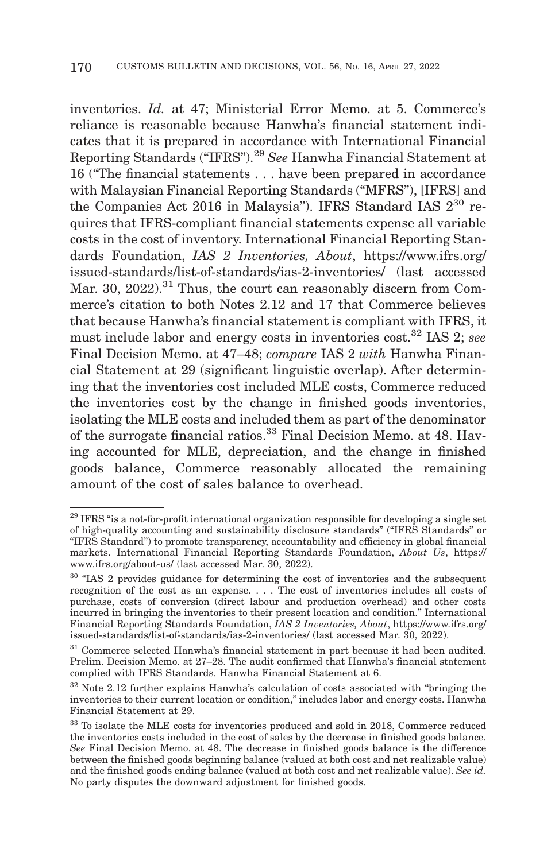inventories. *Id.* at 47; Ministerial Error Memo. at 5. Commerce's reliance is reasonable because Hanwha's financial statement indicates that it is prepared in accordance with International Financial Reporting Standards ("IFRS").29 *See* Hanwha Financial Statement at 16 ("The financial statements . . . have been prepared in accordance with Malaysian Financial Reporting Standards ("MFRS"), [IFRS] and the Companies Act 2016 in Malaysia"). IFRS Standard IAS  $2^{30}$  requires that IFRS-compliant financial statements expense all variable costs in the cost of inventory. International Financial Reporting Standards Foundation, *IAS 2 Inventories, About*, https://www.ifrs.org/ issued-standards/list-of-standards/ias-2-inventories/ (last accessed Mar. 30,  $2022$ ).<sup>31</sup> Thus, the court can reasonably discern from Commerce's citation to both Notes 2.12 and 17 that Commerce believes that because Hanwha's financial statement is compliant with IFRS, it must include labor and energy costs in inventories cost.32 IAS 2; *see* Final Decision Memo. at 47–48; *compare* IAS 2 *with* Hanwha Financial Statement at 29 (significant linguistic overlap). After determining that the inventories cost included MLE costs, Commerce reduced the inventories cost by the change in finished goods inventories, isolating the MLE costs and included them as part of the denominator of the surrogate financial ratios.33 Final Decision Memo. at 48. Having accounted for MLE, depreciation, and the change in finished goods balance, Commerce reasonably allocated the remaining amount of the cost of sales balance to overhead.

<sup>&</sup>lt;sup>29</sup> IFRS "is a not-for-profit international organization responsible for developing a single set of high-quality accounting and sustainability disclosure standards" ("IFRS Standards" or "IFRS Standard") to promote transparency, accountability and efficiency in global financial markets. International Financial Reporting Standards Foundation, *About Us*, https:// www.ifrs.org/about-us/ (last accessed Mar. 30, 2022).

<sup>&</sup>lt;sup>30</sup> "IAS 2 provides guidance for determining the cost of inventories and the subsequent recognition of the cost as an expense. . . . The cost of inventories includes all costs of purchase, costs of conversion (direct labour and production overhead) and other costs incurred in bringing the inventories to their present location and condition." International Financial Reporting Standards Foundation, *IAS 2 Inventories, About*, https://www.ifrs.org/ issued-standards/list-of-standards/ias-2-inventories/ (last accessed Mar. 30, 2022).

<sup>&</sup>lt;sup>31</sup> Commerce selected Hanwha's financial statement in part because it had been audited. Prelim. Decision Memo. at 27–28. The audit confirmed that Hanwha's financial statement complied with IFRS Standards. Hanwha Financial Statement at 6.

<sup>32</sup> Note 2.12 further explains Hanwha's calculation of costs associated with "bringing the inventories to their current location or condition," includes labor and energy costs. Hanwha Financial Statement at 29.

<sup>33</sup> To isolate the MLE costs for inventories produced and sold in 2018, Commerce reduced the inventories costs included in the cost of sales by the decrease in finished goods balance. *See* Final Decision Memo. at 48. The decrease in finished goods balance is the difference between the finished goods beginning balance (valued at both cost and net realizable value) and the finished goods ending balance (valued at both cost and net realizable value). *See id.* No party disputes the downward adjustment for finished goods.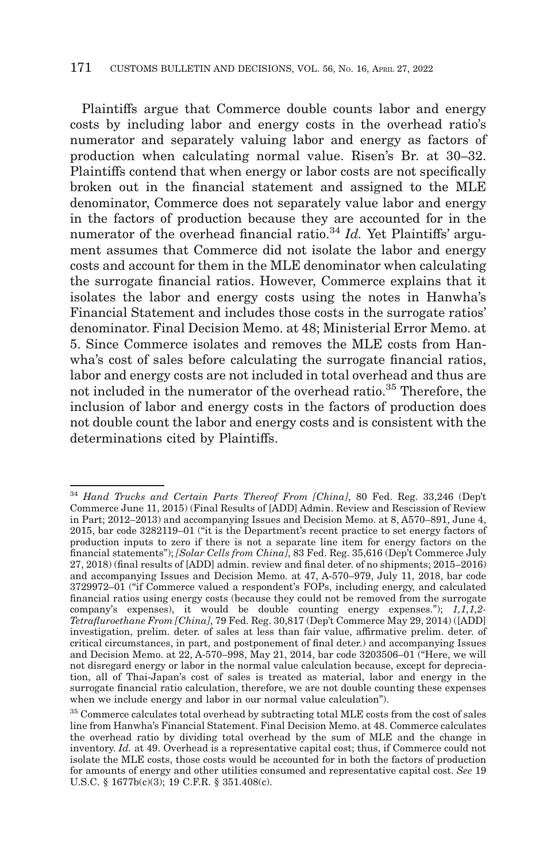Plaintiffs argue that Commerce double counts labor and energy costs by including labor and energy costs in the overhead ratio's numerator and separately valuing labor and energy as factors of production when calculating normal value. Risen's Br. at 30–32. Plaintiffs contend that when energy or labor costs are not specifically broken out in the financial statement and assigned to the MLE denominator, Commerce does not separately value labor and energy in the factors of production because they are accounted for in the numerator of the overhead financial ratio.<sup>34</sup> *Id.* Yet Plaintiffs' argument assumes that Commerce did not isolate the labor and energy costs and account for them in the MLE denominator when calculating the surrogate financial ratios. However, Commerce explains that it isolates the labor and energy costs using the notes in Hanwha's Financial Statement and includes those costs in the surrogate ratios' denominator. Final Decision Memo. at 48; Ministerial Error Memo. at 5. Since Commerce isolates and removes the MLE costs from Hanwha's cost of sales before calculating the surrogate financial ratios, labor and energy costs are not included in total overhead and thus are not included in the numerator of the overhead ratio.35 Therefore, the inclusion of labor and energy costs in the factors of production does not double count the labor and energy costs and is consistent with the determinations cited by Plaintiffs.

<sup>34</sup>*Hand Trucks and Certain Parts Thereof From [China]*, 80 Fed. Reg. 33,246 (Dep't Commerce June 11, 2015) (Final Results of [ADD] Admin. Review and Rescission of Review in Part; 2012–2013) and accompanying Issues and Decision Memo. at 8, A570–891, June 4, 2015, bar code 3282119–01 ("it is the Department's recent practice to set energy factors of production inputs to zero if there is not a separate line item for energy factors on the financial statements"); *[Solar Cells from China]*, 83 Fed. Reg. 35,616 (Dep't Commerce July 27, 2018) (final results of [ADD] admin. review and final deter. of no shipments; 2015–2016) and accompanying Issues and Decision Memo. at 47, A-570–979, July 11, 2018, bar code 3729972–01 ("if Commerce valued a respondent's FOPs, including energy, and calculated financial ratios using energy costs (because they could not be removed from the surrogate company's expenses), it would be double counting energy expenses."); *1,1,1,2- Tetrafluroethane From [China]*, 79 Fed. Reg. 30,817 (Dep't Commerce May 29, 2014) ([ADD] investigation, prelim. deter. of sales at less than fair value, affirmative prelim. deter. of critical circumstances, in part, and postponement of final deter.) and accompanying Issues and Decision Memo. at 22, A-570–998, May 21, 2014, bar code 3203506–01 ("Here, we will not disregard energy or labor in the normal value calculation because, except for depreciation, all of Thai-Japan's cost of sales is treated as material, labor and energy in the surrogate financial ratio calculation, therefore, we are not double counting these expenses when we include energy and labor in our normal value calculation").

<sup>35</sup> Commerce calculates total overhead by subtracting total MLE costs from the cost of sales line from Hanwha's Financial Statement. Final Decision Memo. at 48. Commerce calculates the overhead ratio by dividing total overhead by the sum of MLE and the change in inventory. *Id.* at 49. Overhead is a representative capital cost; thus, if Commerce could not isolate the MLE costs, those costs would be accounted for in both the factors of production for amounts of energy and other utilities consumed and representative capital cost. *See* 19 U.S.C. § 1677b(c)(3); 19 C.F.R. § 351.408(c).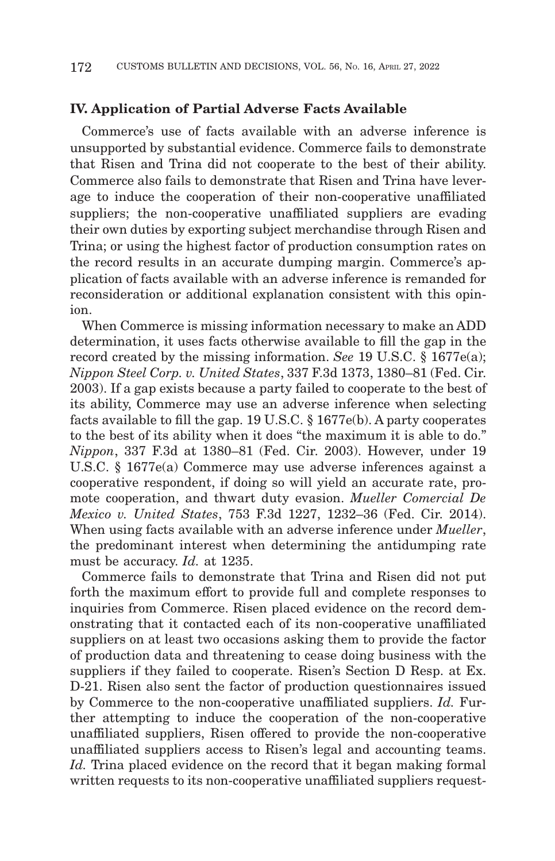#### **IV. Application of Partial Adverse Facts Available**

Commerce's use of facts available with an adverse inference is unsupported by substantial evidence. Commerce fails to demonstrate that Risen and Trina did not cooperate to the best of their ability. Commerce also fails to demonstrate that Risen and Trina have leverage to induce the cooperation of their non-cooperative unaffiliated suppliers; the non-cooperative unaffiliated suppliers are evading their own duties by exporting subject merchandise through Risen and Trina; or using the highest factor of production consumption rates on the record results in an accurate dumping margin. Commerce's application of facts available with an adverse inference is remanded for reconsideration or additional explanation consistent with this opinion.

When Commerce is missing information necessary to make an ADD determination, it uses facts otherwise available to fill the gap in the record created by the missing information. *See* 19 U.S.C. § 1677e(a); *Nippon Steel Corp. v. United States*, 337 F.3d 1373, 1380–81 (Fed. Cir. 2003). If a gap exists because a party failed to cooperate to the best of its ability, Commerce may use an adverse inference when selecting facts available to fill the gap. 19 U.S.C. § 1677e(b). A party cooperates to the best of its ability when it does "the maximum it is able to do." *Nippon*, 337 F.3d at 1380–81 (Fed. Cir. 2003). However, under 19 U.S.C. § 1677e(a) Commerce may use adverse inferences against a cooperative respondent, if doing so will yield an accurate rate, promote cooperation, and thwart duty evasion. *Mueller Comercial De Mexico v. United States*, 753 F.3d 1227, 1232–36 (Fed. Cir. 2014). When using facts available with an adverse inference under *Mueller*, the predominant interest when determining the antidumping rate must be accuracy. *Id.* at 1235.

Commerce fails to demonstrate that Trina and Risen did not put forth the maximum effort to provide full and complete responses to inquiries from Commerce. Risen placed evidence on the record demonstrating that it contacted each of its non-cooperative unaffiliated suppliers on at least two occasions asking them to provide the factor of production data and threatening to cease doing business with the suppliers if they failed to cooperate. Risen's Section D Resp. at Ex. D-21. Risen also sent the factor of production questionnaires issued by Commerce to the non-cooperative unaffiliated suppliers. *Id.* Further attempting to induce the cooperation of the non-cooperative unaffiliated suppliers, Risen offered to provide the non-cooperative unaffiliated suppliers access to Risen's legal and accounting teams. *Id.* Trina placed evidence on the record that it began making formal written requests to its non-cooperative unaffiliated suppliers request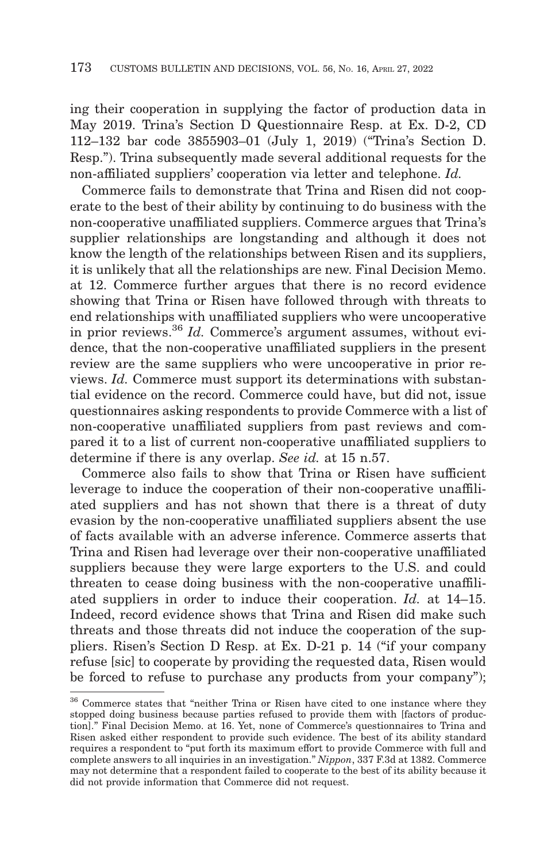ing their cooperation in supplying the factor of production data in May 2019. Trina's Section D Questionnaire Resp. at Ex. D-2, CD 112–132 bar code 3855903–01 (July 1, 2019) ("Trina's Section D. Resp."). Trina subsequently made several additional requests for the non-affiliated suppliers' cooperation via letter and telephone. *Id.*

Commerce fails to demonstrate that Trina and Risen did not cooperate to the best of their ability by continuing to do business with the non-cooperative unaffiliated suppliers. Commerce argues that Trina's supplier relationships are longstanding and although it does not know the length of the relationships between Risen and its suppliers, it is unlikely that all the relationships are new. Final Decision Memo. at 12. Commerce further argues that there is no record evidence showing that Trina or Risen have followed through with threats to end relationships with unaffiliated suppliers who were uncooperative in prior reviews.36 *Id.* Commerce's argument assumes, without evidence, that the non-cooperative unaffiliated suppliers in the present review are the same suppliers who were uncooperative in prior reviews. *Id.* Commerce must support its determinations with substantial evidence on the record. Commerce could have, but did not, issue questionnaires asking respondents to provide Commerce with a list of non-cooperative unaffiliated suppliers from past reviews and compared it to a list of current non-cooperative unaffiliated suppliers to determine if there is any overlap. *See id.* at 15 n.57.

Commerce also fails to show that Trina or Risen have sufficient leverage to induce the cooperation of their non-cooperative unaffiliated suppliers and has not shown that there is a threat of duty evasion by the non-cooperative unaffiliated suppliers absent the use of facts available with an adverse inference. Commerce asserts that Trina and Risen had leverage over their non-cooperative unaffiliated suppliers because they were large exporters to the U.S. and could threaten to cease doing business with the non-cooperative unaffiliated suppliers in order to induce their cooperation. *Id.* at 14–15. Indeed, record evidence shows that Trina and Risen did make such threats and those threats did not induce the cooperation of the suppliers. Risen's Section D Resp. at Ex. D-21 p. 14 ("if your company refuse [sic] to cooperate by providing the requested data, Risen would be forced to refuse to purchase any products from your company");

<sup>36</sup> Commerce states that "neither Trina or Risen have cited to one instance where they stopped doing business because parties refused to provide them with [factors of production]." Final Decision Memo. at 16. Yet, none of Commerce's questionnaires to Trina and Risen asked either respondent to provide such evidence. The best of its ability standard requires a respondent to "put forth its maximum effort to provide Commerce with full and complete answers to all inquiries in an investigation." *Nippon*, 337 F.3d at 1382. Commerce may not determine that a respondent failed to cooperate to the best of its ability because it did not provide information that Commerce did not request.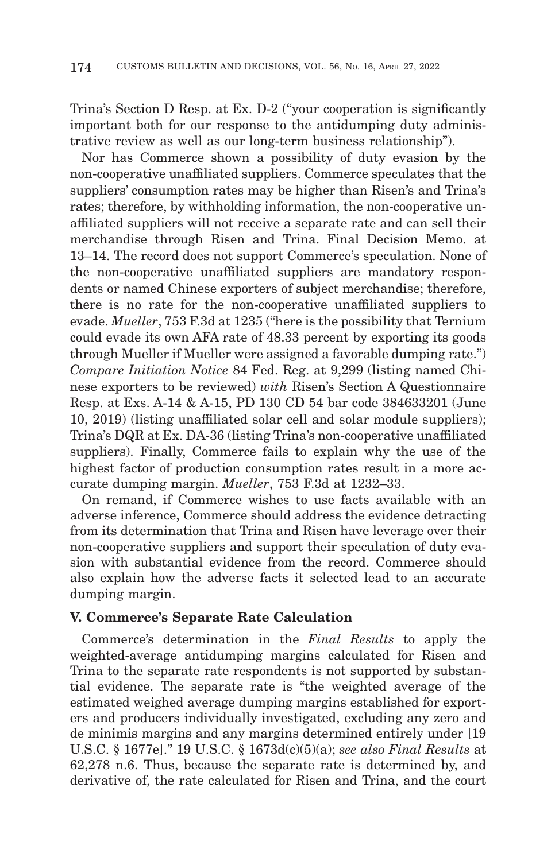Trina's Section D Resp. at Ex. D-2 ("your cooperation is significantly important both for our response to the antidumping duty administrative review as well as our long-term business relationship").

Nor has Commerce shown a possibility of duty evasion by the non-cooperative unaffiliated suppliers. Commerce speculates that the suppliers' consumption rates may be higher than Risen's and Trina's rates; therefore, by withholding information, the non-cooperative unaffiliated suppliers will not receive a separate rate and can sell their merchandise through Risen and Trina. Final Decision Memo. at 13–14. The record does not support Commerce's speculation. None of the non-cooperative unaffiliated suppliers are mandatory respondents or named Chinese exporters of subject merchandise; therefore, there is no rate for the non-cooperative unaffiliated suppliers to evade. *Mueller*, 753 F.3d at 1235 ("here is the possibility that Ternium could evade its own AFA rate of 48.33 percent by exporting its goods through Mueller if Mueller were assigned a favorable dumping rate.") *Compare Initiation Notice* 84 Fed. Reg. at 9,299 (listing named Chinese exporters to be reviewed) *with* Risen's Section A Questionnaire Resp. at Exs. A-14 & A-15, PD 130 CD 54 bar code 384633201 (June 10, 2019) (listing unaffiliated solar cell and solar module suppliers); Trina's DQR at Ex. DA-36 (listing Trina's non-cooperative unaffiliated suppliers). Finally, Commerce fails to explain why the use of the highest factor of production consumption rates result in a more accurate dumping margin. *Mueller*, 753 F.3d at 1232–33.

On remand, if Commerce wishes to use facts available with an adverse inference, Commerce should address the evidence detracting from its determination that Trina and Risen have leverage over their non-cooperative suppliers and support their speculation of duty evasion with substantial evidence from the record. Commerce should also explain how the adverse facts it selected lead to an accurate dumping margin.

#### **V. Commerce's Separate Rate Calculation**

Commerce's determination in the *Final Results* to apply the weighted-average antidumping margins calculated for Risen and Trina to the separate rate respondents is not supported by substantial evidence. The separate rate is "the weighted average of the estimated weighed average dumping margins established for exporters and producers individually investigated, excluding any zero and de minimis margins and any margins determined entirely under [19 U.S.C. § 1677e]." 19 U.S.C. § 1673d(c)(5)(a); *see also Final Results* at 62,278 n.6. Thus, because the separate rate is determined by, and derivative of, the rate calculated for Risen and Trina, and the court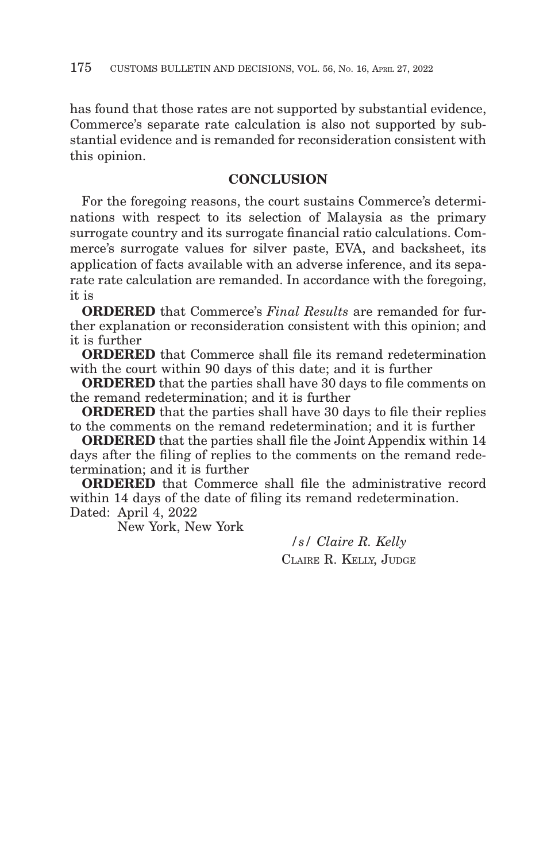has found that those rates are not supported by substantial evidence, Commerce's separate rate calculation is also not supported by substantial evidence and is remanded for reconsideration consistent with this opinion.

# **CONCLUSION**

For the foregoing reasons, the court sustains Commerce's determinations with respect to its selection of Malaysia as the primary surrogate country and its surrogate financial ratio calculations. Commerce's surrogate values for silver paste, EVA, and backsheet, its application of facts available with an adverse inference, and its separate rate calculation are remanded. In accordance with the foregoing, it is

**ORDERED** that Commerce's *Final Results* are remanded for further explanation or reconsideration consistent with this opinion; and it is further

**ORDERED** that Commerce shall file its remand redetermination with the court within 90 days of this date; and it is further

**ORDERED** that the parties shall have 30 days to file comments on the remand redetermination; and it is further

**ORDERED** that the parties shall have 30 days to file their replies to the comments on the remand redetermination; and it is further

**ORDERED** that the parties shall file the Joint Appendix within 14 days after the filing of replies to the comments on the remand redetermination; and it is further

**ORDERED** that Commerce shall file the administrative record within 14 days of the date of filing its remand redetermination. Dated: April 4, 2022

New York, New York

*/s/ Claire R. Kelly* CLAIRE R. KELLY, JUDGE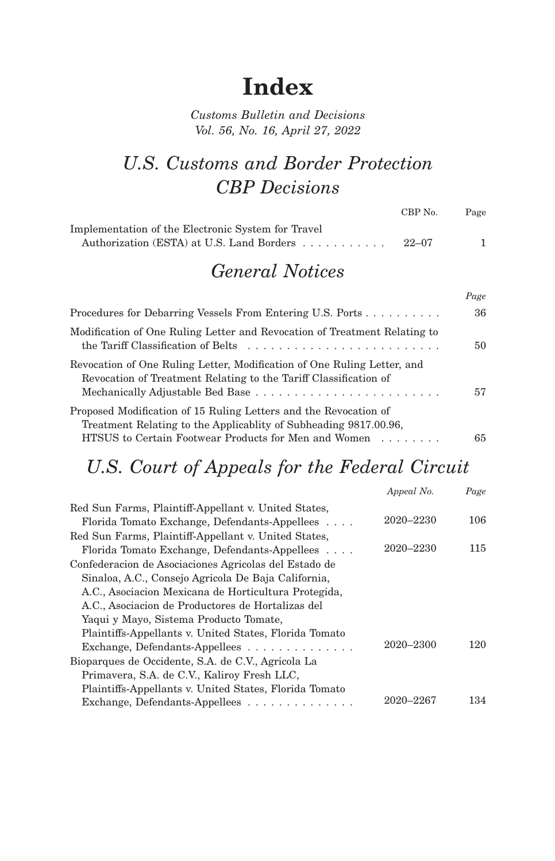# **Index**

# *Customs Bulletin and Decisions Vol. 56, No. 16, April 27, 2022*

# *U.S. Customs and Border Protection CBP Decisions*

|                                                                                                                                                                                              | CBP No.   | Page |
|----------------------------------------------------------------------------------------------------------------------------------------------------------------------------------------------|-----------|------|
| Implementation of the Electronic System for Travel<br>Authorization (ESTA) at U.S. Land Borders                                                                                              | $22 - 07$ | 1    |
| <b>General Notices</b>                                                                                                                                                                       |           |      |
|                                                                                                                                                                                              |           | Page |
| Procedures for Debarring Vessels From Entering U.S. Ports                                                                                                                                    |           | 36   |
| Modification of One Ruling Letter and Revocation of Treatment Relating to<br>the Tariff Classification of Belts $\dots \dots \dots \dots \dots \dots \dots \dots \dots \dots$                |           | 50   |
| Revocation of One Ruling Letter, Modification of One Ruling Letter, and<br>Revocation of Treatment Relating to the Tariff Classification of                                                  |           | 57   |
| Proposed Modification of 15 Ruling Letters and the Revocation of<br>Treatment Relating to the Applicablity of Subheading 9817.00.96,<br>HTSUS to Certain Footwear Products for Men and Women |           | 65   |

# *U.S. Court of Appeals for the Federal Circuit*

|                                                              | Appeal No. | Page |
|--------------------------------------------------------------|------------|------|
| Red Sun Farms, Plaintiff-Appellant v. United States,         |            |      |
| Florida Tomato Exchange, Defendants-Appellees                | 2020–2230  | 106  |
| Red Sun Farms, Plaintiff-Appellant v. United States,         |            |      |
| Florida Tomato Exchange, Defendants-Appellees                | 2020–2230  | 115  |
| Confederacion de Asociaciones Agricolas del Estado de        |            |      |
| Sinaloa, A.C., Consejo Agricola De Baja California,          |            |      |
| A.C., Asociacion Mexicana de Horticultura Protegida,         |            |      |
| A.C., Asociacion de Productores de Hortalizas del            |            |      |
| Yaqui y Mayo, Sistema Producto Tomate,                       |            |      |
| Plaintiffs-Appellants v. United States, Florida Tomato       |            |      |
| Exchange, Defendants-Appellees $\ldots \ldots \ldots \ldots$ | 2020–2300  | 120  |
| Bioparques de Occidente, S.A. de C.V., Agricola La           |            |      |
| Primavera, S.A. de C.V., Kaliroy Fresh LLC,                  |            |      |
| Plaintiffs-Appellants v. United States, Florida Tomato       |            |      |
| Exchange, Defendants-Appellees                               | 2020–2267  | 134  |